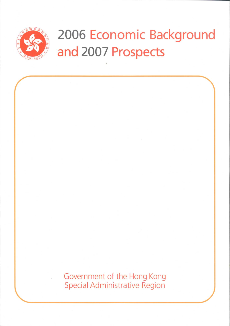

# 2006 Economic Background and 2007 Prospects

Government of the Hong Kong Special Administrative Region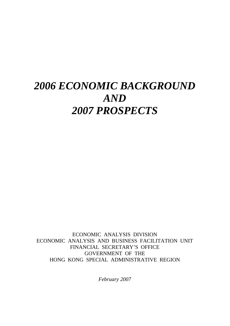# *2006 ECONOMIC BACKGROUND AND 2007 PROSPECTS*

ECONOMIC ANALYSIS DIVISION ECONOMIC ANALYSIS AND BUSINESS FACILITATION UNIT FINANCIAL SECRETARY'S OFFICE GOVERNMENT OF THE HONG KONG SPECIAL ADMINISTRATIVE REGION

*February 2007*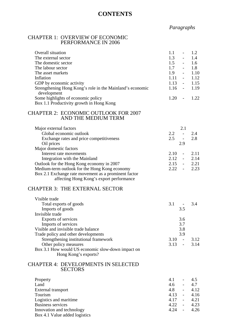# **CONTENTS**

# *Paragraphs*

#### CHAPTER 1: OVERVIEW OF ECONOMIC PERFORMANCE IN 2006

| Overall situation<br>The external sector<br>The domestic sector<br>The labour sector<br>The asset markets<br>Inflation<br>GDP by economic activity<br>Strengthening Hong Kong's role in the Mainland's economic<br>development<br>Some highlights of economic policy                               | 1.1<br>$\overline{\phantom{a}}$<br>1.3<br>$\omega_{\rm{max}}$<br>1.5<br>$\omega_{\rm{max}}$<br>1.7<br>$\Delta \sim 10^{-11}$<br>1.9<br>$\Delta \sim 100$<br>$1.11 - -$<br>$1.13 -$<br>$1.16 -$<br>1.20<br>$\mathbb{L}$ | 1.2<br>1.4<br>1.6<br>1.8<br>1.10<br>1.12<br>1.15<br>1.19<br>1.22 |
|----------------------------------------------------------------------------------------------------------------------------------------------------------------------------------------------------------------------------------------------------------------------------------------------------|------------------------------------------------------------------------------------------------------------------------------------------------------------------------------------------------------------------------|------------------------------------------------------------------|
| Box 1.1 Productivity growth in Hong Kong                                                                                                                                                                                                                                                           |                                                                                                                                                                                                                        |                                                                  |
| <b>CHAPTER 2: ECONOMIC OUTLOOK FOR 2007</b><br>AND THE MEDIUM TERM                                                                                                                                                                                                                                 |                                                                                                                                                                                                                        |                                                                  |
| Major external factors<br>Global economic outlook<br>Exchange rates and price competitiveness                                                                                                                                                                                                      | 2.1<br>2.2<br>$\Delta \sim 10^4$<br>$2.5 -$                                                                                                                                                                            | 2.4<br>2.8                                                       |
| Oil prices<br>Major domestic factors<br>Interest rate movements<br>Integration with the Mainland<br>Outlook for the Hong Kong economy in 2007<br>Medium-term outlook for the Hong Kong economy<br>Box 2.1 Exchange rate movement as a prominent factor<br>affecting Hong Kong's export performance | 2.9<br>$2.10 -$<br>$2.12 - 2.14$<br>$2.15 - 2.21$<br>$2.22 -$                                                                                                                                                          | 2.11<br>2.23                                                     |
| <b>CHAPTER 3: THE EXTERNAL SECTOR</b>                                                                                                                                                                                                                                                              |                                                                                                                                                                                                                        |                                                                  |
| Visible trade<br>Total exports of goods<br>Imports of goods<br>Invisible trade<br>Exports of services                                                                                                                                                                                              | 3.1<br>$\sim$ $ \sim$<br>3.5<br>3.6                                                                                                                                                                                    | 3.4                                                              |
| Imports of services<br>Visible and invisible trade balance<br>Trade policy and other developments<br>Strengthening institutional framework                                                                                                                                                         | 3.7<br>3.8<br>3.9<br>3.10<br>$\blacksquare$                                                                                                                                                                            | 3.12                                                             |
| Other policy measures<br>Box 3.1 How would US economic slow-down impact on<br>Hong Kong's exports?                                                                                                                                                                                                 | 3.13<br>$\overline{a}$                                                                                                                                                                                                 | 3.14                                                             |

#### CHAPTER 4: DEVELOPMENTS IN SELECTED **SECTORS**

| 4.1  | $\overline{\phantom{0}}$ | 4.5  |
|------|--------------------------|------|
| 4.6  | $\overline{a}$           | 4.7  |
| 4.8  | $\overline{a}$           | 4.12 |
| 4.13 | $\mathbb{L}$             | 4.16 |
| 4.17 | $\sim$                   | 4.21 |
| 4.22 | $\sim$                   | 4.23 |
| 4.24 | $\sim$                   | 4.26 |
|      |                          |      |
|      |                          |      |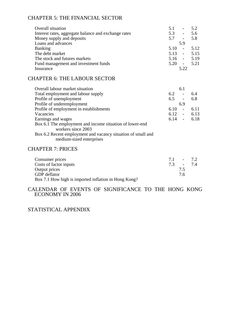# CHAPTER 5: THE FINANCIAL SECTOR

| Overall situation                                    | 5.1<br>$\overline{a}$ | 5.2  |
|------------------------------------------------------|-----------------------|------|
| Interest rates, aggregate balance and exchange rates | 5.3<br>$\blacksquare$ | 5.6  |
| Money supply and deposits                            | $5.7 -$               | 5.8  |
| Loans and advances                                   | 5.9                   |      |
| <b>Banking</b>                                       | 5.10<br>$\sim$ $-$    | 5.12 |
| The debt market                                      | $5.13 - 5.15$         |      |
| The stock and futures markets                        | $5.16 -$              | 5.19 |
| Fund management and investment funds                 | $5.20 -$              | 5.21 |
| Insurance                                            | 5.22                  |      |
|                                                      |                       |      |

### CHAPTER 6: THE LABOUR SECTOR

| Overall labour market situation                                                          | 6.1            |      |
|------------------------------------------------------------------------------------------|----------------|------|
| Total employment and labour supply                                                       | 6.2<br>$\sim$  | 6.4  |
| Profile of unemployment                                                                  | $6.5 -$        | 6.8  |
| Profile of underemployment                                                               | 6.9            |      |
| Profile of employment in establishments                                                  | 6.10<br>$\sim$ | 6.11 |
| Vacancies                                                                                | $6.12 - 6.13$  |      |
| Earnings and wages                                                                       | $6.14 - 6.18$  |      |
| Box 6.1 The employment and income situation of lower-end                                 |                |      |
| workers since 2003                                                                       |                |      |
| Box 6.2 Recent employment and vacancy situation of small and<br>medium-sized enterprises |                |      |
|                                                                                          |                |      |

# CHAPTER 7: PRICES

| Consumer prices                                      | 71 |    | $-72$ |
|------------------------------------------------------|----|----|-------|
| Costs of factor inputs                               | 73 |    | $-74$ |
| Output prices                                        |    | 75 |       |
| <b>GDP</b> deflator                                  |    | 76 |       |
| Box 7.1 How high is imported inflation in Hong Kong? |    |    |       |

CALENDAR OF EVENTS OF SIGNIFICANCE TO THE HONG KONG ECONOMY IN 2006

STATISTICAL APPENDIX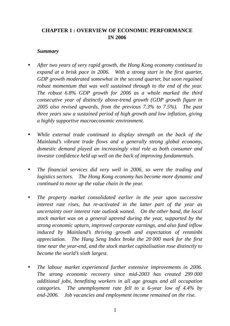# **CHAPTER 1 : OVERVIEW OF ECONOMIC PERFORMANCE IN 2006**

#### *Summary*

- After two years of very rapid growth, the Hong Kong economy continued to *expand at a brisk pace in 2006. With a strong start in the first quarter, GDP growth moderated somewhat in the second quarter, but soon regained robust momentum that was well sustained through to the end of the year. The robust 6.8% GDP growth for 2006 as a whole marked the third consecutive year of distinctly above-trend growth (GDP growth figure in 2005 also revised upwards, from the previous 7.3% to 7.5%). The past three years saw a sustained period of high growth and low inflation, giving a highly supportive macroeconomic environment.*
- While external trade continued to display strength on the back of the *Mainland's vibrant trade flows and a generally strong global economy, domestic demand played an increasingly vital role as both consumer and investor confidence held up well on the back of improving fundamentals.*
- *The financial services did very well in 2006, so were the trading and logistics sectors. The Hong Kong economy has become more dynamic and continued to move up the value chain in the year.*
- *The property market consolidated earlier in the year upon successive interest rate rises, but re-activated in the latter part of the year as uncertainty over interest rate outlook waned. On the other hand, the local stock market was on a general uptrend during the year, supported by the strong economic upturn, improved corporate earnings, and also fund inflow induced by Mainland's thriving growth and expectation of renminbi appreciation. The Hang Seng Index broke the 20 000 mark for the first time near the year-end, and the stock market capitalisation rose distinctly to become the world's sixth largest.*
- *The labour market experienced further extensive improvements in 2006. The strong economic recovery since mid-2003 has created 299 000 additional jobs, benefiting workers in all age groups and all occupation categories. The unemployment rate fell to a 6-year low of 4.4% by end-2006. Job vacancies and employment income remained on the rise.*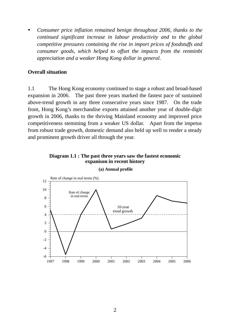*Consumer price inflation remained benign throughout 2006, thanks to the continued significant increase in labour productivity and to the global competitive pressures containing the rise in import prices of foodstuffs and consumer goods, which helped to offset the impacts from the renminbi appreciation and a weaker Hong Kong dollar in general.* 

#### **Overall situation**

1.1 The Hong Kong economy continued to stage a robust and broad-based expansion in 2006. The past three years marked the fastest pace of sustained above-trend growth in any three consecutive years since 1987. On the trade front, Hong Kong's merchandise exports attained another year of double-digit growth in 2006, thanks to the thriving Mainland economy and improved price competitiveness stemming from a weaker US dollar. Apart from the impetus from robust trade growth, domestic demand also held up well to render a steady and prominent growth driver all through the year.

#### **Diagram 1.1 : The past three years saw the fastest economic expanison in recent history**



**(a) Annual profile**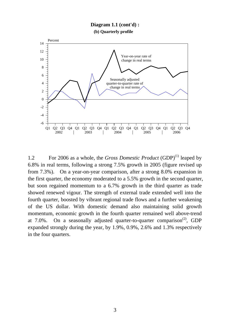#### **(b) Quarterly profile Diagram 1.1 (cont'd) :**



1.2 For 2006 as a whole, the *Gross Domestic Product* (GDP)<sup>(1)</sup> leaped by 6.8% in real terms, following a strong 7.5% growth in 2005 (figure revised up from 7.3%). On a year-on-year comparison, after a strong 8.0% expansion in the first quarter, the economy moderated to a 5.5% growth in the second quarter, but soon regained momentum to a 6.7% growth in the third quarter as trade showed renewed vigour. The strength of external trade extended well into the fourth quarter, boosted by vibrant regional trade flows and a further weakening of the US dollar. With domestic demand also maintaining solid growth momentum, economic growth in the fourth quarter remained well above-trend at 7.0%. On a seasonally adjusted quarter-to-quarter comparison<sup>(2)</sup>, GDP expanded strongly during the year, by 1.9%, 0.9%, 2.6% and 1.3% respectively in the four quarters.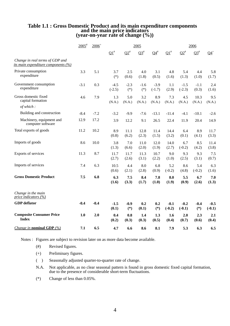# **Table 1.1 : Gross Domestic Product and its main expenditure components and the main price indicators (year-on-year rate of change (%))**

|                                                                               | $2005$ <sup>#</sup> | $2006^+$ | 2005               |                 |                 |                    | 2006                  |                    |                     |                    |
|-------------------------------------------------------------------------------|---------------------|----------|--------------------|-----------------|-----------------|--------------------|-----------------------|--------------------|---------------------|--------------------|
|                                                                               |                     |          | $\Omega^*$         | $\Omega^*$      | $\Omega^*$      | $Q4^{\#}$          | $\Omega$ <sup>#</sup> | $\Omega^*$         | $\mathbf{\Omega}^*$ | $Q4^+$             |
| Change in real terms of GDP and<br><i>its main expenditure components (%)</i> |                     |          |                    |                 |                 |                    |                       |                    |                     |                    |
| Private consumption<br>expenditure                                            | 3.3                 | 5.1      | 3.7<br>$(*)$       | 2.5<br>(0.6)    | 4.0<br>(1.8)    | 3.1<br>(0.5)       | 4.8<br>(1.6)          | 5.4<br>(1.3)       | 4.4<br>(1.0)        | 5.8<br>(1.7)       |
| Government consumption<br>expenditure                                         | $-3.1$              | 0.3      | $-4.5$<br>$(-2.5)$ | $-2.3$<br>$(*)$ | $-1.6$<br>$(*)$ | $-3.9$<br>$(-1.7)$ | 1.1<br>(2.9)          | $-1.5$<br>$(-2.3)$ | $-1.1$<br>(0.3)     | 2.4<br>(1.6)       |
| Gross domestic fixed<br>capital formation                                     | 4.6                 | 7.9      | 1.3<br>(N.A.)      | 5.0<br>(N.A.)   | 3.2<br>(N.A.)   | 8.9<br>(N.A.)      | 7.3<br>(N.A.)         | 4.5<br>(N.A.)      | 10.3<br>(N.A.)      | 9.5<br>(N.A.)      |
| of which:                                                                     |                     |          |                    |                 |                 |                    |                       |                    |                     |                    |
| Building and construction                                                     | $-8.4$              | $-7.2$   | $-3.2$             | $-9.9$          | $-7.6$          | $-13.1$            | $-11.4$               | $-4.1$             | $-10.1$             | $-2.6$             |
| Machinery, equipment and<br>computer software                                 | 12.9                | 17.2     | 3.9                | 12.2            | 9.1             | 26.5               | 22.4                  | 11.9               | 20.4                | 14.9               |
| Total exports of goods                                                        | 11.2                | 10.2     | 8.9<br>(0.8)       | 11.1<br>(6.2)   | 12.8<br>(2.3)   | 11.4<br>(1.5)      | 14.4<br>(3.2)         | 6.4<br>(0.1)       | 8.9<br>(4.1)        | 11.7<br>(3.3)      |
| Imports of goods                                                              | 8.6                 | 10.0     | 3.8<br>(1.3)       | 7.0<br>(6.6)    | 11.0<br>(2.0)   | 12.0<br>(1.9)      | 14.0<br>(2.7)         | 6.7<br>$(-0.2)$    | 8.5<br>(4.2)        | 11.4<br>(3.8)      |
| Exports of services                                                           | 11.3                | 8.7      | 11.7<br>(2.7)      | 11.7<br>(2.6)   | 11.3<br>(3.1)   | 10.7<br>(2.2)      | 9.0<br>(1.0)          | 9.3<br>(2.5)       | 9.3<br>(3.1)        | 7.5<br>(0.7)       |
| Imports of services                                                           | 7.4                 | 6.3      | 10.5<br>(0.6)      | 4.4<br>(2.1)    | 8.0<br>(2.8)    | 6.8<br>(0.9)       | 5.2<br>$(-0.2)$       | 8.6<br>(4.8)       | 5.4<br>$(-0.2)$     | 6.3<br>(1.6)       |
| <b>Gross Domestic Product</b>                                                 | 7.5                 | 6.8      | 6.3<br>(1.6)       | 7.5<br>(3.3)    | 8.4<br>(1.7)    | 7.8<br>(1.0)       | 8.0<br>(1.9)          | 5.5<br>(0.9)       | 6.7<br>(2.6)        | 7.0<br>(1.3)       |
| Change in the main<br>price indicators $(\frac{\%}{\%})$                      |                     |          |                    |                 |                 |                    |                       |                    |                     |                    |
| <b>GDP</b> deflator                                                           | $-0.4$              | $-0.4$   | $-1.5$<br>(0.1)    | $-0.9$<br>$(*)$ | 0.2<br>(0.1)    | 0.2<br>$(*)$       | $-0.1$<br>$(-0.2)$    | $-0.2$<br>$(-0.1)$ | $-0.4$<br>$(*)$     | $-0.5$<br>$(-0.1)$ |
| <b>Composite Consumer Price</b><br><b>Index</b>                               | 1.0                 | 2.0      | 0.4<br>(0.2)       | 0.8<br>(0.3)    | 1.4<br>(0.3)    | 1.3<br>(0.5)       | 1.6<br>(0.4)          | 2.0<br>(0.7)       | 2.3<br>(0.6)        | 2.1<br>(0.4)       |
| <i>Change in nominal GDP</i> $(\%)$                                           | 7.1                 | 6.5      | 4.7                | 6.6             | 8.6             | 8.1                | 7.9                   | 5.3                | 6.3                 | 6.5                |

Notes : Figures are subject to revision later on as more data become available.

- (+) Preliminary figures.
- ( ) Seasonally adjusted quarter-to-quarter rate of change.
- N.A. Not applicable, as no clear seasonal pattern is found in gross domestic fixed capital formation, due to the presence of considerable short-term fluctuations.
	- (\*) Change of less than 0.05%.

 <sup>(#)</sup> Revised figures.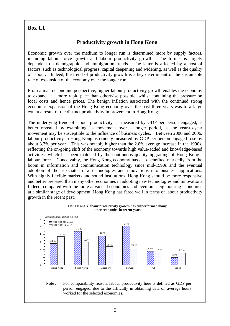#### **Box 1.1**

# **Productivity growth in Hong Kong**

Economic growth over the medium to longer run is determined more by supply factors, including labour force growth and labour productivity growth. The former is largely dependent on demographic and immigration trends. The latter is affected by a host of factors, such as technological progress, capital deepening and widening, as well as the quality of labour. Indeed, the trend of productivity growth is a key determinant of the sustainable rate of expansion of the economy over the longer run.

From a macroeconomic perspective, higher labour productivity growth enables the economy to expand at a more rapid pace than otherwise possible, whilst containing the pressure on local costs and hence prices. The benign inflation associated with the continued strong economic expansion of the Hong Kong economy over the past three years was to a large extent a result of the distinct productivity improvement in Hong Kong.

The underlying trend of labour productivity, as measured by GDP per person engaged, is better revealed by examining its movement over a longer period, as the year-to-year movement may be susceptible to the influence of business cycles. Between 2000 and 2006, labour productivity in Hong Kong as crudely measured by GDP per person engaged rose by about 3.7% per year. This was notably higher than the 2.8% average increase in the 1990s, reflecting the on-going shift of the economy towards high value-added and knowledge-based activities, which has been matched by the continuous quality upgrading of Hong Kong's labour force. Conceivably, the Hong Kong economy has also benefited markedly from the boom in information and communication technology since mid-1990s and the eventual adoption of the associated new technologies and innovations into business applications. With highly flexible markets and sound institutions, Hong Kong should be more responsive and better prepared than many other economies in adopting new technologies and innovations. Indeed, compared with the more advanced economies and even our neighbouring economies at a similar stage of development, Hong Kong has fared well in terms of labour productivity growth in the recent past.



#### **Hong Kong's labour productivity growth has outperformed many other economies in recent years**

#### Note : For comparability reason, labour productivity here is defined as GDP per person engaged, due to the difficulty in obtaining data on average hours worked for the selected economies.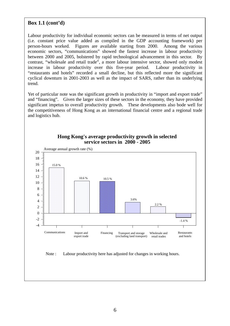#### **Box 1.1 (cont'd)**

Labour productivity for individual economic sectors can be measured in terms of net output (i.e. constant price value added as compiled in the GDP accounting framework) per person-hours worked. Figures are available starting from 2000. Among the various economic sectors, "communications" showed the fastest increase in labour productivity between 2000 and 2005, bolstered by rapid technological advancement in this sector. By contrast, "wholesale and retail trade", a more labour intensive sector, showed only modest increase in labour productivity over this five-year period. Labour productivity in "restaurants and hotels" recorded a small decline, but this reflected more the significant cyclical downturn in 2001-2003 as well as the impact of SARS, rather than its underlying trend.

Yet of particular note was the significant growth in productivity in "import and export trade" and "financing". Given the larger sizes of these sectors in the economy, they have provided significant impetus to overall productivity growth. These developments also bode well for the competitiveness of Hong Kong as an international financial centre and a regional trade and logistics hub.



#### **Hong Kong's average productivity growth in selected service sectors in 2000 - 2005**

Note : Labour productivity here has adjusted for changes in working hours.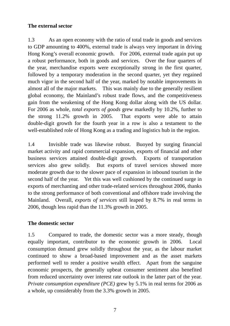## **The external sector**

1.3 As an open economy with the ratio of total trade in goods and services to GDP amounting to 400%, external trade is always very important in driving Hong Kong's overall economic growth. For 2006, external trade again put up a robust performance, both in goods and services. Over the four quarters of the year, merchandise exports were exceptionally strong in the first quarter, followed by a temporary moderation in the second quarter, yet they regained much vigor in the second half of the year, marked by notable improvements in almost all of the major markets. This was mainly due to the generally resilient global economy, the Mainland's robust trade flows, and the competitiveness gain from the weakening of the Hong Kong dollar along with the US dollar. For 2006 as whole, *total exports of goods* grew markedly by 10.2%, further to the strong 11.2% growth in 2005. That exports were able to attain double-digit growth for the fourth year in a row is also a testament to the well-established role of Hong Kong as a trading and logistics hub in the region.

1.4 Invisible trade was likewise robust. Buoyed by surging financial market activity and rapid commercial expansion, exports of financial and other business services attained double-digit growth. Exports of transportation services also grew solidly. But exports of travel services showed more moderate growth due to the slower pace of expansion in inbound tourism in the second half of the year. Yet this was well cushioned by the continued surge in exports of merchanting and other trade-related services throughout 2006, thanks to the strong performance of both conventional and offshore trade involving the Mainland. Overall, *exports of services* still leaped by 8.7% in real terms in 2006, though less rapid than the 11.3% growth in 2005.

#### **The domestic sector**

1.5 Compared to trade, the domestic sector was a more steady, though equally important, contributor to the economic growth in 2006. Local consumption demand grew solidly throughout the year, as the labour market continued to show a broad-based improvement and as the asset markets performed well to render a positive wealth effect. Apart from the sanguine economic prospects, the generally upbeat consumer sentiment also benefited from reduced uncertainty over interest rate outlook in the latter part of the year. *Private consumption expenditure (PCE)* grew by 5.1% in real terms for 2006 as a whole, up considerably from the 3.3% growth in 2005.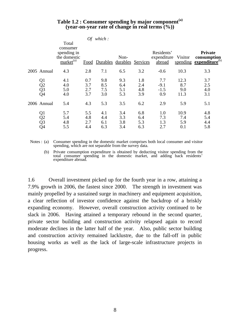| Table 1.2 : Consumer spending by major component <sup>(a)</sup> |  |
|-----------------------------------------------------------------|--|
| (year-on-year rate of change in real terms $(\%)$ )             |  |

|                                                | Total                                                     |                          | Of which:                |                          |                          |                                     |                            |                                                    |
|------------------------------------------------|-----------------------------------------------------------|--------------------------|--------------------------|--------------------------|--------------------------|-------------------------------------|----------------------------|----------------------------------------------------|
|                                                | consumer<br>spending in<br>the domestic<br>$market^{(a)}$ |                          | Food Durables            | Non-<br>durables         | Services                 | Residents'<br>expenditure<br>abroad | Visitor<br>spending        | <b>Private</b><br>consumption<br>expenditure $(b)$ |
| 2005 Annual                                    | 4.3                                                       | 2.8                      | 7.1                      | 6.5                      | 3.2                      | $-0.6$                              | 10.3                       | 3.3                                                |
| Q1<br>$\overline{Q}$<br>$\overline{Q}$ 3<br>Q4 | 4.1<br>4.0<br>5.0<br>4.0                                  | 0.7<br>3.7<br>2.7<br>3.7 | 9.8<br>8.5<br>7.5<br>3.0 | 9.3<br>6.4<br>5.1<br>5.3 | 1.8<br>2.4<br>4.8<br>3.9 | 7.7<br>$-9.1$<br>$-1.5$<br>0.9      | 12.3<br>8.7<br>9.0<br>11.3 | 3.7<br>2.5<br>4.0<br>3.1                           |
| 2006 Annual                                    | 5.4                                                       | 4.3                      | 5.3                      | 3.5                      | 6.2                      | 2.9                                 | 5.9                        | 5.1                                                |
| Q1<br>Q2<br>Q3<br>Q4                           | 5.7<br>5.4<br>4.8<br>5.5                                  | 5.5<br>4.8<br>2.7<br>4.4 | 4.1<br>4.4<br>6.1<br>6.3 | 3.4<br>3.3<br>3.8<br>3.4 | 6.8<br>6.4<br>5.3<br>6.3 | 1.0<br>7.3<br>1.3<br>2.7            | 10.9<br>7.4<br>5.9<br>0.1  | 4.8<br>5.4<br>4.4<br>5.8                           |

Notes : (a) Consumer spending in the domestic market comprises both local consumer and visitor spending, which are not separable from the survey data.

 (b) Private consumption expenditure is obtained by deducting visitor spending from the total consumer spending in the domestic market, and adding back residents' expenditure abroad.

1.6 Overall investment picked up for the fourth year in a row, attaining a 7.9% growth in 2006, the fastest since 2000. The strength in investment was mainly propelled by a sustained surge in machinery and equipment acquisition, a clear reflection of investor confidence against the backdrop of a briskly expanding economy. However, overall construction activity continued to be slack in 2006. Having attained a temporary rebound in the second quarter, private sector building and construction activity relapsed again to record moderate declines in the latter half of the year. Also, public sector building and construction activity remained lacklustre, due to the fall-off in public housing works as well as the lack of large-scale infrastructure projects in progress.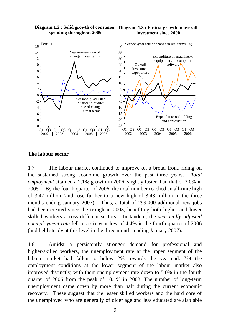**Diagram 1.2 : Solid growth of consumer Diagram 1.3 : Fastest growth in overall spending throughout 2006**

# **investment since 2000**



#### **The labour sector**

1.7 The labour market continued to improve on a broad front, riding on the sustained strong economic growth over the past three years. *Total employment* attained a 2.1% growth in 2006, slightly faster than that of 2.0% in 2005. By the fourth quarter of 2006, the total number reached an all-time high of 3.47 million (and rose further to a new high of 3.48 million in the three months ending January 2007). Thus, a total of 299 000 additional new jobs had been created since the trough in 2003, benefiting both higher and lower skilled workers across different sectors. In tandem, the *seasonally adjusted unemployment rate* fell to a six-year low of 4.4% in the fourth quarter of 2006 (and held steady at this level in the three months ending January 2007).

1.8 Amidst a persistently stronger demand for professional and higher-skilled workers, the unemployment rate at the upper segment of the labour market had fallen to below 2% towards the year-end. Yet the employment conditions at the lower segment of the labour market also improved distinctly, with their unemployment rate down to 5.0% in the fourth quarter of 2006 from the peak of 10.1% in 2003. The number of long-term unemployment came down by more than half during the current economic recovery. These suggest that the lesser skilled workers and the hard core of the unemployed who are generally of older age and less educated are also able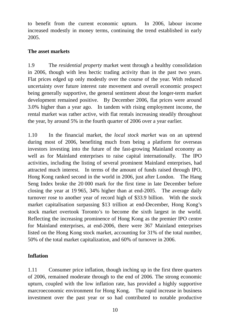to benefit from the current economic upturn. In 2006, labour income increased modestly in money terms, continuing the trend established in early 2005.

#### **The asset markets**

1.9 The *residential property* market went through a healthy consolidation in 2006, though with less hectic trading activity than in the past two years. Flat prices edged up only modestly over the course of the year. With reduced uncertainty over future interest rate movement and overall economic prospect being generally supportive, the general sentiment about the longer-term market development remained positive. By December 2006, flat prices were around 3.0% higher than a year ago. In tandem with rising employment income, the rental market was rather active, with flat rentals increasing steadily throughout the year, by around 5% in the fourth quarter of 2006 over a year earlier.

1.10 In the financial market, the *local stock market* was on an uptrend during most of 2006, benefiting much from being a platform for overseas investors investing into the future of the fast-growing Mainland economy as well as for Mainland enterprises to raise capital internationally. The IPO activities, including the listing of several prominent Mainland enterprises, had attracted much interest. In terms of the amount of funds raised through IPO, Hong Kong ranked second in the world in 2006, just after London. The Hang Seng Index broke the 20 000 mark for the first time in late December before closing the year at 19 965, 34% higher than at end-2005. The average daily turnover rose to another year of record high of \$33.9 billion. With the stock market capitalisation surpassing \$13 trillion at end-December, Hong Kong's stock market overtook Toronto's to become the sixth largest in the world. Reflecting the increasing prominence of Hong Kong as the premier IPO centre for Mainland enterprises, at end-2006, there were 367 Mainland enterprises listed on the Hong Kong stock market, accounting for 31% of the total number, 50% of the total market capitalization, and 60% of turnover in 2006.

# **Inflation**

1.11 Consumer price inflation, though inching up in the first three quarters of 2006, remained moderate through to the end of 2006. The strong economic upturn, coupled with the low inflation rate, has provided a highly supportive marcroeconomic environment for Hong Kong. The rapid increase in business investment over the past year or so had contributed to notable productive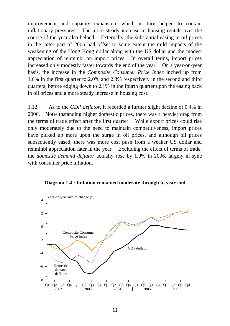improvement and capacity expansion, which in turn helped to contain inflationary pressures. The more steady increase in housing rentals over the course of the year also helped. Externally, the substantial easing in oil prices in the latter part of 2006 had offset to some extent the mild impacts of the weakening of the Hong Kong dollar along with the US dollar and the modest appreciation of renminbi on import prices. In overall terms, import prices increased only modestly faster towards the end of the year. On a year-on-year basis, the increase in the *Composite Consumer Price Index* inched up from 1.6% in the first quarter to 2.0% and 2.3% respectively in the second and third quarters, before edging down to 2.1% in the fourth quarter upon the easing back in oil prices and a more steady increase in housing cost.

1.12 As to the *GDP deflator*, it recorded a further slight decline of 0.4% in 2006. Notwithstanding higher domestic prices, there was a heavier drag from the terms of trade effect after the first quarter. While export prices could rise only moderately due to the need to maintain competitiveness, import prices have picked up more upon the surge in oil prices, and although oil prices subsequently eased, there was more cost push from a weaker US dollar and renminbi appreciation later in the year. Excluding the effect of terms of trade, the *domestic demand deflator* actually rose by 1.9% in 2006, largely in sync with consumer price inflation.



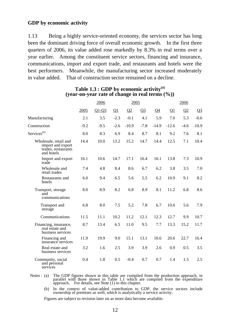#### **GDP by economic activity**

1.13 Being a highly service-oriented economy, the services sector has long been the dominant driving force of overall economic growth. In the first three quarters of 2006, its value added rose markedly by 8.3% in real terms over a year earlier. Among the constituent service sectors, financing and insurance, communications, import and export trade, and restaurants and hotels were the best performers. Meanwhile, the manufacturing sector increased moderately in value added. That of construction sector remained on a decline.

|                                                                                 |        | 2006    |          | 2005     |         |          |          | 2006     |         |
|---------------------------------------------------------------------------------|--------|---------|----------|----------|---------|----------|----------|----------|---------|
|                                                                                 | 2005   | $Q1-Q3$ | $\Omega$ | $\Omega$ | $Q_2^2$ | $\Omega$ | $\Omega$ | $\Omega$ | $Q_2^2$ |
| Manufacturing                                                                   | 2.1    | 3.5     | $-2.3$   | $-0.1$   | 4.1     | 5.9      | 7.0      | 5.3      | $-0.6$  |
| Construction                                                                    | $-9.2$ | $-9.5$  | $-2.6$   | $-10.9$  | $-7.8$  | $-14.9$  | $-12.6$  | $-4.6$   | $-10.9$ |
| Services <sup>(b)</sup>                                                         | 8.0    | 8.3     | 6.9      | 8.4      | 8.7     | 8.1      | 9.2      | 7.6      | 8.1     |
| Wholesale, retail and<br>import and export<br>trades, restaurants<br>and hotels | 14.4   | 10.0    | 13.2     | 15.2     | 14.7    | 14.4     | 12.5     | 7.1      | 10.4    |
| Import and export<br>trade                                                      | 16.1   | 10.6    | 14.7     | 17.1     | 16.4    | 16.1     | 13.8     | 7.3      | 10.9    |
| Wholesale and<br>retail trades                                                  | 7.4    | 4.8     | 8.4      | 8.6      | 6.7     | 6.2      | 3.8      | 3.5      | 7.0     |
| Restaurants and<br>hotels                                                       | 6.0    | 9.4     | 6.5      | 5.6      | 5.5     | 6.2      | 10.9     | 9.1      | 8.2     |
| Transport, storage<br>and<br>communications                                     | 8.0    | 8.9     | 8.2      | 6.8      | 8.9     | 8.1      | 11.2     | 6.8      | 8.6     |
| <b>Transport</b> and<br>storage                                                 | 6.8    | 8.0     | 7.5      | 5.2      | 7.8     | 6.7      | 10.6     | 5.6      | 7.9     |
| Communications                                                                  | 11.5   | 11.1    | 10.2     | 11.2     | 12.1    | 12.3     | 12.7     | 9.9      | 10.7    |
| Financing, insurance,<br>real estate and<br>business services                   | 8.7    | 13.4    | 6.5      | 11.0     | 9.5     | 7.7      | 13.3     | 15.2     | 11.7    |
| Financing and<br>insurance services                                             | 11.9   | 19.9    | 9.0      | 15.1     | 13.1    | 10.6     | 20.6     | 22.7     | 16.4    |
| Real estate and<br>business services                                            | 3.2    | 1.6     | 2.5      | 3.9      | 3.9     | 2.6      | 0.9      | 0.5      | 3.5     |
| Community, social<br>and personal<br>services                                   | 0.4    | 1.8     | 0.5      | $-0.4$   | 0.7     | 0.7      | 1.4      | 1.5      | 2.5     |

#### **Table 1.3 : GDP by economic activity(a) (year-on-year rate of change in real terms (%))**

Notes: (a) The GDP figures shown in this table are compiled from the production approach, in parallel with those shown in Table 1.1 which are compiled from the expenditure approach. For details, see Note (1) to this chapte

 (b) In the context of value-added contribution to GDP, the service sectors include ownership of premises as well, which is analytically a service activity.

Figures are subject to revision later on as more data become available.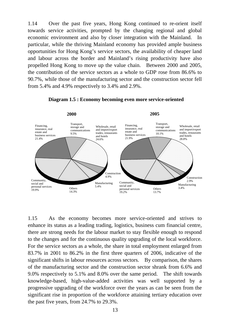1.14 Over the past five years, Hong Kong continued to re-orient itself towards service activities, prompted by the changing regional and global economic environment and also by closer integration with the Mainland. In particular, while the thriving Mainland economy has provided ample business opportunities for Hong Kong's service sectors, the availability of cheaper land and labour across the border and Mainland's rising productivity have also propelled Hong Kong to move up the value chain. Between 2000 and 2005, the contribution of the service sectors as a whole to GDP rose from 86.6% to 90.7%, while those of the manufacturing sector and the construction sector fell from 5.4% and 4.9% respectively to 3.4% and 2.9%.



**Diagram 1.5 : Economy becoming even more service-oriented**

1.15 As the economy becomes more service-oriented and strives to enhance its status as a leading trading, logistics, business cum financial centre, there are strong needs for the labour market to stay flexible enough to respond to the changes and for the continuous quality upgrading of the local workforce. For the service sectors as a whole, the share in total employment enlarged from 83.7% in 2001 to 86.2% in the first three quarters of 2006, indicative of the significant shifts in labour resources across sectors. By comparison, the shares of the manufacturing sector and the construction sector shrank from 6.6% and 9.0% respectively to 5.1% and 8.0% over the same period. The shift towards knowledge-based, high-value-added activities was well supported by a progressive upgrading of the workforce over the years as can be seen from the significant rise in proportion of the workforce attaining tertiary education over the past five years, from 24.7% to 29.3%.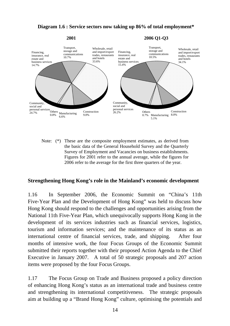#### **Diagram 1.6 : Service sectors now taking up 86% of total employment\***



Note: (\*) These are the composite employment estimates, as derived from the basic data of the General Household Survey and the Quarterly Survey of Employment and Vacancies on business establishments. Figures for 2001 refer to the annual average, while the figures for 2006 refer to the average for the first three quarters of the year.

#### **Strengthening Hong Kong's role in the Mainland's economic development**

1.16 In September 2006, the Economic Summit on "China's 11th Five-Year Plan and the Development of Hong Kong" was held to discuss how Hong Kong should respond to the challenges and opportunities arising from the National 11th Five-Year Plan, which unequivocally supports Hong Kong in the development of its services industries such as financial services, logistics, tourism and information services; and the maintenance of its status as an international centre of financial services, trade, and shipping. After four months of intensive work, the four Focus Groups of the Economic Summit submitted their reports together with their proposed Action Agenda to the Chief Executive in January 2007. A total of 50 strategic proposals and 207 action items were proposed by the four Focus Groups.

1.17 The Focus Group on Trade and Business proposed a policy direction of enhancing Hong Kong's status as an international trade and business centre and strengthening its international competitiveness. The strategic proposals aim at building up a "Brand Hong Kong" culture, optimising the potentials and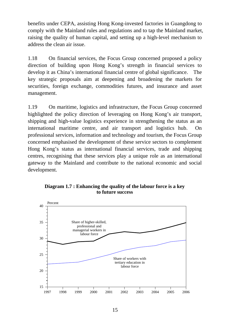benefits under CEPA, assisting Hong Kong-invested factories in Guangdong to comply with the Mainland rules and regulations and to tap the Mainland market, raising the quality of human capital, and setting up a high-level mechanism to address the clean air issue.

1.18 On financial services, the Focus Group concerned proposed a policy direction of building upon Hong Kong's strength in financial services to develop it as China's international financial centre of global significance. The key strategic proposals aim at deepening and broadening the markets for securities, foreign exchange, commodities futures, and insurance and asset management.

1.19 On maritime, logistics and infrastructure, the Focus Group concerned highlighted the policy direction of leveraging on Hong Kong's air transport, shipping and high-value logistics experience in strengthening the status as an international maritime centre, and air transport and logistics hub. On professional services, information and technology and tourism, the Focus Group concerned emphasised the development of these service sectors to complement Hong Kong's status as international financial services, trade and shipping centres, recognising that these services play a unique role as an international gateway to the Mainland and contribute to the national economic and social development.

#### **Diagram 1.7 : Enhancing the quality of the labour force is a key to future success**

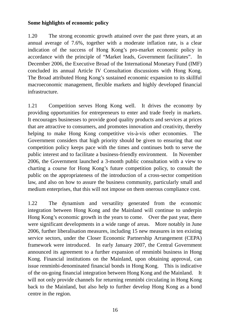#### **Some highlights of economic policy**

1.20 The strong economic growth attained over the past three years, at an annual average of 7.6%, together with a moderate inflation rate, is a clear indication of the success of Hong Kong's pro-market economic policy in accordance with the principle of "Market leads, Government facilitates". In December 2006, the Executive Broad of the International Monetary Fund (IMF) concluded its annual Article IV Consultation discussions with Hong Kong. The Broad attributed Hong Kong's sustained economic expansion to its skillful macroeconomic management, flexible markets and highly developed financial infrastructure.

1.21 Competition serves Hong Kong well. It drives the economy by providing opportunities for entrepreneurs to enter and trade freely in markets. It encourages businesses to provide good quality products and services at prices that are attractive to consumers, and promotes innovation and creativity, thereby helping to make Hong Kong competitive vis-à-vis other economies. The Government considers that high priority should be given to ensuring that our competition policy keeps pace with the times and continues both to serve the public interest and to facilitate a business-friendly environment. In November 2006, the Government launched a 3-month public consultation with a view to charting a course for Hong Kong's future competition policy, to consult the public on the appropriateness of the introduction of a cross-sector competition law, and also on how to assure the business community, particularly small and medium enterprises, that this will not impose on them onerous compliance cost.

1.22 The dynamism and versatility generated from the economic integration between Hong Kong and the Mainland will continue to underpin Hong Kong's economic growth in the years to come. Over the past year, there were significant developments in a wide range of areas. More notably in June 2006, further liberalisation measures, including 15 new measures in ten existing service sectors, under the Closer Economic Partnership Arrangement (CEPA) framework were introduced. In early January 2007, the Central Government announced its agreement to a further expansion of renminbi business in Hong Kong. Financial institutions on the Mainland, upon obtaining approval, can issue renminbi-denominated financial bonds in Hong Kong. This is indicative of the on-going financial integration between Hong Kong and the Mainland. It will not only provide channels for returning renminbi circulating in Hong Kong back to the Mainland, but also help to further develop Hong Kong as a bond centre in the region.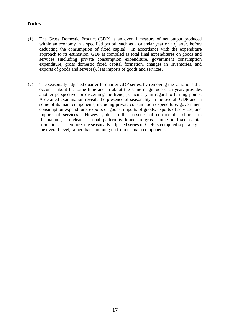#### **Notes :**

- (1) The Gross Domestic Product (GDP) is an overall measure of net output produced within an economy in a specified period, such as a calendar year or a quarter, before deducting the consumption of fixed capital. In accordance with the expenditure approach to its estimation, GDP is compiled as total final expenditures on goods and services (including private consumption expenditure, government consumption expenditure, gross domestic fixed capital formation, changes in inventories, and exports of goods and services), less imports of goods and services.
- (2) The seasonally adjusted quarter-to-quarter GDP series, by removing the variations that occur at about the same time and in about the same magnitude each year, provides another perspective for discerning the trend, particularly in regard to turning points. A detailed examination reveals the presence of seasonality in the overall GDP and in some of its main components, including private consumption expenditure, government consumption expenditure, exports of goods, imports of goods, exports of services, and imports of services. However, due to the presence of considerable short-term fluctuations, no clear seasonal pattern is found in gross domestic fixed capital formation. Therefore, the seasonally adjusted series of GDP is compiled separately at the overall level, rather than summing up from its main components.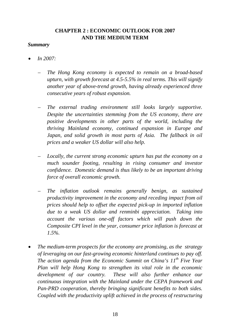# **CHAPTER 2 : ECONOMIC OUTLOOK FOR 2007 AND THE MEDIUM TERM**

#### *Summary*

- *In 2007:* 
	- *The Hong Kong economy is expected to remain on a broad-based upturn, with growth forecast at 4.5-5.5% in real terms. This will signify another year of above-trend growth, having already experienced three consecutive years of robust expansion.*
	- *The external trading environment still looks largely supportive. Despite the uncertainties stemming from the US economy, there are positive developments in other parts of the world, including the thriving Mainland economy, continued expansion in Europe and Japan, and solid growth in most parts of Asia. The fallback in oil prices and a weaker US dollar will also help.*
	- *Locally, the current strong economic upturn has put the economy on a much sounder footing, resulting in rising consumer and investor confidence. Domestic demand is thus likely to be an important driving force of overall economic growth.*
	- *The inflation outlook remains generally benign, as sustained productivity improvement in the economy and receding impact from oil prices should help to offset the expected pick-up in imported inflation due to a weak US dollar and renminbi appreciation. Taking into account the various one-off factors which will push down the Composite CPI level in the year, consumer price inflation is forecast at 1.5%.*
- *The medium-term prospects for the economy are promising, as the strategy of leveraging on our fast-growing economic hinterland continues to pay off. The action agenda from the Economic Summit on China's 11th Five Year Plan will help Hong Kong to strengthen its vital role in the economic development of our country. These will also further enhance our continuous integration with the Mainland under the CEPA framework and Pan-PRD cooperation, thereby bringing significant benefits to both sides. Coupled with the productivity uplift achieved in the process of restructuring*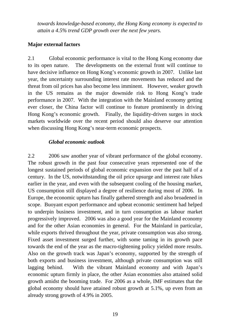*towards knowledge-based economy, the Hong Kong economy is expected to attain a 4.5% trend GDP growth over the next few years.* 

#### **Major external factors**

2.1 Global economic performance is vital to the Hong Kong economy due to its open nature. The developments on the external front will continue to have decisive influence on Hong Kong's economic growth in 2007. Unlike last year, the uncertainty surrounding interest rate movements has reduced and the threat from oil prices has also become less imminent. However, weaker growth in the US remains as the major downside risk to Hong Kong's trade performance in 2007. With the integration with the Mainland economy getting ever closer, the China factor will continue to feature prominently in driving Hong Kong's economic growth. Finally, the liquidity-driven surges in stock markets worldwide over the recent period should also deserve our attention when discussing Hong Kong's near-term economic prospects.

#### *Global economic outlook*

2.2 2006 saw another year of vibrant performance of the global economy. The robust growth in the past four consecutive years represented one of the longest sustained periods of global economic expansion over the past half of a century. In the US, notwithstanding the oil price upsurge and interest rate hikes earlier in the year, and even with the subsequent cooling of the housing market, US consumption still displayed a degree of resilience during most of 2006. In Europe, the economic upturn has finally gathered strength and also broadened in scope. Buoyant export performance and upbeat economic sentiment had helped to underpin business investment, and in turn consumption as labour market progressively improved. 2006 was also a good year for the Mainland economy and for the other Asian economies in general. For the Mainland in particular, while exports thrived throughout the year, private consumption was also strong. Fixed asset investment surged further, with some taming in its growth pace towards the end of the year as the macro-tightening policy yielded more results. Also on the growth track was Japan's economy, supported by the strength of both exports and business investment, although private consumption was still lagging behind. With the vibrant Mainland economy and with Japan's economic upturn firmly in place, the other Asian economies also attained solid growth amidst the booming trade. For 2006 as a whole, IMF estimates that the global economy should have attained robust growth at 5.1%, up even from an already strong growth of 4.9% in 2005.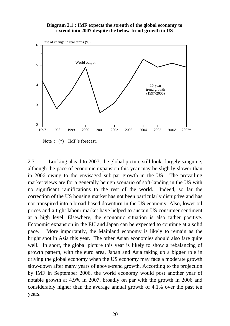#### **Diagram 2.1 : IMF expects the strenth of the global economy to extend into 2007 despite the below-trend growth in US**



Note :  $(*)$  IMF's forecast.

2.3 Looking ahead to 2007, the global picture still looks largely sanguine, although the pace of economic expansion this year may be slightly slower than in 2006 owing to the envisaged sub-par growth in the US. The prevailing market views are for a generally benign scenario of soft-landing in the US with no significant ramifications to the rest of the world. Indeed, so far the correction of the US housing market has not been particularly disruptive and has not transpired into a broad-based downturn in the US economy. Also, lower oil prices and a tight labour market have helped to sustain US consumer sentiment at a high level. Elsewhere, the economic situation is also rather positive. Economic expansion in the EU and Japan can be expected to continue at a solid pace. More importantly, the Mainland economy is likely to remain as the bright spot in Asia this year. The other Asian economies should also fare quite well. In short, the global picture this year is likely to show a rebalancing of growth pattern, with the euro area, Japan and Asia taking up a bigger role in driving the global economy when the US economy may face a moderate growth slow-down after many years of above-trend growth. According to the projection by IMF in September 2006, the world economy would post another year of notable growth at 4.9% in 2007, broadly on par with the growth in 2006 and considerably higher than the average annual growth of 4.1% over the past ten years.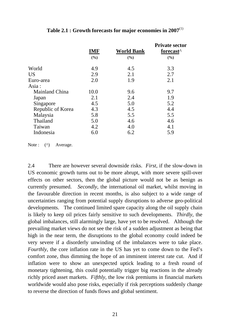|                   | <b>IMF</b> | <b>World Bank</b> | <b>Private sector</b><br>forecast <sup>^</sup> |
|-------------------|------------|-------------------|------------------------------------------------|
|                   | (%)        | (%)               | (%)                                            |
| World             | 4.9        | 4.5               | 3.3                                            |
| <b>US</b>         | 2.9        | 2.1               | 2.7                                            |
| Euro-area         | 2.0        | 1.9               | 2.1                                            |
| Asia:             |            |                   |                                                |
| Mainland China    | 10.0       | 9.6               | 9.7                                            |
| Japan             | 2.1        | 2.4               | 1.9                                            |
| Singapore         | 4.5        | 5.0               | 5.2                                            |
| Republic of Korea | 4.3        | 4.5               | 4.4                                            |
| Malaysia          | 5.8        | 5.5               | 5.5                                            |
| Thailand          | 5.0        | 4.6               | 4.6                                            |
| Taiwan            | 4.2        | 4.0               | 4.1                                            |
| Indonesia         | 6.0        | 6.2               | 5.9                                            |

**Table 2.1 : Growth forecasts for major economies in 2007**(1)

Note : (^) Average.

2.4 There are however several downside risks. *First*, if the slow-down in US economic growth turns out to be more abrupt, with more severe spill-over effects on other sectors, then the global picture would not be as benign as currently presumed. *Secondly*, the international oil market, whilst moving in the favourable direction in recent months, is also subject to a wide range of uncertainties ranging from potential supply disruptions to adverse geo-political developments. The continued limited spare capacity along the oil supply chain is likely to keep oil prices fairly sensitive to such developments. *Thirdly*, the global imbalances, still alarmingly large, have yet to be resolved. Although the prevailing market views do not see the risk of a sudden adjustment as being that high in the near term, the disruptions to the global economy could indeed be very severe if a disorderly unwinding of the imbalances were to take place. *Fourthly*, the core inflation rate in the US has yet to come down to the Fed's comfort zone, thus dimming the hope of an imminent interest rate cut. And if inflation were to show an unexpected uptick leading to a fresh round of monetary tightening, this could potentially trigger big reactions in the already richly priced asset markets. *Fifthly*, the low risk premiums in financial markets worldwide would also pose risks, especially if risk perceptions suddenly change to reverse the direction of funds flows and global sentiment.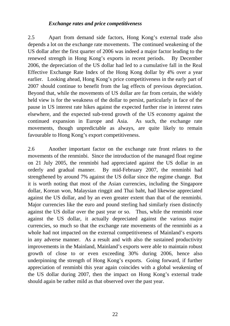#### *Exchange rates and price competitiveness*

2.5 Apart from demand side factors, Hong Kong's external trade also depends a lot on the exchange rate movements. The continued weakening of the US dollar after the first quarter of 2006 was indeed a major factor leading to the renewed strength in Hong Kong's exports in recent periods. By December 2006, the depreciation of the US dollar had led to a cumulative fall in the Real Effective Exchange Rate Index of the Hong Kong dollar by 4% over a year earlier. Looking ahead, Hong Kong's price competitiveness in the early part of 2007 should continue to benefit from the lag effects of previous depreciation. Beyond that, while the movements of US dollar are far from certain, the widely held view is for the weakness of the dollar to persist, particularly in face of the pause in US interest rate hikes against the expected further rise in interest rates elsewhere, and the expected sub-trend growth of the US economy against the continued expansion in Europe and Asia. As such, the exchange rate movements, though unpredictable as always, are quite likely to remain favourable to Hong Kong's export competitiveness.

2.6 Another important factor on the exchange rate front relates to the movements of the renminbi. Since the introduction of the managed float regime on 21 July 2005, the renminbi had appreciated against the US dollar in an orderly and gradual manner. By mid-February 2007, the renminbi had strengthened by around 7% against the US dollar since the regime change. But it is worth noting that most of the Asian currencies, including the Singapore dollar, Korean won, Malaysian ringgit and Thai baht, had likewise appreciated against the US dollar, and by an even greater extent than that of the renminbi. Major currencies like the euro and pound sterling had similarly risen distinctly against the US dollar over the past year or so. Thus, while the renminbi rose against the US dollar, it actually depreciated against the various major currencies, so much so that the exchange rate movements of the renminbi as a whole had not impacted on the external competitiveness of Mainland's exports in any adverse manner. As a result and with also the sustained productivity improvements in the Mainland, Mainland's exports were able to maintain robust growth of close to or even exceeding 30% during 2006, hence also underpinning the strength of Hong Kong's exports. Going forward, if further appreciation of renminbi this year again coincides with a global weakening of the US dollar during 2007, then the impact on Hong Kong's external trade should again be rather mild as that observed over the past year.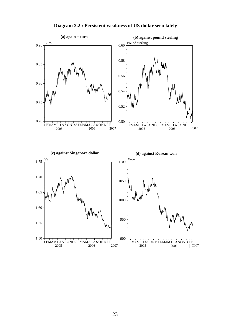

**Diagram 2.2 : Persistent weakness of US dollar seen lately**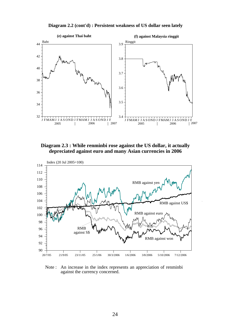

**Diagram 2.2 (cont'd) : Persistent weakness of US dollar seen lately** 

**Diagram 2.3 : While renminbi rose against the US dollar, it actually depreciated against euro and many Asian currencies in 2006**



Note : An increase in the index represents an appreciation of renminbi against the currency concerned.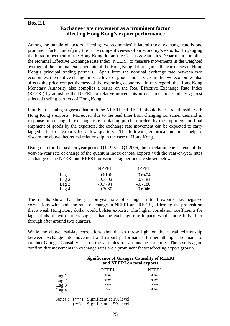#### **Box 2.1**

#### **Exchange rate movement as a prominent factor affecting Hong Kong's export performance**

Among the bundle of factors affecting two economies' bilateral trade, exchange rate is one prominent factor underlying the price competitiveness of an economy's exports. In gauging the broad movement of the Hong Kong dollar, the Census & Statistics Department compiles the Nominal Effective Exchange Rate Index (NEERI) to measure movements in the weighted average of the nominal exchange rate of the Hong Kong dollar against the currencies of Hong Kong's principal trading partners. Apart from the nominal exchange rate between two economies, the relative change in price level of goods and services in the two economies also affects the price competitiveness of the exporting economy. In this regard, the Hong Kong Monetary Authority also compiles a series on the Real Effective Exchange Rate Index (REERI) by adjusting the NEERI for relative movements in consumer price indices against selected trading partners of Hong Kong.

Intuitive reasoning suggests that both the NEERI and REERI should bear a relationship with Hong Kong's exports. Moreover, due to the lead time from changing consumer demand in response to a change in exchange rate to placing purchase orders by the importers and final shipment of goods by the exporters, the exchange rate movement can be expected to carry lagged effect on exports for a few quarters. The following empirical outcomes help to discern the above theoretical relationship in the case of Hong Kong.

Using data for the past ten-year period Q1 1997 – Q4 2006, the correlation coefficients of the year-on-year rate of change of the quantum index of total exports with the year-on-year rates of change of the NEERI and REERI for various lag periods are shown below:

|                  | <b>NEERI</b> | <b>REERI</b> |
|------------------|--------------|--------------|
| Lag 1            | $-0.6196$    | $-0.6404$    |
| Lag <sub>2</sub> | $-0.7702$    | $-0.7481$    |
| Lag <sub>3</sub> | $-0.7794$    | $-0.7180$    |
| Lag <sub>4</sub> | $-0.7030$    | $-0.6046$    |

The results show that the year-on-year rate of change in total exports has negative correlations with both the rates of change in NEERI and REERI, affirming the proposition that a weak Hong Kong dollar would bolster exports. The higher correlation coefficients for lag periods of two quarters suggest that the exchange rate impacts would more fully filter through after around two quarters.

While the above lead-lag correlations should also throw light on the causal relationship between exchange rate movement and export performance, further attempts are made to conduct Granger Causality Test on the variables for various lag structure. The results again confirm that movements in exchange rates are a prominent factor affecting export growth.

#### **Significance of Granger Causality of REERI and NEERI on total exports**

|                            | EERI                                                 | IEERI |  |
|----------------------------|------------------------------------------------------|-------|--|
| Lag <sub>1</sub>           | ***                                                  | ***   |  |
| Lag <sub>2</sub>           | ***                                                  | ***   |  |
| Lag $3$                    | ***                                                  | ***   |  |
| Lag <sub>4</sub>           | $**$                                                 | ***   |  |
| $(***)$<br>Notes :<br>(**) | Significant at 1% level.<br>Significant at 5% level. |       |  |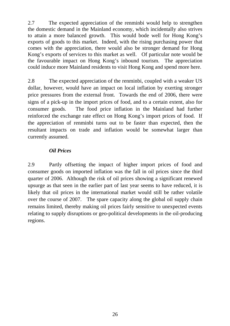2.7 The expected appreciation of the renminbi would help to strengthen the domestic demand in the Mainland economy, which incidentally also strives to attain a more balanced growth. This would bode well for Hong Kong's exports of goods to this market. Indeed, with the rising purchasing power that comes with the appreciation, there would also be stronger demand for Hong Kong's exports of services to this market as well. Of particular note would be the favourable impact on Hong Kong's inbound tourism. The appreciation could induce more Mainland residents to visit Hong Kong and spend more here.

2.8 The expected appreciation of the renminbi, coupled with a weaker US dollar, however, would have an impact on local inflation by exerting stronger price pressures from the external front. Towards the end of 2006, there were signs of a pick-up in the import prices of food, and to a certain extent, also for consumer goods. The food price inflation in the Mainland had further reinforced the exchange rate effect on Hong Kong's import prices of food. If the appreciation of renminbi turns out to be faster than expected, then the resultant impacts on trade and inflation would be somewhat larger than currently assumed.

# *Oil Prices*

2.9 Partly offsetting the impact of higher import prices of food and consumer goods on imported inflation was the fall in oil prices since the third quarter of 2006. Although the risk of oil prices showing a significant renewed upsurge as that seen in the earlier part of last year seems to have reduced, it is likely that oil prices in the international market would still be rather volatile over the course of 2007. The spare capacity along the global oil supply chain remains limited, thereby making oil prices fairly sensitive to unexpected events relating to supply disruptions or geo-political developments in the oil-producing regions.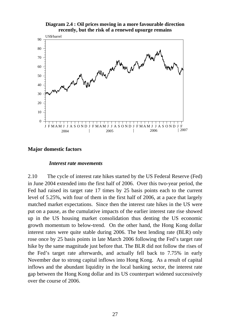



#### **Major domestic factors**

#### *Interest rate movements*

2.10 The cycle of interest rate hikes started by the US Federal Reserve (Fed) in June 2004 extended into the first half of 2006. Over this two-year period, the Fed had raised its target rate 17 times by 25 basis points each to the current level of 5.25%, with four of them in the first half of 2006, at a pace that largely matched market expectations. Since then the interest rate hikes in the US were put on a pause, as the cumulative impacts of the earlier interest rate rise showed up in the US housing market consolidation thus denting the US economic growth momentum to below-trend. On the other hand, the Hong Kong dollar interest rates were quite stable during 2006. The best lending rate (BLR) only rose once by 25 basis points in late March 2006 following the Fed's target rate hike by the same magnitude just before that. The BLR did not follow the rises of the Fed's target rate afterwards, and actually fell back to 7.75% in early November due to strong capital inflows into Hong Kong. As a result of capital inflows and the abundant liquidity in the local banking sector, the interest rate gap between the Hong Kong dollar and its US counterpart widened successively over the course of 2006.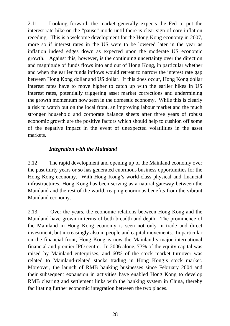2.11 Looking forward, the market generally expects the Fed to put the interest rate hike on the "pause" mode until there is clear sign of core inflation receding. This is a welcome development for the Hong Kong economy in 2007, more so if interest rates in the US were to be lowered later in the year as inflation indeed edges down as expected upon the moderate US economic growth. Against this, however, is the continuing uncertainty over the direction and magnitude of funds flows into and out of Hong Kong, in particular whether and when the earlier funds inflows would retreat to narrow the interest rate gap between Hong Kong dollar and US dollar. If this does occur, Hong Kong dollar interest rates have to move higher to catch up with the earlier hikes in US interest rates, potentially triggering asset market corrections and undermining the growth momentum now seen in the domestic economy. While this is clearly a risk to watch out on the local front, an improving labour market and the much stronger household and corporate balance sheets after three years of robust economic growth are the positive factors which should help to cushion off some of the negative impact in the event of unexpected volatilities in the asset markets.

# *Integration with the Mainland*

2.12 The rapid development and opening up of the Mainland economy over the past thirty years or so has generated enormous business opportunities for the Hong Kong economy. With Hong Kong's world-class physical and financial infrastructures, Hong Kong has been serving as a natural gateway between the Mainland and the rest of the world, reaping enormous benefits from the vibrant Mainland economy.

2.13. Over the years, the economic relations between Hong Kong and the Mainland have grown in terms of both breadth and depth. The prominence of the Mainland in Hong Kong economy is seen not only in trade and direct investment, but increasingly also in people and capital movements. In particular, on the financial front, Hong Kong is now the Mainland's major international financial and premier IPO centre. In 2006 alone, 73% of the equity capital was raised by Mainland enterprises, and 60% of the stock market turnover was related to Mainland-related stocks trading in Hong Kong's stock market. Moreover, the launch of RMB banking businesses since February 2004 and their subsequent expansion in activities have enabled Hong Kong to develop RMB clearing and settlement links with the banking system in China, thereby facilitating further economic integration between the two places.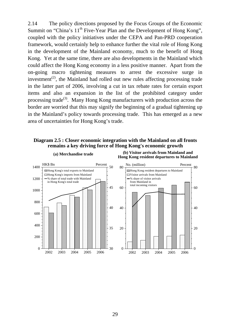2.14 The policy directions proposed by the Focus Groups of the Economic Summit on "China's  $11<sup>th</sup>$  Five-Year Plan and the Development of Hong Kong", coupled with the policy initiatives under the CEPA and Pan-PRD cooperation framework, would certainly help to enhance further the vital role of Hong Kong in the development of the Mainland economy, much to the benefit of Hong Kong. Yet at the same time, there are also developments in the Mainland which could affect the Hong Kong economy in a less positive manner. Apart from the on-going macro tightening measures to arrest the excessive surge in investment<sup> $(2)$ </sup>, the Mainland had rolled out new rules affecting processing trade in the latter part of 2006, involving a cut in tax rebate rates for certain export items and also an expansion in the list of the prohibited category under processing trade<sup>(3)</sup>. Many Hong Kong manufacturers with production across the border are worried that this may signify the beginning of a gradual tightening up in the Mainland's policy towards processing trade. This has emerged as a new area of uncertainties for Hong Kong's trade.

#### **Diagram 2.5 : Closer economic integration with the Mainland on all fronts remains a key driving force of Hong Kong's economic growth**



**(a) Merchandise trade (b) Visitor arrivals from Mainland and Hong Kong resident departures to Mainland**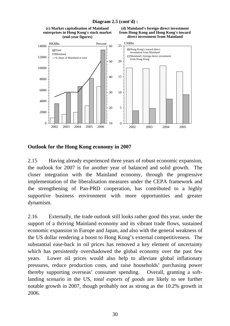

#### **Diagram 2.5 (cont'd) :**

#### **Outlook for the Hong Kong economy in 2007**

2.15 Having already experienced three years of robust economic expansion, the outlook for 2007 is for another year of balanced and solid growth. The closer integration with the Mainland economy, through the progressive implementation of the liberalisation measures under the CEPA framework and the strengthening of Pan-PRD cooperation, has contributed to a highly supportive business environment with more opportunities and greater dynamism.

2.16 Externally, the trade outlook still looks rather good this year, under the support of a thriving Mainland economy and its vibrant trade flows, sustained economic expansion in Europe and Japan, and also with the general weakness of the US dollar rendering a boost to Hong Kong's external competitiveness. The substantial ease-back in oil prices has removed a key element of uncertainty which has persistently overshadowed the global economy over the past few years. Lower oil prices would also help to alleviate global inflationary pressures, reduce production costs, and raise households' purchasing power thereby supporting overseas' consumer spending. Overall, granting a softlanding scenario in the US, *total exports of goods* are likely to see further notable growth in 2007, though probably not as strong as the 10.2% growth in 2006.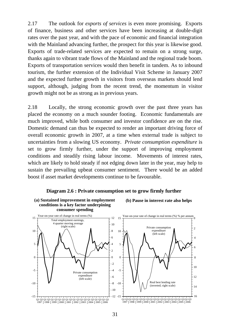2.17 The outlook for *exports of services* is even more promising. Exports of finance, business and other services have been increasing at double-digit rates over the past year, and with the pace of economic and financial integration with the Mainland advancing further, the prospect for this year is likewise good. Exports of trade-related services are expected to remain on a strong surge, thanks again to vibrant trade flows of the Mainland and the regional trade boom. Exports of transportation services would then benefit in tandem. As to inbound tourism, the further extension of the Individual Visit Scheme in January 2007 and the expected further growth in visitors from overseas markets should lend support, although, judging from the recent trend, the momentum in visitor growth might not be as strong as in previous years.

2.18 Locally, the strong economic growth over the past three years has placed the economy on a much sounder footing. Economic fundamentals are much improved, while both consumer and investor confidence are on the rise. Domestic demand can thus be expected to render an important driving force of overall economic growth in 2007, at a time when external trade is subject to uncertainties from a slowing US economy. *Private consumption expenditure* is set to grow firmly further, under the support of improving employment conditions and steadily rising labour income. Movements of interest rates, which are likely to hold steady if not edging down later in the year, may help to sustain the prevailing upbeat consumer sentiment. There would be an added boost if asset market developments continue to be favourable.



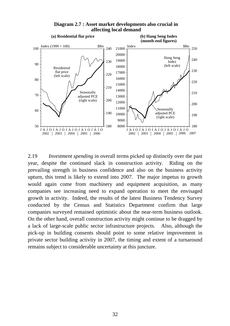

**Diagram 2.7 : Asset market developments also crucial in affecting local demand**

2.19 *Investment spending* in overall terms picked up distinctly over the past year, despite the continued slack in construction activity. Riding on the prevailing strength in business confidence and also on the business activity upturn, this trend is likely to extend into 2007. The major impetus to growth would again come from machinery and equipment acquisition, as many companies see increasing need to expand operation to meet the envisaged growth in activity. Indeed, the results of the latest Business Tendency Survey conducted by the Census and Statistics Department confirm that large companies surveyed remained optimistic about the near-term business outlook. On the other hand, overall construction activity might continue to be dragged by a lack of large-scale public sector infrastructure projects. Also, although the pick-up in building consents should point to some relative improvement in private sector building activity in 2007, the timing and extent of a turnaround remains subject to considerable uncertainty at this juncture.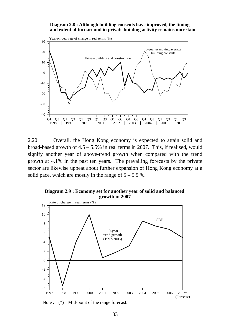#### **Diagram 2.8 : Although building consents have improved, the timing and extent of turnaround in private building activity remains uncertain**



2.20 Overall, the Hong Kong economy is expected to attain solid and broad-based growth of  $4.5 - 5.5\%$  in real terms in 2007. This, if realised, would signify another year of above-trend growth when compared with the trend growth at 4.1% in the past ten years. The prevailing forecasts by the private sector are likewise upbeat about further expansion of Hong Kong economy at a solid pace, which are mostly in the range of  $5 - 5.5$  %.

**Diagram 2.9 : Economy set for another year of solid and balanced growth in 2007**



Note :  $(*)$  Mid-point of the range forecast.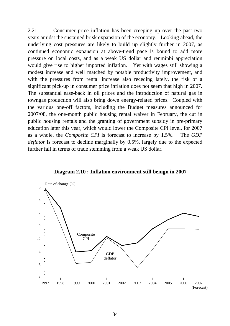2.21 Consumer price inflation has been creeping up over the past two years amidst the sustained brisk expansion of the economy. Looking ahead, the underlying cost pressures are likely to build up slightly further in 2007, as continued economic expansion at above-trend pace is bound to add more pressure on local costs, and as a weak US dollar and renminbi appreciation would give rise to higher imported inflation. Yet with wages still showing a modest increase and well matched by notable productivity improvement, and with the pressures from rental increase also receding lately, the risk of a significant pick-up in consumer price inflation does not seem that high in 2007. The substantial ease-back in oil prices and the introduction of natural gas in towngas production will also bring down energy-related prices. Coupled with the various one-off factors, including the Budget measures announced for 2007/08, the one-month public housing rental waiver in February, the cut in public housing rentals and the granting of government subsidy in pre-primary education later this year, which would lower the Composite CPI level, for 2007 as a whole, the *Composite CPI* is forecast to increase by 1.5%. The *GDP deflator* is forecast to decline marginally by 0.5%, largely due to the expected further fall in terms of trade stemming from a weak US dollar.



**Diagram 2.10 : Inflation environment still benign in 2007**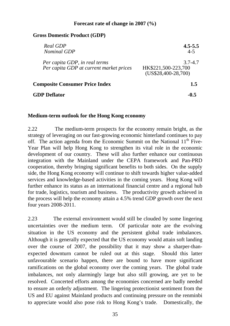#### **Forecast rate of change in 2007 (%)**

### **Gross Domestic Product (GDP)**

| Real GDP<br><b>Nominal GDP</b>                                           | $4.5 - 5.5$<br>$4 - 5$                                     |
|--------------------------------------------------------------------------|------------------------------------------------------------|
| Per capita GDP, in real terms<br>Per capita GDP at current market prices | $3.7 - 4.7$<br>HK\$221,500-223,700<br>$(US$28,400-28,700)$ |
| <b>Composite Consumer Price Index</b>                                    | 1.5                                                        |
| <b>GDP Deflator</b>                                                      | -0.5                                                       |

#### **Medium-term outlook for the Hong Kong economy**

2.22 The medium-term prospects for the economy remain bright, as the strategy of leveraging on our fast-growing economic hinterland continues to pay off. The action agenda from the Economic Summit on the National  $11<sup>th</sup>$  Five-Year Plan will help Hong Kong to strengthen its vital role in the economic development of our country. These will also further enhance our continuous integration with the Mainland under the CEPA framework and Pan-PRD cooperation, thereby bringing significant benefits to both sides. On the supply side, the Hong Kong economy will continue to shift towards higher value-added services and knowledge-based activities in the coming years. Hong Kong will further enhance its status as an international financial centre and a regional hub for trade, logistics, tourism and business. The productivity growth achieved in the process will help the economy attain a 4.5% trend GDP growth over the next four years 2008-2011.

2.23 The external environment would still be clouded by some lingering uncertainties over the medium term. Of particular note are the evolving situation in the US economy and the persistent global trade imbalances. Although it is generally expected that the US economy would attain soft landing over the course of 2007, the possibility that it may show a sharper-thanexpected downturn cannot be ruled out at this stage. Should this latter unfavourable scenario happen, there are bound to have more significant ramifications on the global economy over the coming years. The global trade imbalances, not only alarmingly large but also still growing, are yet to be resolved. Concerted efforts among the economies concerned are badly needed to ensure an orderly adjustment. The lingering protectionist sentiment from the US and EU against Mainland products and continuing pressure on the renminbi to appreciate would also pose risk to Hong Kong's trade. Domestically, the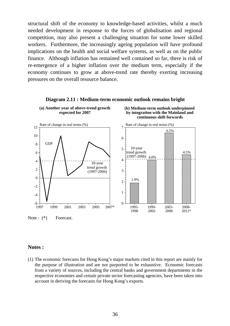structural shift of the economy to knowledge-based activities, whilst a much needed development in response to the forces of globalisation and regional competition, may also present a challenging situation for some lower skilled workers. Furthermore, the increasingly ageing population will have profound implications on the health and social welfare systems, as well as on the public finance. Although inflation has remained well contained so far, there is risk of re-emergence of a higher inflation over the medium term, especially if the economy continues to grow at above-trend rate thereby exerting increasing pressures on the overall resource balance.



#### **Diagram 2.11 : Medium-term economic outlook remains bright**

#### **Notes :**

(1) The economic forecasts for Hong Kong's major markets cited in this report are mainly for the purpose of illustration and are not purported to be exhaustive. Economic forecasts from a variety of sources, including the central banks and government departments in the respective economies and certain private sector forecasting agencies, have been taken into account in deriving the forecasts for Hong Kong's exports.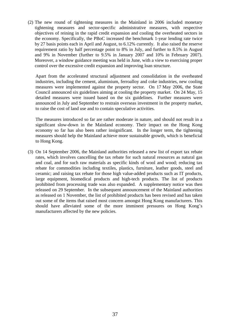(2) The new round of tightening measures in the Mainland in 2006 included monetary tightening measures and sector-specific administrative measures, with respective objectives of reining in the rapid credit expansion and cooling the overheated sectors in the economy. Specifically, the PBoC increased the benchmark 1-year lending rate twice by 27 basis points each in April and August, to 6.12% currently. It also raised the reserve requirement ratio by half percentage point to 8% in July, and further to 8.5% in August and 9% in November (further to 9.5% in January 2007 and 10% in February 2007). Moreover, a window guidance meeting was held in June, with a view to exercising proper control over the excessive credit expansion and improving loan structure.

Apart from the accelerated structural adjustment and consolidation in the overheated industries, including the cement, aluminium, ferroalloy and coke industries, new cooling measures were implemented against the property sector. On 17 May 2006, the State Council announced six guidelines aiming at cooling the property market. On 24 May, 15 detailed measures were issued based on the six guidelines. Further measures were announced in July and September to restrain overseas investment in the property market, to raise the cost of land use and to contain speculative activities.

The measures introduced so far are rather moderate in nature, and should not result in a significant slow-down in the Mainland economy. Their impact on the Hong Kong economy so far has also been rather insignificant. In the longer term, the tightening measures should help the Mainland achieve more sustainable growth, which is beneficial to Hong Kong.

(3) On 14 September 2006, the Mainland authorities released a new list of export tax rebate rates, which involves cancelling the tax rebate for such natural resources as natural gas and coal, and for such raw materials as specific kinds of wool and wood; reducing tax rebate for commodities including textiles, plastics, furniture, leather goods, steel and ceramic; and raising tax rebate for those high value-added products such as IT products, large equipment, biomedical products and high-tech products. The list of products prohibited from processing trade was also expanded. A supplementary notice was then released on 29 September. In the subsequent announcement of the Mainland authorities as released on 1 November, the list of prohibited products has been revised and has taken out some of the items that raised most concern amongst Hong Kong manufacturers. This should have alleviated some of the more imminent pressures on Hong Kong's manufacturers affected by the new policies.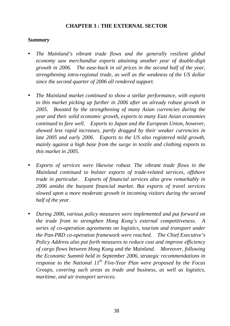## **CHAPTER 3 : THE EXTERNAL SECTOR**

## *Summary*

- *The Mainland's vibrant trade flows and the generally resilient global economy saw merchandise exports attaining another year of double-digit growth in 2006. The ease-back in oil prices in the second half of the year, strengthening intra-regional trade, as well as the weakness of the US dollar since the second quarter of 2006 all rendered support.*
- *The Mainland market continued to show a stellar performance, with exports to this market picking up further in 2006 after an already robust growth in 2005. Boosted by the strengthening of many Asian currencies during the year and their solid economic growth, exports to many East Asian economies continued to fare well. Exports to Japan and the European Union, however, showed less rapid increases, partly dragged by their weaker currencies in late 2005 and early 2006. Exports to the US also registered mild growth, mainly against a high base from the surge in textile and clothing exports to this market in 2005.*
- Exports of services were likewise robust. The vibrant trade flows in the *Mainland continued to bolster exports of trade-related services, offshore trade in particular. Exports of financial services also grew remarkably in 2006 amidst the buoyant financial market. But exports of travel services slowed upon a more moderate growth in incoming visitors during the second half of the year.*
- y *During 2006, various policy measures were implemented and put forward on the trade front to strengthen Hong Kong's external competitiveness. A series of co-operation agreements on logistics, tourism and transport under the Pan-PRD co-operation framework were reached. The Chief Executive's Policy Address also put forth measures to reduce cost and improve efficiency of cargo flows between Hong Kong and the Mainland. Moreover, following the Economic Summit held in September 2006, strategic recommendations in response to the National 11th Five-Year Plan were proposed by the Focus Groups, covering such areas as trade and business, as well as logistics, maritime, and air transport services.*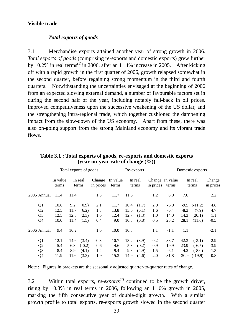## **Visible trade**

#### *Total exports of goods*

3.1 Merchandise exports attained another year of strong growth in 2006. *Total exports of goods* (comprising re-exports and domestic exports) grew further by 10.2% in real terms<sup>(1)</sup> in 2006, after an 11.4% increase in 2005. After kicking off with a rapid growth in the first quarter of 2006, growth relapsed somewhat in the second quarter, before regaining strong momentum in the third and fourth quarters. Notwithstanding the uncertainties envisaged at the beginning of 2006 from an expected slowing external demand, a number of favourable factors set in during the second half of the year, including notably fall-back in oil prices, improved competitiveness upon the successive weakening of the US dollar, and the strengthening intra-regional trade, which together cushioned the dampening impact from the slow-down of the US economy. Apart from these, there was also on-going support from the strong Mainland economy and its vibrant trade flows.

|                |  | Total exports of goods |                  |          |                     |                   | Re-exports       |       |                                       |         | Domestic exports |           |                     |  |
|----------------|--|------------------------|------------------|----------|---------------------|-------------------|------------------|-------|---------------------------------------|---------|------------------|-----------|---------------------|--|
|                |  | In value<br>terms      | In real<br>terms |          | Change<br>in prices | In value<br>terms | In real<br>terms |       | Change In value<br>in prices<br>terms |         | In real<br>terms |           | Change<br>in prices |  |
| 2005 Annual    |  | 11.4                   | 11.4             |          | 1.3                 | 11.7              | 11.6             |       | 1.2                                   | 8.0     | 7.6              |           | 2.2                 |  |
| Q <sub>1</sub> |  | 10.6                   | 9.2              | (0.9)    | 2.1                 | 11.7              | 10.4             | (1.7) | 2.0                                   | $-6.9$  | $-9.5$           | $(-11.2)$ | 4.8                 |  |
| Q2             |  | 12.5                   | 11.7             | (6.2)    | 1.8                 | 13.8              | 13.0             | (6.1) | 1.6                                   | $-6.4$  | $-8.3$           | (7.9)     | 4.7                 |  |
| Q <sub>3</sub> |  | 12.5                   | 12.8             | (2.3)    | 1.0                 | 12.4              | 12.7             | (1.3) | 1.0                                   | 14.0    | 14.3             | (20.1)    | 1.1                 |  |
| Q4             |  | 10.0                   | 11.4             | (1.5)    | 0.4                 | 9.0               | 10.3             | (0.8) | 0.5                                   | 25.2    | 28.1             | (11.6)    | $-0.5$              |  |
| 2006 Annual    |  | 9.4                    | 10.2             |          | 1.0                 | 10.0              | 10.8             |       | 1.1                                   | $-1.1$  | 1.1              |           | $-2.1$              |  |
| Q1             |  | 12.1                   | 14.6             | (3.4)    | $-0.3$              | 10.7              | 13.2             | (3.9) | $-0.2$                                | 38.7    | 42.3             | $(-3.1)$  | $-2.9$              |  |
| Q2             |  | 5.4                    | 6.3              | $(-0.2)$ | 0.6                 | 4.6               | 5.3              | (0.2) | 0.9                                   | 19.9    | 23.9             | $(-6.7)$  | $-3.9$              |  |
| Q <sub>3</sub> |  | 8.4                    | 8.9              | (4.1)    | 1.4                 | 9.4               | 9.8              | (4.9) | 1.5                                   | $-6.1$  | $-4.2$           | $(-8.0)$  | $-1.3$              |  |
| Q4             |  | 11.9                   | 11.6             | (3.3)    | 1.9                 | 15.3              | 14.9             | (4.6) | 2.0                                   | $-31.8$ | $-30.9$          | $(-19.9)$ | $-0.8$              |  |

**Table 3.1 : Total exports of goods, re-exports and domestic exports (year-on-year rate of change (%))** 

Note : Figures in brackets are the seasonally adjusted quarter-to-quarter rates of change.

3.2 Within total exports, *re-exports*(2) continued to be the growth driver, rising by 10.8% in real terms in 2006, following an 11.6% growth in 2005, marking the fifth consecutive year of double-digit growth. With a similar growth profile to total exports, re-exports growth slowed in the second quarter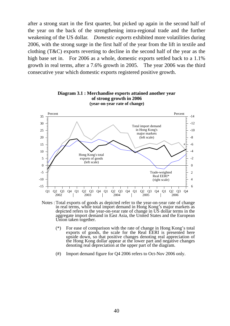after a strong start in the first quarter, but picked up again in the second half of the year on the back of the strengthening intra-regional trade and the further weakening of the US dollar. *Domestic exports* exhibited more volatilities during 2006, with the strong surge in the first half of the year from the lift in textile and clothing (T&C) exports reverting to decline in the second half of the year as the high base set in. For 2006 as a whole, domestic exports settled back to a 1.1% growth in real terms, after a 7.6% growth in 2005. The year 2006 was the third consecutive year which domestic exports registered positive growth.



2002 2003 2004 2005 2006 Notes : Total exports of goods as depicted refer to the year-on-year rate of change in real terms, while total import demand in Hong Kong's major markets as depicted refers to the year-on-year rate of change in US dollar terms in the aggregate import demand in East Asia, the United States and the European

- $(*)$  For ease of comparison with the rate of change in Hong Kong's total exports of goods, the scale for the Real EERI is presented here upside down, so that positive changes denoting real appreciation of the Hong Kong dollar appear at the lower part and negative changes denoting real depreciation at the upper part of the diagram.
- (#) Import demand figure for Q4 2006 refers to Oct-Nov 2006 only.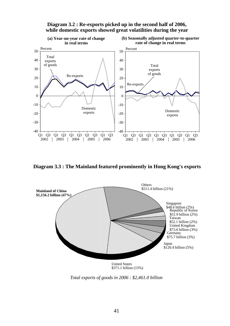

**Diagram 3.2 : Re-exports picked up in the second half of 2006, while domestic exports showed great volatilities during the year**

**Diagram 3.3 : The Mainland featured prominently in Hong Kong's exports**



*Total exports of goods in 2006 : \$2,461.0 billion*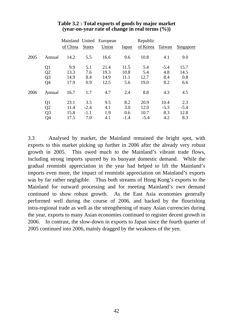|      |                |          |               | Mainland United European |        | Republic |        |                  |
|------|----------------|----------|---------------|--------------------------|--------|----------|--------|------------------|
|      |                | of China | <b>States</b> | Union                    | Japan  | of Korea | Taiwan | <b>Singapore</b> |
| 2005 | Annual         | 14.2     | 5.5           | 16.6                     | 9.6    | 10.8     | 4.1    | 9.0              |
|      | Q <sub>1</sub> | 9.9      | 5.1           | 21.4                     | 11.5   | 5.4      | $-5.4$ | 15.7             |
|      | Q <sub>2</sub> | 13.3     | 7.6           | 19.3                     | 10.8   | 5.4      | 4.8    | 14.5             |
|      | Q <sub>3</sub> | 14.9     | 8.4           | 14.9                     | 11.1   | 12.7     | 8.4    | 0.8              |
|      | Q4             | 17.9     | 0.9           | 12.5                     | 5.6    | 19.0     | 8.2    | 6.6              |
| 2006 | Annual         | 16.7     | 1.7           | 4.7                      | 2.4    | 8.8      | 4.3    | 4.5              |
|      | Q <sub>1</sub> | 23.1     | 3.5           | 9.5                      | 8.2    | 20.9     | 10.4   | 2.3              |
|      | Q2             | 11.4     | $-2.4$        | 4.1                      | 3.0    | 12.0     | $-5.3$ | $-5.4$           |
|      | Q <sub>3</sub> | 15.8     | $-1.1$        | 1.9                      | 0.6    | 10.7     | 8.3    | 12.8             |
|      | Q4             | 17.5     | 7.0           | 4.1                      | $-1.4$ | $-5.4$   | 4.2    | 8.3              |

#### **Table 3.2 : Total exports of goods by major market (year-on-year rate of change in real terms (%))**

3.3 Analysed by market, the Mainland remained the bright spot, with exports to this market picking up further in 2006 after the already very robust growth in 2005. This owed much to the Mainland's vibrant trade flows, including strong imports spurred by its buoyant domestic demand. While the gradual renminbi appreciation in the year had helped to lift the Mainland's imports even more, the impact of renminbi appreciation on Mainland's exports was by far rather negligible. Thus both streams of Hong Kong's exports to the Mainland for outward processing and for meeting Mainland's own demand continued to show robust growth. As the East Asia economies generally performed well during the course of 2006, and backed by the flourishing intra-regional trade as well as the strengthening of many Asian currencies during the year, exports to many Asian economies continued to register decent growth in 2006. In contrast, the slow-down in exports to Japan since the fourth quarter of 2005 continued into 2006, mainly dragged by the weakness of the yen.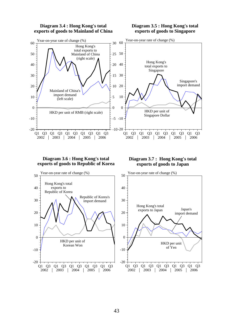

#### 43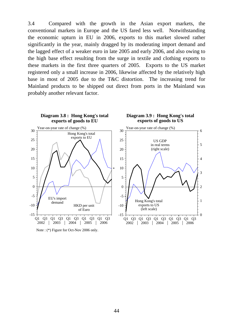3.4 Compared with the growth in the Asian export markets, the conventional markets in Europe and the US fared less well. Notwithstanding the economic upturn in EU in 2006, exports to this market slowed rather significantly in the year, mainly dragged by its moderating import demand and the lagged effect of a weaker euro in late 2005 and early 2006, and also owing to the high base effect resulting from the surge in textile and clothing exports to these markets in the first three quarters of 2005. Exports to the US market registered only a small increase in 2006, likewise affected by the relatively high base in most of 2005 due to the T&C distortion. The increasing trend for Mainland products to be shipped out direct from ports in the Mainland was probably another relevant factor.



Note : (\*) Figure for Oct-Nov 2006 only.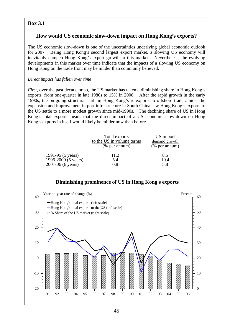## **Box 3.1**

## **How would US economic slow-down impact on Hong Kong's exports?**

The US economic slow-down is one of the uncertainties underlying global economic outlook for 2007. Being Hong Kong's second largest export market, a slowing US economy will inevitably dampen Hong Kong's export growth to this market. Nevertheless, the evolving developments in this market over time indicate that the impacts of a slowing US economy on Hong Kong on the trade front may be milder than commonly believed.

#### *Direct impact has fallen over time*

*First*, over the past decade or so, the US market has taken a diminishing share in Hong Kong's exports, from one-quarter in late 1980s to 15% in 2006. After the rapid growth in the early 1990s, the on-going structural shift in Hong Kong's re-exports to offshore trade amidst the expansion and improvement in port infrastructure in South China saw Hong Kong's exports to the US settle to a more modest growth since mid-1990s. The declining share of US in Hong Kong's total exports means that the direct impact of a US economic slow-down on Hong Kong's exports in itself would likely be milder now than before.

|                     | Total exports<br>to the US in volume terms<br>$(\%$ per annum) | US import<br>demand growth<br>$(% \mathbf{r}^{\prime }\mathbf{r}^{\prime })$ (% per annum) |
|---------------------|----------------------------------------------------------------|--------------------------------------------------------------------------------------------|
| 1991-95 (5 years)   | 11.2                                                           | 8.5                                                                                        |
| 1996-2000 (5 years) | 5.4                                                            | 10.4                                                                                       |
| 2001-06 (6 years)   | 0.8                                                            | 5.8                                                                                        |

## **Diminishing prominence of US in Hong Kong's exports**

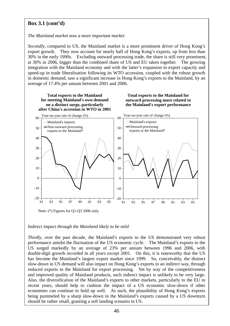## **Box 3.1 (cont'd)**

#### *The Mainland market now a more important market*

*Secondly*, compared to US, the Mainland market is a more prominent driver of Hong Kong's export growth. They now account for nearly half of Hong Kong's exports, up from less than 30% in the early 1990s. Excluding outward processing trade, the share is still very prominent, at 30% in 2006, bigger than the combined share of US and EU taken together. The growing integration with the Mainland economy and with the latter's expansion in export capacity and speed-up in trade liberalisation following its WTO accession, coupled with the robust growth in domestic demand, saw a significant increase in Hong Kong's exports to the Mainland, by an average of 17.4% per annum between 2001 and 2006.



#### *Indirect impact through the Mainland likely to be mild*

*Thirdly*, over the past decade, the Mainland's exports to the US demonstrated very robust performance amidst the fluctuation of the US economic cycle. The Mainland's exports to the US surged markedly by an average of 23% per annum between 1996 and 2006, with double-digit growth recorded in all years except 2001. On this, it is noteworthy that the US has become the Mainland's largest export market since 1999. So, conceivably, the distinct slow-down in US demand will also impact on Hong Kong's exports in an indirect way, through reduced exports to the Mainland for export processing. Yet by way of the competitiveness and improved quality of Mainland products, such indirect impact is unlikely to be very large. Also, the diversification of the Mainland's exports to other markets, particularly to the EU in recent years, should help to cushion the impact of a US economic slow-down if other economies can continue to hold up well. As such, the plausibility of Hong Kong's exports being pummeled by a sharp slow-down in the Mainland's exports caused by a US downturn should be rather small, granting a soft landing scenario in US.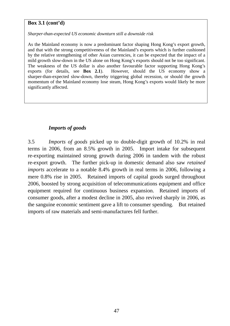### **Box 3.1 (cont'd)**

*Sharper-than-expected US economic downturn still a downside risk* 

As the Mainland economy is now a predominant factor shaping Hong Kong's export growth, and that with the strong competitiveness of the Mainland's exports which is further cushioned by the relative strengthening of other Asian currencies, it can be expected that the impact of a mild growth slow-down in the US alone on Hong Kong's exports should not be too significant. The weakness of the US dollar is also another favourable factor supporting Hong Kong's exports (for details, see **Box 2.1**). However, should the US economy show a sharper-than-expected slow-down, thereby triggering global recession, or should the growth momentum of the Mainland economy lose steam, Hong Kong's exports would likely be more significantly affected.

# *Imports of goods*

3.5 *Imports of goods* picked up to double-digit growth of 10.2% in real terms in 2006, from an 8.5% growth in 2005. Import intake for subsequent re-exporting maintained strong growth during 2006 in tandem with the robust re-export growth. The further pick-up in domestic demand also saw *retained imports* accelerate to a notable 8.4% growth in real terms in 2006, following a mere 0.8% rise in 2005. Retained imports of capital goods surged throughout 2006, boosted by strong acquisition of telecommunications equipment and office equipment required for continuous business expansion. Retained imports of consumer goods, after a modest decline in 2005, also revived sharply in 2006, as the sanguine economic sentiment gave a lift to consumer spending. But retained imports of raw materials and semi-manufactures fell further.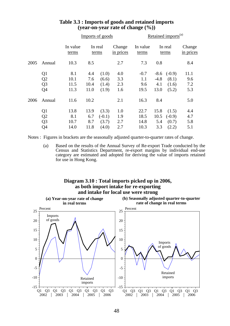|      |                |                   |                  | Imports of goods |                     | Retained imports <sup>(a)</sup> |                  |          |                     |  |
|------|----------------|-------------------|------------------|------------------|---------------------|---------------------------------|------------------|----------|---------------------|--|
|      |                | In value<br>terms | In real<br>terms |                  | Change<br>in prices | In value<br>terms               | In real<br>terms |          | Change<br>in prices |  |
| 2005 | Annual         | 10.3              | 8.5              |                  | 2.7                 | 7.3                             | 0.8              |          | 8.4                 |  |
|      | Q <sub>1</sub> | 8.1               | 4.4              | (1.0)            | 4.0                 | $-0.7$                          | $-8.6$           | $(-0.9)$ | 11.1                |  |
|      | Q <sub>2</sub> | 10.1              | 7.6              | (6.6)            | 3.3                 | 1.1                             | $-4.8$           | (8.1)    | 9.6                 |  |
|      | Q <sub>3</sub> | 11.5              | 10.4             | (1.4)            | 2.3                 | 9.6                             | 4.1              | (1.6)    | 7.2                 |  |
|      | Q <sub>4</sub> | 11.3              | 11.0             | (1.9)            | 1.6                 | 19.5                            | 13.0             | (5.2)    | 5.3                 |  |
| 2006 | Annual         | 11.6              | 10.2             |                  | 2.1                 | 16.3                            | 8.4              |          | 5.0                 |  |
|      | Q <sub>1</sub> | 13.8              | 13.9             | (3.3)            | 1.0                 | 22.7                            | 15.8             | (1.5)    | 4.4                 |  |
|      | Q2             | 8.1               | 6.7              | $(-0.1)$         | 1.9                 | 18.5                            | 10.5             | $(-0.9)$ | 4.7                 |  |
|      | Q <sub>3</sub> | 10.7              | 8.7              | (3.7)            | 2.7                 | 14.8                            | 5.4              | (0.7)    | 5.8                 |  |
|      | Q4             | 14.0              | 11.8             | (4.0)            | 2.7                 | 10.3                            | 3.3              | (2.2)    | 5.1                 |  |

### **Table 3.3 : Imports of goods and retained imports (year-on-year rate of change (%))**

Notes : Figures in brackets are the seasonally adjusted quarter-to-quarter rates of change.

 (a) Based on the results of the Annual Survey of Re-export Trade conducted by the Census and Statistics Department, re-export margins by individual end-use category are estimated and adopted for deriving the value of imports retained for use in Hong Kong.

#### **Diagram 3.10 : Total imports picked up in 2006, as both import intake for re-exporting and intake for local use were strong**

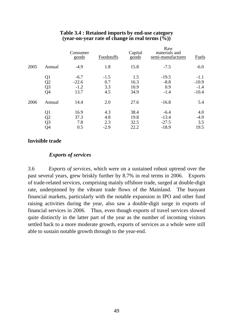|      |                | Consumer<br>goods | Foodstuffs | Capital<br>goods | Raw<br>materials and<br>semi-manufactures | Fuels   |
|------|----------------|-------------------|------------|------------------|-------------------------------------------|---------|
| 2005 | Annual         | $-4.9$            | 1.8        | 15.8             | $-7.5$                                    | $-6.0$  |
|      | Q <sub>1</sub> | $-6.7$            | $-1.5$     | 1.5              | $-19.5$                                   | $-1.1$  |
|      | Q2             | $-22.6$           | 0.7        | 16.3             | $-8.8$                                    | $-10.9$ |
|      | Q <sub>3</sub> | $-1.2$            | 3.3        | 10.9             | 0.9                                       | $-1.4$  |
|      | Q4             | 13.7              | 4.5        | 34.9             | $-1.4$                                    | $-10.4$ |
| 2006 | Annual         | 14.4              | 2.0        | 27.6             | $-16.8$                                   | 5.4     |
|      | Q1             | 16.9              | 4.3        | 38.4             | $-6.4$                                    | 4.0     |
|      | Q <sub>2</sub> | 37.3              | 4.8        | 19.8             | $-13.4$                                   | $-4.9$  |
|      | Q <sub>3</sub> | 7.8               | 2.3        | 32.5             | $-27.5$                                   | 3.5     |
|      | Q4             | 0.5               | $-2.9$     | 22.2             | $-18.9$                                   | 19.5    |

#### **Table 3.4 : Retained imports by end-use category (year-on-year rate of change in real terms (%))**

## **Invisible trade**

## *Exports of services*

3.6 *Exports of services,* which were on a sustained robust uptrend over the past several years, grew briskly further by 8.7% in real terms in 2006. Exports of trade-related services, comprising mainly offshore trade, surged at double-digit rate, underpinned by the vibrant trade flows of the Mainland. The buoyant financial markets, particularly with the notable expansion in IPO and other fund raising activities during the year, also saw a double-digit surge in exports of financial services in 2006. Thus, even though exports of travel services slowed quite distinctly in the latter part of the year as the number of incoming visitors settled back to a more moderate growth, exports of services as a whole were still able to sustain notable growth through to the year-end.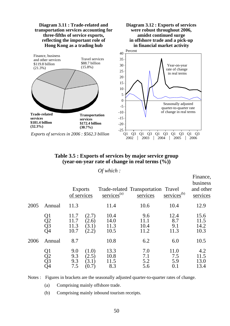

#### **Table 3.5 : Exports of services by major service group (year-on-year rate of change in real terms (%))**

Finance,

#### *Of which :*

|      |                      | <b>Exports</b><br>of services |                                  | $s$ ervices <sup>(a)</sup>   | Trade-related Transportation Travel<br>services | $s$ ervices <sup>(b)</sup>    | 1 mans,<br>business<br>and other<br>services |
|------|----------------------|-------------------------------|----------------------------------|------------------------------|-------------------------------------------------|-------------------------------|----------------------------------------------|
| 2005 | Annual               | 11.3                          |                                  | 11.4                         | 10.6                                            | 10.4                          | 12.9                                         |
|      | Q1<br>Q2<br>Q3<br>Q4 | 11.7<br>11.7<br>11.3<br>10.7  | (2.7)<br>(2.6)<br>(3.1)<br>(2.2) | 10.4<br>14.0<br>11.3<br>10.5 | 9.6<br>11.1<br>10.4<br>11.2                     | 12.4<br>8.7<br>9.1<br>11.3    | 15.6<br>11.5<br>14.2<br>10.3                 |
| 2006 | Annual               | 8.7                           |                                  | 10.8                         | 6.2                                             | 6.0                           | 10.5                                         |
|      | Q1<br>Q2<br>Q3<br>Q4 | 9.0<br>9.3<br>9.3<br>7.5      | (1.0)<br>(2.5)<br>(3.1)          | 13.3<br>10.8<br>11.5<br>8.3  | 7.0<br>7.1<br>5.2<br>5.6                        | 11.0<br>7.5<br>5.9<br>$0.1\,$ | 4.2<br>11.5<br>13.0<br>13.4                  |

Notes : Figures in brackets are the seasonally adjusted quarter-to-quarter rates of change.

(a) Comprising mainly offshore trade.

(b) Comprising mainly inbound tourism receipts.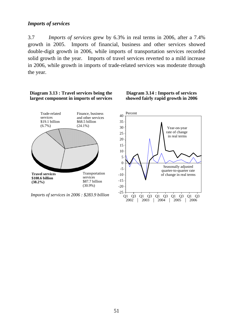## *Imports of services*

3.7 *Imports of services* grew by 6.3% in real terms in 2006, after a 7.4% growth in 2005. Imports of financial, business and other services showed double-digit growth in 2006, while imports of transportation services recorded solid growth in the year. Imports of travel services reverted to a mild increase in 2006, while growth in imports of trade-related services was moderate through the year.



Q1 Q3 Q1 Q3 Q1 Q3 Q1 Q3 Q1 Q3  $2002$  | 2003 | 2004 | 2005 | 2006

*Imports of services in 2006 : \$283.9 billion*

51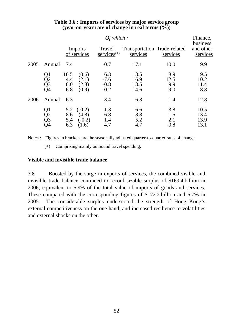|      |                      |                               | Finance,<br>business                   |                                   |                                          |                             |                              |  |
|------|----------------------|-------------------------------|----------------------------------------|-----------------------------------|------------------------------------------|-----------------------------|------------------------------|--|
|      |                      | <b>Imports</b><br>of services |                                        | Travel<br>$s$ ervices $(+)$       | Transportation Trade-related<br>services | services                    | and other<br>services        |  |
| 2005 | Annual               | 7.4                           |                                        | $-0.7$                            | 17.1                                     | 10.0                        | 9.9                          |  |
|      | Q1<br>Q2<br>Q3<br>Q4 | 10.5<br>4.4<br>8.0<br>6.8     | (0.6)<br>(2.1)<br>(2.8)<br>(0.9)       | 6.3<br>$-7.6$<br>$-0.8$<br>$-0.2$ | 18.5<br>16.9<br>18.5<br>14.6             | 8.9<br>12.5<br>9.9<br>9.0   | 9.5<br>10.2<br>11.4<br>8.8   |  |
| 2006 | Annual               | 6.3                           |                                        | 3.4                               | 6.3                                      | 1.4                         | 12.8                         |  |
|      | Q1<br>Q2<br>Q3<br>Q4 | 5.2<br>8.6<br>5.4<br>6.3      | $(-0.2)$<br>(4.8)<br>$(-0.2)$<br>(1.6) | 1.3<br>6.8<br>1.4<br>4.7          | 6.6<br>8.8<br>5.2<br>4.7                 | 3.8<br>1.5<br>2.1<br>$-0.8$ | 10.5<br>13.4<br>13.9<br>13.1 |  |

### **Table 3.6 : Imports of services by major service group (year-on-year rate of change in real terms (%))**

Notes : Figures in brackets are the seasonally adjusted quarter-to-quarter rates of change.

(+) Comprising mainly outbound travel spending.

# **Visible and invisible trade balance**

3.8 Boosted by the surge in exports of services, the combined visible and invisible trade balance continued to record sizable surplus of \$169.4 billion in 2006, equivalent to 5.9% of the total value of imports of goods and services. These compared with the corresponding figures of \$172.2 billion and 6.7% in 2005. The considerable surplus underscored the strength of Hong Kong's external competitiveness on the one hand, and increased resilience to volatilities and external shocks on the other.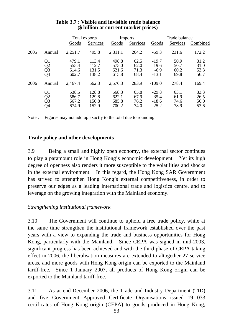|      |                      | Total exports                    |                                  |                                  | <b>Imports</b>               | Trade balance                            |                              |                              |
|------|----------------------|----------------------------------|----------------------------------|----------------------------------|------------------------------|------------------------------------------|------------------------------|------------------------------|
|      |                      | Goods                            | Services                         | Goods                            | Services                     | Goods                                    | Services                     | Combined                     |
| 2005 | Annual               | 2,251.7                          | 495.8                            | 2,311.1                          | 264.2                        | $-59.3$                                  | 231.6                        | 172.2                        |
|      | Q1<br>Q2<br>Q3<br>Q4 | 479.1<br>555.4<br>614.6<br>602.7 | 113.4<br>112.7<br>131.5<br>138.2 | 498.8<br>575.0<br>621.6<br>615.8 | 62.5<br>62.0<br>71.3<br>68.4 | $-19.7$<br>$-19.6$<br>$-6.9$<br>$-13.1$  | 50.9<br>50.7<br>60.2<br>69.8 | 31.2<br>31.0<br>53.3<br>56.7 |
| 2006 | Annual               | 2,467.4                          | 562.3                            | 2,576.3                          | 283.9                        | $-109.0$                                 | 278.4                        | 169.4                        |
|      | Q1<br>Q2<br>Q3<br>Q4 | 538.5<br>586.7<br>667.2<br>674.9 | 128.8<br>129.8<br>150.8<br>152.9 | 568.3<br>622.1<br>685.8<br>700.2 | 65.8<br>67.9<br>76.2<br>74.0 | $-29.8$<br>$-35.4$<br>$-18.6$<br>$-25.2$ | 63.1<br>61.9<br>74.6<br>78.9 | 33.3<br>26.5<br>56.0<br>53.6 |

## **Table 3.7 : Visible and invisible trade balance (\$ billion at current market prices)**

Note : Figures may not add up exactly to the total due to rounding.

## **Trade policy and other developments**

3.9 Being a small and highly open economy, the external sector continues to play a paramount role in Hong Kong's economic development. Yet its high degree of openness also renders it more susceptible to the volatilities and shocks in the external environment. In this regard, the Hong Kong SAR Government has strived to strengthen Hong Kong's external competitiveness, in order to preserve our edges as a leading international trade and logistics centre, and to leverage on the growing integration with the Mainland economy.

# *Strengthening institutional framework*

3.10 The Government will continue to uphold a free trade policy, while at the same time strengthen the institutional framework established over the past years with a view to expanding the trade and business opportunities for Hong Kong, particularly with the Mainland. Since CEPA was signed in mid-2003, significant progress has been achieved and with the third phase of CEPA taking effect in 2006, the liberalisation measures are extended to altogether 27 service areas, and more goods with Hong Kong origin can be exported to the Mainland tariff-free. Since 1 January 2007, all products of Hong Kong origin can be exported to the Mainland tariff-free.

3.11 As at end-December 2006, the Trade and Industry Department (TID) and five Government Approved Certificate Organisations issued 19 033 certificates of Hong Kong origin (CEPA) to goods produced in Hong Kong,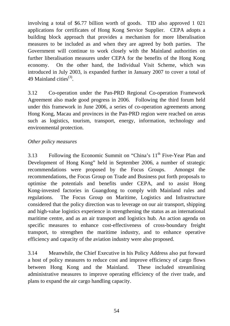involving a total of \$6.77 billion worth of goods. TID also approved 1 021 applications for certificates of Hong Kong Service Supplier. CEPA adopts a building block approach that provides a mechanism for more liberalisation measures to be included as and when they are agreed by both parties. The Government will continue to work closely with the Mainland authorities on further liberalisation measures under CEPA for the benefits of the Hong Kong economy. On the other hand, the Individual Visit Scheme, which was introduced in July 2003, is expanded further in January 2007 to cover a total of 49 Mainland cities $^{(3)}$ .

3.12 Co-operation under the Pan-PRD Regional Co-operation Framework Agreement also made good progress in 2006. Following the third forum held under this framework in June 2006, a series of co-operation agreements among Hong Kong, Macau and provinces in the Pan-PRD region were reached on areas such as logistics, tourism, transport, energy, information, technology and environmental protection.

## *Other policy measures*

3.13 Following the Economic Summit on "China's 11<sup>th</sup> Five-Year Plan and Development of Hong Kong" held in September 2006, a number of strategic recommendations were proposed by the Focus Groups. Amongst the recommendations, the Focus Group on Trade and Business put forth proposals to optimise the potentials and benefits under CEPA, and to assist Hong Kong-invested factories in Guangdong to comply with Mainland rules and regulations. The Focus Group on Maritime, Logistics and Infrastructure considered that the policy direction was to leverage on our air transport, shipping and high-value logistics experience in strengthening the status as an international maritime centre, and as an air transport and logistics hub. An action agenda on specific measures to enhance cost-effectiveness of cross-boundary freight transport, to strengthen the maritime industry, and to enhance operative efficiency and capacity of the aviation industry were also proposed.

3.14 Meanwhile, the Chief Executive in his Policy Address also put forward a host of policy measures to reduce cost and improve efficiency of cargo flows between Hong Kong and the Mainland. These included streamlining administrative measures to improve operating efficiency of the river trade, and plans to expand the air cargo handling capacity.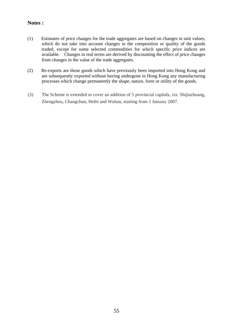#### **Notes :**

- (1) Estimates of price changes for the trade aggregates are based on changes in unit values, which do not take into account changes in the composition or quality of the goods traded, except for some selected commodities for which specific price indices are available. Changes in real terms are derived by discounting the effect of price changes from changes in the value of the trade aggregates.
- (2) Re-exports are those goods which have previously been imported into Hong Kong and are subsequently exported without having undergone in Hong Kong any manufacturing processes which change permanently the shape, nature, form or utility of the goods.
- (3) The Scheme is extended to cover an addition of 5 provincial capitals, viz. Shijiazhuang, Zhengzhou, Changchun, Hefei and Wuhan, starting from 1 January 2007.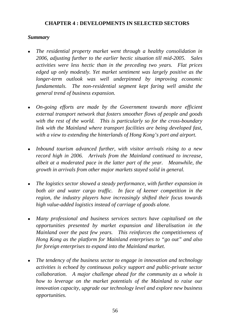## **CHAPTER 4 : DEVELOPMENTS IN SELECTED SECTORS**

### *Summary*

- <sup>z</sup>*The residential property market went through a healthy consolidation in 2006, adjusting further to the earlier hectic situation till mid-2005. Sales activities were less hectic than in the preceding two years. Flat prices edged up only modestly. Yet market sentiment was largely positive as the longer-term outlook was well underpinned by improving economic fundamentals. The non-residential segment kept faring well amidst the general trend of business expansion.*
- On-going efforts are made by the Government towards more efficient *external transport network that fosters smoother flows of people and goods with the rest of the world. This is particularly so for the cross-boundary link with the Mainland where transport facilities are being developed fast, with a view to extending the hinterlands of Hong Kong's port and airport.*
- Inbound tourism advanced further, with visitor arrivals rising to a new *record high in 2006. Arrivals from the Mainland continued to increase, albeit at a moderated pace in the latter part of the year. Meanwhile, the growth in arrivals from other major markets stayed solid in general.*
- The logistics sector showed a steady performance, with further expansion in *both air and water cargo traffic. In face of keener competition in the region, the industry players have increasingly shifted their focus towards high value-added logistics instead of carriage of goods alone.*
- <sup>z</sup>*Many professional and business services sectors have capitalised on the opportunities presented by market expansion and liberalisation in the Mainland over the past few years. This reinforces the competitiveness of Hong Kong as the platform for Mainland enterprises to "go out" and also for foreign enterprises to expand into the Mainland market.*
- <sup>z</sup>*The tendency of the business sector to engage in innovation and technology activities is echoed by continuous policy support and public-private sector collaboration. A major challenge ahead for the community as a whole is how to leverage on the market potentials of the Mainland to raise our innovation capacity, upgrade our technology level and explore new business opportunities.*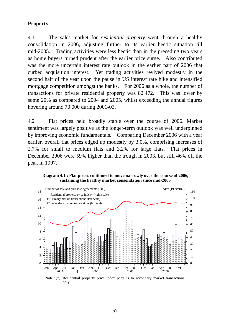# **Property**

4.1 The sales market for *residential property* went through a healthy consolidation in 2006, adjusting further to its earlier hectic situation till mid-2005. Trading activities were less hectic than in the preceding two years as home buyers turned prudent after the earlier price surge. Also contributed was the more uncertain interest rate outlook in the earlier part of 2006 that curbed acquisition interest. Yet trading activities revived modestly in the second half of the year upon the pause in US interest rate hike and intensified mortgage competition amongst the banks. For 2006 as a whole, the number of transactions for private residential property was 82 472. This was lower by some 20% as compared to 2004 and 2005, whilst exceeding the annual figures hovering around 70 000 during 2001-03.

4.2 Flat prices held broadly stable over the course of 2006. Market sentiment was largely positive as the longer-term outlook was well underpinned by improving economic fundamentals. Comparing December 2006 with a year earlier, overall flat prices edged up modestly by 3.0%, comprising increases of 2.7% for small to medium flats and 3.2% for large flats. Flat prices in December 2006 were 59% higher than the trough in 2003, but still 46% off the peak in 1997.



**Diagram 4.1 : Flat prices continued to move narrowly over the course of 2006, sustaining the healthy market consolidation since mid-2005**

Note : (\*) Residential property price index pertains to secondary market transactions only.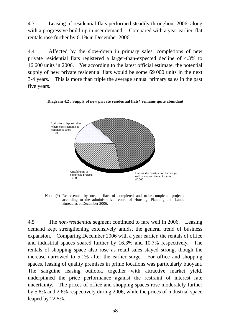4.3 Leasing of residential flats performed steadily throughout 2006, along with a progressive build-up in user demand. Compared with a year earlier, flat rentals rose further by 6.1% in December 2006.

4.4 Affected by the slow-down in primary sales, completions of new private residential flats registered a larger-than-expected decline of 4.3% to 16 600 units in 2006. Yet according to the latest official estimate, the potential supply of new private residential flats would be some 69 000 units in the next 3-4 years. This is more than triple the average annual primary sales in the past five years.



**Diagram 4.2 : Supply of new private residential flats\* remains quite abundant** 

Note : (\*) Represented by unsold flats of completed and to-be-completed projects according to the administrative record of Housing, Planning and Lands Bureau as at December 2006.

4.5 The *non-residential* segment continued to fare well in 2006. Leasing demand kept strengthening extensively amidst the general trend of business expansion. Comparing December 2006 with a year earlier, the rentals of office and industrial spaces soared further by 16.3% and 10.7% respectively. The rentals of shopping space also rose as retail sales stayed strong, though the increase narrowed to 5.1% after the earlier surge. For office and shopping spaces, leasing of quality premises in prime locations was particularly buoyant. The sanguine leasing outlook, together with attractive market yield, underpinned the price performance against the restraint of interest rate uncertainty. The prices of office and shopping spaces rose moderately further by 5.8% and 2.6% respectively during 2006, while the prices of industrial space leaped by 22.5%.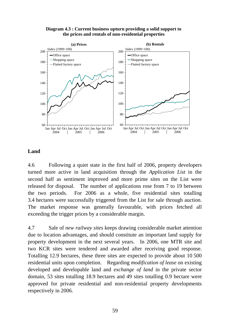



## **Land**

4.6 Following a quiet state in the first half of 2006, property developers turned more active in land acquisition through the *Application List* in the second half as sentiment improved and more prime sites on the List were released for disposal. The number of applications rose from 7 to 19 between the two periods. For 2006 as a whole, five residential sites totalling 3.4 hectares were successfully triggered from the List for sale through auction. The market response was generally favourable, with prices fetched all exceeding the trigger prices by a considerable margin.

4.7 Sale of *new railway sites* keeps drawing considerable market attention due to location advantages, and should constitute an important land supply for property development in the next several years. In 2006, one MTR site and two KCR sites were tendered and awarded after receiving good response. Totalling 12.9 hectares, these three sites are expected to provide about 10 500 residential units upon completion. Regarding *modification of lease* on existing developed and developable land and *exchange of land* in the private sector domain, 53 sites totalling 18.9 hectares and 49 sites totalling 0.9 hectare were approved for private residential and non-residential property developments respectively in 2006.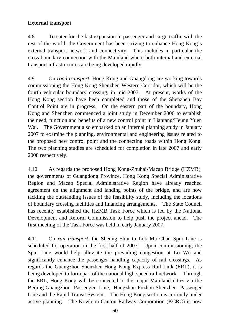# **External transport**

4.8 To cater for the fast expansion in passenger and cargo traffic with the rest of the world, the Government has been striving to enhance Hong Kong's external transport network and connectivity. This includes in particular the cross-boundary connection with the Mainland where both internal and external transport infrastructures are being developed rapidly.

4.9 On *road transport*, Hong Kong and Guangdong are working towards commissioning the Hong Kong-Shenzhen Western Corridor, which will be the fourth vehicular boundary crossing, in mid-2007. At present, works of the Hong Kong section have been completed and those of the Shenzhen Bay Control Point are in progress. On the eastern part of the boundary, Hong Kong and Shenzhen commenced a joint study in December 2006 to establish the need, function and benefits of a new control point in Liantang/Heung Yuen Wai. The Government also embarked on an internal planning study in January 2007 to examine the planning, environmental and engineering issues related to the proposed new control point and the connecting roads within Hong Kong. The two planning studies are scheduled for completion in late 2007 and early 2008 respectively.

4.10 As regards the proposed Hong Kong-Zhuhai-Macao Bridge (HZMB), the governments of Guangdong Province, Hong Kong Special Administrative Region and Macao Special Administrative Region have already reached agreement on the alignment and landing points of the bridge, and are now tackling the outstanding issues of the feasibility study, including the locations of boundary crossing facilities and financing arrangements. The State Council has recently established the HZMB Task Force which is led by the National Development and Reform Commission to help push the project ahead. The first meeting of the Task Force was held in early January 2007.

4.11 On *rail transport*, the Sheung Shui to Lok Ma Chau Spur Line is scheduled for operation in the first half of 2007. Upon commissioning, the Spur Line would help alleviate the prevailing congestion at Lo Wu and significantly enhance the passenger handling capacity of rail crossings. As regards the Guangzhou-Shenzhen-Hong Kong Express Rail Link (ERL), it is being developed to form part of the national high-speed rail network. Through the ERL, Hong Kong will be connected to the major Mainland cities via the Beijing-Guangzhou Passenger Line, Hangzhou-Fuzhou-Shenzhen Passenger Line and the Rapid Transit System. The Hong Kong section is currently under active planning. The Kowloon-Canton Railway Corporation (KCRC) is now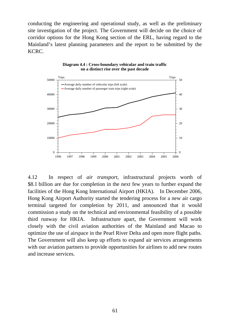conducting the engineering and operational study, as well as the preliminary site investigation of the project. The Government will decide on the choice of corridor options for the Hong Kong section of the ERL, having regard to the Mainland's latest planning parameters and the report to be submitted by the KCRC.



**Diagram 4.4 : Cross-boundary vehicular and train traffic on a distinct rise over the past decade**

4.12 In respect of *air transport*, infrastructural projects worth of \$8.1 billion are due for completion in the next few years to further expand the facilities of the Hong Kong International Airport (HKIA). In December 2006, Hong Kong Airport Authority started the tendering process for a new air cargo terminal targeted for completion by 2011, and announced that it would commission a study on the technical and environmental feasibility of a possible third runway for HKIA. Infrastructure apart, the Government will work closely with the civil aviation authorities of the Mainland and Macao to optimize the use of airspace in the Pearl River Delta and open more flight paths. The Government will also keep up efforts to expand air services arrangements with our aviation partners to provide opportunities for airlines to add new routes and increase services.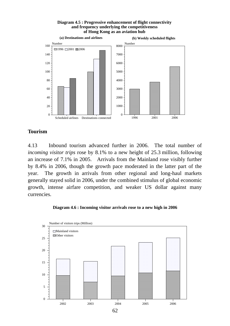#### **Diagram 4.5 : Progressive enhancement of flight connectivity and frequency underlying the competitiveness of Hong Kong as an aviation hub**



#### **Tourism**

4.13 Inbound tourism advanced further in 2006. The total number of *incoming visitor trips* rose by 8.1% to a new height of 25.3 million, following an increase of 7.1% in 2005. Arrivals from the Mainland rose visibly further by 8.4% in 2006, though the growth pace moderated in the latter part of the year. The growth in arrivals from other regional and long-haul markets generally stayed solid in 2006, under the combined stimulus of global economic growth, intense airfare competition, and weaker US dollar against many currencies.

#### **Diagram 4.6 : Incoming visitor arrivals rose to a new high in 2006**

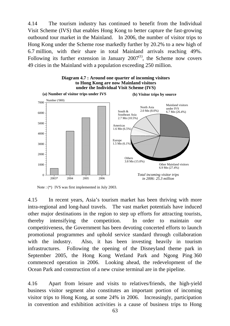4.14 The tourism industry has continued to benefit from the Individual Visit Scheme (IVS) that enables Hong Kong to better capture the fast-growing outbound tour market in the Mainland. In 2006, the number of visitor trips to Hong Kong under the Scheme rose markedly further by 20.2% to a new high of 6.7 million, with their share in total Mainland arrivals reaching 49%. Following its further extension in January  $2007<sup>(1)</sup>$ , the Scheme now covers 49 cities in the Mainland with a population exceeding 250 million.



Note : (\*) IVS was first implemented in July 2003.

4.15 In recent years, Asia's tourism market has been thriving with more intra-regional and long-haul travels. The vast market potentials have induced other major destinations in the region to step up efforts for attracting tourists, thereby intensifying the competition. In order to maintain our competitiveness, the Government has been devoting concerted efforts to launch promotional programmes and uphold service standard through collaboration with the industry. Also, it has been investing heavily in tourism infrastructures. Following the opening of the Disneyland theme park in September 2005, the Hong Kong Wetland Park and Ngong Ping 360 commenced operation in 2006. Looking ahead, the redevelopment of the Ocean Park and construction of a new cruise terminal are in the pipeline.

4.16 Apart from leisure and visits to relatives/friends, the high-yield business visitor segment also constitutes an important portion of incoming visitor trips to Hong Kong, at some 24% in 2006. Increasingly, participation in convention and exhibition activities is a cause of business trips to Hong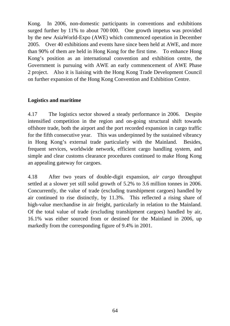Kong. In 2006, non-domestic participants in conventions and exhibitions surged further by 11% to about 700 000. One growth impetus was provided by the new AsiaWorld-Expo (AWE) which commenced operation in December 2005. Over 40 exhibitions and events have since been held at AWE, and more than 90% of them are held in Hong Kong for the first time. To enhance Hong Kong's position as an international convention and exhibition centre, the Government is pursuing with AWE an early commencement of AWE Phase 2 project. Also it is liaising with the Hong Kong Trade Development Council on further expansion of the Hong Kong Convention and Exhibition Centre.

## **Logistics and maritime**

4.17 The logistics sector showed a steady performance in 2006. Despite intensified competition in the region and on-going structural shift towards offshore trade, both the airport and the port recorded expansion in cargo traffic for the fifth consecutive year. This was underpinned by the sustained vibrancy in Hong Kong's external trade particularly with the Mainland. Besides, frequent services, worldwide network, efficient cargo handling system, and simple and clear customs clearance procedures continued to make Hong Kong an appealing gateway for cargoes.

4.18 After two years of double-digit expansion, *air cargo* throughput settled at a slower yet still solid growth of 5.2% to 3.6 million tonnes in 2006. Concurrently, the value of trade (excluding transhipment cargoes) handled by air continued to rise distinctly, by 11.3%. This reflected a rising share of high-value merchandise in air freight, particularly in relation to the Mainland. Of the total value of trade (excluding transhipment cargoes) handled by air, 16.1% was either sourced from or destined for the Mainland in 2006, up markedly from the corresponding figure of 9.4% in 2001.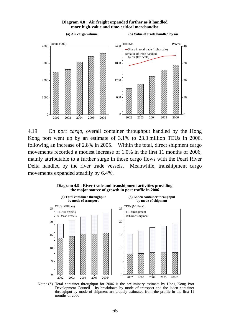#### **Diagram 4.8 : Air freight expanded further as it handled more high-value and time-critical merchandise**



4.19 On *port cargo*, overall container throughput handled by the Hong Kong port went up by an estimate of 3.1% to 23.3 million TEUs in 2006, following an increase of 2.8% in 2005. Within the total, direct shipment cargo movements recorded a modest increase of 1.0% in the first 11 months of 2006, mainly attributable to a further surge in those cargo flows with the Pearl River Delta handled by the river trade vessels. Meanwhile, transhipment cargo movements expanded steadily by 6.4%.





Note : (\*) Total container throughput for 2006 is the preliminary estimate by Hong Kong Port Development Council. Its breakdown by mode of transport and the laden container throughput by mode of shipment are crudely estimated from the profile in the first 11 months of 2006.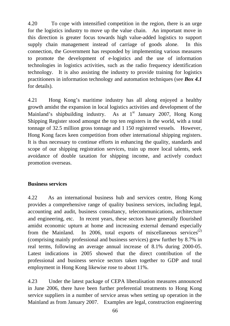4.20 To cope with intensified competition in the region, there is an urge for the logistics industry to move up the value chain. An important move in this direction is greater focus towards high value-added logistics to support supply chain management instead of carriage of goods alone. In this connection, the Government has responded by implementing various measures to promote the development of e-logistics and the use of information technologies in logistics activities, such as the radio frequency identification technology. It is also assisting the industry to provide training for logistics practitioners in information technology and automation techniques (see *Box 4.1* for details).

4.21 Hong Kong's maritime industry has all along enjoyed a healthy growth amidst the expansion in local logistics activities and development of the Mainland's shipbuilding industry. As at  $1<sup>st</sup>$  January 2007, Hong Kong Shipping Register stood amongst the top ten registers in the world, with a total tonnage of 32.5 million gross tonnage and 1 150 registered vessels. However, Hong Kong faces keen competition from other international shipping registers. It is thus necessary to continue efforts in enhancing the quality, standards and scope of our shipping registration services, train up more local talents, seek avoidance of double taxation for shipping income, and actively conduct promotion overseas.

## **Business services**

4.22 As an international business hub and services centre, Hong Kong provides a comprehensive range of quality business services, including legal, accounting and audit, business consultancy, telecommunications, architecture and engineering, etc. In recent years, these sectors have generally flourished amidst economic upturn at home and increasing external demand especially from the Mainland. In 2006, total exports of miscellaneous services<sup>(2)</sup> (comprising mainly professional and business services) grew further by 8.7% in real terms, following an average annual increase of 8.1% during 2000-05. Latest indications in 2005 showed that the direct contribution of the professional and business service sectors taken together to GDP and total employment in Hong Kong likewise rose to about 11%.

4.23 Under the latest package of CEPA liberalisation measures announced in June 2006, there have been further preferential treatments to Hong Kong service suppliers in a number of service areas when setting up operation in the Mainland as from January 2007. Examples are legal, construction engineering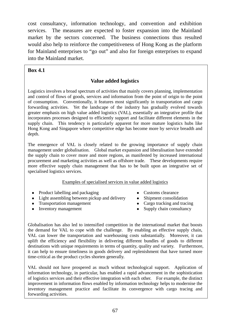cost consultancy, information technology, and convention and exhibition services. The measures are expected to foster expansion into the Mainland market by the sectors concerned. The business connections thus resulted would also help to reinforce the competitiveness of Hong Kong as the platform for Mainland enterprises to "go out" and also for foreign enterprises to expand into the Mainland market.

#### $\overline{a}$ **Box 4.1**

# **Value added logistics**

Logistics involves a broad spectrum of activities that mainly covers planning, implementation and control of flows of goods, services and information from the point of origin to the point of consumption. Conventionally, it features most significantly in transportation and cargo forwarding activities. Yet the landscape of the industry has gradually evolved towards greater emphasis on high value added logistics (VAL), essentially an integrative profile that incorporates processes designed to efficiently support and facilitate different elements in the supply chain. This tendency is particularly apparent for more mature logistics hubs like Hong Kong and Singapore where competitive edge has become more by service breadth and depth.

The emergence of VAL is closely related to the growing importance of supply chain management under globalisation. Global market expansion and liberalisation have extended the supply chain to cover more and more regions, as manifested by increased international procurement and marketing activities as well as offshore trade. These developments require more effective supply chain management that has to be built upon an integrative set of specialised logistics services.

#### Examples of specialised services in value added logistics

- Product labelling and packaging Customs clearance
- Light assembling between pickup and delivery Shipment consolidation
- Transportation management  $\bullet$  Cargo tracking and tracing
- 
- 
- 
- 
- Inventory management Supply chain consultancy

Globalisation has also led to intensified competition in the international market that boosts the demand for VAL to cope with the challenge. By enabling an effective supply chain, VAL can lower the transportation and warehousing costs substantially. Moreover, it can uplift the efficiency and flexibility in delivering different bundles of goods to different destinations with unique requirements in terms of quantity, quality and variety. Furthermore, it can help to ensure timeliness in goods delivery and replenishment that have turned more time-critical as the product cycles shorten generally.

VAL should not have prospered as much without technological support. Application of information technology, in particular, has enabled a rapid advancement in the sophistication of logistics services and their effective integration with each other. For example, the distinct improvement in information flows enabled by information technology helps to modernise the inventory management practice and facilitate its convergence with cargo tracing and forwarding activities.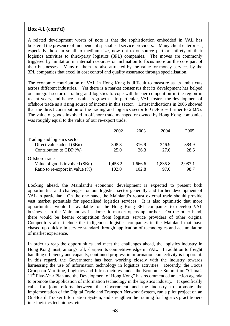# **Box 4.1 (cont'd)**

A related development worth of note is that the sophistication embedded in VAL has bolstered the presence of independent specialised service providers. Many client enterprises, especially those in small to medium size, now opt to outsource part or entirety of their logistics activities to third-party logistics (3PL) companies. The moves are commonly triggered by limitation in internal resources or inclination to focus more on the core part of their businesses. Many of them are also attracted by the value-for-money services by the 3PL companies that excel in cost control and quality assurance through specialisation.

The economic contribution of VAL in Hong Kong is difficult to measure as its ambit cuts across different industries. Yet there is a market consensus that its development has helped our integral sector of trading and logistics to cope with keener competition in the region in recent years, and hence sustain its growth. In particular, VAL fosters the development of offshore trade as a rising source of income in this sector. Latest indications in 2005 showed that the direct contribution of the trading and logistics sector to GDP rose further to 28.6%. The value of goods involved in offshore trade managed or owned by Hong Kong companies was roughly equal to the value of our re-export trade.

|                                 | 2002    | 2003    | 2004    | 2005    |
|---------------------------------|---------|---------|---------|---------|
| Trading and logistics sector    |         |         |         |         |
| Direct value added (\$Bn)       | 308.3   | 316.9   | 346.9   | 384.9   |
| Contribution to GDP $(\%)$      | 25.0    | 26.3    | 27.6    | 28.6    |
| Offshore trade                  |         |         |         |         |
| Value of goods involved (\$Bn)  | 1,458.2 | 1,666.6 | 1,835.8 | 2,087.1 |
| Ratio to re-export in value (%) | 102.0   | 102.8   | 97.0    | 98.7    |

Looking ahead, the Mainland's economic development is expected to present both opportunities and challenges for our logistics sector generally and further development of VAL in particular. On the one hand, the Mainland's robust external trade should provide vast market potentials for specialised logistics services. It is also optimistic that more opportunities would be available for the Hong Kong 3PL companies to develop VAL businesses in the Mainland as its domestic market opens up further. On the other hand, there would be keener competition from logistics service providers of other origins. Competitors also include the indigenous logistics companies in the Mainland that have chased up quickly in service standard through application of technologies and accumulation of market experience.

In order to reap the opportunities and meet the challenges ahead, the logistics industry in Hong Kong must, amongst all, sharpen its competitive edge in VAL. In addition to freight handling efficiency and capacity, continued progress in information connectivity is important. In this regard, the Government has been working closely with the industry towards harnessing the use of information technology in logistics activities. Recently, the Focus Group on Maritime, Logistics and Infrastructures under the Economic Summit on "China's 11<sup>th</sup> Five-Year Plan and the Development of Hong Kong" has recommended an action agenda to promote the application of information technology in the logistics industry. It specifically calls for joint efforts between the Government and the industry to promote the implementation of the Digital Trade and Transport Network System, run a pilot project on an On-Board Trucker Information System, and strengthen the training for logistics practitioners in e-logistics techniques, etc.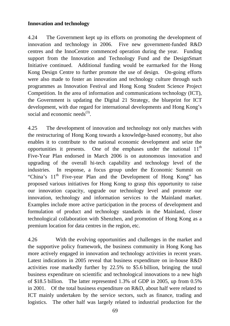# **Innovation and technology**

4.24 The Government kept up its efforts on promoting the development of innovation and technology in 2006. Five new government-funded R&D centres and the InnoCentre commenced operation during the year. Funding support from the Innovation and Technology Fund and the DesignSmart Initiative continued. Additional funding would be earmarked for the Hong Kong Design Centre to further promote the use of design. On-going efforts were also made to foster an innovation and technology culture through such programmes as Innovation Festival and Hong Kong Student Science Project Competition. In the area of information and communications technology (ICT), the Government is updating the Digital 21 Strategy, the blueprint for ICT development, with due regard for international developments and Hong Kong's social and economic needs $^{(3)}$ .

4.25 The development of innovation and technology not only matches with the restructuring of Hong Kong towards a knowledge-based economy, but also enables it to contribute to the national economic development and seize the opportunities it presents. One of the emphases under the national  $11<sup>th</sup>$ Five-Year Plan endorsed in March 2006 is on autonomous innovation and upgrading of the overall hi-tech capability and technology level of the industries. In response, a focus group under the Economic Summit on "China's 11<sup>th</sup> Five-year Plan and the Development of Hong Kong" has proposed various initiatives for Hong Kong to grasp this opportunity to raise our innovation capacity, upgrade our technology level and promote our innovation, technology and information services to the Mainland market. Examples include more active participation in the process of development and formulation of product and technology standards in the Mainland, closer technological collaboration with Shenzhen, and promotion of Hong Kong as a premium location for data centres in the region, etc.

4.26 With the evolving opportunities and challenges in the market and the supportive policy framework, the business community in Hong Kong has more actively engaged in innovation and technology activities in recent years. Latest indications in 2005 reveal that business expenditure on in-house R&D activities rose markedly further by 22.5% to \$5.6 billion, bringing the total business expenditure on scientific and technological innovations to a new high of \$18.5 billion. The latter represented 1.3% of GDP in 2005, up from 0.5% in 2001. Of the total business expenditure on R&D, about half were related to ICT mainly undertaken by the service sectors, such as finance, trading and logistics. The other half was largely related to industrial production for the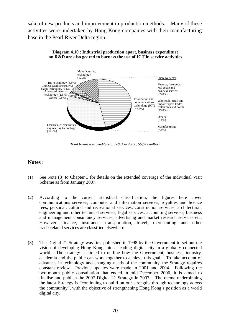sake of new products and improvement in production methods. Many of these activities were undertaken by Hong Kong companies with their manufacturing base in the Pearl River Delta region.



#### **Diagram 4.10 : Industrial production apart, business expenditure on R&D are also geared to harness the use of ICT in service activities**

*Total business expenditure on R&D in 2005 : \$5,622 million*

### **Notes :**

- (1) See Note (3) to Chapter 3 for details on the extended coverage of the Individual Visit Scheme as from January 2007.
- (2) According to the current statistical classification, the figures here cover communications services; computer and information services; royalties and licence fees; personal, cultural and recreational services; construction services; architectural, engineering and other technical services; legal services; accounting services; business and management consultancy services; advertising and market research services etc. However, finance, insurance, transportation, travel, merchanting and other trade-related services are classified elsewhere.
- (3) The Digital 21 Strategy was first published in 1998 by the Government to set out the vision of developing Hong Kong into a leading digital city in a globally connected world. The strategy is aimed to outline how the Government, business, industry, academia and the public can work together to achieve this goal. To take account of advances in technology and changing needs of the community, the Strategy requires constant review. Previous updates were made in 2001 and 2004. Following the two-month public consultation that ended in mid-December 2006, it is aimed to finalise and publish the 2007 Digital 21 Strategy in 2007. The theme underpinning the latest Strategy is "continuing to build on our strengths through technology across the community", with the objective of strengthening Hong Kong's position as a world digital city.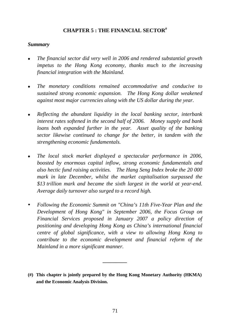# **CHAPTER 5 : THE FINANCIAL SECTOR#**

## *Summary*

- <sup>z</sup>*The financial sector did very well in 2006 and rendered substantial growth impetus to the Hong Kong economy, thanks much to the increasing financial integration with the Mainland.*
- The monetary conditions remained accommodative and conducive to *sustained strong economic expansion. The Hong Kong dollar weakened against most major currencies along with the US dollar during the year.*
- <sup>z</sup>*Reflecting the abundant liquidity in the local banking sector, interbank interest rates softened in the second half of 2006. Money supply and bank loans both expanded further in the year. Asset quality of the banking sector likewise continued to change for the better, in tandem with the strengthening economic fundamentals.*
- <sup>z</sup>*The local stock market displayed a spectacular performance in 2006, boosted by enormous capital inflow, strong economic fundamentals and also hectic fund raising activities. The Hang Seng Index broke the 20 000 mark in late December, whilst the market capitalisation surpassed the \$13 trillion mark and became the sixth largest in the world at year-end. Average daily turnover also surged to a record high.*
- Following the Economic Summit on "China's 11th Five-Year Plan and the *Development of Hong Kong" in September 2006, the Focus Group on Financial Services proposed in January 2007 a policy direction of positioning and developing Hong Kong as China's international financial centre of global significance, with a view to allowing Hong Kong to contribute to the economic development and financial reform of the Mainland in a more significant manner.*
- **(#) This chapter is jointly prepared by the Hong Kong Monetary Authority (HKMA) and the Economic Analysis Division.**

**\_\_\_\_\_\_\_\_\_**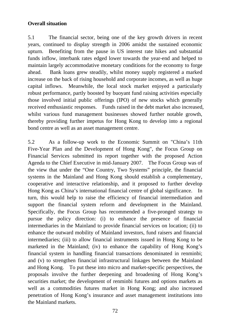# **Overall situation**

5.1 The financial sector, being one of the key growth drivers in recent years, continued to display strength in 2006 amidst the sustained economic upturn. Benefiting from the pause in US interest rate hikes and substantial funds inflow, interbank rates edged lower towards the year-end and helped to maintain largely accommodative monetary conditions for the economy to forge ahead. Bank loans grew steadily, whilst money supply registered a marked increase on the back of rising household and corporate incomes, as well as huge capital inflows. Meanwhile, the local stock market enjoyed a particularly robust performance, partly boosted by buoyant fund raising activities especially those involved initial public offerings (IPO) of new stocks which generally received enthusiastic responses. Funds raised in the debt market also increased, whilst various fund management businesses showed further notable growth, thereby providing further impetus for Hong Kong to develop into a regional bond centre as well as an asset management centre.

5.2 As a follow-up work to the Economic Summit on "China's 11th Five-Year Plan and the Development of Hong Kong", the Focus Group on Financial Services submitted its report together with the proposed Action Agenda to the Chief Executive in mid-January 2007. The Focus Group was of the view that under the "One Country, Two Systems" principle, the financial systems in the Mainland and Hong Kong should establish a complementary, cooperative and interactive relationship, and it proposed to further develop Hong Kong as China's international financial centre of global significance. In turn, this would help to raise the efficiency of financial intermediation and support the financial system reform and development in the Mainland. Specifically, the Focus Group has recommended a five-pronged strategy to pursue the policy direction: (i) to enhance the presence of financial intermediaries in the Mainland to provide financial services on location; (ii) to enhance the outward mobility of Mainland investors, fund raisers and financial intermediaries; (iii) to allow financial instruments issued in Hong Kong to be marketed in the Mainland; (iv) to enhance the capability of Hong Kong's financial system in handling financial transactions denominated in renminbi; and (v) to strengthen financial infrastructural linkages between the Mainland and Hong Kong. To put these into micro and market-specific perspectives, the proposals involve the further deepening and broadening of Hong Kong's securities market; the development of renminbi futures and options markets as well as a commodities futures market in Hong Kong; and also increased penetration of Hong Kong's insurance and asset management institutions into the Mainland markets.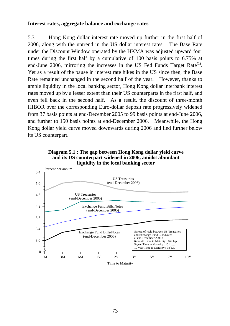### **Interest rates, aggregate balance and exchange rates**

5.3 Hong Kong dollar interest rate moved up further in the first half of 2006, along with the uptrend in the US dollar interest rates. The Base Rate under the Discount Window operated by the HKMA was adjusted upward four times during the first half by a cumulative of 100 basis points to 6.75% at end-June 2006, mirroring the increases in the US Fed Funds Target Rate<sup>(1)</sup>. Yet as a result of the pause in interest rate hikes in the US since then, the Base Rate remained unchanged in the second half of the year. However, thanks to ample liquidity in the local banking sector, Hong Kong dollar interbank interest rates moved up by a lesser extent than their US counterparts in the first half, and even fell back in the second half. As a result, the discount of three-month HIBOR over the corresponding Euro-dollar deposit rate progressively widened from 37 basis points at end-December 2005 to 99 basis points at end-June 2006, and further to 150 basis points at end-December 2006. Meanwhile, the Hong Kong dollar yield curve moved downwards during 2006 and lied further below its US counterpart.



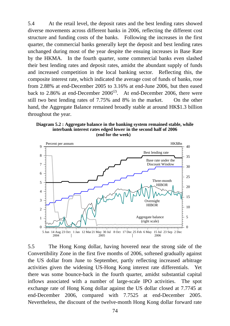5.4 At the retail level, the deposit rates and the best lending rates showed diverse movements across different banks in 2006, reflecting the different cost structure and funding costs of the banks. Following the increases in the first quarter, the commercial banks generally kept the deposit and best lending rates unchanged during most of the year despite the ensuing increases in Base Rate by the HKMA. In the fourth quarter, some commercial banks even slashed their best lending rates and deposit rates, amidst the abundant supply of funds and increased competition in the local banking sector. Reflecting this, the composite interest rate, which indicated the average cost of funds of banks, rose from 2.88% at end-December 2005 to 3.16% at end-June 2006, but then eased back to 2.86% at end-December  $2006^{(2)}$ . At end-December 2006, there were still two best lending rates of 7.75% and 8% in the market. On the other hand, the Aggregate Balance remained broadly stable at around HK\$1.3 billion throughout the year.

**Diagram 5.2 : Aggregate balance in the banking system remained stable, while interbank interest rates edged lower in the second half of 2006 (end for the week)**



5.5 The Hong Kong dollar, having hovered near the strong side of the Convertibility Zone in the first five months of 2006, softened gradually against the US dollar from June to September, partly reflecting increased arbitrage activities given the widening US-Hong Kong interest rate differentials. Yet there was some bounce-back in the fourth quarter, amidst substantial capital inflows associated with a number of large-scale IPO activities. The spot exchange rate of Hong Kong dollar against the US dollar closed at 7.7745 at end-December 2006, compared with 7.7525 at end-December 2005. Nevertheless, the discount of the twelve-month Hong Kong dollar forward rate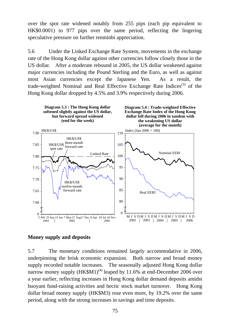over the spot rate widened notably from 255 pips (each pip equivalent to HK\$0.0001) to 977 pips over the same period, reflecting the lingering speculative pressure on further renminbi appreciation.

5.6 Under the Linked Exchange Rate System, movements in the exchange rate of the Hong Kong dollar against other currencies follow closely those in the US dollar. After a moderate rebound in 2005, the US dollar weakened against major currencies including the Pound Sterling and the Euro, as well as against most Asian currencies except the Japanese Yen. As a result, the trade-weighted Nominal and Real Effective Exchange Rate Indices $(3)$  of the Hong Kong dollar dropped by 4.5% and 3.9% respectively during 2006.



# **Money supply and deposits**

5.7 The monetary conditions remained largely accommodative in 2006, underpinning the brisk economic expansion. Both narrow and broad money supply recorded notable increases. The seasonally adjusted Hong Kong dollar narrow money supply  $(HK$M1)^{(4)}$  leaped by 11.6% at end-December 2006 over a year earlier, reflecting increases in Hong Kong dollar demand deposits amidst buoyant fund-raising activities and hectic stock market turnover. Hong Kong dollar broad money supply (HK\$M3) rose even more, by 19.2% over the same period, along with the strong increases in savings and time deposits.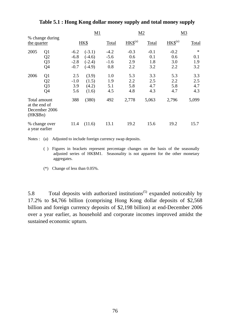|                           |                                                                      |                                      | M1                                           |                                   |                             | M <sub>2</sub>              |                             | M <sub>3</sub>              |
|---------------------------|----------------------------------------------------------------------|--------------------------------------|----------------------------------------------|-----------------------------------|-----------------------------|-----------------------------|-----------------------------|-----------------------------|
| the quarter               | % change during                                                      |                                      | HK\$                                         | Total                             | $HKS^{(a)}$                 | Total                       | $HKS^{(a)}$                 | Total                       |
| 2005                      | Q <sub>1</sub><br>Q <sub>2</sub><br>Q <sub>3</sub><br>Q <sub>4</sub> | $-6.2$<br>$-6.8$<br>$-2.8$<br>$-0.7$ | $(-3.1)$<br>$(-4.6)$<br>$(-2.4)$<br>$(-4.9)$ | $-4.2$<br>$-5.6$<br>$-1.6$<br>0.8 | $-0.3$<br>0.6<br>2.9<br>2.2 | $-0.1$<br>0.1<br>1.8<br>3.2 | $-0.2$<br>0.6<br>3.0<br>2.2 | $\ast$<br>0.1<br>1.9<br>3.2 |
| 2006                      | Q <sub>1</sub><br>Q2<br>Q <sub>3</sub><br>Q4                         | 2.5<br>$-1.0$<br>3.9<br>5.6          | (3.9)<br>(1.5)<br>(4.2)<br>(1.6)             | 1.0<br>1.9<br>5.1<br>4.5          | 5.3<br>2.2<br>5.8<br>4.8    | 3.3<br>2.5<br>4.7<br>4.3    | 5.3<br>2.2<br>5.8<br>4.7    | 3.3<br>2.5<br>4.7<br>4.3    |
| at the end of<br>(HK\$Bn) | Total amount<br>December 2006                                        | 388                                  | (380)                                        | 492                               | 2,778                       | 5,063                       | 2,796                       | 5,099                       |
| a year earlier            | % change over                                                        | 11.4                                 | (11.6)                                       | 13.1                              | 19.2                        | 15.6                        | 19.2                        | 15.7                        |

**Table 5.1 : Hong Kong dollar money supply and total money supply** 

Notes : (a) Adjusted to include foreign currency swap deposits.

- ( ) Figures in brackets represent percentage changes on the basis of the seasonally adjusted series of HK\$M1. Seasonality is not apparent for the other monetary aggregates.
- (\*) Change of less than 0.05%.

5.8 Total deposits with authorized institutions<sup>(5)</sup> expanded noticeably by 17.2% to \$4,766 billion (comprising Hong Kong dollar deposits of \$2,568 billion and foreign currency deposits of \$2,198 billion) at end-December 2006 over a year earlier, as household and corporate incomes improved amidst the sustained economic upturn.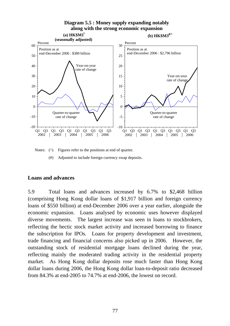

Notes: ( $\wedge$ ) Figures refer to the positions at end of quarter.

(#) Adjusted to include foreign currency swap deposits.

## **Loans and advances**

5.9 Total loans and advances increased by 6.7% to \$2,468 billion (comprising Hong Kong dollar loans of \$1,917 billion and foreign currency loans of \$550 billion) at end-December 2006 over a year earlier, alongside the economic expansion. Loans analysed by economic uses however displayed diverse movements. The largest increase was seen in loans to stockbrokers, reflecting the hectic stock market activity and increased borrowing to finance the subscription for IPOs. Loans for property development and investment, trade financing and financial concerns also picked up in 2006. However, the outstanding stock of residential mortgage loans declined during the year, reflecting mainly the moderated trading activity in the residential property market. As Hong Kong dollar deposits rose much faster than Hong Kong dollar loans during 2006, the Hong Kong dollar loan-to-deposit ratio decreased from 84.3% at end-2005 to 74.7% at end-2006, the lowest on record.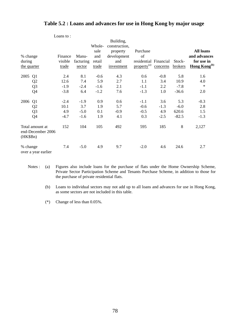## **Table 5.2 : Loans and advances for use in Hong Kong by major usage**

|             |                                      |         |           |        | Building,     |                         |          |         |                          |
|-------------|--------------------------------------|---------|-----------|--------|---------------|-------------------------|----------|---------|--------------------------|
|             |                                      |         |           | Whole- | construction, |                         |          |         |                          |
|             |                                      |         |           | sale   | property      | Purchase                |          |         | <b>All loans</b>         |
| % change    |                                      | Finance | Manu-     | and    | development   | of                      |          |         | and advances             |
| during      |                                      | visible | facturing | retail | and           | residential Financial   |          | Stock-  | for use in               |
| the quarter |                                      | trade   | sector    | trade  | investment    | property <sup>(a)</sup> | concerns | brokers | Hong Kong <sup>(b)</sup> |
| 2005        | Q1                                   | 2.4     | 8.1       | $-0.6$ | 4.3           | 0.6                     | $-0.8$   | 5.8     | 1.6                      |
|             | Q <sub>2</sub>                       | 12.6    | 7.4       | 5.9    | 2.7           | 1.1                     | 3.4      | 10.9    | 4.0                      |
|             | Q <sub>3</sub>                       | $-1.9$  | $-2.4$    | $-1.6$ | 2.1           | $-1.1$                  | 2.2      | $-7.8$  | $\ast$                   |
|             | Q4                                   | $-3.8$  | 6.4       | $-1.2$ | 7.6           | $-1.3$                  | 1.0      | $-36.6$ | 2.0                      |
| 2006        | Q1                                   | $-2.4$  | $-1.9$    | 0.9    | 0.6           | $-1.1$                  | 3.6      | 5.3     | $-0.3$                   |
|             | Q <sub>2</sub>                       | 10.1    | 3.7       | 1.9    | 5.7           | $-0.6$                  | $-1.3$   | $-6.0$  | 2.8                      |
|             | Q <sub>3</sub>                       | 4.9     | $-5.0$    | 0.1    | $-0.9$        | $-0.5$                  | 4.9      | 620.6   | 1.5                      |
|             | Q4                                   | $-4.7$  | $-1.6$    | 1.9    | 4.1           | 0.3                     | $-2.5$   | $-82.5$ | $-1.3$                   |
| (HK\$Bn)    | Total amount at<br>end-December 2006 | 152     | 104       | 105    | 492           | 595                     | 185      | 8       | 2,127                    |
| % change    | over a year earlier                  | 7.4     | $-5.0$    | 4.9    | 9.7           | $-2.0$                  | 4.6      | 24.6    | 2.7                      |

Notes : (a) Figures also include loans for the purchase of flats under the Home Ownership Scheme, Private Sector Participation Scheme and Tenants Purchase Scheme, in addition to those for the purchase of private residential flats.

 (b) Loans to individual sectors may not add up to all loans and advances for use in Hong Kong, as some sectors are not included in this table.

(\*) Change of less than 0.05%.

Loans to :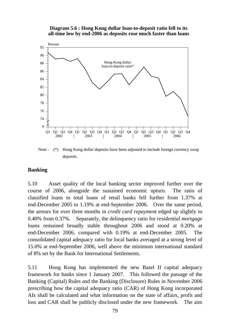**Diagram 5.6 : Hong Kong dollar loan-to-deposit ratio fell to its all-time low by end-2006 as deposits rose much faster than loans**



Note : (\*) Hong Kong dollar deposits have been adjusted to include foreign currency swap deposits.

# **Banking**

5.10 Asset quality of the local banking sector improved further over the course of 2006, alongside the sustained economic upturn. The ratio of classified loans to total loans of retail banks fell further from 1.37% at end-December 2005 to 1.19% at end-September 2006. Over the same period, the arrears for over three months in *credit card repayment* edged up slightly to 0.40% from 0.37%. Separately, the delinquency ratio for *residential mortgage loans* remained broadly stable throughout 2006 and stood at 0.20% at end-December 2006, compared with 0.19% at end-December 2005. The consolidated capital adequacy ratio for local banks averaged at a strong level of 15.0% at end-September 2006, well above the minimum international standard of 8% set by the Bank for International Settlements.

5.11 Hong Kong has implemented the new Basel II capital adequacy framework for banks since 1 January 2007. This followed the passage of the Banking (Capital) Rules and the Banking (Disclosure) Rules in November 2006 prescribing how the capital adequacy ratio (CAR) of Hong Kong incorporated AIs shall be calculated and what information on the state of affairs, profit and loss and CAR shall be publicly disclosed under the new framework. The aim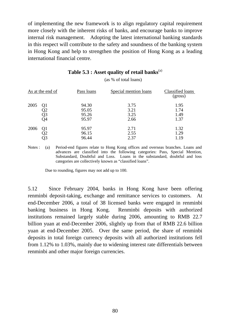of implementing the new framework is to align regulatory capital requirement more closely with the inherent risks of banks, and encourage banks to improve internal risk management. Adopting the latest international banking standards in this respect will contribute to the safety and soundness of the banking system in Hong Kong and help to strengthen the position of Hong Kong as a leading international financial centre.

|      | As at the end of     | Pass loans                       | Special mention loans        | Classified loans<br>(gross)  |
|------|----------------------|----------------------------------|------------------------------|------------------------------|
| 2005 | Q1<br>Q2<br>Q3<br>Q4 | 94.30<br>95.05<br>95.26<br>95.97 | 3.75<br>3.21<br>3.25<br>2.66 | 1.95<br>1.74<br>1.49<br>1.37 |
| 2006 | Q1                   | 95.97<br>96.15<br>96.44          | 2.71<br>2.55<br>2.37         | 1.32<br>1.29<br>1.19         |

## **Table 5.3 : Asset quality of retail banks**(a)

(as % of total loans)

Notes : (a) Period-end figures relate to Hong Kong offices and overseas branches. Loans and advances are classified into the following categories: Pass, Special Mention, Substandard, Doubtful and Loss. Loans in the substandard, doubtful and loss categories are collectively known as "classified loans".

Due to rounding, figures may not add up to 100.

5.12 Since February 2004, banks in Hong Kong have been offering renminbi deposit-taking, exchange and remittance services to customers. At end-December 2006, a total of 38 licensed banks were engaged in renminbi banking business in Hong Kong. Renminbi deposits with authorized institutions remained largely stable during 2006, amounting to RMB 22.7 billion yuan at end-December 2006, slightly up from that of RMB 22.6 billion yuan at end-December 2005. Over the same period, the share of renminbi deposits in total foreign currency deposits with all authorized institutions fell from 1.12% to 1.03%, mainly due to widening interest rate differentials between renminbi and other major foreign currencies.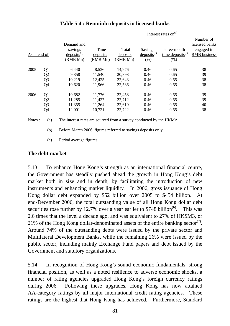|              |                |                                                       |                              | Interest rates on <sup>(a)</sup> |                                              |                                                    |                                                           |  |  |  |  |
|--------------|----------------|-------------------------------------------------------|------------------------------|----------------------------------|----------------------------------------------|----------------------------------------------------|-----------------------------------------------------------|--|--|--|--|
| As at end of |                | Demand and<br>savings<br>$deposits^{(b)}$<br>(RMB Mn) | Time<br>deposits<br>(RMB Mn) | Total<br>deposits<br>(RMB Mn)    | Saving<br>$\text{deposits}^{(c)}$<br>$(\% )$ | Three-month<br>time deposits <sup>(c)</sup><br>(%) | Number of<br>licensed banks<br>engaged in<br>RMB business |  |  |  |  |
| 2005         | Q <sub>1</sub> | 6,440                                                 | 8,536                        | 14,976                           | 0.46                                         | 0.65                                               | 38                                                        |  |  |  |  |
|              | Q <sub>2</sub> | 9,358                                                 | 11,540                       | 20,898                           | 0.46                                         | 0.65                                               | 39                                                        |  |  |  |  |
|              | Q <sub>3</sub> | 10,219                                                | 12,425                       | 22,643                           | 0.46                                         | 0.65                                               | 38                                                        |  |  |  |  |
| 2006         | Q4             | 10,620                                                | 11,966                       | 22,586                           | 0.46                                         | 0.65                                               | 38                                                        |  |  |  |  |
|              | Q <sub>1</sub> | 10,682                                                | 11,776                       | 22,458                           | 0.46                                         | 0.65                                               | 39                                                        |  |  |  |  |
|              | Q2             | 11,285                                                | 11,427                       | 22,712                           | 0.46                                         | 0.65                                               | 39                                                        |  |  |  |  |
|              | Q <sub>3</sub> | 11,355                                                | 11,264                       | 22,619                           | 0.46                                         | 0.65                                               | 40                                                        |  |  |  |  |
|              | Q4             | 12,001                                                | 10,721                       | 22,722                           | 0.46                                         | 0.65                                               | 38                                                        |  |  |  |  |

# **Table 5.4 : Renminbi deposits in licensed banks**

Notes : (a) The interest rates are sourced from a survey conducted by the HKMA.

(b) Before March 2006, figures referred to savings deposits only.

(c) Period average figures.

# **The debt market**

5.13 To enhance Hong Kong's strength as an international financial centre, the Government has steadily pushed ahead the growth in Hong Kong's debt market both in size and in depth, by facilitating the introduction of new instruments and enhancing market liquidity. In 2006, gross issuance of Hong Kong dollar debt expanded by \$52 billion over 2005 to \$454 billion. At end-December 2006, the total outstanding value of all Hong Kong dollar debt securities rose further by 12.7% over a year earlier to \$748 billion<sup>(6)</sup>. This was 2.6 times that the level a decade ago, and was equivalent to 27% of HK\$M3, or 21% of the Hong Kong dollar-denominated assets of the entire banking sector<sup>(1)</sup>. Around 74% of the outstanding debts were issued by the private sector and Multilateral Development Banks, while the remaining 26% were issued by the public sector, including mainly Exchange Fund papers and debt issued by the Government and statutory organizations.

5.14 In recognition of Hong Kong's sound economic fundamentals, strong financial position, as well as a noted resilience to adverse economic shocks, a number of rating agencies upgraded Hong Kong's foreign currency ratings during 2006. Following these upgrades, Hong Kong has now attained AA-category ratings by all major international credit rating agencies. These ratings are the highest that Hong Kong has achieved. Furthermore, Standard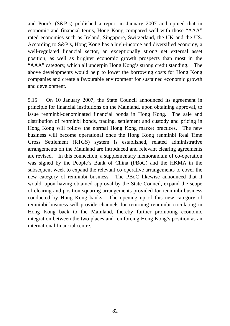and Poor's (S&P's) published a report in January 2007 and opined that in economic and financial terms, Hong Kong compared well with those "AAA" rated economies such as Ireland, Singapore, Switzerland, the UK and the US. According to S&P's, Hong Kong has a high-income and diversified economy, a well-regulated financial sector, an exceptionally strong net external asset position, as well as brighter economic growth prospects than most in the "AAA" category, which all underpin Hong Kong's strong credit standing. The above developments would help to lower the borrowing costs for Hong Kong companies and create a favourable environment for sustained economic growth and development.

5.15 On 10 January 2007, the State Council announced its agreement in principle for financial institutions on the Mainland, upon obtaining approval, to issue renminbi-denominated financial bonds in Hong Kong. The sale and distribution of renminbi bonds, trading, settlement and custody and pricing in Hong Kong will follow the normal Hong Kong market practices. The new business will become operational once the Hong Kong renminbi Real Time Gross Settlement (RTGS) system is established, related administrative arrangements on the Mainland are introduced and relevant clearing agreements are revised. In this connection, a supplementary memorandum of co-operation was signed by the People's Bank of China (PBoC) and the HKMA in the subsequent week to expand the relevant co-operative arrangements to cover the new category of renminbi business. The PBoC likewise announced that it would, upon having obtained approval by the State Council, expand the scope of clearing and position-squaring arrangements provided for renminbi business conducted by Hong Kong banks. The opening up of this new category of renminbi business will provide channels for returning renminbi circulating in Hong Kong back to the Mainland, thereby further promoting economic integration between the two places and reinforcing Hong Kong's position as an international financial centre.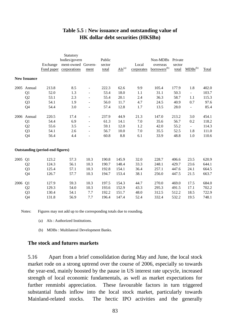# **Table 5.5 : New issuance and outstanding value of HK dollar debt securities (HK\$Bn)**

|      |                     |                                         | Statutory          |                          |        |                        |            |                          |         |                          |       |
|------|---------------------|-----------------------------------------|--------------------|--------------------------|--------|------------------------|------------|--------------------------|---------|--------------------------|-------|
|      |                     |                                         | bodies/govern      |                          | Public |                        |            | Non-MDBs                 | Private |                          |       |
|      |                     | Exchange                                | ment-owned Govern- |                          | sector |                        | Local      | overseas                 | sector  |                          |       |
|      |                     | Fund paper                              | corporations       | ment                     | total  | $\overline{AIs}^{(a)}$ | corporates | borrowers <sup>(b)</sup> | total   | $MDBs^{(b)}$             | Total |
|      | <b>New Issuance</b> |                                         |                    |                          |        |                        |            |                          |         |                          |       |
| 2005 | Annual              | 213.8                                   | 8.5                | $\overline{\phantom{0}}$ | 222.3  | 62.6                   | 9.9        | 105.4                    | 177.9   | 1.8                      | 402.0 |
|      | Q1                  | 52.0                                    | 1.3                | $\overline{\phantom{a}}$ | 53.4   | 18.0                   | 1.1        | 31.1                     | 50.3    | $\blacksquare$           | 103.7 |
|      | Q <sub>2</sub>      | 53.1                                    | 2.3                | $\overline{\phantom{a}}$ | 55.4   | 20.1                   | 2.4        | 36.3                     | 58.7    | 1.1                      | 115.3 |
|      | Q <sub>3</sub>      | 54.1                                    | 1.9                |                          | 56.0   | 11.7                   | 4.7        | 24.5                     | 40.9    | 0.7                      | 97.6  |
|      | Q4                  | 54.4                                    | 3.0                |                          | 57.4   | 12.8                   | 1.7        | 13.5                     | 28.0    | ÷,                       | 85.4  |
| 2006 | Annual              | 220.5                                   | 17.4               | $\overline{\phantom{a}}$ | 237.9  | 44.9                   | 21.3       | 147.0                    | 213.2   | 3.0                      | 454.1 |
|      | Q <sub>1</sub>      | 54.4                                    | 6.9                | $\overline{\phantom{a}}$ | 61.3   | 14.1                   | 7.0        | 35.6                     | 56.7    | 0.2                      | 118.2 |
|      | Q <sub>2</sub>      | 55.6                                    | 3.5                | $\overline{\phantom{a}}$ | 59.1   | 12.0                   | 1.2        | 42.0                     | 55.2    | $\overline{\phantom{0}}$ | 114.3 |
|      | Q <sub>3</sub>      | 54.1                                    | 2.6                | $\overline{\phantom{a}}$ | 56.7   | 10.0                   | 7.0        | 35.5                     | 52.5    | 1.8                      | 111.0 |
|      | Q4                  | 56.4                                    | 4.4                |                          | 60.8   | 8.8                    | 6.1        | 33.9                     | 48.8    | 1.0                      | 110.6 |
|      |                     | <b>Outstanding (period-end figures)</b> |                    |                          |        |                        |            |                          |         |                          |       |
| 2005 | Q <sub>1</sub>      | 123.2                                   | 57.3               | 10.3                     | 190.8  | 145.9                  | 32.0       | 228.7                    | 406.6   | 23.5                     | 620.9 |
|      | Q <sub>2</sub>      | 124.3                                   | 56.1               | 10.3                     | 190.7  | 148.4                  | 33.3       | 248.1                    | 429.7   | 23.6                     | 644.1 |
|      | Q <sub>3</sub>      | 125.4                                   | 57.1               | 10.3                     | 192.8  | 154.1                  | 36.4       | 257.1                    | 447.6   | 24.1                     | 664.5 |
|      | Q4                  | 126.7                                   | 57.7               | 10.3                     | 194.7  | 153.4                  | 38.1       | 256.0                    | 447.5   | 21.5                     | 663.7 |
| 2006 | Q <sub>1</sub>      | 127.9                                   | 59.3               | 10.3                     | 197.5  | 154.3                  | 44.7       | 270.0                    | 469.0   | 17.5                     | 684.0 |
|      | Q <sub>2</sub>      | 129.3                                   | 54.0               | 10.3                     | 193.6  | 152.9                  | 43.3       | 295.3                    | 491.5   | 17.1                     | 702.2 |
|      | Q <sub>3</sub>      | 130.4                                   | 54.1               | 7.7                      | 192.2  | 151.7                  | 48.0       | 312.5                    | 512.2   | 18.5                     | 722.9 |
|      | Q4                  | 131.8                                   | 56.9               | 7.7                      | 196.4  | 147.4                  | 52.4       | 332.4                    | 532.2   | 19.5                     | 748.1 |

Notes: Figures may not add up to the corresponding totals due to rounding.

- (a) AIs : Authorized Institutions.
- (b) MDBs : Multilateral Development Banks.

#### **The stock and futures markets**

5.16 Apart from a brief consolidation during May and June, the local stock market rode on a strong uptrend over the course of 2006, especially so towards the year-end, mainly boosted by the pause in US interest rate upcycle, increased strength of local economic fundamentals, as well as market expectations for further renminbi appreciation. These favourable factors in turn triggered substantial funds inflow into the local stock market, particularly towards Mainland-related stocks. The hectic IPO activities and the generally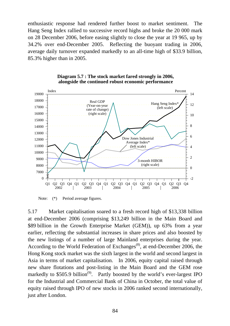enthusiastic response had rendered further boost to market sentiment. The Hang Seng Index rallied to successive record highs and broke the 20 000 mark on 28 December 2006, before easing slightly to close the year at 19 965, up by 34.2% over end-December 2005. Reflecting the buoyant trading in 2006, average daily turnover expanded markedly to an all-time high of \$33.9 billion, 85.3% higher than in 2005.



#### **Diagram 5.7 : The stock market fared strongly in 2006, alongside the continued robust economic performance**

Note: (\*) Period average figures.

5.17 Market capitalisation soared to a fresh record high of \$13,338 billion at end-December 2006 (comprising \$13,249 billion in the Main Board and \$89 billion in the Growth Enterprise Market (GEM)), up 63% from a year earlier, reflecting the substantial increases in share prices and also boosted by the new listings of a number of large Mainland enterprises during the year. According to the World Federation of Exchanges<sup> $(8)$ </sup>, at end-December 2006, the Hong Kong stock market was the sixth largest in the world and second largest in Asia in terms of market capitalisation. In 2006, equity capital raised through new share flotations and post-listing in the Main Board and the GEM rose markedly to  $$505.9$  billion<sup>(9)</sup>. Partly boosted by the world's ever-largest IPO for the Industrial and Commercial Bank of China in October, the total value of equity raised through IPO of new stocks in 2006 ranked second internationally, just after London.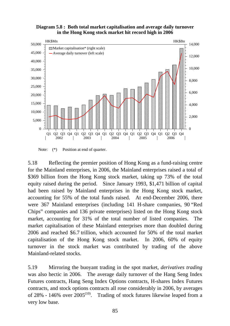**Diagram 5.8 : Both total market capitalisation and average daily turnover in the Hong Kong stock market hit record high in 2006**



Note:  $(*)$  Position at end of quarter.

5.18 Reflecting the premier position of Hong Kong as a fund-raising centre for the Mainland enterprises, in 2006, the Mainland enterprises raised a total of \$369 billion from the Hong Kong stock market, taking up 73% of the total equity raised during the period. Since January 1993, \$1,471 billion of capital had been raised by Mainland enterprises in the Hong Kong stock market, accounting for 55% of the total funds raised. At end-December 2006, there were 367 Mainland enterprises (including 141 H-share companies, 90 "Red Chips" companies and 136 private enterprises) listed on the Hong Kong stock market, accounting for 31% of the total number of listed companies. The market capitalisation of these Mainland enterprises more than doubled during 2006 and reached \$6.7 trillion, which accounted for 50% of the total market capitalisation of the Hong Kong stock market. In 2006, 60% of equity turnover in the stock market was contributed by trading of the above Mainland-related stocks.

5.19 Mirroring the buoyant trading in the spot market, *derivatives trading* was also hectic in 2006. The average daily turnover of the Hang Seng Index Futures contracts, Hang Seng Index Options contracts, H-shares Index Futures contracts, and stock options contracts all rose considerably in 2006, by averages of 28% - 146% over 2005<sup>(10)</sup>. Trading of stock futures likewise leaped from a very low base.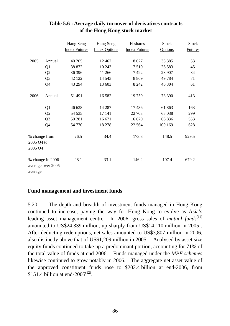|                                        |                                       | Hang Seng<br><b>Index Futures</b> | Hang Seng<br><b>Index Options</b> | H-shares<br><b>Index Futures</b> | <b>Stock</b><br><b>Options</b> | <b>Stock</b><br><b>Futures</b> |
|----------------------------------------|---------------------------------------|-----------------------------------|-----------------------------------|----------------------------------|--------------------------------|--------------------------------|
| 2005                                   | Annual                                | 40 20 5                           | 12 4 6 2                          | 8 0 27                           | 35 38 5                        | 53                             |
|                                        |                                       | 38 872                            | 10 243                            | 7510                             | 26 5 83                        | 45                             |
|                                        | Q <sub>1</sub>                        |                                   |                                   |                                  |                                |                                |
|                                        | Q <sub>2</sub>                        | 36 39 6                           | 11 266                            | 7492                             | 23 907                         | 34                             |
|                                        | Q <sub>3</sub>                        | 42 122                            | 14 5 43                           | 8 8 0 9                          | 49 784                         | 71                             |
|                                        | Q4                                    | 43 294                            | 13 603                            | 8 2 4 2                          | 40 304                         | 61                             |
| 2006                                   | Annual                                | 51 491                            | 16582                             | 19759                            | 73 390                         | 413                            |
|                                        | Q <sub>1</sub>                        | 46 638                            | 14 287                            | 17436                            | 61 863                         | 163                            |
|                                        | Q2                                    | 54 535                            | 17 141                            | 22 703                           | 65 038                         | 299                            |
|                                        | Q <sub>3</sub>                        | 50 281                            | 16 671                            | 16 670                           | 66 836                         | 553                            |
|                                        | Q4                                    | 54 770                            | 18 27 8                           | 22 5 64                          | 100 169                        | 628                            |
| % change from<br>2005 Q4 to<br>2006 Q4 |                                       | 26.5                              | 34.4                              | 173.8                            | 148.5                          | 929.5                          |
| average                                | % change in 2006<br>average over 2005 | 28.1                              | 33.1                              | 146.2                            | 107.4                          | 679.2                          |

# **Table 5.6 : Average daily turnover of derivatives contracts of the Hong Kong stock market**

## **Fund management and investment funds**

5.20 The depth and breadth of investment funds managed in Hong Kong continued to increase, paving the way for Hong Kong to evolve as Asia's leading asset management centre. In 2006, gross sales of *mutual funds*<sup>(11)</sup> amounted to US\$24,339 million, up sharply from US\$14,110 million in 2005 . After deducting redemptions, net sales amounted to US\$3,807 million in 2006, also distinctly above that of US\$1,209 million in 2005. Analysed by asset size, equity funds continued to take up a predominant portion, accounting for 71% of the total value of funds at end-2006. Funds managed under the *MPF schemes*  likewise continued to grow notably in 2006. The aggregate net asset value of the approved constituent funds rose to \$202.4 billion at end-2006, from \$151.4 billion at end-2005<sup> $(12)$ </sup>.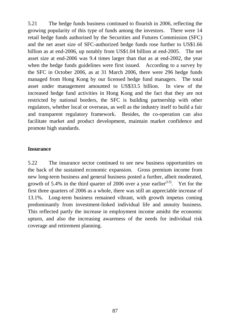5.21 The hedge funds business continued to flourish in 2006, reflecting the growing popularity of this type of funds among the investors. There were 14 retail hedge funds authorised by the Securities and Futures Commission (SFC) and the net asset size of SFC-authorized hedge funds rose further to US\$1.66 billion as at end-2006, up notably from US\$1.04 billion at end-2005. The net asset size at end-2006 was 9.4 times larger than that as at end-2002, the year when the hedge funds guidelines were first issued. According to a survey by the SFC in October 2006, as at 31 March 2006, there were 296 hedge funds managed from Hong Kong by our licensed hedge fund managers. The total asset under management amounted to US\$33.5 billion. In view of the increased hedge fund activities in Hong Kong and the fact that they are not restricted by national borders, the SFC is building partnership with other regulators, whether local or overseas, as well as the industry itself to build a fair and transparent regulatory framework. Besides, the co-operation can also facilitate market and product development, maintain market confidence and promote high standards.

# **Insurance**

5.22 The insurance sector continued to see new business opportunities on the back of the sustained economic expansion. Gross premium income from new long-term business and general business posted a further, albeit moderated, growth of 5.4% in the third quarter of 2006 over a year earlier<sup> $(13)$ </sup>. Yet for the first three quarters of 2006 as a whole, there was still an appreciable increase of 13.1%. Long-term business remained vibrant, with growth impetus coming predominantly from investment-linked individual life and annuity business. This reflected partly the increase in employment income amidst the economic upturn, and also the increasing awareness of the needs for individual risk coverage and retirement planning.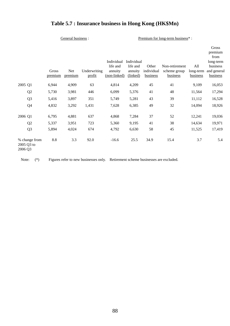# **Table 5.7 : Insurance business in Hong Kong (HK\$Mn)**

| General business : |  |
|--------------------|--|
|                    |  |

Premium for long-term business\*:

|                                        | Gross<br>premium | Net<br>premium | Underwriting<br>profit | Individual<br>life and<br>annuity<br>(non-linked) | Individual<br>life and<br>annuity<br>(linked) | Other<br>individual<br>business | Non-retirement<br>scheme group<br>business | All<br>long-term<br><b>business</b> | Gross<br>premium<br>from<br>long-term<br>business<br>and general<br><u>business</u> |
|----------------------------------------|------------------|----------------|------------------------|---------------------------------------------------|-----------------------------------------------|---------------------------------|--------------------------------------------|-------------------------------------|-------------------------------------------------------------------------------------|
| 2005 Q1                                | 6,944            | 4,909          | 63                     | 4,814                                             | 4,209                                         | 45                              | 41                                         | 9,109                               | 16,053                                                                              |
| Q2                                     | 5,730            | 3,981          | 446                    | 6,099                                             | 5,376                                         | 41                              | 48                                         | 11,564                              | 17,294                                                                              |
| Q <sub>3</sub>                         | 5,416            | 3,897          | 351                    | 5,749                                             | 5,281                                         | 43                              | 39                                         | 11,112                              | 16,528                                                                              |
| Q <sub>4</sub>                         | 4,832            | 3,292          | 1,431                  | 7,628                                             | 6,385                                         | 49                              | 32                                         | 14,094                              | 18,926                                                                              |
| 2006 Q1                                | 6,795            | 4,881          | 637                    | 4,868                                             | 7,284                                         | 37                              | 52                                         | 12,241                              | 19,036                                                                              |
| Q <sub>2</sub>                         | 5,337            | 3,951          | 723                    | 5,360                                             | 9,195                                         | 41                              | 38                                         | 14,634                              | 19,971                                                                              |
| Q <sub>3</sub>                         | 5,894            | 4,024          | 674                    | 4,792                                             | 6,630                                         | 58                              | 45                                         | 11,525                              | 17,419                                                                              |
| % change from<br>2005 Q3 to<br>2006 Q3 | 8.8              | 3.3            | 92.0                   | $-16.6$                                           | 25.5                                          | 34.9                            | 15.4                                       | 3.7                                 | 5.4                                                                                 |

Note: (\*) Figures refer to new businesses only. Retirement scheme businesses are excluded.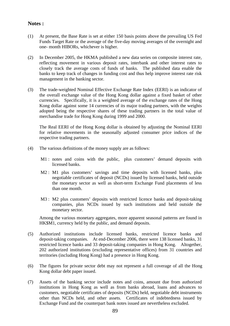## **Notes :**

- (1) At present, the Base Rate is set at either 150 basis points above the prevailing US Fed Funds Target Rate or the average of the five-day moving averages of the overnight and one- month HIBORs, whichever is higher.
- (2) In December 2005, the HKMA published a new data series on composite interest rate, reflecting movement in various deposit rates, interbank and other interest rates to closely track the average costs of funds of banks. The published data enable the banks to keep track of changes in funding cost and thus help improve interest rate risk management in the banking sector.
- (3) The trade-weighted Nominal Effective Exchange Rate Index (EERI) is an indicator of the overall exchange value of the Hong Kong dollar against a fixed basket of other currencies. Specifically, it is a weighted average of the exchange rates of the Hong Kong dollar against some 14 currencies of its major trading partners, with the weights adopted being the respective shares of these trading partners in the total value of merchandise trade for Hong Kong during 1999 and 2000.

 The Real EERI of the Hong Kong dollar is obtained by adjusting the Nominal EERI for relative movements in the seasonally adjusted consumer price indices of the respective trading partners.

- (4) The various definitions of the money supply are as follows:
	- M1 : notes and coins with the public, plus customers' demand deposits with licensed banks.
	- M2 : M1 plus customers' savings and time deposits with licensed banks, plus negotiable certificates of deposit (NCDs) issued by licensed banks, held outside the monetary sector as well as short-term Exchange Fund placements of less than one month.
	- M3 : M2 plus customers' deposits with restricted licence banks and deposit-taking companies, plus NCDs issued by such institutions and held outside the monetary sector.

 Among the various monetary aggregates, more apparent seasonal patterns are found in HK\$M1, currency held by the public, and demand deposits.

- (5) Authorized institutions include licensed banks, restricted licence banks and deposit-taking companies. At end-December 2006, there were 138 licensed banks, 31 restricted licence banks and 33 deposit-taking companies in Hong Kong. Altogether, 202 authorized institutions (excluding representative offices) from 31 countries and territories (including Hong Kong) had a presence in Hong Kong.
- (6) The figures for private sector debt may not represent a full coverage of all the Hong Kong dollar debt paper issued.
- (7) Assets of the banking sector include notes and coins, amount due from authorized institutions in Hong Kong as well as from banks abroad, loans and advances to customers, negotiable certificates of deposits (NCDs) held, negotiable debt instruments other than NCDs held, and other assets. Certificates of indebtedness issued by Exchange Fund and the counterpart bank notes issued are nevertheless excluded.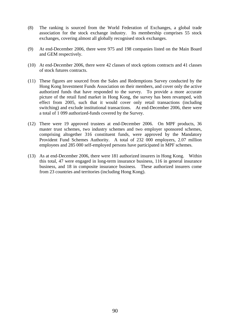- (8) The ranking is sourced from the World Federation of Exchanges, a global trade association for the stock exchange industry. Its membership comprises 55 stock exchanges, covering almost all globally recognised stock exchanges.
- (9) At end-December 2006, there were 975 and 198 companies listed on the Main Board and GEM respectively.
- (10) At end-December 2006, there were 42 classes of stock options contracts and 41 classes of stock futures contracts.
- (11) These figures are sourced from the Sales and Redemptions Survey conducted by the Hong Kong Investment Funds Association on their members, and cover only the active authorized funds that have responded to the survey. To provide a more accurate picture of the retail fund market in Hong Kong, the survey has been revamped, with effect from 2005, such that it would cover only retail transactions (including switching) and exclude institutional transactions. At end-December 2006, there were a total of 1 099 authorized-funds covered by the Survey.
- (12) There were 19 approved trustees at end-December 2006. On MPF products, 36 master trust schemes, two industry schemes and two employer sponsored schemes, comprising altogether 316 constituent funds, were approved by the Mandatory Provident Fund Schemes Authority. A total of 232 000 employers, 2.07 million employees and 285 000 self-employed persons have participated in MPF schemes.
- (13) As at end-December 2006, there were 181 authorized insurers in Hong Kong. Within this total, 47 were engaged in long-term insurance business, 116 in general insurance business, and 18 in composite insurance business. These authorized insurers come from 23 countries and territories (including Hong Kong).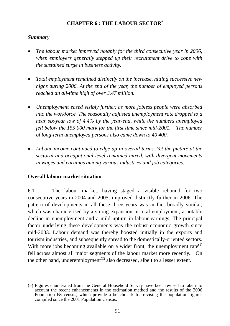# **CHAPTER 6 : THE LABOUR SECTOR#**

# *Summary*

- *The labour market improved notably for the third consecutive year in 2006, when employers generally stepped up their recruitment drive to cope with the sustained surge in business activity.*
- *Total employment remained distinctly on the increase, hitting successive new highs during 2006. At the end of the year, the number of employed persons reached an all-time high of over 3.47 million.*
- *Unemployment eased visibly further, as more jobless people were absorbed into the workforce. The seasonally adjusted unemployment rate dropped to a near six-year low of 4.4% by the year-end, while the numbers unemployed fell below the 155 000 mark for the first time since mid-2001. The number of long-term unemployed persons also came down to 40 400.*
- Labour income continued to edge up in overall terms. Yet the picture at the *sectoral and occupational level remained mixed, with divergent movements in wages and earnings among various industries and job categories.*

# **Overall labour market situation**

6.1 The labour market, having staged a visible rebound for two consecutive years in 2004 and 2005, improved distinctly further in 2006. The pattern of developments in all these three years was in fact broadly similar, which was characterised by a strong expansion in total employment, a notable decline in unemployment and a mild upturn in labour earnings. The principal factor underlying these developments was the robust economic growth since mid-2003. Labour demand was thereby boosted initially in the exports and tourism industries, and subsequently spread to the domestically-oriented sectors. With more jobs becoming available on a wider front, the unemployment rate $(1)$ fell across almost all major segments of the labour market more recently. On the other hand, underemployment<sup> $(2)$ </sup> also decreased, albeit to a lesser extent.

 $\overline{\phantom{a}}$  , and the set of the set of the set of the set of the set of the set of the set of the set of the set of the set of the set of the set of the set of the set of the set of the set of the set of the set of the s

<sup>(#)</sup> Figures enumerated from the General Household Survey have been revised to take into account the recent enhancements in the estimation method and the results of the 2006 Population By-census, which provide a benchmark for revising the population figures compiled since the 2001 Population Census.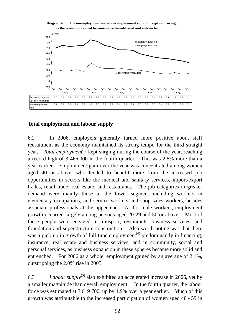

**Diagram 6.1 : The unemployment and underemployment situation kept improving,**

# **Total employment and labour supply**

6.2 In 2006, employers generally turned more positive about staff recruitment as the economy maintained its strong tempo for the third straight year. *Total employment*<sup>(3)</sup> kept surging during the course of the year, reaching a record high of 3 466 000 in the fourth quarter. This was 2.8% more than a year earlier. Employment gain over the year was concentrated among women aged 40 or above, who tended to benefit more from the increased job opportunities in sectors like the medical and sanitary services, import/export trades, retail trade, real estate, and restaurants. The job categories in greater demand were mainly those at the lower segment including workers in elementary occupations, and service workers and shop sales workers, besides associate professionals at the upper end. As for male workers, employment growth occurred largely among persons aged 20-29 and 50 or above. Most of these people were engaged in transport, restaurants, business services, and foundation and superstructure construction. Also worth noting was that there was a pick-up in growth of full-time employment<sup> $(4)$ </sup> predominantly in financing, insurance, real estate and business services, and in community, social and personal services, as business expansion in these spheres became more solid and entrenched. For 2006 as a whole, employment gained by an average of 2.1%, outstripping the 2.0% rise in 2005.

6.3 *Labour supply*<sup>(5)</sup> also exhibited an accelerated increase in 2006, yet by a smaller magnitude than overall employment. In the fourth quarter, the labour force was estimated at 3 619 700, up by 1.9% over a year earlier. Much of this growth was attributable to the increased participation of women aged 40 - 59 in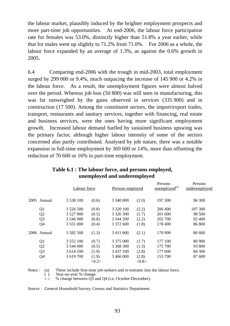the labour market, plausibly induced by the brighter employment prospects and more part-time job opportunities. At end-2006, the labour force participation rate for females was 53.0%, distinctly higher than 51.8% a year earlier, while that for males went up slightly to 71.2% from 71.0%. For 2006 as a whole, the labour force expanded by an average of 1.3%, as against the 0.6% growth in 2005.

6.4 Comparing end-2006 with the trough in mid-2003, total employment surged by 299 000 or 9.4%, much outpacing the increase of 145 900 or 4.2% in the labour force. As a result, the unemployment figures were almost halved over the period. Whereas job loss (50 800) was still seen in manufacturing, this was far outweighed by the gains observed in services (335 900) and in construction (17 500). Among the constituent sectors, the import/export trades, transport, restaurants and sanitary services, together with financing, real estate and business services, were the ones having more significant employment growth. Increased labour demand fuelled by sustained business upswing was the primary factor, although higher labour intensity of some of the sectors concerned also partly contributed. Analysed by job nature, there was a notable expansion in full-time employment by 369 600 or 14%, more than offsetting the reduction of 70 600 or 16% in part-time employment.

|                |               | Labour force    |               | Persons employed |         | I CI SUIIS<br>underemployed |  |
|----------------|---------------|-----------------|---------------|------------------|---------|-----------------------------|--|
| 2005 Annual    | 3 538 100     | (0.6)           | 3 340 800     | (2.0)            | 197 300 | 96 300                      |  |
| Q <sub>1</sub> | 3 5 2 6 5 0 0 | (0.8)           | 3 3 2 0 1 0 0 | (2.2)            | 206 400 | 107 300                     |  |
| Q <sub>2</sub> | 3 527 900     | (0.5)           | 3 3 2 6 3 0 0 | (1.7)            | 201 600 | 98 500                      |  |
| Q <sub>3</sub> | 3 546 900     | (0.8)           | 3 344 200     | (2.2)            | 202 700 | 92 400                      |  |
| Q4             | 3 5 5 1 0 0 0 | (0.4)           | 3 372 600     | (1.8)            | 178 400 | 86 800                      |  |
| 2006 Annual    | 3 5 8 2 5 0 0 | (1.3)           | 3 411 600     | (2.1)            | 170 900 | 86 600                      |  |
| Q <sub>1</sub> | 3 5 5 2 10 0  | (0.7)           | 3 375 000     | (1.7)            | 177 100 | 80 900                      |  |
| Q <sub>2</sub> | 3 544 000     | (0.5)           | 3 368 300     | (1.3)            | 175 700 | 93 800                      |  |
| Q <sub>3</sub> | 3 614 100     | (1.9)           | 3 437 100     | (2.8)            | 177 000 | 84 300                      |  |
| Q4             | 3 619 700     | (1.9)           | 3 466 000     | (2.8)            | 153 700 | 87 600                      |  |
|                |               | $<\!\!0.2\!\!>$ |               | <0.8>            |         |                             |  |

Persons

Persons

# **Table 6.1 : The labour force, and persons employed, unemployed and underemployed**

Notes : (a) These include first-time job-seekers and re-entrants into the labour force.

( ) Year-on-year % change.

 $\leq$  % change between Q3 and Q4 (i.e. October-December).

Source : General Household Survey, Census and Statistics Department.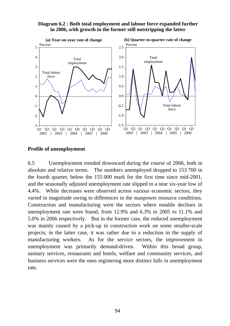#### **Diagram 6.2 : Both total employment and labour force expanded further in 2006, with growth in the former still outstripping the latter**



## **Profile of unemployment**

6.5 Unemployment trended downward during the course of 2006, both in absolute and relative terms. The numbers unemployed dropped to 153 700 in the fourth quarter, below the 155 000 mark for the first time since mid-2001, and the seasonally adjusted unemployment rate slipped to a near six-year low of 4.4%. While decreases were observed across various economic sectors, they varied in magnitude owing to differences in the manpower resource conditions. Construction and manufacturing were the sectors where notable declines in unemployment rate were found, from 12.9% and 6.3% in 2005 to 11.1% and 5.0% in 2006 respectively. But in the former case, the reduced unemployment was mainly caused by a pick-up in construction work on some smaller-scale projects; in the latter case, it was rather due to a reduction in the supply of manufacturing workers. As for the service sectors, the improvement in unemployment was primarily demand-driven. Within this broad group, sanitary services, restaurants and hotels, welfare and community services, and business services were the ones registering more distinct falls in unemployment rate.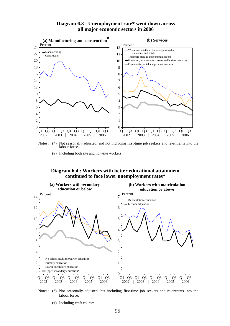

**Diagram 6.3 : Unemployment rate\* went down across all major economic sectors in 2006**

Notes : (\*) Not seasonally adjusted, and not including first-time job seekers and re-entrants into the labour force.

(#) Including both site and non-site workers.

#### **Diagram 6.4 : Workers with better educational attainment continued to face lower unemployment rates\***





(#) Including craft courses.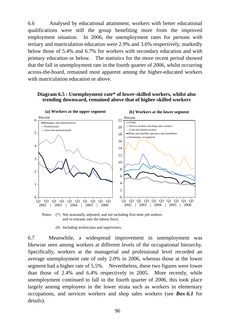6.6 Analysed by educational attainment, workers with better educational qualifications were still the group benefiting more from the improved employment situation. In 2006, the unemployment rates for persons with tertiary and matriculation education were 2.9% and 3.6% respectively, markedly below those of 5.4% and 6.7% for workers with secondary education and with primary education or below. The statistics for the more recent period showed that the fall in unemployment rate in the fourth quarter of 2006, whilst occurring across-the-board, remained most apparent among the higher-educated workers with matriculation education or above.

#### **Diagram 6.5 : Unemployment rate\* of lower-skilled workers, whilst also trending downward, remained above that of higher-skilled workers**



Notes: (\*) Not seasonally adjusted, and not including first-time job seekers and re-entrants into the labour force.

(#) Including technicians and supervisors.

6.7 Meanwhile, a widespread improvement in unemployment was likewise seen among workers at different levels of the occupational hierarchy. Specifically, workers at the managerial and professional level recorded an average unemployment rate of only 2.0% in 2006, whereas those at the lower segment had a higher rate of 5.5%. Nevertheless, these two figures were lower than those of 2.4% and 6.4% respectively in 2005. More recently, while unemployment continued to fall in the fourth quarter of 2006, this took place largely among employees in the lower strata such as workers in elementary occupations, and services workers and shop sales workers (see *Box 6.1* for details).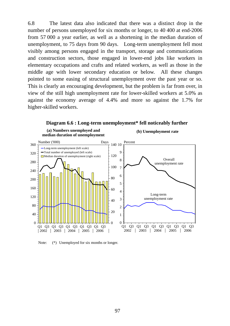6.8 The latest data also indicated that there was a distinct drop in the number of persons unemployed for six months or longer, to 40 400 at end-2006 from 57 000 a year earlier, as well as a shortening in the median duration of unemployment, to 75 days from 90 days. Long-term unemployment fell most visibly among persons engaged in the transport, storage and communications and construction sectors, those engaged in lower-end jobs like workers in elementary occupations and crafts and related workers, as well as those in the middle age with lower secondary education or below. All these changes pointed to some easing of structural unemployment over the past year or so. This is clearly an encouraging development, but the problem is far from over, in view of the still high unemployment rate for lower-skilled workers at 5.0% as against the economy average of 4.4% and more so against the 1.7% for higher-skilled workers.



Note:  $(*)$  Unemployed for six months or longer.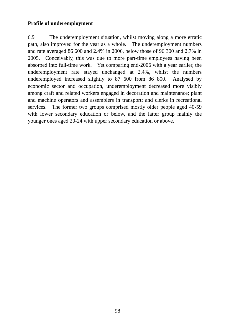# **Profile of underemployment**

6.9 The underemployment situation, whilst moving along a more erratic path, also improved for the year as a whole. The underemployment numbers and rate averaged 86 600 and 2.4% in 2006, below those of 96 300 and 2.7% in 2005. Conceivably, this was due to more part-time employees having been absorbed into full-time work. Yet comparing end-2006 with a year earlier, the underemployment rate stayed unchanged at 2.4%, whilst the numbers underemployed increased slightly to 87 600 from 86 800. Analysed by economic sector and occupation, underemployment decreased more visibly among craft and related workers engaged in decoration and maintenance; plant and machine operators and assemblers in transport; and clerks in recreational services. The former two groups comprised mostly older people aged 40-59 with lower secondary education or below, and the latter group mainly the younger ones aged 20-24 with upper secondary education or above.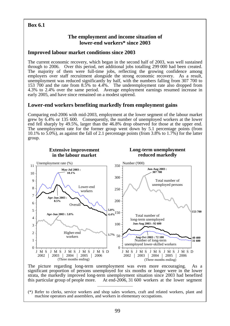# **Box 6.1**

# **The employment and income situation of lower-end workers\* since 2003**

# **Improved labour market conditions since 2003**

The current economic recovery, which began in the second half of 2003, was well sustained through to 2006. Over this period, net additional jobs totalling 299 000 had been created. The majority of them were full-time jobs, reflecting the growing confidence among employers over staff recruitment alongside the strong economic recovery. As a result, unemployment was reduced significantly by half, with the numbers falling from 307 700 to 153 700 and the rate from 8.5% to 4.4%. The underemployment rate also dropped from 4.3% to 2.4% over the same period. Average employment earnings resumed increase in early 2005, and have since remained on a modest uptrend.

# **Lower-end workers benefiting markedly from employment gains**

Comparing end-2006 with mid-2003, employment at the lower segment of the labour market grew by 6.4% or 135 600. Consequently, the number of unemployed workers at the lower end fell sharply by 49.5%, larger than the 46.8% drop observed for those at the upper end. The unemployment rate for the former group went down by 5.1 percentage points (from 10.1% to 5.0%), as against the fall of 2.1 percentage points (from 3.8% to 1.7%) for the latter group.



The picture regarding long-term unemployment was even more encouraging. As a significant proportion of persons unemployed for six months or longer were in the lower strata, the markedly improved long-term unemployment situation since 2003 had benefited this particular group of people more. At end-2006, 31 600 workers at the lower segment

 $\overline{\phantom{a}}$  , and the set of the set of the set of the set of the set of the set of the set of the set of the set of the set of the set of the set of the set of the set of the set of the set of the set of the set of the s

<sup>(\*)</sup> Refer to clerks, service workers and shop sales workers, craft and related workers, plant and machine operators and assemblers, and workers in elementary occupations.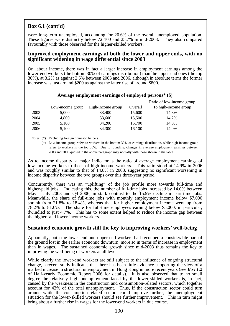# **Box 6.1 (cont'd)**

were long-term unemployed, accounting for 20.6% of the overall unemployed population. These figures were distinctly below 72 100 and 25.7% in mid-2003. They also compared favourably with those observed for the higher-skilled workers.

#### **Improved employment earnings at both the lower and upper ends, with no significant widening in wage differential since 2003**

On labour income, there was in fact a larger increase in employment earnings among the lower-end workers (the bottom 30% of earnings distribution) than the upper-end ones (the top 30%), at 3.2% as against 2.5% between 2003 and 2006, although in absolute terms the former increase was just around \$200 as against the latter rise of around \$800.

|      |                             |                                |         | Ratio of low-income group   |
|------|-----------------------------|--------------------------------|---------|-----------------------------|
|      | Low-income $\text{group}^+$ | High-income group <sup>+</sup> | Overall | <u>To high-income group</u> |
| 2003 | 5,000                       | 33,400                         | 15,600  | 14.8%                       |
| 2004 | 4,800                       | 33,600                         | 15,500  | 14.2%                       |
| 2005 | 5,100                       | 34,200                         | 15,700  | 14.8%                       |
| 2006 | 5,100                       | 34,300                         | 16,100  | 14.9%                       |

#### **Average employment earnings of employed persons\* (\$)**

Notes: (\*) Excluding foreign domestic helpers.

 (+) Low-income group refers to workers in the bottom 30% of earnings distribution, while high-income group refers to workers in the top 30%. Due to rounding, changes in average employment earnings between 2003 and 2006 quoted in the above paragraph may not tally with those shown in the table.

As to income disparity, a major indicator is the ratio of average employment earnings of low-income workers to those of high-income workers. This ratio stood at 14.9% in 2006 and was roughly similar to that of 14.8% in 2003, suggesting no significant worsening in income disparity between the two groups over this three-year period.

Concurrently, there was an "uplifting" of the job profile more towards full-time and higher-paid jobs. Indicating this, the number of full-time jobs increased by 14.0% between May – July 2003 and Q4 2006, in stark contrast to the 15.9% decline in part-time jobs. Meanwhile, the share of full-time jobs with monthly employment income below \$7,000 shrank from 21.8% to 18.4%, whereas that for higher employment income went up from 78.2% to 81.6%. The share for full-time employees earning below \$5,000, in particular, dwindled to just 4.7%. This has to some extent helped to reduce the income gap between the higher- and lower-income workers.

## **Sustained economic growth still the key to improving workers' well-being**

Apparently, both the lower-end and upper-end workers had recouped a considerable part of the ground lost in the earlier economic downturn, more so in terms of increase in employment than in wages. The sustained economic growth since mid-2003 thus remains the key to improving the well-being of workers at all levels.

While clearly the lower-end workers are still subject to the influence of ongoing structural change, a recent study indicates that there has been little evidence supporting the view of a marked increase in structural unemployment in Hong Kong in more recent years (see *Box 1.2* of Half-yearly Economic Report 2006 for details). It is also observed that to no small degree the relatively high unemployment faced by the lower-skilled workers is, in fact, caused by the weakness in the construction and consumption-related sectors, which together account for 43% of the total unemployment. Thus, if the construction sector could turn around while the consumption-related sectors could improve further, the unemployment situation for the lower-skilled workers should see further improvement. This in turn might bring about a further rise in wages for the lower-end workers in due course.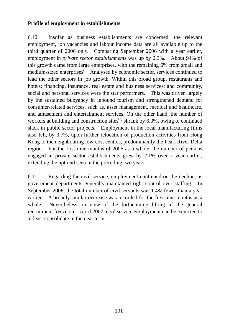# **Profile of employment in establishments**

6.10 Insofar as business establishments are concerned, the relevant employment, job vacancies and labour income data are all available up to the third quarter of 2006 only. Comparing September 2006 with a year earlier, employment in *private sector establishments* was up by 2.3%. About 94% of this growth came from large enterprises, with the remaining 6% from small and medium-sized enterprises $^{(6)}$ . Analysed by economic sector, services continued to lead the other sectors in job growth. Within this broad group, restaurants and hotels; financing, insurance, real estate and business services; and community, social and personal services were the star performers. This was driven largely by the sustained buoyancy in inbound tourism and strengthened demand for consumer-related services, such as, asset management, medical and healthcare, and amusement and entertainment services. On the other hand, the number of workers at building and construction sites<sup> $(7)$ </sup> shrank by 6.3%, owing to continued slack in public sector projects. Employment in the local manufacturing firms also fell, by 3.7%, upon further relocation of production activities from Hong Kong to the neighbouring low-cost centres, predominantly the Pearl River Delta region. For the first nine months of 2006 as a whole, the number of persons engaged in private sector establishments grew by 2.1% over a year earlier, extending the uptrend seen in the preceding two years.

6.11 Regarding the civil service, employment continued on the decline, as government departments generally maintained tight control over staffing. In September 2006, the total number of civil servants was 1.4% fewer than a year earlier. A broadly similar decrease was recorded for the first nine months as a whole. Nevertheless, in view of the forthcoming lifting of the general recruitment freeze on 1 April 2007, civil service employment can be expected to at least consolidate in the near term.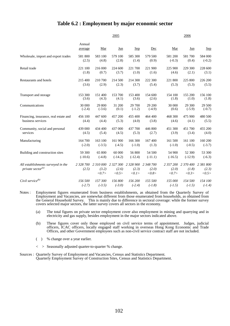## **Table 6.2 : Employment by major economic sector**

|                                                                     |                   |                                       | 2005           |                                       | 2006                        |                             |                             |                             |
|---------------------------------------------------------------------|-------------------|---------------------------------------|----------------|---------------------------------------|-----------------------------|-----------------------------|-----------------------------|-----------------------------|
|                                                                     | Annual<br>average | Mar                                   | Jun            | <b>Sep</b>                            | Dec                         | Mar                         | Jun                         | <u>Sep</u>                  |
| Wholesale, import and export trades                                 | 581 800           | 583 100                               | 579 100        | 585 300                               | 579 500                     | 581 200                     | 581 700                     | 584 000                     |
|                                                                     | (2.5)             | (4.8)                                 | (2.8)          | (1.4)                                 | (0.9)                       | $(-0.3)$                    | (0.4)                       | $(-0.2)$                    |
| Retail trade                                                        | 221 100           | 216 000                               | 224 600        | 221 700                               | 221 900                     | 225 900                     | 229 300                     | 228 600                     |
|                                                                     | (1.8)             | (0.7)                                 | (3.7)          | (1.0)                                 | (1.6)                       | (4.6)                       | (2.1)                       | (3.1)                       |
| Restaurants and hotels                                              | 215 400           | 210 700                               | 214 500        | 214 300                               | 222 300                     | 221 800                     | 225 800                     | 226 200                     |
|                                                                     | (3.6)             | (2.9)                                 | (2.3)          | (3.7)                                 | (5.4)                       | (5.3)                       | (5.3)                       | (5.5)                       |
| Transport and storage                                               | 153 300           | 151 400                               | 153 700        | 153 400                               | 154 600                     | 154 100                     | 155 200                     | 156 100                     |
|                                                                     | (3.6)             | (4.3)                                 | (4.1)          | (3.6)                                 | (2.6)                       | (1.8)                       | (1.0)                       | (1.8)                       |
| Communications                                                      | 30 000            | 29 800                                | 31 200         | 29 700                                | 29 200                      | 30 000                      | 29 300                      | 29 500                      |
|                                                                     | $(-2.4)$          | $(-3.6)$                              | (0.1)          | $(-1.2)$                              | $(-4.9)$                    | (0.6)                       | $(-5.9)$                    | $(-0.7)$                    |
| Financing, insurance, real estate and                               | 456 100           | 447 600                               | 457 200        | 455 400                               | 464 400                     | 468 300                     | 475 900                     | 480 500                     |
| business services                                                   | (4.4)             | (4.4)                                 | (5.3)          | (4.0)                                 | (3.8)                       | (4.6)                       | (4.1)                       | (5.5)                       |
| Community, social and personal                                      | 439 000           | 434 400                               | 437 000        | 437 700                               | 446 800                     | 451 300                     | 451 700                     | 455 200                     |
| services                                                            | (4.5)             | (5.4)                                 | (4.5)          | (5.3)                                 | (2.7)                       | (3.9)                       | (3.4)                       | (4.0)                       |
| Manufacturing                                                       | 164 700           | 163 100                               | 161 900        | 166 300                               | 167 400                     | 161 500                     | 161 100                     | 160 200                     |
|                                                                     | $(-2.0)$          | $(-3.5)$                              | $(-4.5)$       | $(-1.0)$                              | (1.3)                       | $(-1.0)$                    | $(-0.5)$                    | $(-3.7)$                    |
| Building and construction sites                                     | 59 300            | 65 800                                | 60 000         | 56 800                                | 54 500                      | 54 900                      | 52 300                      | 53 300                      |
|                                                                     | $(-10.6)$         | $(-4.8)$                              | $(-14.2)$      | $(-12.4)$                             | $(-11.1)$                   | $(-16.5)$                   | $(-12.9)$                   | $(-6.3)$                    |
| All establishments surveyed in the<br>private sector <sup>(a)</sup> | (2.5)             | 2 328 700 2 310 000<br>(3.2)<br><0.7> | (2.6)<br><0.5> | 2 327 300 2 328 900<br>(2.3)<br><0.1> | 2 348 700<br>(2.0)<br><0.8> | 2 357 200<br>(2.0)<br><0.7> | 2 370 400<br>(1.8)<br><0.3> | 2 381 800<br>(2.3)<br><0.5> |
| Civil service $^{(b)}$                                              | 156 500           | 157 300                               | 156 800        | 156 200                               | 155 500                     | 155 000                     | 154 500                     | 154 100                     |
|                                                                     | $(-2.7)$          | $(-3.5)$                              | $(-3.0)$       | $(-2.4)$                              | $(-1.8)$                    | $(-1.5)$                    | $(-1.5)$                    | $(-1.4)$                    |

- Notes : Employment figures enumerated from business establishments, as obtained from the Quarterly Survey of Employment and Vacancies, are somewhat different from those enumerated from households, as obtained from the General Household Survey. This is mainly due to difference in sectoral coverage: while the former survey covers selected major sectors, the latter survey covers all sectors in the economy.
	- (a) The total figures on private sector employment cover also employment in mining and quarrying and in electricity and gas supply, besides employment in the major sectors indicated above.
	- (b) These figures cover only those employed on civil service terms of appointment. Judges, judicial officers, ICAC officers, locally engaged staff working in overseas Hong Kong Economic and Trade Offices, and other Government employees such as non-civil service contract staff are not included.
	- ( ) % change over a year earlier.
	- < > Seasonally adjusted quarter-to-quarter % change.
- Sources : Quarterly Survey of Employment and Vacancies, Census and Statistics Department. Quarterly Employment Survey of Construction Sites, Census and Statistics Department.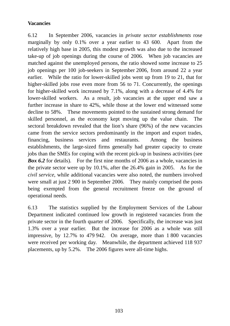# **Vacancies**

6.12 In September 2006, vacancies in *private sector establishments* rose marginally by only 0.1% over a year earlier to 43 600. Apart from the relatively high base in 2005, this modest growth was also due to the increased take-up of job openings during the course of 2006. When job vacancies are matched against the unemployed persons, the ratio showed some increase to 25 job openings per 100 job-seekers in September 2006, from around 22 a year earlier. While the ratio for lower-skilled jobs went up from 19 to 21, that for higher-skilled jobs rose even more from 56 to 71. Concurrently, the openings for higher-skilled work increased by 7.1%, along with a decrease of 4.4% for lower-skilled workers. As a result, job vacancies at the upper end saw a further increase in share to 42%, while those at the lower end witnessed some decline to 58%. These movements pointed to the sustained strong demand for skilled personnel, as the economy kept moving up the value chain. The sectoral breakdown revealed that the lion's share (96%) of the new vacancies came from the service sectors predominantly in the import and export trades, financing, business services and restaurants. Among the business establishments, the large-sized firms generally had greater capacity to create jobs than the SMEs for coping with the recent pick-up in business activities (see *Box 6.2* for details). For the first nine months of 2006 as a whole, vacancies in the private sector were up by 10.1%, after the 26.4% gain in 2005. As for the *civil service*, while additional vacancies were also noted, the numbers involved were small at just 2 900 in September 2006. They mainly comprised the posts being exempted from the general recruitment freeze on the ground of operational needs.

6.13 The statistics supplied by the Employment Services of the Labour Department indicated continued low growth in registered vacancies from the private sector in the fourth quarter of 2006. Specifically, the increase was just 1.3% over a year earlier. But the increase for 2006 as a whole was still impressive, by 12.7% to 479 942. On average, more than 1 800 vacancies were received per working day. Meanwhile, the department achieved 118 937 placements, up by 5.2%. The 2006 figures were all-time highs.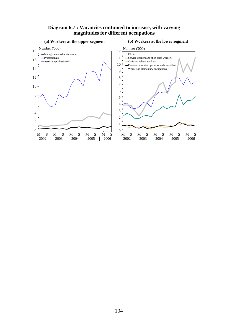#### **Diagram 6.7 : Vacancies continued to increase, with varying magnitudes for different occupations**



#### 104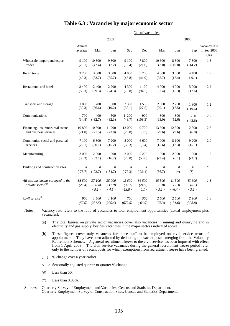#### **Table 6.3 : Vacancies by major economic sector**

|                                                                     | No. of vacancies  |                             |                           |                            |                           |                           |                              |                          |                                        |  |
|---------------------------------------------------------------------|-------------------|-----------------------------|---------------------------|----------------------------|---------------------------|---------------------------|------------------------------|--------------------------|----------------------------------------|--|
|                                                                     |                   |                             | 2005                      |                            |                           |                           | 2006                         |                          |                                        |  |
|                                                                     | Annual<br>average | Mar                         | Jun                       | Sep                        | Dec                       | Mar                       | Jun                          | <b>Sep</b>               | Vacancy rate<br>in Sep 2006<br>$(\% )$ |  |
| Wholesale, import and export<br>trades                              | 9 100<br>(20.1)   | 10 300<br>(42.4)            | 9 3 0 0<br>(7.2)          | 9 100<br>(13.4)            | 7800<br>(21.0)            | 10 600<br>(3.0)           | 8 3 0 0<br>$(-10.8)$         | 7800<br>$(-14.2)$        | 1.3                                    |  |
| Retail trade                                                        | 3700<br>(40.3)    | 3 000<br>(33.7)             | 3 3 0 0<br>(35.7)         | 4 800<br>(46.8)            | 3700<br>(41.9)            | 4 800<br>(58.7)           | 3 800<br>(17.4)              | 4 4 0 0<br>$(-9.1)$      | 1.9                                    |  |
| Restaurants and hotels                                              | 3 400<br>(58.3)   | 2 4 0 0<br>(39.3)           | 2700<br>(24.3)            | 4 300<br>(70.8)            | 4 100<br>(94.7)           | 4 0 0 0<br>(63.4)         | 4 000<br>(45.3)              | 5 000<br>(17.6)          | 2.2                                    |  |
| Transport and storage                                               | 1 800<br>(30.3)   | 1700<br>(36.6)              | 1 900<br>(19.2)           | 2 300<br>(38.1)            | 1500<br>(27.5)            | 2 000<br>(20.1)           | 2 200<br>(17.5)              | 1800<br>$(-19.6)$        | 1.2                                    |  |
| Communications                                                      | 700<br>(34.8)     | 400<br>$(-32.7)$            | 500<br>(32.3)             | 1 200<br>(48.7)            | 900<br>(108.3)            | 800<br>(93.0)             | 800<br>(52.6)                | 700<br>$(-42.6)$         | 2.2                                    |  |
| Financing, insurance, real estate<br>and business services          | 10 800<br>(21.0)  | 10 500<br>(21.5)            | 11 200<br>(23.8)          | 12 000<br>(28.8)           | 9 700<br>(9.7)            | 13 600<br>(29.6)          | 12 300<br>(9.6)              | 12 800<br>(6.8)          | 2.6                                    |  |
| Community, social and personal<br>services                          | 7 100<br>(22.1)   | 6 800<br>(30.1)             | 7 200<br>(15.2)           | 8 0 0 0<br>(39.3)          | 6 600<br>(6.4)            | 7900<br>(15.6)            | 8 100<br>(13.3)              | 9 200<br>(15.1)          | 2.0                                    |  |
| Manufacturing                                                       | 2 0 0 0<br>(33.3) | 2 0 0 0<br>(33.1)           | 1 900<br>(16.2)           | 2 0 0 0<br>(28.8)          | 2 2 0 0<br>(58.6)         | 1 900<br>$(-3.4)$         | 2 0 0 0<br>(6.1)             | 1 900<br>$(-3.7)$        | 1.2                                    |  |
| Building and construction sites                                     | #<br>$(-75.7)$    | #<br>$(-92.7)$              | $\#$<br>$(-84.7)$         | $^{\#}$<br>$(-77.3)$       | #<br>$(-36.4)$            | #<br>(66.7)               | $^{\#}$<br>$(*)$             | $\#$<br>$(*)$            | $\ast$                                 |  |
| All establishments surveyed in the<br>private sector <sup>(a)</sup> | 38 800<br>(26.4)  | 37 100<br>(30.4)<br>< 5.1 > | 38 000<br>(17.9)<br><4.5> | 43 600<br>(32.7)<br><13.8> | 36 500<br>(24.9)<br><0.1> | 45 500<br>(22.8)<br><3.1> | 41 500<br>(9.3)<br>$< -6.4>$ | 43 600<br>(0.1)<br><3.1> | 1.8                                    |  |
| Civil service <sup>(b)</sup>                                        | 900<br>(57.0)     | 1500<br>(231.5)             | 1 100<br>(270.4)          | 700<br>(672.5)             | 500<br>$(-66.9)$          | 2 600<br>(76.3)           | 2 500<br>(131.6)             | 2 900<br>(308.8)         | 1.8                                    |  |

Notes : Vacancy rate refers to the ratio of vacancies to total employment opportunities (actual employment plus vacancies).

(a) The total figures on private sector vacancies cover also vacancies in mining and quarrying and in electricity and gas supply, besides vacancies in the major sectors indicated above.

(b) These figures cover only vacancies for those staff to be employed on civil service terms of appointment. They have been adjusted by deducting the vacant posts emerging from the Voluntary Retirement Schemes. A general recruitment freeze to the civil service has been imposed with effect from 1 April 2003. The civil service vacancies during the general recruitment freeze period refer only to the number of vacant posts for which exemptions from recruitment freeze have been granted.

( ) % change over a year earlier.

< > Seasonally adjusted quarter-to-quarter % change.

 $(\#)$  Less than 50.

 $(*)$  Less than  $0.05\%$ .

Sources : Quarterly Survey of Employment and Vacancies, Census and Statistics Department. Quarterly Employment Survey of Construction Sites, Census and Statistics Department.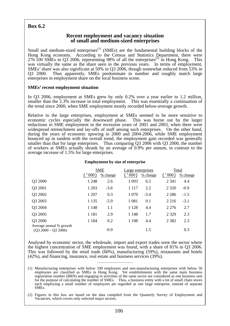# **Box 6.2**

#### **Recent employment and vacancy situation of small and medium-sized enterprises**

Small and medium-sized enterprises<sup> $(1)$ </sup> (SMEs) are the fundamental building blocks of the Hong Kong economy. According to the Census and Statistics Department, there were 276 100 SMEs in Q3 2006, representing 98% of all the enterprises<sup>(2)</sup> in Hong Kong. This was virtually the same as the share seen in the previous years. In terms of employment, SMEs' share was also significant at 50% in Q3 2006, though somewhat reduced from 53% in Q3 2000. Thus apparently, SMEs predominate in number and roughly match large enterprises in employment share on the local business scene.

#### **SMEs' recent employment situation**

In Q3 2006, employment at SMEs grew by only 0.2% over a year earlier to 1.2 million, smaller than the 2.3% increase in total employment. This was essentially a continuation of the trend since 2000, when SME employment mostly recorded below-average growth.

Relative to the large enterprises, employment at SMEs seemed to be more sensitive to economic cycles especially the downward phase. This was borne out by the larger reductions in SME employment in the recession years of 2001 and 2003, when there were widespread retrenchment and lay-offs of staff among such enterprises. On the other hand, during the years of economic upswing in 2000 and 2004-2006, while SME employment bounced up in tandem with the overall trend, the employment gain recorded was generally smaller than that for large enterprises. Thus comparing Q3 2006 with Q3 2000, the number of workers at SMEs actually shrank by an average of 0.9% per annum, in contrast to the average increase of 1.5% for large enterprises.

|                                                  | 000)    | <b>SME</b><br>$%$ change | Large enterprises<br>000) | % change | 000)    | Total<br>$%$ change |
|--------------------------------------------------|---------|--------------------------|---------------------------|----------|---------|---------------------|
| Q3 2000                                          | 1 2 4 8 | 2.6                      | 1 0 9 3                   | 6.5      | 2 3 4 1 | 4.4                 |
| Q3 2001                                          | 1 203   | $-3.6$                   | 1 1 1 7                   | 2.2      | 2 3 2 0 | $-0.9$              |
| Q3 2002                                          | 1 207   | 0.3                      | 1 0 7 9                   | $-3.4$   | 2 2 8 6 | $-1.5$              |
| Q3 2003                                          | 1 1 3 5 | $-5.9$                   | 1 0 8 1                   | 0.1      | 2 2 1 6 | $-3.1$              |
| Q3 2004                                          | 1 1 4 8 | 1.1                      | 1 1 2 8                   | 4.4      | 2 2 7 6 | 2.7                 |
| Q3 2005                                          | 1 1 8 1 | 2.9                      | 1 1 4 8                   | 1.7      | 2 3 2 9 | 2.3                 |
| Q3 2006                                          | 1 1 8 4 | 0.2                      | 1 1 9 8                   | 4.4      | 2 3 8 2 | 2.3                 |
| Average annual % growth<br>$(Q3 2000 - Q3 2006)$ |         | $-0.9$                   |                           | 1.5      |         | 0.3                 |

#### **Employment by size of enterprise**

Analysed by economic sector, the wholesale, import and export trades were the sector where the highest concentration of SME employment was found, with a share of 81% in Q3 2006. This was followed by the retail trade (60%), manufacturing (59%), restaurants and hotels (42%), and financing, insurance, real estate and business services (39%).

 $\_$ 

(1) Manufacturing enterprises with below 100 employees and non-manufacturing enterprises with below 50 employees are classified as SMEs in Hong Kong. Yet establishments with the same main business registration number (BRN) and engaging in activities of the same sector are considered as one business unit for the purpose of calculating the number of SMEs. Thus, a business entity with a lot of small chain stores each employing a small number of employees are regarded as one large enterprise, instead of separate SMEs.

(2) Figures in this box are based on the data compiled from the Quarterly Survey of Employment and Vacancies, which covers only selected major sectors.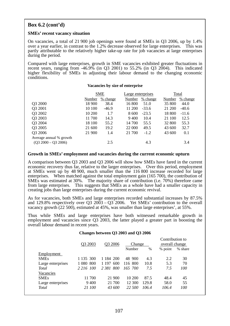# **Box 6.2 (cont'd)**

#### **SMEs' recent vacancy situation**

On vacancies, a total of 21 900 job openings were found at SMEs in Q3 2006, up by 1.4% over a year earlier, in contrast to the 1.2% decrease observed for large enterprises. This was partly attributable to the relatively higher take-up rate for job vacancies at large enterprises during the period.

Compared with large enterprises, growth in SME vacancies exhibited greater fluctuations in recent years, ranging from -46.9% (in Q3 2001) to 55.2% (in Q3 2004). This indicated higher flexibility of SMEs in adjusting their labour demand to the changing economic conditions.

#### **Vacancies by size of enterprise**

|                         | <b>SME</b> |            | Large enterprises |          | Total  |          |  |
|-------------------------|------------|------------|-------------------|----------|--------|----------|--|
|                         | Number     | $%$ change | Number            | % change | Number | % change |  |
| Q3 2000                 | 18 900     | 38.4       | 16 800            | 51.0     | 35 800 | 44.0     |  |
| Q3 2001                 | 10 100     | $-46.9$    | 11 200            | $-33.6$  | 21 200 | $-40.6$  |  |
| Q3 2002                 | 10 200     | 1.7        | 8 600             | $-23.5$  | 18 800 | $-11.6$  |  |
| Q3 2003                 | 11 700     | 14.3       | 9 4 0 0           | 10.4     | 21 100 | 12.5     |  |
| Q3 2004                 | 18 100     | 55.2       | 14 700            | 55.5     | 32 800 | 55.3     |  |
| Q3 2005                 | 21 600     | 19.2       | 22 000            | 49.5     | 43 600 | 32.7     |  |
| Q3 2006                 | 21 900     | 1.4        | 21 700            | $-1.2$   | 43 600 | 0.1      |  |
| Average annual % growth |            |            |                   |          |        |          |  |
| $(Q3 2000 - Q3 2006)$   |            | 2.5        |                   | 4.3      |        | 3.4      |  |

#### **Growth in SMEs' employment and vacancies during the current economic upturn**

A comparison between Q3 2003 and Q3 2006 will show how SMEs have fared in the current economic recovery thus far, relative to the larger enterprises. Over this period, employment at SMEs went up by 48 900, much smaller than the 116 800 increase recorded for large enterprises. When matched against the total employment gain (165 700), the contribution of SMEs was estimated at 30%. The majority share of contribution (i.e. 70%) therefore came from large enterprises. This suggests that SMEs as a whole have had a smaller capacity in creating jobs than large enterprises during the current economic revival.

As for vacancies, both SMEs and large enterprises recorded substantial increases by 87.5% and 129.8% respectively over Q3 2003 – Q3 2006. Yet SMEs' contribution to the overall vacancy growth (22 500), estimated at 45%, was smaller than large enterprises', at 55%.

Thus while SMEs and large enterprises have both witnessed remarkable growth in employment and vacancies since Q3 2003, the latter played a greater part in boosting the overall labour demand in recent years.

#### **Changes between Q3 2003 and Q3 2006**

|                   |            |                     |         |       | Contribution to |         |
|-------------------|------------|---------------------|---------|-------|-----------------|---------|
|                   | Q3 2003    | O <sub>3</sub> 2006 | Change  |       | overall change  |         |
|                   |            |                     | Number  | $\%$  | % point         | % share |
| Employment        |            |                     |         |       |                 |         |
| <b>SMEs</b>       | 1 1 35 300 | 1 1 84 2 00         | 48 900  | 4.3   | 2.2             | 30      |
| Large enterprises | 1 080 800  | 600<br>1 1 9 7      | 116 800 | 10.8  | 5.3             | 70      |
| Total             | 2 2 16 100 | 800<br>2.381        | 165 700 | 7.5   | 7.5             | 100     |
| Vacancies         |            |                     |         |       |                 |         |
| <b>SMEs</b>       | 11 700     | 21 900              | 10 200  | 87.5  | 48.4            | 45      |
| Large enterprises | 9400       | 21 700              | 12 300  | 129.8 | 58.0            | 55      |
| <b>Total</b>      | 21 100     | 43 600              | 22.500  | 106.4 | 106.4           | 100     |
|                   |            |                     |         |       |                 |         |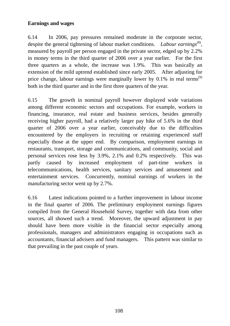# **Earnings and wages**

6.14 In 2006, pay pressures remained moderate in the corporate sector, despite the general tightening of labour market conditions. *Labour earnings*<sup>(8)</sup>, measured by payroll per person engaged in the private sector, edged up by 2.2% in money terms in the third quarter of 2006 over a year earlier. For the first three quarters as a whole, the increase was 1.9%. This was basically an extension of the mild uptrend established since early 2005. After adjusting for price change, labour earnings were marginally lower by  $0.1\%$  in real terms<sup>(9)</sup> both in the third quarter and in the first three quarters of the year.

6.15 The growth in nominal payroll however displayed wide variations among different economic sectors and occupations. For example, workers in financing, insurance, real estate and business services, besides generally receiving higher payroll, had a relatively larger pay hike of 5.6% in the third quarter of 2006 over a year earlier, conceivably due to the difficulties encountered by the employers in recruiting or retaining experienced staff especially those at the upper end. By comparison, employment earnings in restaurants, transport, storage and communications, and community, social and personal services rose less by 3.9%, 2.1% and 0.2% respectively. This was partly caused by increased employment of part-time workers in telecommunications, health services, sanitary services and amusement and entertainment services. Concurrently, nominal earnings of workers in the manufacturing sector went up by 2.7%.

6.16 Latest indications pointed to a further improvement in labour income in the final quarter of 2006. The preliminary employment earnings figures compiled from the General Household Survey, together with data from other sources, all showed such a trend. Moreover, the upward adjustment in pay should have been more visible in the financial sector especially among professionals, managers and administrators engaging in occupations such as accountants, financial advisers and fund managers. This pattern was similar to that prevailing in the past couple of years.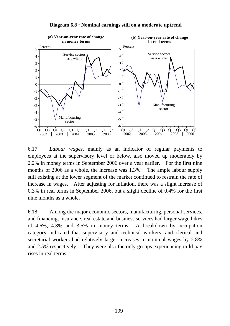

**Diagram 6.8 : Nominal earnings still on a moderate uptrend**

6.17 *Labour wages*, mainly as an indicator of regular payments to employees at the supervisory level or below, also moved up moderately by 2.2% in money terms in September 2006 over a year earlier. For the first nine months of 2006 as a whole, the increase was 1.3%. The ample labour supply still existing at the lower segment of the market continued to restrain the rate of increase in wages. After adjusting for inflation, there was a slight increase of 0.3% in real terms in September 2006, but a slight decline of 0.4% for the first nine months as a whole.

6.18 Among the major economic sectors, manufacturing, personal services, and financing, insurance, real estate and business services had larger wage hikes of 4.6%, 4.8% and 3.5% in money terms. A breakdown by occupation category indicated that supervisory and technical workers, and clerical and secretarial workers had relatively larger increases in nominal wages by 2.8% and 2.5% respectively. They were also the only groups experiencing mild pay rises in real terms.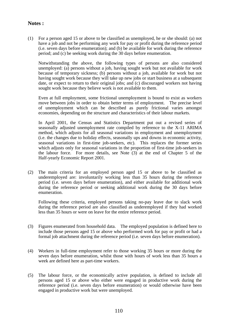# **Notes :**

(1) For a person aged 15 or above to be classified as unemployed, he or she should: (a) not have a job and not be performing any work for pay or profit during the reference period (i.e. seven days before enumeration); and (b) be available for work during the reference period; and (c) be seeking work during the 30 days before enumeration.

 Notwithstanding the above, the following types of persons are also considered unemployed: (a) persons without a job, having sought work but not available for work because of temporary sickness; (b) persons without a job, available for work but not having sought work because they will take up new jobs or start business at a subsequent date, or expect to return to their original jobs; and (c) discouraged workers not having sought work because they believe work is not available to them.

 Even at full employment, some frictional unemployment is bound to exist as workers move between jobs in order to obtain better terms of employment. The precise level of unemployment which can be described as purely frictional varies amongst economies, depending on the structure and characteristics of their labour markets.

 In April 2001, the Census and Statistics Department put out a revised series of seasonally adjusted unemployment rate compiled by reference to the X-11 ARIMA method, which adjusts for all seasonal variations in employment and unemployment (i.e. the changes due to holiday effects, seasonally ups and downs in economic activity, seasonal variations in first-time job-seekers, etc). This replaces the former series which adjusts only for seasonal variations in the proportion of first-time job-seekers in the labour force. For more details, see Note (3) at the end of Chapter 5 of the Half-yearly Economic Report 2001.

(2) The main criteria for an employed person aged 15 or above to be classified as underemployed are: involuntarily working less than 35 hours during the reference period (i.e. seven days before enumeration), and either available for additional work during the reference period or seeking additional work during the 30 days before enumeration.

 Following these criteria, employed persons taking no-pay leave due to slack work during the reference period are also classified as underemployed if they had worked less than 35 hours or were on leave for the entire reference period.

- (3) Figures enumerated from household data. The employed population is defined here to include those persons aged 15 or above who performed work for pay or profit or had a formal job attachment during the reference period (i.e. seven days before enumeration).
- (4) Workers in full-time employment refer to those working 35 hours or more during the seven days before enumeration, whilst those with hours of work less than 35 hours a week are defined here as part-time workers.
- (5) The labour force, or the economically active population, is defined to include all persons aged 15 or above who either were engaged in productive work during the reference period (i.e. seven days before enumeration) or would otherwise have been engaged in productive work but were unemployed.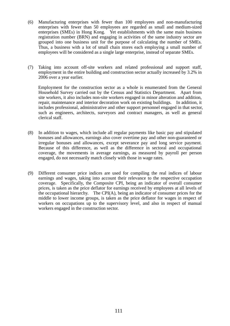- (6) Manufacturing enterprises with fewer than 100 employees and non-manufacturing enterprises with fewer than 50 employees are regarded as small and medium-sized enterprises (SMEs) in Hong Kong. Yet establishments with the same main business registration number (BRN) and engaging in activities of the same industry sector are grouped into one business unit for the purpose of calculating the number of SMEs. Thus, a business with a lot of small chain stores each employing a small number of employees will be considered as a single large enterprise, instead of separate SMEs.
- (7) Taking into account off-site workers and related professional and support staff, employment in the entire building and construction sector actually increased by 3.2% in 2006 over a year earlier.

 Employment for the construction sector as a whole is enumerated from the General Household Survey carried out by the Census and Statistics Department. Apart from site workers, it also includes non-site workers engaged in minor alteration and addition, repair, maintenance and interior decoration work on existing buildings. In addition, it includes professional, administrative and other support personnel engaged in that sector, such as engineers, architects, surveyors and contract managers, as well as general clerical staff.

- (8) In addition to wages, which include all regular payments like basic pay and stipulated bonuses and allowances, earnings also cover overtime pay and other non-guaranteed or irregular bonuses and allowances, except severance pay and long service payment. Because of this difference, as well as the difference in sectoral and occupational coverage, the movements in average earnings, as measured by payroll per person engaged, do not necessarily match closely with those in wage rates.
- (9) Different consumer price indices are used for compiling the real indices of labour earnings and wages, taking into account their relevance to the respective occupation coverage. Specifically, the Composite CPI, being an indicator of overall consumer prices, is taken as the price deflator for earnings received by employees at all levels of the occupational hierarchy. The CPI(A), being an indicator of consumer prices for the middle to lower income groups, is taken as the price deflator for wages in respect of workers on occupations up to the supervisory level, and also in respect of manual workers engaged in the construction sector.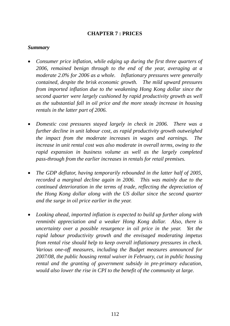# **CHAPTER 7 : PRICES**

### *Summary*

- *Consumer price inflation, while edging up during the first three quarters of 2006, remained benign through to the end of the year, averaging at a moderate 2.0% for 2006 as a whole. Inflationary pressures were generally contained, despite the brisk economic growth. The mild upward pressures from imported inflation due to the weakening Hong Kong dollar since the second quarter were largely cushioned by rapid productivity growth as well as the substantial fall in oil price and the more steady increase in housing rentals in the latter part of 2006.*
- *Domestic cost pressures stayed largely in check in 2006. There was a further decline in unit labour cost, as rapid productivity growth outweighed the impact from the moderate increases in wages and earnings. The increase in unit rental cost was also moderate in overall terms, owing to the rapid expansion in business volume as well as the largely completed pass-through from the earlier increases in rentals for retail premises.*
- *The GDP deflator, having temporarily rebounded in the latter half of 2005, recorded a marginal decline again in 2006. This was mainly due to the continued deterioration in the terms of trade, reflecting the depreciation of the Hong Kong dollar along with the US dollar since the second quarter and the surge in oil price earlier in the year.*
- *Looking ahead, imported inflation is expected to build up further along with renminbi appreciation and a weaker Hong Kong dollar. Also, there is uncertainty over a possible resurgence in oil price in the year. Yet the rapid labour productivity growth and the envisaged moderating impetus from rental rise should help to keep overall inflationary pressures in check. Various one-off measures, including the Budget measures announced for 2007/08, the public housing rental waiver in February, cut in public housing rental and the granting of government subsidy in pre-primary education, would also lower the rise in CPI to the benefit of the community at large.*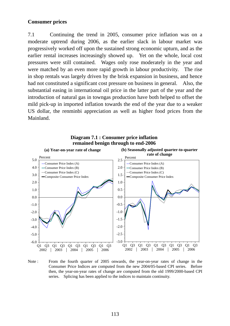# **Consumer prices**

7.1 Continuing the trend in 2005, consumer price inflation was on a moderate uptrend during 2006, as the earlier slack in labour market was progressively worked off upon the sustained strong economic upturn, and as the earlier rental increases increasingly showed up. Yet on the whole, local cost pressures were still contained. Wages only rose moderately in the year and were matched by an even more rapid growth in labour productivity. The rise in shop rentals was largely driven by the brisk expansion in business, and hence had not constituted a significant cost pressure on business in general. Also, the substantial easing in international oil price in the latter part of the year and the introduction of natural gas in towngas production have both helped to offset the mild pick-up in imported inflation towards the end of the year due to a weaker US dollar, the renminbi appreciation as well as higher food prices from the Mainland.



**Diagram 7.1 : Consumer price inflation remained benign through to end-2006**

Note : From the fourth quarter of 2005 onwards, the year-on-year rates of change in the Consumer Price Indices are computed from the new 2004/05-based CPI series. Before then, the year-on-year rates of change are computed from the old 1999/2000-based CPI series. Splicing has been applied to the indices to maintain continuity.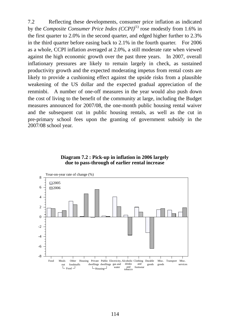7.2 Reflecting these developments, consumer price inflation as indicated by the *Composite Consumer Price Index (CCPI)*(1) rose modestly from 1.6% in the first quarter to 2.0% in the second quarter, and edged higher further to 2.3% in the third quarter before easing back to 2.1% in the fourth quarter. For 2006 as a whole, CCPI inflation averaged at 2.0%, a still moderate rate when viewed against the high economic growth over the past three years. In 2007, overall inflationary pressures are likely to remain largely in check, as sustained productivity growth and the expected moderating impetus from rental costs are likely to provide a cushioning effect against the upside risks from a plausible weakening of the US dollar and the expected gradual appreciation of the renminbi. A number of one-off measures in the year would also push down the cost of living to the benefit of the community at large, including the Budget measures announced for 2007/08, the one-month public housing rental waiver and the subsequent cut in public housing rentals, as well as the cut in pre-primary school fees upon the granting of government subsidy in the 2007/08 school year.



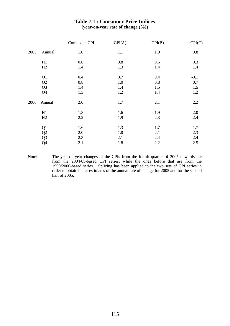#### **Table 7.1 : Consumer Price Indices (year-on-year rate of change (%))**

|      |                | Composite CPI | CPI(A) | CPI(B) | CPI(C)  |
|------|----------------|---------------|--------|--------|---------|
| 2005 | Annual         | 1.0           | 1.1    | 1.0    | $0.8\,$ |
|      | H1             | 0.6           | 0.8    | 0.6    | 0.3     |
|      | H2             | 1.4           | 1.3    | 1.4    | 1.4     |
|      | Q <sub>1</sub> | 0.4           | 0.7    | 0.4    | $-0.1$  |
|      | Q2             | 0.8           | 1.0    | 0.8    | 0.7     |
|      | Q <sub>3</sub> | 1.4           | 1.4    | 1.5    | 1.5     |
|      | Q <sub>4</sub> | 1.3           | 1.2    | 1.4    | 1.2     |
| 2006 | Annual         | 2.0           | 1.7    | 2.1    | 2.2     |
|      | H1             | 1.8           | 1.6    | 1.9    | 2.0     |
|      | H2             | 2.2           | 1.9    | 2.3    | 2.4     |
|      | Q <sub>1</sub> | 1.6           | 1.3    | 1.7    | 1.7     |
|      | Q2             | 2.0           | 1.8    | 2.1    | 2.3     |
|      | Q <sub>3</sub> | 2.3           | 2.1    | 2.4    | 2.4     |
|      | Q4             | 2.1           | 1.8    | 2.2    | 2.5     |

Note: The year-on-year changes of the CPIs from the fourth quarter of 2005 onwards are from the 2004/05-based CPI series, while the ones before that are from the 1999/2000-based series. Splicing has been applied to the two sets of CPI series in order to obtain better estimates of the annual rate of change for 2005 and for the second half of 2005.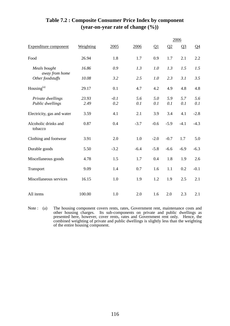|                                       |               |               |            |            |            | 2006       |            |
|---------------------------------------|---------------|---------------|------------|------------|------------|------------|------------|
| <b>Expenditure component</b>          | Weighting     | 2005          | 2006       | $\Omega$   | Q2         | $Q_2^2$    | $Q_4$      |
| Food                                  | 26.94         | 1.8           | 1.7        | 0.9        | 1.7        | 2.1        | 2.2        |
| Meals bought                          | 16.86         | 0.9           | 1.3        | 1.0        | 1.3        | 1.5        | 1.5        |
| away from home<br>Other foodstuffs    | 10.08         | 3.2           | 2.5        | 1.0        | 2.3        | 3.1        | 3.5        |
| Housing <sup>(a)</sup>                | 29.17         | 0.1           | 4.7        | 4.2        | 4.9        | 4.8        | 4.8        |
| Private dwellings<br>Public dwellings | 23.93<br>2.49 | $-0.1$<br>0.2 | 5.6<br>0.1 | 5.0<br>0.1 | 5.9<br>0.1 | 5.7<br>0.1 | 5.6<br>0.1 |
| Electricity, gas and water            | 3.59          | 4.1           | 2.1        | 3.9        | 3.4        | 4.1        | $-2.8$     |
| Alcoholic drinks and<br>tobacco       | 0.87          | 0.4           | $-3.7$     | $-0.6$     | $-5.9$     | $-4.1$     | $-4.3$     |
| Clothing and footwear                 | 3.91          | 2.0           | 1.0        | $-2.0$     | $-0.7$     | 1.7        | 5.0        |
| Durable goods                         | 5.50          | $-3.2$        | $-6.4$     | $-5.8$     | $-6.6$     | $-6.9$     | $-6.3$     |
| Miscellaneous goods                   | 4.78          | 1.5           | 1.7        | 0.4        | 1.8        | 1.9        | 2.6        |
| Transport                             | 9.09          | 1.4           | 0.7        | 1.6        | 1.1        | 0.2        | $-0.1$     |
| Miscellaneous services                | 16.15         | 1.0           | 1.9        | 1.2        | 1.9        | 2.5        | 2.1        |
| All items                             | 100.00        | 1.0           | 2.0        | 1.6        | 2.0        | 2.3        | 2.1        |

# **Table 7.2 : Composite Consumer Price Index by component (year-on-year rate of change (%))**

Note : (a) The housing component covers rents, rates, Government rent, maintenance costs and other housing charges. Its sub-components on private and public dwellings as presented here, however, cover rents, rates and Government rent only. Hence, the combined weighting of private and public dwellings is slightly less than the weighting of the entire housing component.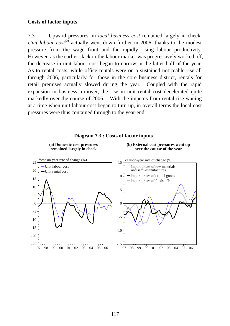# **Costs of factor inputs**

7.3 Upward pressures on *local business cost* remained largely in check. *Unit labour*  $cost^{(2)}$  actually went down further in 2006, thanks to the modest pressure from the wage front and the rapidly rising labour productivity. However, as the earlier slack in the labour market was progressively worked off, the decrease in unit labour cost began to narrow in the latter half of the year. As to rental costs, while office rentals were on a sustained noticeable rise all through 2006, particularly for those in the core business district, rentals for retail premises actually slowed during the year. Coupled with the rapid expansion in business turnover, the rise in unit rental cost decelerated quite markedly over the course of 2006. With the impetus from rental rise waning at a time when unit labour cost began to turn up, in overall terms the local cost pressures were thus contained through to the year-end.



#### **Diagram 7.3 : Costs of factor inputs**

117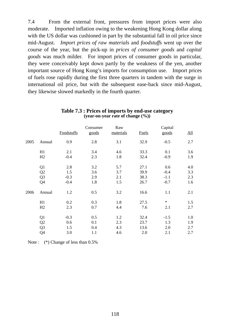7.4 From the external front, pressures from import prices were also moderate. Imported inflation owing to the weakening Hong Kong dollar along with the US dollar was cushioned in part by the substantial fall in oil price since mid-August. *Import prices of raw materials* and *foodstuffs* went up over the course of the year, but the pick-up in *prices of consumer goods* and *capital goods* was much milder. For import prices of consumer goods in particular, they were conceivably kept down partly by the weakness of the yen, another important source of Hong Kong's imports for consumption use. Import prices of fuels rose rapidly during the first three quarters in tandem with the surge in international oil price, but with the subsequent ease-back since mid-August, they likewise slowed markedly in the fourth quarter.

|      |                | Foodstuffs | Consumer<br>goods | Raw<br>materials | <b>Fuels</b> | Capital<br>goods | $\underline{\mathrm{All}}$ |
|------|----------------|------------|-------------------|------------------|--------------|------------------|----------------------------|
| 2005 | Annual         | 0.9        | 2.8               | 3.1              | 32.9         | $-0.5$           | 2.7                        |
|      | H1             | 2.1        | 3.4               | 4.6              | 33.3         | 0.1              | 3.6                        |
|      | H2             | $-0.4$     | 2.3               | 1.8              | 32.4         | $-0.9$           | 1.9                        |
|      | Q <sub>1</sub> | 2.8        | 3.2               | 5.7              | 27.1         | 0.6              | 4.0                        |
|      | Q2             | 1.5        | 3.6               | 3.7              | 39.9         | $-0.4$           | 3.3                        |
|      | Q <sub>3</sub> | $-0.3$     | 2.9               | 2.1              | 38.3         | $-1.1$           | 2.3                        |
|      | Q4             | $-0.4$     | 1.8               | 1.5              | 26.7         | $-0.7$           | 1.6                        |
| 2006 | Annual         | 1.2        | 0.5               | 3.2              | 16.6         | 1.1              | 2.1                        |
|      | H1             | 0.2        | 0.3               | 1.8              | 27.5         | $\ast$           | 1.5                        |
|      | H2             | 2.3        | 0.7               | 4.4              | 7.6          | 2.1              | 2.7                        |
|      | Q1             | $-0.3$     | 0.5               | 1.2              | 32.4         | $-1.5$           | 1.0                        |
|      | Q <sub>2</sub> | 0.6        | 0.1               | 2.3              | 23.7         | 1.3              | 1.9                        |
|      | Q <sub>3</sub> | 1.5        | 0.4               | 4.3              | 13.6         | 2.0              | 2.7                        |
|      | Q4             | 3.0        | 1.1               | 4.6              | 2.0          | 2.1              | 2.7                        |

#### **Table 7.3 : Prices of imports by end-use category (year-on-year rate of change (%))**

Note :  $(*)$  Change of less than 0.5%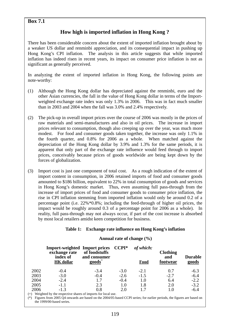### **Box 7.1**

# **How high is imported inflation in Hong Kong ?**

There has been considerable concern about the extent of imported inflation brought about by a weaker US dollar and renminbi appreciation, and its consequential impact in pushing up Hong Kong's CPI inflation. The analysis in this article suggests that while imported inflation has indeed risen in recent years, its impact on consumer price inflation is not as significant as generally perceived.

In analyzing the extent of imported inflation in Hong Kong, the following points are note-worthy:

- (1) Although the Hong Kong dollar has depreciated against the renminbi, euro and the other Asian currencies, the fall in the value of Hong Kong dollar in terms of the Importweighted exchange rate index was only 1.3% in 2006. This was in fact much smaller than in 2003 and 2004 when the fall was 3.0% and 2.4% respectively.
- (2) The pick-up in overall import prices over the course of 2006 was mostly in the prices of raw materials and semi-manufactures and also in oil prices. The increase in import prices relevant to consumption, though also creeping up over the year, was much more modest. For food and consumer goods taken together, the increase was only 1.1% in the fourth quarter, and 0.8% for 2006 as a whole. When matched against the depreciation of the Hong Kong dollar by 3.9% and 1.3% for the same periods, it is apparent that only part of the exchange rate influence would feed through to import prices, conceivably because prices of goods worldwide are being kept down by the forces of globalization.
- (3) Import cost is just one component of total cost. As a rough indication of the extent of import content in consumption, in 2006 retained imports of food and consumer goods amounted to \$186 billion, equivalent to 22% in total consumption of goods and services in Hong Kong's domestic market. Thus, even assuming full pass-through from the increase of import prices of food and consumer goods to consumer price inflation, the rise in CPI inflation stemming from imported inflation would only be around 0.2 of a percentage point (i.e. 22%\*0.8%; including the feed-through of higher oil prices, the impact would be roughly around 0.3 of a percentage point for 2006 as a whole). In reality, full pass-through may not always occur, if part of the cost increase is absorbed by most local retailers amidst keen competition for business.

#### **Table 1: Exchange rate influence on Hong Kong's inflation**

#### **Annual rate of change (%)**

|      | <b>Import-weighted Import prices</b><br>exchange rate<br>index of<br><b>HK</b> dollar | of foodstuffs<br>and consumer<br>$\mathbf{goods}^+$ | $CCPI*$ | of which:<br>Food | <b>Clothing</b><br>and<br>footwear | <b>Durable</b><br>goods |
|------|---------------------------------------------------------------------------------------|-----------------------------------------------------|---------|-------------------|------------------------------------|-------------------------|
| 2002 | $-0.4$                                                                                | $-3.4$                                              | $-3.0$  | $-2.1$            | 0.7                                | $-6.3$                  |
| 2003 | $-3.0$                                                                                | $-0.4$                                              | $-2.6$  | $-1.5$            | $-2.7$                             | $-6.4$                  |
| 2004 | $-2.4$                                                                                | 1.7                                                 | $-0.4$  | 1.0               | 6.4                                | $-2.2$                  |
| 2005 | $-1.1$                                                                                | 2.3                                                 | 1.0     | 1.8               | 2.0                                | $-3.2$                  |
| 2006 | $-1.3$                                                                                | 0.8                                                 | 2.0     | 17                | 1.0                                | $-6.4$                  |

(+) Weighted by the respective shares of imports for local use.

(\*) Figures from 2005 Q4 onwards are based on the 2004/05-based CCPI series; for earlier periods, the figures are based on the 1999/00-based series.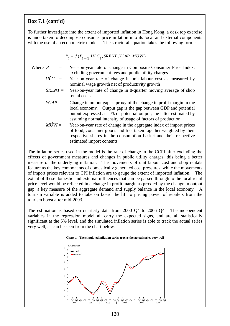# **Box 7.1 (cont'd)**

To further investigate into the extent of imported inflation in Hong Kong, a desk top exercise is undertaken to decompose consumer price inflation into its local and external components with the use of an econometric model. The structural equation takes the following form :

$$
\dot{P}_t = f(\dot{P}_{t-1}, U\dot{L}C_t, SR\dot{E}NT, YGAP, M\dot{U}VI)
$$

- Where  $\dot{P}$  = Year-on-year rate of change in Composite Consumer Price Index, excluding government fees and public utility charges
	- $\overline{U}$ *ULC* = Year-on-year rate of change in unit labour cost as measured by nominal wage growth net of productivity growth
	- *SRENT* = Year-on-year rate of change in 8-quarter moving average of shop rental costs
	- *YGAP* = Change in output gap as proxy of the change in profit margin in the local economy. Output gap is the gap between GDP and potential output expressed as a % of potential output; the latter estimated by assuming normal intensity of usage of factors of production
	- $M\dot{U}VI =$  Year-on-year rate of change in the aggregate index of import prices of food, consumer goods and fuel taken together weighted by their respective shares in the consumption basket and their respective estimated import contents

The inflation series used in the model is the rate of change in the CCPI after excluding the effects of government measures and changes in public utility charges, this being a better measure of the underlying inflation. The movements of unit labour cost and shop rentals feature as the key components of domestically generated cost pressures, while the movements of import prices relevant to CPI inflation are to gauge the extent of imported inflation. The extent of these domestic and external influences that can be passed through to the local retail price level would be reflected in a change in profit margin as proxied by the change in output gap, a key measure of the aggregate demand and supply balance in the local economy. A tourism variable is added to take on board the lift to pricing power of retailers from the tourism boost after mid-2003.

The estimation is based on quarterly data from 2000 Q4 to 2006 Q4. The independent variables in the regression model all carry the expected signs, and are all statistically significant at the 5% level, and the simulated inflation series is able to track the actual series very well, as can be seen from the chart below.

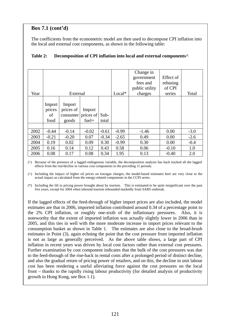# **Box 7.1 (cont'd)**

The coefficients from the econometric model are then used to decompose CPI inflation into the local and external cost components, as shown in the following table:

|      |                                |                                                    |                   |               |          | Change in<br>government<br>fees and<br>public utility | Effect of<br>rebasing<br>of CPI |        |
|------|--------------------------------|----------------------------------------------------|-------------------|---------------|----------|-------------------------------------------------------|---------------------------------|--------|
| Year |                                | External                                           |                   |               | $Local*$ | charges                                               | series                          | Total  |
|      | Import<br>prices<br>οf<br>food | Import<br>prices of<br>consumer prices of<br>goods | Import<br>$fuel+$ | Sub-<br>total |          |                                                       |                                 |        |
| 2002 | $-0.44$                        | $-0.14$                                            | $-0.02$           | $-0.61$       | $-0.99$  | $-1.46$                                               | 0.00                            | $-3.0$ |
| 2003 | $-0.21$                        | $-0.20$                                            | 0.07              | $-0.34$       | $-2.65$  | 0.49                                                  | 0.00                            | $-2.6$ |
| 2004 | 0.19                           | 0.02                                               | 0.09              | 0.30          | $-0.99$  | 0.30                                                  | 0.00                            | $-0.4$ |
| 2005 | 0.16                           | 0.14                                               | 0.12              | 0.43          | 0.58     | 0.06                                                  | $-0.10$                         | 1.0    |
| 2006 | 0.08                           | 0.17                                               | 0.08              | 0.34          | 1.95     | 0.13                                                  | $-0.40$                         | 2.0    |

### **Table 2: Decomposition of CPI inflation into local and external components^**

(^) Because of the presence of a lagged endogenous variable, the decomposition analysis has back tracked all the lagged effects from the rise/decline in various cost components in the preceding 11 periods.

(+) Including the impact of higher oil prices on towngas charges; the model-based estimates here are very close to the actual impact as calculated from the energy-related components in the CCPI series.

(\*) Including the lift to pricing power brought about by tourism. This is estimated to be quite insignificant over the past five years, except for 2004 when inbound tourism rebounded markedly from SARS outbreak.

If the lagged effects of the feed-through of higher import prices are also included, the model estimates are that in 2006, imported inflation contributed around 0.34 of a percentage point to the 2% CPI inflation, or roughly one-sixth of the inflationary pressures. Also, it is noteworthy that the extent of imported inflation was actually slightly lower in 2006 than in 2005, and this ties in well with the more moderate increase in import prices relevant to the consumption basket as shown in Table 1. The estimates are also close to the broad-brush estimates in Point (3), again echoing the point that the cost pressure from imported inflation is not as large as generally perceived. As the above table shows, a large part of CPI inflation in recent years was driven by local cost factors rather than external cost pressures. Further examination by cost component indicates that the bulk of the cost pressures was due to the feed-through of the rise-back in rental costs after a prolonged period of distinct decline, and also the gradual return of pricing power of retailers, and on this, the decline in unit labour cost has been rendering a useful alleviating force against the cost pressures on the local front – thanks to the rapidly rising labour productivity (for detailed analysis of productivity growth in Hong Kong, see Box 1.1).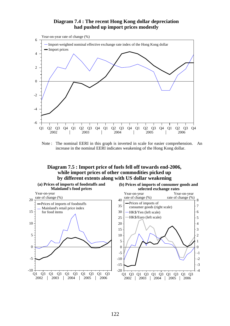#### **Diagram 7.4 : The recent Hong Kong dollar depreciation had pushed up import prices modestly**



Note : The nominal EERI in this graph is inverted in scale for easier comprehension. An increase in the nominal EERI indicates weakening of the Hong Kong dollar.

#### **Diagram 7.5 : Import price of fuels fell off towards end-2006, while import prices of other commodities picked up by different extents along with US dollar weakening**

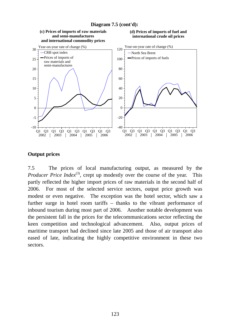

# **Output prices**

7.5 The prices of local manufacturing output, as measured by the *Producer Price Index*<sup>(3)</sup>, crept up modestly over the course of the year. This partly reflected the higher import prices of raw materials in the second half of 2006. For most of the selected service sectors, output price growth was modest or even negative. The exception was the hotel sector, which saw a further surge in hotel room tariffs – thanks to the vibrant performance of inbound tourism during most part of 2006. Another notable development was the persistent fall in the prices for the telecommunications sector reflecting the keen competition and technological advancement. Also, output prices of maritime transport had declined since late 2005 and those of air transport also eased of late, indicating the highly competitive environment in these two sectors.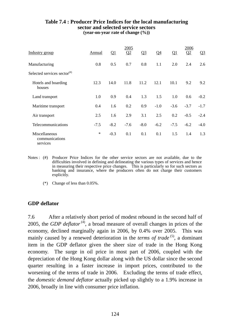#### **Table 7.4 : Producer Price Indices for the local manufacturing sector and selected service sectors (year-on-year rate of change (%))**

|                                                                      |        |        | 2005   |        |                |        | 2006   |        |
|----------------------------------------------------------------------|--------|--------|--------|--------|----------------|--------|--------|--------|
| Industry group                                                       | Annual | Q1     | Q2     | $Q_3$  | Q <sub>4</sub> | Q1     | Q2     | $Q_3$  |
| Manufacturing                                                        | 0.8    | 0.5    | 0.7    | 0.8    | 1.1            | 2.0    | 2.4    | 2.6    |
| Selected services sector $($ <sup><math>#</math><math>)</math></sup> |        |        |        |        |                |        |        |        |
| Hotels and boarding<br>houses                                        | 12.3   | 14.0   | 11.8   | 11.2   | 12.1           | 10.1   | 9.2    | 9.2    |
| Land transport                                                       | 1.0    | 0.9    | 0.4    | 1.3    | 1.5            | 1.0    | 0.6    | $-0.2$ |
| Maritime transport                                                   | 0.4    | 1.6    | 0.2    | 0.9    | $-1.0$         | $-3.6$ | $-3.7$ | $-1.7$ |
| Air transport                                                        | 2.5    | 1.6    | 2.9    | 3.1    | 2.5            | 0.2    | $-0.5$ | $-2.4$ |
| Telecommunications                                                   | $-7.5$ | $-8.2$ | $-7.6$ | $-8.0$ | $-6.2$         | $-7.5$ | $-6.2$ | $-4.0$ |
| Miscellaneous<br>communications<br>services                          | $\ast$ | $-0.3$ | 0.1    | 0.1    | 0.1            | 1.5    | 1.4    | 1.3    |

- Notes : (#) Producer Price Indices for the other service sectors are not available, due to the difficulties involved in defining and delineating the various types of services and hence in measuring their respective price changes. This is particularly so for such sectors as banking and insurance, where the producers often do not charge their customers explicitly.
	- (\*) Change of less than 0.05%.

# **GDP deflator**

7.6 After a relatively short period of modest rebound in the second half of 2005, the *GDP deflator* (4), a broad measure of overall changes in prices of the economy, declined marginally again in 2006, by 0.4% over 2005. This was mainly caused by a renewed deterioration in the *terms of trade*<sup>(5)</sup>, a dominant item in the GDP deflator given the sheer size of trade in the Hong Kong economy. The surge in oil price in most part of 2006, coupled with the depreciation of the Hong Kong dollar along with the US dollar since the second quarter resulting in a faster increase in import prices, contributed to the worsening of the terms of trade in 2006. Excluding the terms of trade effect, the *domestic demand deflator* actually picked up slightly to a 1.9% increase in 2006, broadly in line with consumer price inflation.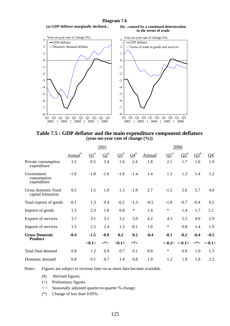# **Diagram 7.6**





**Table 7.5 : GDP deflator and the main expenditure component deflators (year-on-year rate of change (%))** 

|                                           |                     |               | 2005       |                   |                 | 2006                |              |                |                   |                   |
|-------------------------------------------|---------------------|---------------|------------|-------------------|-----------------|---------------------|--------------|----------------|-------------------|-------------------|
|                                           | Annual <sup>#</sup> | $\Omega^{\#}$ | $\Omega^*$ | $\Omega^{\sharp}$ | $\Omega_1^{\#}$ | Annual <sup>+</sup> | $\Omega^{1}$ | $\Omega^*$     | $\Omega^{3^{\#}}$ | $Q4$ <sup>+</sup> |
| Private consumption<br>expenditure        | 1.5                 | 0.5           | 1.4        | 1.6               | 2.4             | 1.8                 | 2.1          | 1.7            | 1.6               | 1.9               |
| Government<br>consumption<br>expenditure  | $-1.6$              | $-1.8$        | $-1.6$     | $-1.6$            | $-1.4$          | 1.4                 | 1.3          | 1.3            | 1.4               | 1.2               |
| Gross domestic fixed<br>capital formation | 0.5                 | 1.5           | 1.0        | 1.3               | $-1.8$          | 2.7                 | $-1.5$       | 2.6            | 5.7               | 4.0               |
| Total exports of goods                    | $-0.1$              | 1.3           | 0.4        | $-0.2$            | $-1.3$          | $-0.5$              | $-1.8$       | $-0.7$         | $-0.4$            | 0.2               |
| Imports of goods                          | 1.3                 | 2.9           | 1.8        | 0.8               | $\ast$          | 1.4                 | $\ast$       | 1.4            | 1.7               | 2.1               |
| Exports of services                       | 3.7                 | 3.1           | 3.1        | 3.2               | 5.0             | 4.2                 | 4.3          | 5.3            | 4.9               | 2.9               |
| Imports of services                       | 1.5                 | 2.5           | 2.4        | 1.3               | $-0.1$          | 1.0                 | $\ast$       | 0.8            | 1.4               | 1.9               |
| <b>Gross Domestic</b>                     | $-0.4$              | $-1.5$        | $-0.9$     | 0.2               | 0.2             | $-0.4$              | $-0.1$       | $-0.2$         | $-0.4$            | $-0.5$            |
| <b>Product</b>                            |                     | <0.1>         | <*>        | <0.1>             | <*>             |                     |              | $<-0.2><-0.1>$ | <*>               | $<-0.1>$          |
| Total final demand                        | 0.8                 | 1.2           | 0.9        | 0.7               | 0.1             | 0.8                 | $\ast$       | 0.9            | 1.0               | 1.3               |
| Domestic demand                           | 0.8                 | 0.1           | 0.7        | 1.4               | 0.8             | 1.9                 | 1.2          | 1.9            | 1.9               | 2.3               |

Notes : Figures are subject to revision later on as more data become available.

- (#) Revised figures.
- (+) Preliminary figures.
- < > Seasonally adjusted quarter-to-quarter % change.
- (\*) Change of less than 0.05%.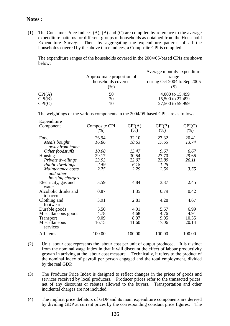#### **Notes :**

(1) The Consumer Price Indices (A), (B) and (C) are compiled by reference to the average expenditure patterns for different groups of households as obtained from the Household Expenditure Survey. Then, by aggregating the expenditure patterns of all the households covered by the above three indices, a Composite CPI is compiled.

 The expenditure ranges of the households covered in the 2004/05-based CPIs are shown below:

|        |                           | Average monthly expenditure |
|--------|---------------------------|-----------------------------|
|        | Approximate proportion of | range                       |
|        | households covered        | during Oct 2004 to Sep 2005 |
|        | (%)                       | (J)                         |
| CPI(A) | 50                        | 4,000 to 15,499             |
| CPI(B) | 30                        | 15,500 to 27,499            |
| CPI(C) |                           | 27,500 to 59,999            |

The weightings of the various components in the 2004/05-based CPIs are as follows:

| Expenditure          |                      |                            |        |        |
|----------------------|----------------------|----------------------------|--------|--------|
| <u>Component</u>     | <b>Composite CPI</b> | $\mathrm{CPI}(\mathrm{A})$ | CPI(B) | CPI(C) |
|                      | $( \% )$             | (% )                       | (%)    | (%)    |
| Food                 | 26.94                | 32.10                      | 27.32  | 20.41  |
| Meals bought         | 16.86                | 18.63                      | 17.65  | 13.74  |
| away from home       |                      |                            |        |        |
| Other foodstuffs     | 10.08                | 13.47                      | 9.67   | 6.67   |
| Housing              | 29.17                | 30.54                      | 27.70  | 29.66  |
| Private dwellings    | 23.93                | 22.07                      | 23.89  | 26.11  |
| Public dwellings     | 2.49                 | 6.18                       | 1.25   |        |
| Maintenance costs    | 2.75                 | 2.29                       | 2.56   | 3.55   |
| and other            |                      |                            |        |        |
| housing charges      |                      |                            |        |        |
| Electricity, gas and | 3.59                 | 4.84                       | 3.37   | 2.45   |
| water                |                      |                            |        |        |
| Alcoholic drinks and | 0.87                 | 1.35                       | 0.79   | 0.42   |
| tobacco              |                      |                            |        |        |
| Clothing and         | 3.91                 | 2.81                       | 4.28   | 4.67   |
| footwear             |                      |                            |        |        |
| Durable goods        | 5.50                 | 4.01                       | 5.67   | 6.99   |
| Miscellaneous goods  | 4.78                 | 4.68                       | 4.76   | 4.91   |
| <b>Transport</b>     | 9.09                 | 8.07                       | 9.05   | 10.35  |
| Miscellaneous        | 16.15                | 11.60                      | 17.06  | 20.14  |
| services             |                      |                            |        |        |
| All items            | 100.00               | 100.00                     | 100.00 | 100.00 |
|                      |                      |                            |        |        |

- (2) Unit labour cost represents the labour cost per unit of output produced. It is distinct from the nominal wage index in that it will discount the effect of labour productivity growth in arriving at the labour cost measure. Technically, it refers to the product of the nominal index of payroll per person engaged and the total employment, divided by the real GDP.
- (3) The Producer Price Index is designed to reflect changes in the prices of goods and services received by local producers. Producer prices refer to the transacted prices, net of any discounts or rebates allowed to the buyers. Transportation and other incidental charges are not included.
- (4) The implicit price deflators of GDP and its main expenditure components are derived by dividing GDP at current prices by the corresponding constant price figures. The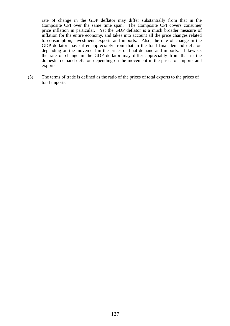rate of change in the GDP deflator may differ substantially from that in the Composite CPI over the same time span. The Composite CPI covers consumer price inflation in particular. Yet the GDP deflator is a much broader measure of inflation for the entire economy, and takes into account all the price changes related to consumption, investment, exports and imports. Also, the rate of change in the GDP deflator may differ appreciably from that in the total final demand deflator, depending on the movement in the prices of final demand and imports. Likewise, the rate of change in the GDP deflator may differ appreciably from that in the domestic demand deflator, depending on the movement in the prices of imports and exports.

(5) The terms of trade is defined as the ratio of the prices of total exports to the prices of total imports.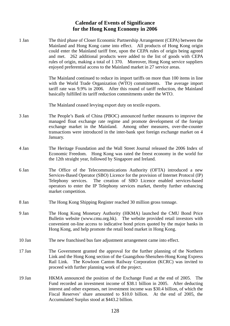## **Calendar of Events of Significance for the Hong Kong Economy in 2006**

1 Jan The third phase of Closer Economic Partnership Arrangement (CEPA) between the Mainland and Hong Kong came into effect. All products of Hong Kong origin could enter the Mainland tariff free, upon the CEPA rules of origin being agreed and met. 262 additional products were added to the list of goods with CEPA rules of origin, making a total of 1 370. Moreover, Hong Kong service suppliers enjoyed preferential access to the Mainland market in 27 service areas. The Mainland continued to reduce its import tariffs on more than 100 items in line with the World Trade Organization (WTO) commitments. The average import tariff rate was 9.9% in 2006. After this round of tariff reduction, the Mainland basically fulfilled its tariff reduction commitments under the WTO. The Mainland ceased levying export duty on textile exports. 3 Jan The People's Bank of China (PBOC) announced further measures to improve the managed float exchange rate regime and promote development of the foreign exchange market in the Mainland. Among other measures, over-the-counter transactions were introduced in the inter-bank spot foreign exchange market on 4 January. 4 Jan The Heritage Foundation and the Wall Street Journal released the 2006 Index of Economic Freedom. Hong Kong was rated the freest economy in the world for the 12th straight year, followed by Singapore and Ireland. 6 Jan The Office of the Telecommunications Authority (OFTA) introduced a new Services-Based Operator (SBO) Licence for the provision of Internet Protocol (IP) Telephony services. The creation of SBO Licence enabled services-based operators to enter the IP Telephony services market, thereby further enhancing market competition. 8 Jan The Hong Kong Shipping Register reached 30 million gross tonnage. 9 Jan The Hong Kong Monetary Authority (HKMA) launched the CMU Bond Price Bulletin website (www.cmu.org.hk). The website provided retail investors with convenient on-line access to indicative bond prices quoted by the major banks in Hong Kong, and help promote the retail bond market in Hong Kong. 10 Jan The new franchised bus fare adjustment arrangement came into effect. 17 Jan The Government granted the approval for the further planning of the Northern Link and the Hong Kong section of the Guangzhou-Shenzhen-Hong Kong Express Rail Link. The Kowloon Canton Railway Corporation (KCRC) was invited to proceed with further planning work of the project. 19 Jan HKMA announced the position of the Exchange Fund at the end of 2005. The Fund recorded an investment income of \$38.1 billion in 2005. After deducting interest and other expenses, net investment income was \$30.4 billion, of which the Fiscal Reserves' share amounted to \$10.0 billion. At the end of 2005, the Accumulated Surplus stood at \$443.2 billion.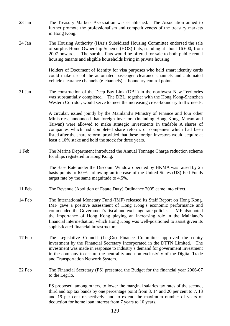- 23 Jan The Treasury Markets Association was established. The Association aimed to further promote the professionalism and competitiveness of the treasury markets in Hong Kong.
- 24 Jan The Housing Authority (HA)'s Subsidized Housing Committee endorsed the sale of surplus Home Ownership Scheme (HOS) flats, standing at about 16 600, from 2007 onwards. The surplus flats would be offered for sale to both public rental housing tenants and eligible households living in private housing.

 Holders of Document of Identity for visa purposes who held smart identity cards could make use of the automated passenger clearance channels and automated vehicle clearance channels (e-channels) at boundary control points.

31 Jan The construction of the Deep Bay Link (DBL) in the northwest New Territories was substantially completed. The DBL, together with the Hong Kong-Shenzhen Western Corridor, would serve to meet the increasing cross-boundary traffic needs.

> A circular, issued jointly by the Mainland's Ministry of Finance and four other Ministries, announced that foreign investors (including Hong Kong, Macao and Taiwan) were allowed to make strategic investments in tradable A shares of companies which had completed share reform, or companies which had been listed after the share reform, provided that these foreign investors would acquire at least a 10% stake and hold the stock for three years.

1 Feb The Marine Department introduced the Annual Tonnage Charge reduction scheme for ships registered in Hong Kong.

> The Base Rate under the Discount Window operated by HKMA was raised by 25 basis points to 6.0%, following an increase of the United States (US) Fed Funds target rate by the same magnitude to 4.5%.

- 11 Feb The Revenue (Abolition of Estate Duty) Ordinance 2005 came into effect.
- 14 Feb The International Monetary Fund (IMF) released its Staff Report on Hong Kong. IMF gave a positive assessment of Hong Kong's economic performance and commended the Government's fiscal and exchange rate policies. IMF also noted the importance of Hong Kong playing an increasing role in the Mainland's financial intermediation, which Hong Kong was well-positioned to assist given its sophisticated financial infrastructure.
- 17 Feb The Legislative Council (LegCo) Finance Committee approved the equity investment by the Financial Secretary Incorporated in the DTTN Limited. The investment was made in response to industry's demand for government investment in the company to ensure the neutrality and non-exclusivity of the Digital Trade and Transportation Network System.
- 22 Feb The Financial Secretary (FS) presented the Budget for the financial year 2006-07 to the LegCo.

FS proposed, among others, to lower the marginal salaries tax rates of the second, third and top tax bands by one percentage point from 8, 14 and 20 per cent to 7, 13 and 19 per cent respectively; and to extend the maximum number of years of deduction for home loan interest from 7 years to 10 years.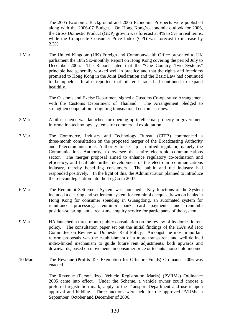The 2005 Economic Background and 2006 Economic Prospects were published along with the 2006-07 Budget. On Hong Kong's economic outlook for 2006, the Gross Domestic Product (GDP) growth was forecast at 4% to 5% in real terms, while the Composite Consumer Price Index (CPI) was forecast to increase by 2.3%.

1 Mar The United Kingdom (UK) Foreign and Commonwealth Office presented to UK parliament the 18th Six-monthly Report on Hong Kong covering the period July to December 2005. The Report stated that the "One Country, Two Systems" principle had generally worked well in practice and that the rights and freedoms promised to Hong Kong in the Joint Declaration and the Basic Law had continued to be upheld. It also reported that bilateral trade had continued to expand healthily.

> The Customs and Excise Department signed a Customs Co-operative Arrangement with the Customs Department of Thailand. The Arrangement pledged to strengthen cooperation in fighting transnational customs crimes.

- 2 Mar A pilot scheme was launched for opening up intellectual property in government information technology systems for commercial exploitation.
- 3 Mar The Commerce, Industry and Technology Bureau (CITB) commenced a three-month consultation on the proposed merger of the Broadcasting Authority and Telecommunications Authority to set up a unified regulator, namely the Communications Authority, to oversee the entire electronic communications sector. The merger proposal aimed to enhance regulatory co-ordination and efficiency, and facilitate further development of the electronic communications industry, thereby benefiting consumers. The public and the industry had responded positively. In the light of this, the Administration planned to introduce the relevant legislation into the LegCo in 2007.
- 6 Mar The Renminbi Settlement System was launched. Key functions of the System included a clearing and settlement system for renminbi cheques drawn on banks in Hong Kong for consumer spending in Guangdong, an automated system for remittance processing, renminbi bank card payments and renminbi position-squaring, and a real-time enquiry service for participants of the system.
- 9 Mar HA launched a three-month public consultation on the review of its domestic rent policy. The consultation paper set out the initial findings of the HA's Ad Hoc Committee on Review of Domestic Rent Policy. Amongst the most important reform proposals was the establishment of a more transparent and well-defined index-linked mechanism to guide future rent adjustments, both upwards and downwards, based on movements in consumer price or tenants' household income.
- 10 Mar The Revenue (Profits Tax Exemption for Offshore Funds) Ordinance 2006 was enacted.

 The Revenue (Personalized Vehicle Registration Marks) (PVRMs) Ordinance 2005 came into effect. Under the Scheme, a vehicle owner could choose a preferred registration mark, apply to the Transport Department and use it upon approval and bidding. Three auctions were held for the approved PVRMs in September, October and December of 2006.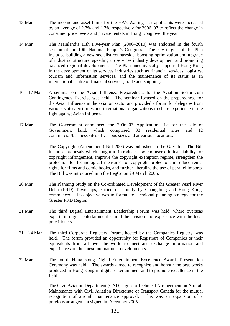- 13 Mar The income and asset limits for the HA's Waiting List applicants were increased by an average of 2.7% and 1.7% respectively for 2006–07 to reflect the change in consumer price levels and private rentals in Hong Kong over the year.
- 14 Mar The Mainland's 11th Five-year Plan (2006–2010) was endorsed in the fourth session of the 10th National People's Congress. The key targets of the Plan included building a new socialist countryside, boosting optimization and upgrade of industrial structure, speeding up services industry development and promoting balanced regional development. The Plan unequivocally supported Hong Kong in the development of its services industries such as financial services, logistics, tourism and information services, and the maintenance of its status as an international centre of financial services, trade and shipping.
- 16 17 Mar A seminar on the Avian Influenza Preparedness for the Aviation Sector cum Contingency Exercise was held. The seminar focused on the preparedness for the Avian Influenza in the aviation sector and provided a forum for delegates from various states/territories and international organizations to share experience in the fight against Avian Influenza.
- 17 Mar The Government announced the 2006–07 Application List for the sale of Government land, which comprised 33 residential sites and 12 commercial/business sites of various sizes and at various locations.

 The Copyright (Amendment) Bill 2006 was published in the Gazette. The Bill included proposals which sought to introduce new end-user criminal liability for copyright infringement, improve the copyright exemption regime, strengthen the protection for technological measures for copyright protection, introduce rental rights for films and comic books, and further liberalize the use of parallel imports. The Bill was introduced into the LegCo on 29 March 2006.

- 20 Mar The Planning Study on the Co-ordinated Development of the Greater Pearl River Delta (PRD) Townships, carried out jointly by Guangdong and Hong Kong, commenced. Its objective was to formulate a regional planning strategy for the Greater PRD Region.
- 21 Mar The third Digital Entertainment Leadership Forum was held, where overseas experts in digital entertainment shared their vision and experience with the local practitioners.
- 21 24 Mar The third Corporate Registers Forum, hosted by the Companies Registry, was held. The forum provided an opportunity for Registrars of Companies or their equivalents from all over the world to meet and exchange information and experiences on the latest international developments.
- 22 Mar The fourth Hong Kong Digital Entertainment Excellence Awards Presentation Ceremony was held. The awards aimed to recognize and honour the best works produced in Hong Kong in digital entertainment and to promote excellence in the field.

 The Civil Aviation Department (CAD) signed a Technical Arrangement on Aircraft Maintenance with Civil Aviation Directorate of Transport Canada for the mutual recognition of aircraft maintenance approval. This was an expansion of a previous arrangement signed in December 2005.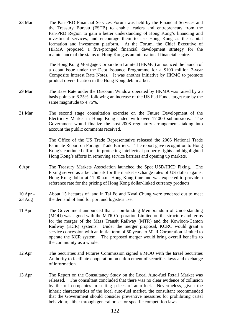23 Mar The Pan-PRD Financial Services Forum was held by the Financial Services and the Treasury Bureau (FSTB) to enable leaders and entrepreneurs from the Pan-PRD Region to gain a better understanding of Hong Kong's financing and investment services, and encourage them to use Hong Kong as the capital formation and investment platform. At the Forum, the Chief Executive of HKMA proposed a five-pronged financial development strategy for the maintenance of the status of Hong Kong as an international financial centre.

> The Hong Kong Mortgage Corporation Limited (HKMC) announced the launch of a debut issue under the Debt Issuance Programme for a \$100 million 2-year Composite Interest Rate Notes. It was another initiative by HKMC to promote product diversification in the Hong Kong debt market.

- 29 Mar The Base Rate under the Discount Window operated by HKMA was raised by 25 basis points to 6.25%, following an increase of the US Fed Funds target rate by the same magnitude to 4.75%.
- 31 Mar The second stage consultation exercise on the Future Development of the Electricity Market in Hong Kong ended with over 17 000 submissions. The Government would finalize the post-2008 regulatory arrangements taking into account the public comments received.

 The Office of the US Trade Representative released the 2006 National Trade Estimate Report on Foreign Trade Barriers. The report gave recognition to Hong Kong's continued efforts in protecting intellectual property rights and highlighted Hong Kong's efforts in removing service barriers and opening up markets.

- 6 Apr The Treasury Markets Association launched the Spot USD/HKD Fixing. The Fixing served as a benchmark for the market exchange rates of US dollar against Hong Kong dollar at 11:00 a.m. Hong Kong time and was expected to provide a reference rate for the pricing of Hong Kong dollar-linked currency products.
- $10$  Apr  $-$ 23 Aug About 15 hectares of land in Tai Po and Kwai Chung were tendered out to meet the demand of land for port and logistics use.
- 11 Apr The Government announced that a non-binding Memorandum of Understanding (MOU) was signed with the MTR Corporation Limited on the structure and terms for the merger of the Mass Transit Railway (MTR) and the Kowloon-Canton Railway (KCR) systems. Under the merger proposal, KCRC would grant a service concession with an initial term of 50 years to MTR Corporation Limited to operate the KCR system. The proposed merger would bring overall benefits to the community as a whole.
- 12 Apr The Securities and Futures Commission signed a MOU with the Israel Securities Authority to facilitate cooperation on enforcement of securities laws and exchange of information.
- 13 Apr The Report on the Consultancy Study on the Local Auto-fuel Retail Market was released. The consultant concluded that there was no clear evidence of collusion by the oil companies in setting prices of auto-fuel. Nevertheless, given the inherit characteristics of the local auto-fuel market, the consultant recommended that the Government should consider preventive measures for prohibiting cartel behaviour, either through general or sector-specific competition laws.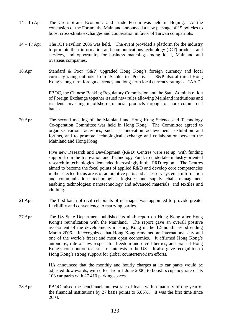- 14 15 Apr The Cross-Straits Economic and Trade Forum was held in Beijing. At the conclusion of the Forum, the Mainland announced a new package of 15 policies to boost cross-straits exchanges and cooperation in favor of Taiwan compatriots.
- 14 17 Apr The ICT Pavilion 2006 was held. The event provided a platform for the industry to promote their information and communications technology (ICT) products and services, and opportunity for business matching among local, Mainland and overseas companies.
- 18 Apr Standard & Poor (S&P) upgraded Hong Kong's foreign currency and local currency rating outlooks from "Stable" to "Positive". S&P also affirmed Hong Kong's long-term foreign currency and long-term local currency ratings at "AA-".

 PBOC, the Chinese Banking Regulatory Commission and the State Administration of Foreign Exchange together issued new rules allowing Mainland institutions and residents investing in offshore financial products through onshore commercial banks.

20 Apr The second meeting of the Mainland and Hong Kong Science and Technology Co-operation Committee was held in Hong Kong. The Committee agreed to organize various activities, such as innovation achievements exhibition and forums, and to promote technological exchange and collaboration between the Mainland and Hong Kong.

> Five new Research and Development (R&D) Centres were set up, with funding support from the Innovation and Technology Fund, to undertake industry-oriented research in technologies demanded increasingly in the PRD region. The Centres aimed to become the focal points of applied R&D and develop core competencies in the selected focus areas of automotive parts and accessory systems; information and communications technologies; logistics and supply chain management enabling technologies; nanotechnology and advanced materials; and textiles and clothing.

- 21 Apr The first batch of civil celebrants of marriages was appointed to provide greater flexibility and convenience to marrying parties.
- 27 Apr The US State Department published its ninth report on Hong Kong after Hong Kong's reunification with the Mainland. The report gave an overall positive assessment of the developments in Hong Kong in the 12-month period ending March 2006. It recognized that Hong Kong remained an international city and one of the world's freest and most open economies. It affirmed Hong Kong's autonomy, rule of law, respect for freedom and civil liberties, and praised Hong Kong's contribution to issues of interests to the US. It also gave recognition to Hong Kong's strong support for global counterterrorism efforts.

 HA announced that the monthly and hourly charges at its car parks would be adjusted downwards, with effect from 1 June 2006, to boost occupancy rate of its 108 car parks with 27 410 parking spaces.

28 Apr PBOC raised the benchmark interest rate of loans with a maturity of one-year of the financial institutions by 27 basis points to 5.85%. It was the first time since 2004.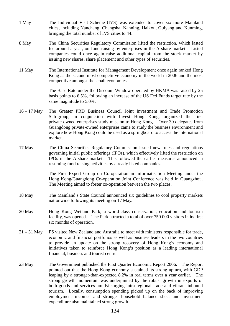- 1 May The Individual Visit Scheme (IVS) was extended to cover six more Mainland cities, including Nanchang, Changsha, Nanning, Haikou, Guiyang and Kunming, bringing the total number of IVS cities to 44.
- 8 May The China Securities Regulatory Commission lifted the restriction, which lasted for around a year, on fund raising by enterprises in the A-share market. Listed companies could once again raise additional capital from the stock market by issuing new shares, share placement and other types of securities.
- 11 May The International Institute for Management Development once again ranked Hong Kong as the second most competitive economy in the world in 2006 and the most competitive amongst the small economies.

 The Base Rate under the Discount Window operated by HKMA was raised by 25 basis points to 6.5%, following an increase of the US Fed Funds target rate by the same magnitude to 5.0%.

- 16 17 May The Greater PRD Business Council Joint Investment and Trade Promotion Sub-group, in conjunction with Invest Hong Kong, organized the first private-owned enterprises study mission to Hong Kong. Over 30 delegates from Guangdong private-owned enterprises came to study the business environment and explore how Hong Kong could be used as a springboard to access the international market.
- 17 May The China Securities Regulatory Commission issued new rules and regulations governing initial public offerings (IPOs), which effectively lifted the restriction on IPOs in the A-share market. This followed the earlier measures announced in resuming fund raising activities by already listed companies.

 The First Expert Group on Co-operation in Informatisation Meeting under the Hong Kong/Guangdong Co-operation Joint Conference was held in Guangzhou. The Meeting aimed to foster co-operation between the two places.

- 18 May The Mainland's State Council announced six guidelines to cool property markets nationwide following its meeting on 17 May.
- 20 May Hong Kong Wetland Park, a world-class conservation, education and tourism facility, was opened. The Park attracted a total of over 750 000 visitors in its first six months of operation.
- 21 31 May FS visited New Zealand and Australia to meet with ministers responsible for trade, economic and financial portfolios as well as business leaders in the two countries to provide an update on the strong recovery of Hong Kong's economy and initiatives taken to reinforce Hong Kong's position as a leading international financial, business and tourist centre.
- 23 May The Government published the First Quarter Economic Report 2006. The Report pointed out that the Hong Kong economy sustained its strong upturn, with GDP leaping by a stronger-than-expected 8.2% in real terms over a year earlier. The strong growth momentum was underpinned by the robust growth in exports of both goods and services amidst surging intra-regional trade and vibrant inbound tourism. Locally, consumption spending picked up on the back of improving employment incomes and stronger household balance sheet and investment expenditure also maintained strong growth.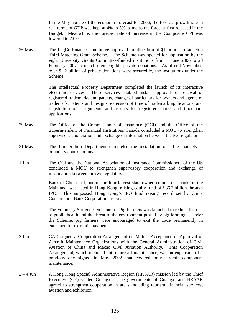In the May update of the economic forecast for 2006, the forecast growth rate in real terms of GDP was kept at 4% to 5%, same as the forecast first released in the Budget. Meanwhile, the forecast rate of increase in the Composite CPI was lowered to 2.0%.

26 May The LegCo Finance Committee approved an allocation of \$1 billion to launch a Third Matching Grant Scheme. The Scheme was opened for application by the eight University Grants Committee-funded institutions from 1 June 2006 to 28 February 2007 to match their eligible private donations. As at end-November, over \$1.2 billion of private donations were secured by the institutions under the Scheme.

> The Intellectual Property Department completed the launch of its interactive electronic services. These services enabled instant approval for renewal of registered trademarks and patents, change of particulars for owners and agents of trademark, patents and designs, extension of time of trademark applications, and registration of assignments and assents for registered marks and trademark applications.

- 29 May The Office of the Commissioner of Insurance (OCI) and the Office of the Superintendent of Financial Institutions Canada concluded a MOU to strengthen supervisory cooperation and exchange of information between the two regulators.
- 31 May The Immigration Department completed the installation of all e-channels at boundary control points.
- 1 Jun The OCI and the National Association of Insurance Commissioners of the US concluded a MOU to strengthen supervisory cooperation and exchange of information between the two regulators.

 Bank of China Ltd, one of the four largest state-owned commercial banks in the Mainland, was listed in Hong Kong, raising equity fund of \$86.7 billion through IPO. This surpassed Hong Kong's IPO fund raising record set by China Construction Bank Corporation last year.

 The Voluntary Surrender Scheme for Pig Farmers was launched to reduce the risk to public health and the threat to the environment posted by pig farming. Under the Scheme, pig farmers were encouraged to exit the trade permanently in exchange for ex-gratia payment.

- 2 Jun CAD signed a Cooperation Arrangement on Mutual Acceptance of Approval of Aircraft Maintenance Organizations with the General Administration of Civil Aviation of China and Macao Civil Aviation Authority. This Cooperation Arrangement, which included entire aircraft maintenance, was an expansion of a previous one signed in May 2002 that covered only aircraft component maintenance.
- 2 4 Jun A Hong Kong Special Administrative Region (HKSAR) mission led by the Chief Executive (CE) visited Guangxi. The governments of Guangxi and HKSAR agreed to strengthen cooperation in areas including tourism, financial services, aviation and exhibition.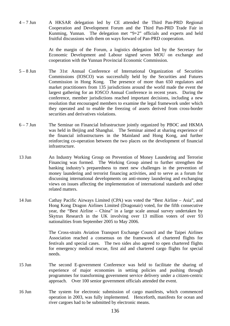4 – 7 Jun A HKSAR delegation led by CE attended the Third Pan-PRD Regional Cooperation and Development Forum and the Third Pan-PRD Trade Fair in Kunming, Yunnan. The delegation met "9+2" officials and experts and held fruitful discussions with them on ways forward of Pan-PRD cooperation.

> At the margin of the Forum, a logistics delegation led by the Secretary for Economic Development and Labour signed seven MOU on exchange and cooperation with the Yunnan Provincial Economic Commission.

- 5 8 Jun The 31st Annual Conference of International Organization of Securities Commissions (IOSCO) was successfully held by the Securities and Futures Commission in Hong Kong. The presence of more than 650 regulators and market practitioners from 135 jurisdictions around the world made the event the largest gathering for an IOSCO Annual Conference in recent years. During the conference, member jurisdictions reached important decisions, including a new resolution that encouraged members to examine the legal framework under which they operated and to enable the freezing of assets derived from cross-border securities and derivatives violations.
- 6 7 Jun The Seminar on Financial Infrastructure jointly organized by PBOC and HKMA was held in Beijing and Shanghai. The Seminar aimed at sharing experience of the financial infrastructures in the Mainland and Hong Kong, and further reinforcing co-operation between the two places on the development of financial infrastructure.
- 13 Jun An Industry Working Group on Prevention of Money Laundering and Terrorist Financing was formed. The Working Group aimed to further strengthen the banking industry's preparedness to meet new challenges in the prevention of money laundering and terrorist financing activities, and to serve as a forum for discussing international developments on anti-money laundering and exchanging views on issues affecting the implementation of international standards and other related matters.
- 14 Jun Cathay Pacific Airways Limited (CPA) was voted the "Best Airline Asia", and Hong Kong Dragon Airlines Limited (Dragonair) voted, for the fifth consecutive year, the "Best Airline – China" in a large scale annual survey undertaken by Skytrax Research in the UK involving over 13 million voters of over 93 nationalities from September 2005 to May 2006.

 The Cross-straits Aviation Transport Exchange Council and the Taipei Airlines Association reached a consensus on the framework of chartered flights for festivals and special cases. The two sides also agreed to open chartered flights for emergency medical rescue, first aid and chartered cargo flights for special needs.

- 15 Jun The second E-government Conference was held to facilitate the sharing of experience of major economies in setting policies and pushing through programmes for transforming government service delivery under a citizen-centric approach. Over 100 senior government officials attended the event.
- 16 Jun The system for electronic submission of cargo manifests, which commenced operation in 2003, was fully implemented. Henceforth, manifests for ocean and river cargoes had to be submitted by electronic means.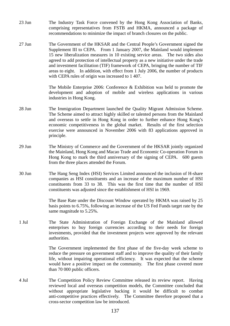- 23 Jun The Industry Task Force convened by the Hong Kong Association of Banks, comprising representatives from FSTB and HKMA, announced a package of recommendations to minimize the impact of branch closures on the public.
- 27 Jun The Government of the HKSAR and the Central People's Government signed the Supplement III to CEPA. From 1 January 2007, the Mainland would implement 15 new liberalization measures in 10 existing service areas. The two sides also agreed to add protection of intellectual property as a new initiative under the trade and investment facilitation (TIF) framework of CEPA, bringing the number of TIF areas to eight. In addition, with effect from 1 July 2006, the number of products with CEPA rules of origin was increased to 1407.

 The Mobile Enterprise 2006: Conference & Exhibition was held to promote the development and adoption of mobile and wireless applications in various industries in Hong Kong.

- 28 Jun The Immigration Department launched the Quality Migrant Admission Scheme. The Scheme aimed to attract highly skilled or talented persons from the Mainland and overseas to settle in Hong Kong in order to further enhance Hong Kong's economic competitiveness in the global market. Results of the first selection exercise were announced in November 2006 with 83 applications approved in principle.
- 29 Jun The Ministry of Commerce and the Government of the HKSAR jointly organized the Mainland, Hong Kong and Macao Trade and Economic Co-operation Forum in Hong Kong to mark the third anniversary of the signing of CEPA. 600 guests from the three places attended the Forum.
- 30 Jun The Hang Seng Index (HSI) Services Limited announced the inclusion of H-share companies as HSI constituents and an increase of the maximum number of HSI constituents from 33 to 38. This was the first time that the number of HSI constituents was adjusted since the establishment of HSI in 1969.

 The Base Rate under the Discount Window operated by HKMA was raised by 25 basis points to 6.75%, following an increase of the US Fed Funds target rate by the same magnitude to 5.25%.

1 Jul The State Administration of Foreign Exchange of the Mainland allowed enterprises to buy foreign currencies according to their needs for foreign investments, provided that the investment projects were approved by the relevant authorities.

> The Government implemented the first phase of the five-day week scheme to reduce the pressure on government staff and to improve the quality of their family life, without impairing operational efficiency. It was expected that the scheme would have a positive impact on the community. The first phase covered more than 70 000 public officers.

4 Jul The Competition Policy Review Committee released its review report. Having reviewed local and overseas competition models, the Committee concluded that without appropriate legislative backing it would be difficult to combat anti-competitive practices effectively. The Committee therefore proposed that a cross-sector competition law be introduced.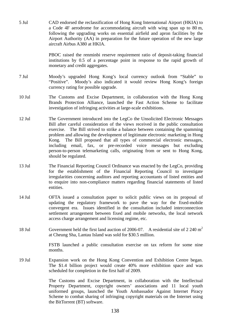5 Jul CAD endorsed the reclassification of Hong Kong International Airport (HKIA) to a Code 4F aerodrome for accommodating aircraft with wing span up to 80 m, following the upgrading works on essential airfield and apron facilities by the Airport Authority (AA) in preparation for the future operation of the new large aircraft Airbus A380 at HKIA.

> PBOC raised the renminbi reserve requirement ratio of deposit-taking financial institutions by 0.5 of a percentage point in response to the rapid growth of monetary and credit aggregates.

- 7 Jul Moody's upgraded Hong Kong's local currency outlook from "Stable" to "Positive". Moody's also indicated it would review Hong Kong's foreign currency rating for possible upgrade.
- 10 Jul The Customs and Excise Department, in collaboration with the Hong Kong Brands Protection Alliance, launched the Fast Action Scheme to facilitate investigation of infringing activities at large-scale exhibitions.
- 12 Jul The Government introduced into the LegCo the Unsolicited Electronic Messages Bill after careful consideration of the views received in the public consultation exercise. The Bill strived to strike a balance between containing the spamming problem and allowing the development of legitimate electronic marketing in Hong Kong. The Bill proposed that all types of commercial electronic messages, including email, fax, or pre-recorded voice messages but excluding person-to-person telemarketing calls, originating from or sent to Hong Kong, should be regulated.
- 13 Jul The Financial Reporting Council Ordinance was enacted by the LegCo, providing for the establishment of the Financial Reporting Council to investigate irregularities concerning auditors and reporting accountants of listed entities and to enquire into non-compliance matters regarding financial statements of listed entities.
- 14 Jul OFTA issued a consultation paper to solicit public views on its proposal of updating the regulatory framework to pave the way for the fixed-mobile convergent era. Issues identified in the consultation included interconnection settlement arrangement between fixed and mobile networks, the local network access charge arrangement and licensing regime, etc.
- 18 Jul Government held the first land auction of 2006-07. A residential site of 2 240 m<sup>2</sup> at Cheung Sha, Lantau Island was sold for \$30.5 million.

 FSTB launched a public consultation exercise on tax reform for some nine months.

19 Jul Expansion work on the Hong Kong Convention and Exhibition Centre began. The \$1.4 billion project would create 40% more exhibition space and was scheduled for completion in the first half of 2009.

> The Customs and Excise Department, in collaboration with the Intellectual Property Department, copyright owners' associations and 11 local youth uniformed groups, launched the Youth Ambassador Against Internet Piracy Scheme to combat sharing of infringing copyright materials on the Internet using the BitTorrent (BT) software.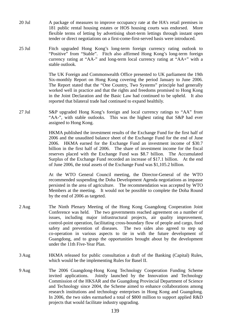- 20 Jul A package of measures to improve occupancy rate at the HA's retail premises in 181 public rental housing estates or HOS housing courts was endorsed. More flexible terms of letting by advertising short-term lettings through instant open tender or direct negotiations on a first-come-first-served basis were introduced.
- 25 Jul Fitch upgraded Hong Kong's long-term foreign currency rating outlook to "Positive" from "Stable". Fitch also affirmed Hong Kong's long-term foreign currency rating at "AA-" and long-term local currency rating at "AA+" with a stable outlook.

 The UK Foreign and Commonwealth Office presented to UK parliament the 19th Six-monthly Report on Hong Kong covering the period January to June 2006. The Report stated that the "One Country, Two Systems" principle had generally worked well in practice and that the rights and freedoms promised to Hong Kong in the Joint Declaration and the Basic Law had continued to be upheld. It also reported that bilateral trade had continued to expand healthily.

27 Jul S&P upgraded Hong Kong's foreign and local currency ratings to "AA" from "AA-", with stable outlooks. This was the highest rating that S&P had ever assigned to Hong Kong.

> HKMA published the investment results of the Exchange Fund for the first half of 2006 and the unaudited balance sheet of the Exchange Fund for the end of June 2006. HKMA earned for the Exchange Fund an investment income of \$30.7 billion in the first half of 2006. The share of investment income for the fiscal reserves placed with the Exchange Fund was \$8.7 billion. The Accumulated Surplus of the Exchange Fund recorded an increase of \$17.1 billion. At the end of June 2006, the total assets of the Exchange Fund was \$1,105.2 billion.

> At the WTO General Council meeting, the Director-General of the WTO recommended suspending the Doha Development Agenda negotiations as impasse persisted in the area of agriculture. The recommendation was accepted by WTO Members at the meeting. It would not be possible to complete the Doha Round by the end of 2006 as targeted.

- 2 Aug The Ninth Plenary Meeting of the Hong Kong Guangdong Cooperation Joint Conference was held. The two governments reached agreement on a number of issues, including major infrastructural projects, air quality improvement, control-point operation, facilitating cross-boundary flow of people and cargo, food safety and prevention of diseases. The two sides also agreed to step up co-operation in various aspects to tie in with the future development of Guangdong, and to grasp the opportunities brought about by the development under the 11th Five-Year Plan.
- 3 Aug HKMA released for public consultation a draft of the Banking (Capital) Rules, which would be the implementing Rules for Basel II.
- 9 Aug The 2006 Guangdong-Hong Kong Technology Cooperation Funding Scheme invited applications. Jointly launched by the Innovation and Technology Commission of the HKSAR and the Guangdong Provincial Department of Science and Technology since 2004, the Scheme aimed to enhance collaborations among research institutions and technology enterprises in Hong Kong and Guangdong. In 2006, the two sides earmarked a total of \$800 million to support applied R&D projects that would facilitate industry upgrading.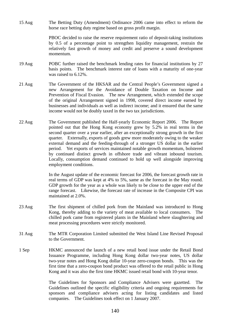15 Aug The Betting Duty (Amendment) Ordinance 2006 came into effect to reform the horse race betting duty regime based on gross profit margin.

> PBOC decided to raise the reserve requirement ratio of deposit-taking institutions by 0.5 of a percentage point to strengthen liquidity management, restrain the relatively fast growth of money and credit and preserve a sound development momentum.

- 19 Aug POBC further raised the benchmark lending rates for financial institutions by 27 basis points. The benchmark interest rate of loans with a maturity of one-year was raised to 6.12%.
- 21 Aug The Government of the HKSAR and the Central People's Government signed a new Arrangement for the Avoidance of Double Taxation on Income and Prevention of Fiscal Evasion. The new Arrangement, which extended the scope of the original Arrangement signed in 1998, covered direct income earned by businesses and individuals as well as indirect income; and it ensured that the same income would not be doubly taxed in the two tax jurisdictions.
- 22 Aug The Government published the Half-yearly Economic Report 2006. The Report pointed out that the Hong Kong economy grew by 5.2% in real terms in the second quarter over a year earlier, after an exceptionally strong growth in the first quarter. Externally, exports of goods grew more moderately owing to the weaker external demand and the feeding-through of a stronger US dollar in the earlier period. Yet exports of services maintained notable growth momentum, bolstered by continued distinct growth in offshore trade and vibrant inbound tourism. Locally, consumption demand continued to hold up well alongside improving employment conditions.

 In the August update of the economic forecast for 2006, the forecast growth rate in real terms of GDP was kept at 4% to 5%, same as the forecast in the May round. GDP growth for the year as a whole was likely to be close to the upper end of the range forecast. Likewise, the forecast rate of increase in the Composite CPI was maintained at 2.0%.

- 23 Aug The first shipment of chilled pork from the Mainland was introduced to Hong Kong, thereby adding to the variety of meat available to local consumers. The chilled pork came from registered plants in the Mainland where slaughtering and meat processing procedures were strictly monitored.
- 31 Aug The MTR Corporation Limited submitted the West Island Line Revised Proposal to the Government.
- 1 Sep HKMC announced the launch of a new retail bond issue under the Retail Bond Issuance Programme, including Hong Kong dollar two-year notes, US dollar two-year notes and Hong Kong dollar 10-year zero-coupon bonds. This was the first time that a zero-coupon bond product was offered to the retail public in Hong Kong and it was also the first time HKMC issued retail bond with 10-year tenor.

 The Guidelines for Sponsors and Compliance Advisers were gazetted. The Guidelines outlined the specific eligibility criteria and ongoing requirements for sponsors and compliance advisers acting for listing candidates and listed companies. The Guidelines took effect on 1 January 2007.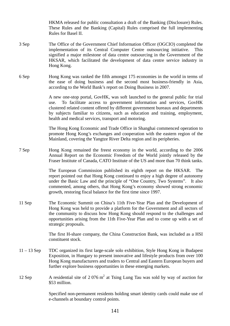HKMA released for public consultation a draft of the Banking (Disclosure) Rules. These Rules and the Banking (Capital) Rules comprised the full implementing Rules for Basel II.

- 3 Sep The Office of the Government Chief Information Officer (OGCIO) completed the implementation of its Central Computer Centre outsourcing initiative. This signified a major milestone of data centre outsourcing in the Government of the HKSAR, which facilitated the development of data centre service industry in Hong Kong.
- 6 Sep Hong Kong was ranked the fifth amongst 175 economies in the world in terms of the ease of doing business and the second most business-friendly in Asia, according to the World Bank's report on Doing Business in 2007.

 A new one-stop portal, GovHK, was soft launched to the general public for trial use. To facilitate access to government information and services, GovHK clustered related content offered by different government bureaux and departments by subjects familiar to citizens, such as education and training, employment, health and medical services, transport and motoring.

 The Hong Kong Economic and Trade Office in Shanghai commenced operation to promote Hong Kong's exchanges and cooperation with the eastern region of the Mainland, covering the Yangtze River Delta region and its peripheries.

7 Sep Hong Kong remained the freest economy in the world, according to the 2006 Annual Report on the Economic Freedom of the World jointly released by the Fraser Institute of Canada, CATO Institute of the US and more than 70 think tanks.

> The European Commission published its eighth report on the HKSAR. The report pointed out that Hong Kong continued to enjoy a high degree of autonomy under the Basic Law and the principle of "One Country, Two Systems". It also commented, among others, that Hong Kong's economy showed strong economic growth, restoring fiscal balance for the first time since 1997.

11 Sep The Economic Summit on China's 11th Five-Year Plan and the Development of Hong Kong was held to provide a platform for the Government and all sectors of the community to discuss how Hong Kong should respond to the challenges and opportunities arising from the 11th Five-Year Plan and to come up with a set of strategic proposals.

> The first H-share company, the China Construction Bank, was included as a HSI constituent stock.

- 11 13 Sep TDC organized its first large-scale solo exhibition, Style Hong Kong in Budapest Exposition, in Hungary to present innovative and lifestyle products from over 100 Hong Kong manufacturers and traders to Central and Eastern European buyers and further explore business opportunities in these emerging markets.
- 12 Sep A residential site of  $2.076 \text{ m}^2$  at Tsing Lung Tau was sold by way of auction for \$53 million.

 Specified non-permanent residents holding smart identity cards could make use of e-channels at boundary control points.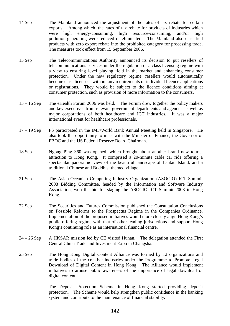- 14 Sep The Mainland announced the adjustment of the rates of tax rebate for certain exports. Among which, the rates of tax rebate for products of industries which were high energy-consuming, high resource-consuming, and/or high pollution-generating were reduced or eliminated. The Mainland also classified products with zero export rebate into the prohibited category for processing trade. The measures took effect from 15 September 2006.
- 15 Sep The Telecommunications Authority announced its decision to put resellers of telecommunications services under the regulation of a class licensing regime with a view to ensuring level playing field in the market and enhancing consumer protection. Under the new regulatory regime, resellers would automatically become class licensees without any requirements of individual licence applications or registrations. They would be subject to the licence conditions aiming at consumer protection, such as provision of more information to the consumers.
- 15 16 Sep The eHealth Forum 2006 was held. The Forum drew together the policy makers and key executives from relevant government departments and agencies as well as major corporations of both healthcare and ICT industries. It was a major international event for healthcare professionals.
- 17 19 Sep FS participated in the IMF/World Bank Annual Meeting held in Singapore. He also took the opportunity to meet with the Minister of Finance, the Governor of PBOC and the US Federal Reserve Board Chairman.
- 18 Sep Ngong Ping 360 was opened, which brought about another brand new tourist attraction to Hong Kong. It comprised a 20-minute cable car ride offering a spectacular panoramic view of the beautiful landscape of Lantau Island, and a traditional Chinese and Buddhist themed village.
- 21 Sep The Asian-Oceanian Computing Industry Organization (ASOCIO) ICT Summit 2008 Bidding Committee, headed by the Information and Software Industry Association, won the bid for staging the ASOCIO ICT Summit 2008 in Hong Kong.
- 22 Sep The Securities and Futures Commission published the Consultation Conclusions on Possible Reforms to the Prospectus Regime in the Companies Ordinance. Implementation of the proposed initiatives would more closely align Hong Kong's public offering regime with that of other leading jurisdictions and support Hong Kong's continuing role as an international financial centre.
- 24 26 Sep A HKSAR mission led by CE visited Hunan. The delegation attended the First Central China Trade and Investment Expo in Changsha.
- 25 Sep The Hong Kong Digital Content Alliance was formed by 12 organizations and trade bodies of the creative industries under the Programme to Promote Legal Download of Digital Content in Hong Kong. The Alliance would implement initiatives to arouse public awareness of the importance of legal download of digital content.

 The Deposit Protection Scheme in Hong Kong started providing deposit protection. The Scheme would help strengthen public confidence in the banking system and contribute to the maintenance of financial stability.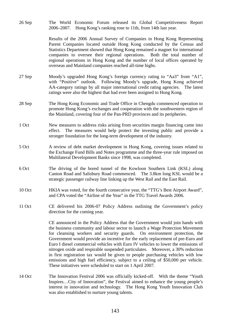26 Sep The World Economic Forum released its Global Competitiveness Report 2006–2007. Hong Kong's ranking rose to 11th, from 14th last year.

> Results of the 2006 Annual Survey of Companies in Hong Kong Representing Parent Companies located outside Hong Kong conducted by the Census and Statistics Department showed that Hong Kong remained a magnet for international companies to oversee their regional operations. Both the total number of regional operations in Hong Kong and the number of local offices operated by overseas and Mainland companies reached all-time highs.

- 27 Sep Moody's upgraded Hong Kong's foreign currency rating to "Aa3" from "A1", with "Positive" outlook. Following Moody's upgrade, Hong Kong achieved AA-category ratings by all major international credit rating agencies. The latest ratings were also the highest that had ever been assigned to Hong Kong.
- 28 Sep The Hong Kong Economic and Trade Office in Chengdu commenced operation to promote Hong Kong's exchanges and cooperation with the southwestern region of the Mainland, covering four of the Pan-PRD provinces and its peripheries.
- 1 Oct New measures to address risks arising from securities margin financing came into effect. The measures would help protect the investing public and provide a stronger foundation for the long-term development of the industry.
- 5 Oct A review of debt market development in Hong Kong, covering issues related to the Exchange Fund Bills and Notes programme and the three-year rule imposed on Multilateral Development Banks since 1998, was completed.
- 6 Oct The driving of the bored tunnel of the Kowloon Southern Link (KSL) along Canton Road and Salisbury Road commenced. The 3.8km long KSL would be a strategic passenger railway line linking up the West Rail and the East Rail.
- 10 Oct HKIA was voted, for the fourth consecutive year, the "TTG's Best Airport Award", and CPA voted the "Airline of the Year" in the TTG Travel Awards 2006.
- 11 Oct CE delivered his 2006-07 Policy Address outlining the Government's policy direction for the coming year.

 CE announced in the Policy Address that the Government would join hands with the business community and labour sector to launch a Wage Protection Movement for cleansing workers and security guards. On environment protection, the Government would provide an incentive for the early replacement of pre-Euro and Euro I diesel commercial vehicles with Euro IV vehicles to lower the emissions of nitrogen oxide and respirable suspended particulates. Moreover, a 30% reduction in first registration tax would be given to people purchasing vehicles with low emissions and high fuel efficiency, subject to a ceiling of \$50,000 per vehicle. These initiatives were scheduled to start on 1 April 2007.

14 Oct The Innovation Festival 2006 was officially kicked-off. With the theme "Youth Inspires…City of Innovation", the Festival aimed to enhance the young people's interest in innovation and technology. The Hong Kong Youth Innovation Club was also established to nurture young talents.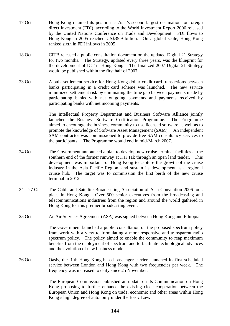- 17 Oct Hong Kong retained its position as Asia's second largest destination for foreign direct investment (FDI), according to the World Investment Report 2006 released by the United Nations Conference on Trade and Development. FDI flows to Hong Kong in 2005 reached US\$35.9 billion. On a global scale, Hong Kong ranked sixth in FDI inflows in 2005.
- 18 Oct CITB released a public consultation document on the updated Digital 21 Strategy for two months. The Strategy, updated every three years, was the blueprint for the development of ICT in Hong Kong. The finalized 2007 Digital 21 Strategy would be published within the first half of 2007.
- 23 Oct A bulk settlement service for Hong Kong dollar credit card transactions between banks participating in a credit card scheme was launched. The new service minimized settlement risk by eliminating the time gap between payments made by participating banks with net outgoing payments and payments received by participating banks with net incoming payments.

 The Intellectual Property Department and Business Software Alliance jointly launched the Business Software Certification Programme. The Programme aimed to encourage the business community to use licensed software as well as to promote the knowledge of Software Asset Management (SAM). An independent SAM contractor was commissioned to provide free SAM consultancy services to the participants. The Programme would end in mid-March 2007.

- 24 Oct The Government announced a plan to develop new cruise terminal facilities at the southern end of the former runway at Kai Tak through an open land tender. This development was important for Hong Kong to capture the growth of the cruise industry in the Asia Pacific Region, and sustain its development as a regional cruise hub. The target was to commission the first berth of the new cruise terminal in 2012.
- 24 27 Oct The Cable and Satellite Broadcasting Association of Asia Convention 2006 took place in Hong Kong. Over 500 senior executives from the broadcasting and telecommunications industries from the region and around the world gathered in Hong Kong for this premier broadcasting event.
- 25 Oct An Air Services Agreement (ASA) was signed between Hong Kong and Ethiopia.

 The Government launched a public consultation on the proposed spectrum policy framework with a view to formulating a more responsive and transparent radio spectrum policy. The policy aimed to enable the community to reap maximum benefits from the deployment of spectrum and to facilitate technological advances and the evolution of new business models.

26 Oct Oasis, the fifth Hong Kong-based passenger carrier, launched its first scheduled service between London and Hong Kong with two frequencies per week. The frequency was increased to daily since 25 November.

> The European Commission published an update on its Communication on Hong Kong proposing to further enhance the existing close cooperation between the European Union and Hong Kong on trade, economic and other areas within Hong Kong's high degree of autonomy under the Basic Law.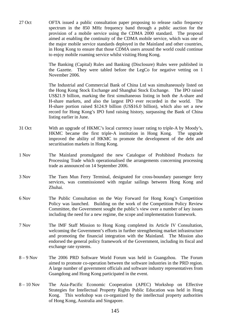27 Oct OFTA issued a public consultation paper proposing to release radio frequency spectrum in the 850 MHz frequency band through a public auction for the provision of a mobile service using the CDMA 2000 standard. The proposal aimed at enabling the continuity of the CDMA mobile service, which was one of the major mobile service standards deployed in the Mainland and other countries, in Hong Kong to ensure that those CDMA users around the world could continue to enjoy mobile roaming service whilst visiting Hong Kong.

> The Banking (Capital) Rules and Banking (Disclosure) Rules were published in the Gazette. They were tabled before the LegCo for negative vetting on 1 November 2006.

> The Industrial and Commercial Bank of China Ltd was simultaneously listed on the Hong Kong Stock Exchange and Shanghai Stock Exchange. The IPO raised US\$21.9 billion, marking the first simultaneous listing in both the A-share and H-share markets, and also the largest IPO ever recorded in the world. The H-share portion raised \$124.9 billion (US\$16.0 billion), which also set a new record for Hong Kong's IPO fund raising history, surpassing the Bank of China listing earlier in June.

- 31 Oct With an upgrade of HKMC's local currency issuer rating to triple-A by Moody's, HKMC became the first triple-A institution in Hong Kong. The upgrade improved the ability of HKMC to promote the development of the debt and securitisation markets in Hong Kong.
- 1 Nov The Mainland promulgated the new Catalogue of Prohibited Products for Processing Trade which operationalised the arrangements concerning processing trade as announced on 14 September 2006.
- 3 Nov The Tuen Mun Ferry Terminal, designated for cross-boundary passenger ferry services, was commissioned with regular sailings between Hong Kong and Zhuhai.
- 6 Nov The Public Consultation on the Way Forward for Hong Kong's Competition Policy was launched. Building on the work of the Competition Policy Review Committee, the Government sought the public's view over a number of key issues including the need for a new regime, the scope and implementation framework.
- 7 Nov The IMF Staff Mission to Hong Kong completed its Article IV Consultation, welcoming the Government's efforts in further strengthening market infrastructure and promoting the financial integration with the Mainland. The Mission also endorsed the general policy framework of the Government, including its fiscal and exchange rate systems.
- 8 9 Nov The 2006 PRD Software World Forum was held in Guangzhou. The Forum aimed to promote co-operation between the software industries in the PRD region. A large number of government officials and software industry representatives from Guangdong and Hong Kong participated in the event.
- 8 10 Nov The Asia-Pacific Economic Cooperation (APEC) Workshop on Effective Strategies for Intellectual Property Rights Public Education was held in Hong Kong. This workshop was co-organized by the intellectual property authorities of Hong Kong, Australia and Singapore.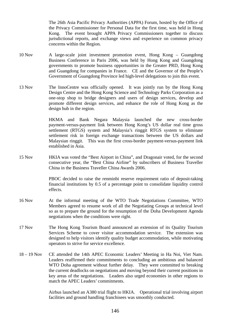The 26th Asia Pacific Privacy Authorities (APPA) Forum, hosted by the Office of the Privacy Commissioner for Personal Data for the first time, was held in Hong Kong. The event brought APPA Privacy Commissioners together to discuss jurisdictional reports, and exchange views and experience on common privacy concerns within the Region.

- 10 Nov A large-scale joint investment promotion event, Hong Kong Guangdong Business Conference in Paris 2006, was held by Hong Kong and Guangdong governments to promote business opportunities in the Greater PRD, Hong Kong and Guangdong for companies in France. CE and the Governor of the People's Government of Guangdong Province led high-level delegations to join this event.
- 13 Nov The InnoCentre was officially opened. It was jointly run by the Hong Kong Design Centre and the Hong Kong Science and Technology Parks Corporation as a one-stop shop to bridge designers and users of design services, develop and promote different design services, and enhance the role of Hong Kong as the design hub in the region.

 HKMA and Bank Negara Malaysia launched the new cross-border payment-versus-payment link between Hong Kong's US dollar real time gross settlement (RTGS) system and Malaysia's ringgit RTGS system to eliminate settlement risk in foreign exchange transactions between the US dollars and Malaysian ringgit. This was the first cross-border payment-versus-payment link established in Asia.

15 Nov HKIA was voted the "Best Airport in China", and Dragonair voted, for the second consecutive year, the "Best China Airline" by subscribers of Business Traveller China in the Business Traveller China Awards 2006.

> PBOC decided to raise the renminbi reserve requirement ratio of deposit-taking financial institutions by 0.5 of a percentage point to consolidate liquidity control effects.

- 16 Nov At the informal meeting of the WTO Trade Negotiations Committee, WTO Members agreed to resume work of all the Negotiating Groups at technical level so as to prepare the ground for the resumption of the Doha Development Agenda negotiations when the conditions were right.
- 17 Nov The Hong Kong Tourism Board announced an extension of its Quality Tourism Services Scheme to cover visitor accommodation service. The extension was designed to help visitors identify quality budget accommodation, while motivating operators to strive for service excellence.
- 18 19 Nov CE attended the 14th APEC Economic Leaders' Meeting in Ha Noi, Viet Nam. Leaders reaffirmed their commitments to concluding an ambitious and balanced WTO Doha agreement without further delay. They were committed to breaking the current deadlocks on negotiations and moving beyond their current positions in key areas of the negotiations. Leaders also urged economies in other regions to match the APEC Leaders' commitments.

 Airbus launched an A380 trial flight to HKIA. Operational trial involving airport facilities and ground handling franchisees was smoothly conducted.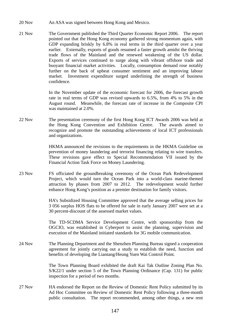- 20 Nov An ASA was signed between Hong Kong and Mexico.
- 21 Nov The Government published the Third Quarter Economic Report 2006. The report pointed out that the Hong Kong economy gathered strong momentum again, with GDP expanding briskly by 6.8% in real terms in the third quarter over a year earlier. Externally, exports of goods resumed a faster growth amidst the thriving trade flows of the Mainland and the renewed weakening of the US dollar. Exports of services continued to surge along with vibrant offshore trade and buoyant financial market activities. Locally, consumption demand rose notably further on the back of upbeat consumer sentiment and an improving labour market. Investment expenditure surged underlining the strength of business confidence.

 In the November update of the economic forecast for 2006, the forecast growth rate in real terms of GDP was revised upwards to 6.5%, from 4% to 5% in the August round. Meanwhile, the forecast rate of increase in the Composite CPI was maintained at 2.0%.

22 Nov The presentation ceremony of the first Hong Kong ICT Awards 2006 was held at the Hong Kong Convention and Exhibition Centre. The awards aimed to recognize and promote the outstanding achievements of local ICT professionals and organizations.

> HKMA announced the revisions to the requirements in the HKMA Guideline on prevention of money laundering and terrorist financing relating to wire transfers. These revisions gave effect to Special Recommendation VII issued by the Financial Action Task Force on Money Laundering.

23 Nov FS officiated the groundbreaking ceremony of the Ocean Park Redevelopment Project, which would turn the Ocean Park into a world-class marine-themed attraction by phases from 2007 to 2012. The redevelopment would further enhance Hong Kong's position as a premier destination for family visitors.

> HA's Subsidized Housing Committee approved that the average selling prices for 3 056 surplus HOS flats to be offered for sale in early January 2007 were set at a 30 percent-discount of the assessed market values.

> The TD-SCDMA Service Development Centre, with sponsorship from the OGCIO, was established in Cyberport to assist the planning, supervision and execution of the Mainland initiated standards for 3G mobile communication.

24 Nov The Planning Department and the Shenzhen Planning Bureau signed a cooperation agreement for jointly carrying out a study to establish the need, function and benefits of developing the Liantang/Heung Yuen Wai Control Point.

> The Town Planning Board exhibited the draft Kai Tak Outline Zoning Plan No. S/K22/1 under section 5 of the Town Planning Ordinance (Cap. 131) for public inspection for a period of two months.

27 Nov HA endorsed the Report on the Review of Domestic Rent Policy submitted by its Ad Hoc Committee on Review of Domestic Rent Policy following a three-month public consultation. The report recommended, among other things, a new rent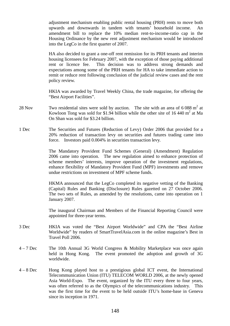adjustment mechanism enabling public rental housing (PRH) rents to move both upwards and downwards in tandem with tenants' household income. An amendment bill to replace the 10% median rent-to-income-ratio cap in the Housing Ordinance by the new rent adjustment mechanism would be introduced into the LegCo in the first quarter of 2007.

 HA also decided to grant a one-off rent remission for its PRH tenants and interim housing licensees for February 2007, with the exception of those paying additional rent or licence fee. This decision was to address strong demands and expectations among some of the PRH tenants for HA to take immediate action to remit or reduce rent following conclusion of the judicial review cases and the rent policy review.

 HKIA was awarded by Travel Weekly China, the trade magazine, for offering the "Best Airport Facilities".

- 28 Nov Two residential sites were sold by auction. The site with an area of  $6088 \text{ m}^2$  at Kowloon Tong was sold for \$1.94 billion while the other site of 16 440  $m^2$  at Ma On Shan was sold for \$3.24 billion.
- 1 Dec The Securities and Futures (Reduction of Levy) Order 2006 that provided for a 20% reduction of transaction levy on securities and futures trading came into force. Investors paid 0.004% in securities transaction levy.

 The Mandatory Provident Fund Schemes (General) (Amendment) Regulation 2006 came into operation. The new regulation aimed to enhance protection of scheme members' interests, improve operation of the investment regulations, enhance flexibility of Mandatory Provident Fund (MPF) investments and remove undue restrictions on investment of MPF scheme funds.

 HKMA announced that the LegCo completed its negative vetting of the Banking (Capital) Rules and Banking (Disclosure) Rules gazetted on 27 October 2006. The two sets of Rules, as amended by the resolutions, came into operation on 1 January 2007.

 The inaugural Chairman and Members of the Financial Reporting Council were appointed for three-year terms.

- 3 Dec HKIA was voted the "Best Airport Worldwide" and CPA the "Best Airline Worldwide" by readers of SmartTravelAsia.com in the online magazine's Best in Travel Poll 2006.
- 4 7 Dec The 10th Annual 3G World Congress & Mobility Marketplace was once again held in Hong Kong. The event promoted the adoption and growth of 3G worldwide.
- 4 8 Dec Hong Kong played host to a prestigious global ICT event, the International Telecommunication Union (ITU) TELECOM WORLD 2006, at the newly opened Asia World-Expo. The event, organized by the ITU every three to four years, was often referred to as the Olympics of the telecommunications industry. This was the first time for the event to be held outside ITU's home-base in Geneva since its inception in 1971.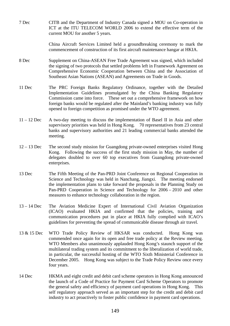7 Dec CITB and the Department of Industry Canada signed a MOU on Co-operation in ICT at the ITU TELECOM WORLD 2006 to extend the effective term of the current MOU for another 5 years.

> China Aircraft Services Limited held a groundbreaking ceremony to mark the commencement of construction of its first aircraft maintenance hangar at HKIA.

- 8 Dec Supplement on China-ASEAN Free Trade Agreement was signed, which included the signing of two protocols that settled problems left in Framework Agreement on Comprehensive Economic Cooperation between China and the Association of Southeast Asian Nations (ASEAN) and Agreements on Trade in Goods.
- 11 Dec The PRC Foreign Banks Regulatory Ordinance, together with the Detailed Implementation Guidelines promulgated by the China Banking Regulatory Commission came into force. These set out a comprehensive framework on how foreign banks would be regulated after the Mainland's banking industry was fully opened to foreign competition as promised under the WTO agreement.
- 11 12 Dec A two-day meeting to discuss the implementation of Basel II in Asia and other supervisory priorities was held in Hong Kong. 70 representatives from 23 central banks and supervisory authorities and 21 leading commercial banks attended the meeting.
- 12 13 Dec The second study mission for Guangdong private-owned enterprises visited Hong Kong. Following the success of the first study mission in May, the number of delegates doubled to over 60 top executives from Guangdong private-owned enterprises.
- 13 Dec The Fifth Meeting of the Pan-PRD Joint Conference on Regional Cooperation in Science and Technology was held in Nanchang, Jiangxi. The meeting endorsed the implementation plans to take forward the proposals in the Planning Study on Pan-PRD Cooperation in Science and Technology for 2006 – 2010 and other measures to enhance technology collaboration in the region.
- 13 14 Dec The Aviation Medicine Expert of International Civil Aviation Organization (ICAO) evaluated HKIA and confirmed that the policies, training and communication procedures put in place at HKIA fully complied with ICAO's guidelines for preventing the spread of communicable disease through air travel.
- 13 & 15 Dec WTO Trade Policy Review of HKSAR was conducted. Hong Kong was commended once again for its open and free trade policy at the Review meeting. WTO Members also unanimously applauded Hong Kong's staunch support of the multilateral trading system and its commitment to the liberalization of world trade, in particular, the successful hosting of the WTO Sixth Ministerial Conference in December 2005. Hong Kong was subject to the Trade Policy Review once every four years.
- 14 Dec HKMA and eight credit and debit card scheme operators in Hong Kong announced the launch of a Code of Practice for Payment Card Scheme Operators to promote the general safety and efficiency of payment card operations in Hong Kong. This self regulatory approach served as an important step for the credit and debit card industry to act proactively to foster public confidence in payment card operations.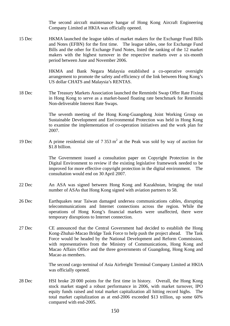The second aircraft maintenance hangar of Hong Kong Aircraft Engineering Company Limited at HKIA was officially opened.

15 Dec HKMA launched the league tables of market makers for the Exchange Fund Bills and Notes (EFBN) for the first time. The league tables, one for Exchange Fund Bills and the other for Exchange Fund Notes, listed the ranking of the 12 market makers with the highest turnover in the respective markets over a six-month period between June and November 2006.

> HKMA and Bank Negara Malaysia established a co-operative oversight arrangement to promote the safety and efficiency of the link between Hong Kong's US dollar CHATS and Malaysia's RENTAS.

18 Dec The Treasury Markets Association launched the Renminbi Swap Offer Rate Fixing in Hong Kong to serve as a market-based floating rate benchmark for Renminbi Non-deliverable Interest Rate Swaps.

> The seventh meeting of the Hong Kong-Guangdong Joint Working Group on Sustainable Development and Environmental Protection was held in Hong Kong to examine the implementation of co-operation initiatives and the work plan for 2007.

19 Dec A prime residential site of  $7.353 \text{ m}^2$  at the Peak was sold by way of auction for \$1.8 billion.

> The Government issued a consultation paper on Copyright Protection in the Digital Environment to review if the existing legislative framework needed to be improved for more effective copyright protection in the digital environment. The consultation would end on 30 April 2007.

- 22 Dec An ASA was signed between Hong Kong and Kazakhstan, bringing the total number of ASAs that Hong Kong signed with aviation partners to 58.
- 26 Dec Earthquakes near Taiwan damaged undersea communications cables, disrupting telecommunications and Internet connections across the region. While the operations of Hong Kong's financial markets were unaffected, there were temporary disruptions to Internet connection.
- 27 Dec CE announced that the Central Government had decided to establish the Hong Kong-Zhuhai-Macao Bridge Task Force to help push the project ahead. The Task Force would be headed by the National Development and Reform Commission, with representatives from the Ministry of Communications, Hong Kong and Macao Affairs Office and the three governments of Guangdong, Hong Kong and Macao as members.

 The second cargo terminal of Asia Airfreight Terminal Company Limited at HKIA was officially opened.

28 Dec HSI broke 20 000 points for the first time in history. Overall, the Hong Kong stock market staged a robust performance in 2006, with market turnover, IPO equity funds raised and total market capitalization all hitting record highs. The total market capitalization as at end-2006 exceeded \$13 trillion, up some 60% compared with end-2005.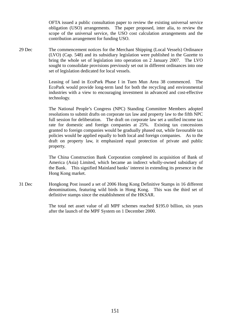OFTA issued a public consultation paper to review the existing universal service obligation (USO) arrangements. The paper proposed, inter alia, to review the scope of the universal service, the USO cost calculation arrangements and the contribution arrangement for funding USO.

29 Dec The commencement notices for the Merchant Shipping (Local Vessels) Ordinance (LVO) (Cap. 548) and its subsidiary legislation were published in the Gazette to bring the whole set of legislation into operation on 2 January 2007. The LVO sought to consolidate provisions previously set out in different ordinances into one set of legislation dedicated for local vessels.

> Leasing of land in EcoPark Phase I in Tuen Mun Area 38 commenced. The EcoPark would provide long-term land for both the recycling and environmental industries with a view to encouraging investment in advanced and cost-effective technology.

> The National People's Congress (NPC) Standing Committee Members adopted resolutions to submit drafts on corporate tax law and property law to the fifth NPC full session for deliberation. The draft on corporate law set a unified income tax rate for domestic and foreign companies at 25%. Existing tax concessions granted to foreign companies would be gradually phased out, while favourable tax policies would be applied equally to both local and foreign companies. As to the draft on property law, it emphasized equal protection of private and public property.

> The China Construction Bank Corporation completed its acquisition of Bank of America (Asia) Limited, which became an indirect wholly-owned subsidiary of the Bank. This signified Mainland banks' interest in extending its presence in the Hong Kong market.

31 Dec Hongkong Post issued a set of 2006 Hong Kong Definitive Stamps in 16 different denominations, featuring wild birds in Hong Kong. This was the third set of definitive stamps since the establishment of the HKSAR.

> The total net asset value of all MPF schemes reached \$195.0 billion, six years after the launch of the MPF System on 1 December 2000.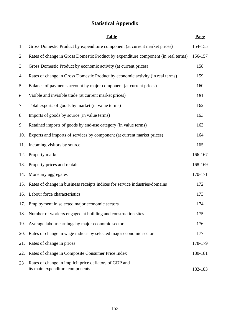# **Statistical Appendix**

|     | <b>Table</b>                                                                              | Page    |
|-----|-------------------------------------------------------------------------------------------|---------|
| 1.  | Gross Domestic Product by expenditure component (at current market prices)                | 154-155 |
| 2.  | Rates of change in Gross Domestic Product by expenditure component (in real terms)        | 156-157 |
| 3.  | Gross Domestic Product by economic activity (at current prices)                           | 158     |
| 4.  | Rates of change in Gross Domestic Product by economic activity (in real terms)            | 159     |
| 5.  | Balance of payments account by major component (at current prices)                        | 160     |
| 6.  | Visible and invisible trade (at current market prices)                                    | 161     |
| 7.  | Total exports of goods by market (in value terms)                                         | 162     |
| 8.  | Imports of goods by source (in value terms)                                               | 163     |
| 9.  | Retained imports of goods by end-use category (in value terms)                            | 163     |
| 10. | Exports and imports of services by component (at current market prices)                   | 164     |
|     | 11. Incoming visitors by source                                                           | 165     |
| 12. | Property market                                                                           | 166-167 |
| 13. | Property prices and rentals                                                               | 168-169 |
|     | 14. Monetary aggregates                                                                   | 170-171 |
| 15. | Rates of change in business receipts indices for service industries/domains               | 172     |
|     | 16. Labour force characteristics                                                          | 173     |
|     | 17. Employment in selected major economic sectors                                         | 174     |
| 18. | Number of workers engaged at building and construction sites                              | 175     |
| 19. | Average labour earnings by major economic sector                                          | 176     |
| 20. | Rates of change in wage indices by selected major economic sector                         | 177     |
| 21. | Rates of change in prices                                                                 | 178-179 |
| 22. | Rates of change in Composite Consumer Price Index                                         | 180-181 |
| 23  | Rates of change in implicit price deflators of GDP and<br>its main expenditure components | 182-183 |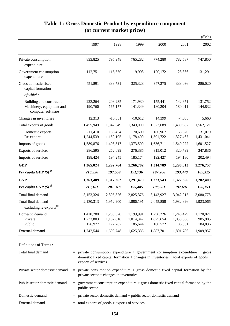|                                                                            |                                   |                                   |                                   |                                   |                                   | \$Mn)                           |
|----------------------------------------------------------------------------|-----------------------------------|-----------------------------------|-----------------------------------|-----------------------------------|-----------------------------------|---------------------------------|
|                                                                            | 1997                              | 1998                              | 1999                              | 2000                              | 2001                              | 2002                            |
| Private consumption<br>expenditure                                         | 833,825                           | 795,948                           | 765,282                           | 774,280                           | 782,587                           | 747,850                         |
| Government consumption<br>expenditure                                      | 112,751                           | 116,550                           | 119,993                           | 120,172                           | 128,866                           | 131,291                         |
| Gross domestic fixed<br>capital formation                                  | 451,891                           | 388,731                           | 325,328                           | 347,375                           | 333,036                           | 286,020                         |
| of which:                                                                  |                                   |                                   |                                   |                                   |                                   |                                 |
| Building and construction<br>Machinery, equipment and<br>computer software | 223,264<br>190,760                | 208,235<br>165,177                | 171,930<br>141,349                | 155,441<br>180,204                | 142,651<br>180,011                | 131,752<br>144,832              |
| Changes in inventories                                                     | 12,313                            | $-15,651$                         | $-10,612$                         | 14,399                            | $-4,060$                          | 5,660                           |
| Total exports of goods                                                     | 1,455,949                         | 1,347,649                         | 1,349,000                         | 1,572,689                         | 1,480,987                         | 1,562,121                       |
| Domestic exports<br>Re-exports                                             | 211,410<br>1,244,539              | 188,454<br>1,159,195              | 170,600<br>1,178,400              | 180,967<br>1,391,722              | 153,520<br>1,327,467              | 131,079<br>1,431,041            |
| Imports of goods                                                           | 1,589,876                         | 1,408,317                         | 1,373,500                         | 1,636,711                         | 1,549,222                         | 1,601,527                       |
| Exports of services                                                        | 286,595                           | 262,099                           | 276,385                           | 315,012                           | 320,799                           | 347,836                         |
| Imports of services                                                        | 198,424                           | 194,245                           | 185,174                           | 192,427                           | 194,180                           | 202,494                         |
| <b>GDP</b>                                                                 | 1,365,024                         | 1,292,764                         | 1,266,702                         | 1,314,789                         | 1,298,813                         | 1,276,757                       |
| Per capita GDP $(\$)$ <sup><i>®</i></sup>                                  | 210,350                           | 197,559                           | 191,736                           | 197,268                           | 193,440                           | 189,315                         |
| <b>GNP</b>                                                                 | 1,363,409                         | 1,317,362                         | 1,291,470                         | 1,323,543                         | 1,327,356                         | 1,282,409                       |
| Per capita GNP $(\$)$ <sup><i>®</i></sup>                                  | 210,101                           | 201,318                           | 195,485                           | 198,581                           | 197,691                           | 190,153                         |
| Total final demand                                                         | 3,153,324                         | 2,895,326                         | 2,825,376                         | 3,143,927                         | 3,042,215                         | 3,080,778                       |
| Total final demand<br>excluding re-exports <sup>(a)</sup>                  | 2,130,313                         | 1,952,900                         | 1,886,191                         | 2,045,858                         | 1,982,896                         | 1,923,066                       |
| Domestic demand<br>Private<br>Public                                       | 1,410,780<br>1,233,803<br>176,977 | 1,285,578<br>1,107,816<br>177,762 | 1,199,991<br>1,014,347<br>185,644 | 1,256,226<br>1,075,654<br>180,572 | 1,240,429<br>1,053,568<br>186,861 | 1,170,821<br>985,985<br>184,836 |
| External demand                                                            | 1,742,544                         | 1,609,748                         | 1,625,385                         | 1,887,701                         | 1,801,786                         | 1,909,957                       |

# **Table 1 : Gross Domestic Product by expenditure component (at current market prices)**

Definitions of Terms :

| Total final demand             | $=$ private consumption expenditure $+$ government consumption expenditure $+$ gross<br>domestic fixed capital formation + changes in inventories + total exports of goods +<br>exports of services |
|--------------------------------|-----------------------------------------------------------------------------------------------------------------------------------------------------------------------------------------------------|
| Private sector domestic demand | $=$ private consumption expenditure $+$ gross domestic fixed capital formation by the<br>private $sector + changes in inventories$                                                                  |
| Public sector domestic demand  | $=$ government consumption expenditure $+$ gross domestic fixed capital formation by the<br>public sector                                                                                           |
| Domestic demand                | $=$ private sector domestic demand $+$ public sector domestic demand                                                                                                                                |
| External demand                | $=$ total exports of goods + exports of services                                                                                                                                                    |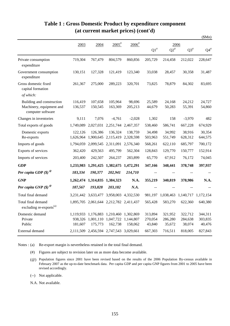|                                                                            |                      |                                |                                                    |                      |                              |                                       |                              | \$Mn)                        |
|----------------------------------------------------------------------------|----------------------|--------------------------------|----------------------------------------------------|----------------------|------------------------------|---------------------------------------|------------------------------|------------------------------|
|                                                                            | 2003                 | 2004                           | $2005^*$                                           | $2006$ <sup>#</sup>  |                              |                                       | 2006                         |                              |
|                                                                            |                      |                                |                                                    |                      | $\mathrm{Q1}^{\text{\#}}$    | ${\mathsf Q}2^{\scriptscriptstyle\#}$ | $Q3^{\#}$                    | ${\bf Q4}^{\#}$              |
| Private consumption<br>expenditure                                         | 719,304              | 767,479                        | 804,579                                            | 860,856              | 205,729                      | 214,458                               | 212,022                      | 228,647                      |
| Government consumption<br>expenditure                                      | 130,151              | 127,328                        | 121,419                                            | 123,340              | 33,038                       | 28,457                                | 30,358                       | 31,487                       |
| Gross domestic fixed<br>capital formation                                  | 261,367              | 275,000                        | 289,223                                            | 320,701              | 73,825                       | 78,879                                | 84,302                       | 83,695                       |
| of which:                                                                  |                      |                                |                                                    |                      |                              |                                       |                              |                              |
| Building and construction<br>Machinery, equipment and<br>computer software | 116,419<br>136,537   | 107,658<br>150,545             | 105,964<br>163,369                                 | 98,696<br>205,213    | 25,589<br>44,679             | 24,168<br>50,283                      | 24,212<br>55,391             | 24,727<br>54,860             |
| Changes in inventories                                                     | 9,111                | 7,076                          | $-4,761$                                           | $-2,028$             | 1,302                        | 158                                   | $-3,970$                     | 482                          |
| Total exports of goods                                                     |                      | 1,749,089 2,027,031 2,251,744  |                                                    | 2,467,357            | 538,460                      | 586,741                               | 667,228                      | 674,929                      |
| Domestic exports<br>Re-exports                                             | 122,126<br>1,626,964 | 126,386<br>1,900,645           | 136,324<br>2,115,419                               | 138,759<br>2,328,598 | 34,498<br>503,963            | 34,992<br>551,749                     | 38,916<br>628,312            | 30,354<br>644,575            |
| Imports of goods                                                           |                      |                                | 1,794,059 2,099,545 2,311,091 2,576,340            |                      | 568,261                      | 622,110                               | 685,797                      | 700,172                      |
| Exports of services                                                        | 362,420              | 429,563                        | 495,799                                            | 562,304              | 128,843                      | 129,770                               | 150,777                      | 152,914                      |
| Imports of services                                                        | 203,400              | 242,507                        | 264,237                                            | 283,899              | 65,770                       | 67,912                                | 76,172                       | 74,045                       |
| <b>GDP</b>                                                                 |                      |                                | 1,233,983 1,291,425 1,382,675 1,472,291            |                      | 347,166                      | 348,441                               | 378,748                      | 397,937                      |
| Per capita GDP $(\$)$ <sup><math>\degree</math></sup>                      | 183,334              | 190,377                        | 202,941                                            | 214,710              | $-$                          |                                       | $-$                          |                              |
| <b>GNP</b>                                                                 |                      | 1,262,474 1,314,835 1,384,323  |                                                    | N.A.                 | 355,219                      | 340,819                               | 378,986                      | N.A.                         |
| Per capita GNP $(\$)$ <sup><i>®</i></sup>                                  | 187,567              | 193,828                        | 203,182                                            | N.A.                 | $\overline{\phantom{a}}$     | $-$                                   |                              |                              |
| Total final demand                                                         |                      |                                | 3,231,442 3,633,477 3,958,003                      | 4,332,530            | 981,197                      | 1,038,463                             | 1,140,717                    | 1,172,154                    |
| Total final demand<br>excluding re-exports <sup>(a)</sup>                  |                      |                                | 1,895,705 2,061,644 2,212,782 2,411,437            |                      | 565,428                      | 583,270                               | 622,360                      | 640,380                      |
| Domestic demand<br>Private<br>Public                                       | 938,326<br>181,607   | 1,001,110 1,047,722<br>175,773 | 1,119,933 1,176,883 1,210,460 1,302,869<br>162,738 | 1,144,807<br>158,062 | 313,894<br>270,054<br>43,840 | 321,952<br>286,280<br>35,672          | 322,712<br>284,638<br>38,074 | 344,311<br>303,835<br>40,476 |
| External demand                                                            |                      |                                | 2,111,509 2,456,594 2,747,543 3,029,661            |                      | 667,303                      | 716,511                               | 818,005                      | 827,843                      |

# **Table 1 : Gross Domestic Product by expenditure component (at current market prices) (cont'd)**

Notes : (a) Re-export margin is nevertheless retained in the total final demand.

(#) Figures are subject to revision later on as more data become available.

(--) Not applicable.

N.A. Not available.

<sup>(@)</sup> Population figures since 2001 have been revised based on the results of the 2006 Population By-census available in February 2007 as the up-to-date benchmark data. Per capita GDP and per capita GNP figures from 2001 to 2005 have been revised accordingly.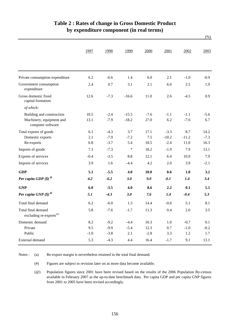|                                                           | 1997   | 1998   | 1999    | 2000   | 2001    | 2002    | 2003   |
|-----------------------------------------------------------|--------|--------|---------|--------|---------|---------|--------|
|                                                           |        |        |         |        |         |         |        |
| Private consumption expenditure                           | 6.2    | $-6.6$ | 1.4     | 6.0    | 2.1     | $-1.0$  | $-0.9$ |
| Government consumption<br>expenditure                     | 2.4    | 0.7    | 3.1     | 2.1    | 6.0     | 2.5     | 1.9    |
| Gross domestic fixed<br>capital formation                 | 12.6   | $-7.3$ | $-16.6$ | 11.0   | 2.6     | $-4.5$  | 0.9    |
| of which:                                                 |        |        |         |        |         |         |        |
| Building and construction                                 | 10.5   | $-2.4$ | $-15.5$ | $-7.6$ | $-1.1$  | $-1.1$  | $-5.6$ |
| Machinery, equipment and<br>computer software             | 13.1   | $-7.9$ | $-18.2$ | 27.0   | 6.2     | $-7.6$  | 6.7    |
| Total exports of goods                                    | 6.1    | $-4.3$ | 3.7     | 17.1   | $-3.3$  | 8.7     | 14.2   |
| Domestic exports                                          | 2.1    | $-7.9$ | $-7.2$  | 7.5    | $-10.2$ | $-11.2$ | $-7.3$ |
| Re-exports                                                | 6.8    | $-3.7$ | 5.4     | 18.5   | $-2.4$  | 11.0    | 16.3   |
| Imports of goods                                          | 7.3    | $-7.3$ | $\ast$  | 18.2   | $-1.9$  | 7.9     | 13.1   |
| Exports of services                                       | $-0.4$ | $-3.5$ | 8.8     | 12.1   | 6.4     | 10.9    | 7.9    |
| Imports of services                                       | 3.9    | 1.6    | $-4.4$  | 4.2    | 2.0     | 3.9     | $-2.1$ |
| <b>GDP</b>                                                | 5.1    | $-5.5$ | 4.0     | 10.0   | 0.6     | 1.8     | 3.2    |
| Per capita GDP $(\$)$ <sup><i>®</i></sup>                 | 4.2    | $-6.2$ | 3.0     | 9.0    | $-0.1$  | 1.4     | 3.4    |
| <b>GNP</b>                                                | 6.0    | $-3.5$ | 4.0     | 8.6    | 2.2     | 0.1     | 5.1    |
| Per capita GNP $(\$)$ <sup><i>®</i></sup>                 | 5.1    | $-4.3$ | 3.0     | 7.6    | 1.4     | $-0.4$  | 5.3    |
| Total final demand                                        | 6.2    | $-6.0$ | 1.3     | 14.4   | $-0.6$  | 5.1     | 8.1    |
| Total final demand<br>excluding re-exports <sup>(a)</sup> | 5.8    | $-7.6$ | $-1.7$  | 11.3   | 0.4     | 2.0     | 3.5    |
| Domestic demand                                           | 8.2    | $-9.2$ | $-4.4$  | 10.3   | 1.0     | $-0.7$  | 0.1    |
| Private                                                   | 9.5    | $-9.9$ | $-5.4$  | 12.3   | $0.7\,$ | $-1.0$  | $-0.2$ |
| Public                                                    | $-1.0$ | $-3.8$ | 2.1     | $-2.8$ | 3.3     | 1.2     | 1.7    |
| External demand                                           | 5.3    | $-4.3$ | 4.4     | 16.4   | $-1.7$  | 9.1     | 13.1   |

## **Table 2 : Rates of change in Gross Domestic Product by expenditure component (in real terms)**

(%)

(a) Notes : Re-export margin is nevertheless retained in the total final demand.

> (#) Figures are subject to revision later on as more data become available.

(@) Population figures since 2001 have been revised based on the results of the 2006 Population By-census available in February 2007 as the up-to-date benchmark data. Per capita GDP and per capita GNP figures from 2001 to 2005 have been revised accordingly.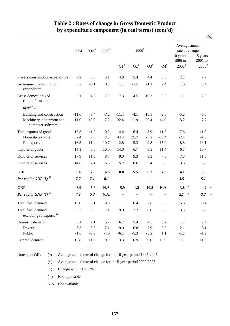|                                                           |         |                     |                     |                    |                           |           |                            |                                          | (%)                                       |
|-----------------------------------------------------------|---------|---------------------|---------------------|--------------------|---------------------------|-----------|----------------------------|------------------------------------------|-------------------------------------------|
|                                                           | 2004    | $2005$ <sup>#</sup> | $2006$ <sup>#</sup> |                    | $2006$ <sup>#</sup>       |           |                            | Average annual<br>rate of change:        |                                           |
|                                                           |         |                     |                     | $\mathrm{Q1}^{\#}$ | $\mathrm{Q2}^{\text{\#}}$ | $Q3^{\#}$ | ${\bf Q4}^{\#}$            | 10 years<br>1996 to<br>$2006^{\text{*}}$ | 5 years<br>2001 to<br>$2006$ <sup>#</sup> |
|                                                           |         |                     |                     |                    |                           |           |                            |                                          |                                           |
| Private consumption expenditure                           | 7.2     | 3.3                 | 5.1                 | 4.8                | 5.4                       | 4.4       | 5.8                        | 2.2                                      | 2.7                                       |
| Government consumption<br>expenditure                     | 0.7     | $-3.1$              | 0.3                 | 1.1                | $-1.5$                    | $-1.1$    | 2.4                        | 1.6                                      | 0.4                                       |
| Gross domestic fixed<br>capital formation                 | 3.1     | 4.6                 | 7.9                 | 7.3                | 4.5                       | 10.3      | 9.5                        | 1.1                                      | 2.3                                       |
| of which:                                                 |         |                     |                     |                    |                           |           |                            |                                          |                                           |
| Building and construction                                 | $-11.6$ | $-8.4$              | $-7.2$              | $-11.4$            | $-4.1$                    | $-10.1$   | $-2.6$                     | $-5.2$                                   | $-6.8$                                    |
| Machinery, equipment and<br>computer software             | 11.0    | 12.9                | 17.2                | 22.4               | 11.9                      | 20.4      | 14.9                       | 5.2                                      | 7.7                                       |
| Total exports of goods                                    | 15.3    | 11.2                | 10.2                | 14.4               | 6.4                       | 8.9       | 11.7                       | 7.6                                      | 11.9                                      |
| Domestic exports                                          | 2.4     | 7.6                 | 2.3                 | 44.4               | 25.7                      | $-3.2$    | $-30.4$                    | $-2.4$                                   | $-1.5$                                    |
| Re-exports                                                | 16.3    | 11.4                | 10.7                | 12.8               | 5.3                       | 9.8       | 15.0                       | 8.8                                      | 13.1                                      |
| Imports of goods                                          | 14.1    | 8.6                 | 10.0                | 14.0               | 6.7                       | 8.5       | 11.4                       | 6.7                                      | 10.7                                      |
| Exports of services                                       | 17.9    | 11.3                | 8.7                 | 9.0                | 9.3                       | 9.3       | 7.5                        | 7.8                                      | 11.3                                      |
| Imports of services                                       | 14.6    | 7.4                 | 6.3                 | 5.2                | 8.6                       | 5.4       | 6.3                        | 3.6                                      | 5.9                                       |
| <b>GDP</b>                                                | 8.6     | 7.5                 | 6.8                 | 8.0                | 5.5                       | 6.7       | 7.0                        | 4.1                                      | 5.6                                       |
| Per capita GDP $(\$)$ <sup><i>®</i></sup>                 | 7.7     | 7.1                 | 6.1                 | $\sim$ $-$         | --                        | $-$       | $\overline{\phantom{a}}$ . | 3.5                                      | 5.1                                       |
| <b>GNP</b>                                                | 8.0     | 5.8                 | N.A.                | 5.9                | 1.2                       | 10.8      | N.A.                       | $3.8$ ^                                  | 4.2                                       |
| Per capita GNP $(\$)$ <sup><i>®</i></sup>                 | 7.2     | 5.3                 | N.A.                | $-$                |                           |           |                            | 2.7<br>$\lambda$                         | 3.7                                       |
| Total final demand                                        | 12.0    | 8.1                 | 8.6                 | 11.1               | 6.4                       | 7.6       | 9.5                        | 5.6                                      | 8.4                                       |
| Total final demand<br>excluding re-exports <sup>(a)</sup> | 9.2     | 5.9                 | $7.1\,$             | 9.9                | 7.2                       | $6.0\,$   | 5.5                        | 3.5                                      | 5.5                                       |
| Domestic demand                                           | 5.1     | 2.1                 | 5.7                 | 6.7                | 5.4                       | 4.5       | 6.2                        | 1.7                                      | 2.4                                       |
| Private                                                   | 6.3     | 3.5                 | $7.1\,$             | 9.0                | 6.8                       | 5.9       | 6.9                        | 2.1                                      | 3.1                                       |
| Public                                                    | $-1.6$  | $-6.9$              | $-4.0$              | $-6.1$             | $-5.3$                    | $-5.2$    | 1.1                        | $-1.2$                                   | $-1.9$                                    |
| External demand                                           | 15.8    | 11.2                | 9.9                 | 13.3               | 6.9                       | 9.0       | 10.9                       | 7.7                                      | 11.8                                      |

# **Table 2 : Rates of change in Gross Domestic Product by expenditure component (in real terms) (cont'd)**

Notes (cont'd) :

(^) Average annual rate of change for the 10-year period 1995-2005.

(~) Average annual rate of change for the 5-year period 2000-2005.

(\*) Change within  $\pm 0.05\%$ .

(--) Not applicable.

N.A. Not available.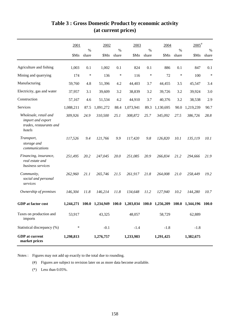|                                                                                 | 2001      | $\%$         | 2002      | %      | 2003            | $\frac{0}{0}$ | 2004      | $\%$   | $2005$ <sup>#</sup> | $\%$         |
|---------------------------------------------------------------------------------|-----------|--------------|-----------|--------|-----------------|---------------|-----------|--------|---------------------|--------------|
|                                                                                 | \$Mn      | share        | \$Mn      | share  | \$Mn            | share         | \$Mn      | share  | \$Mn                | share        |
| Agriculture and fishing                                                         | 1,003     | 0.1          | 1,002     | 0.1    | 824             | 0.1           | 886       | 0.1    | 847                 | 0.1          |
| Mining and quarrying                                                            | 174       | $\ast$       | 136       | $\ast$ | 116             | $\ast$        | 72        | $\ast$ | 100                 | $\ast$       |
| Manufacturing                                                                   | 59,760    | 4.8          | 51,396    | 4.2    | 44,403          | 3.7           | 44,455    | 3.5    | 45,547              | 3.4          |
| Electricity, gas and water                                                      | 37,957    | 3.1          | 39,609    | 3.2    | 38,839          | 3.2           | 39,726    | 3.2    | 39,924              | 3.0          |
| Construction                                                                    | 57,167    | 4.6          | 51,534    | 4.2    | 44,910          | 3.7           | 40,376    | 3.2    | 38,538              | 2.9          |
| Services                                                                        | 1,088,211 | 87.5         | 1,091,272 | 88.4   | 1,073,941       | 89.3          | 1,130,695 | 90.0   | 1,219,239           | 90.7         |
| Wholesale, retail and<br>import and export<br>trades, restaurants and<br>hotels | 309,926   | 24.9         | 310,500   | 25.1   | 308,872         | 25.7          | 345,092   | 27.5   | 386,726             | 28.8         |
| Transport,<br>storage and<br>communications                                     | 117,526   | 9.4          | 121,766   | 9.9    | 117,420         | 9.8           | 126,820   | 10.1   | 135,119             | 10.1         |
| Financing, insurance,<br>real estate and<br>business services                   | 251,495   | 20.2         | 247,045   | 20.0   | 251,085         | 20.9          | 266,834   | 21.2   | 294,666             | 21.9         |
| Community,<br>social and personal<br>services                                   | 262,960   | 21.1         | 265,746   | 21.5   | 261,917         | 21.8          | 264,008   | 21.0   | 258,449             | 19.2         |
| Ownership of premises                                                           | 146,304   | 11.8         | 146,214   | 11.8   | 134,648         | 11.2          | 127,940   | 10.2   | 144,280             | 10.7         |
| <b>GDP</b> at factor cost                                                       | 1,244,271 | <b>100.0</b> | 1,234,949 | 100.0  | 1,203,034 100.0 |               | 1,256,209 | 100.0  | 1,344,196           | <b>100.0</b> |
| Taxes on production and<br>imports                                              | 53,917    |              | 43,325    |        | 48,057          |               | 58,729    |        | 62,889              |              |
| Statistical discrepancy (%)                                                     | $\ast$    |              | $-0.1$    |        | $-1.4$          |               | $-1.8$    |        | $-1.8$              |              |
| <b>GDP</b> at current<br>market prices                                          | 1,298,813 |              | 1,276,757 |        | 1,233,983       |               | 1,291,425 |        | 1,382,675           |              |

# **Table 3 : Gross Domestic Product by economic activity (at current prices)**

Notes : Figures may not add up exactly to the total due to rounding.

(#) Figures are subject to revision later on as more data become available.

(\*) Less than 0.05%.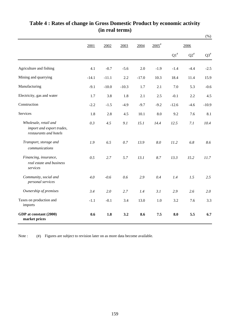|                                                                              |         |         |         |         |                     |         |        | $(\% )$                   |
|------------------------------------------------------------------------------|---------|---------|---------|---------|---------------------|---------|--------|---------------------------|
|                                                                              | 2001    | 2002    | 2003    | 2004    | $2005$ <sup>#</sup> |         | 2006   |                           |
|                                                                              |         |         |         |         |                     | $Q1^*$  | $Q2^*$ | $\mathrm{Q3}^{\text{\#}}$ |
| Agriculture and fishing                                                      | 4.1     | $-0.7$  | $-5.6$  | 2.0     | $-1.9$              | $-1.4$  | $-4.4$ | $-2.5$                    |
| Mining and quarrying                                                         | $-14.1$ | $-11.1$ | 2.2     | $-17.0$ | 10.3                | 18.4    | 11.4   | 15.9                      |
| Manufacturing                                                                | $-9.1$  | $-10.0$ | $-10.3$ | 1.7     | 2.1                 | 7.0     | 5.3    | $-0.6$                    |
| Electricity, gas and water                                                   | 1.7     | 3.8     | 1.8     | 2.1     | 2.5                 | $-0.1$  | 2.2    | 4.5                       |
| Construction                                                                 | $-2.2$  | $-1.5$  | $-4.9$  | $-9.7$  | $-9.2$              | $-12.6$ | $-4.6$ | $-10.9$                   |
| Services                                                                     | 1.8     | 2.8     | 4.5     | 10.1    | 8.0                 | 9.2     | 7.6    | 8.1                       |
| Wholesale, retail and<br>import and export trades,<br>restaurants and hotels | 0.3     | 4.5     | 9.1     | 15.1    | 14.4                | 12.5    | 7.1    | 10.4                      |
| Transport, storage and<br>communications                                     | 1.9     | 6.5     | 0.7     | 13.9    | 8.0                 | 11.2    | 6.8    | 8.6                       |
| Financing, insurance,<br>real estate and business<br>services                | 0.5     | 2.7     | 5.7     | 13.1    | 8.7                 | 13.3    | 15.2   | 11.7                      |
| Community, social and<br>personal services                                   | 4.0     | $-0.6$  | 0.6     | 2.9     | 0.4                 | 1.4     | 1.5    | 2.5                       |
| Ownership of premises                                                        | 3.4     | 2.0     | 2.7     | 1.4     | 3.1                 | 2.9     | 2.6    | 2.0                       |
| Taxes on production and<br>imports                                           | $-1.1$  | $-0.1$  | 3.4     | 13.0    | 1.0                 | 3.2     | 7.6    | 3.3                       |
| GDP at constant (2000)<br>market prices                                      | 0.6     | 1.8     | 3.2     | 8.6     | 7.5                 | 8.0     | 5.5    | 6.7                       |

# **Table 4 : Rates of change in Gross Domestic Product by economic activity (in real terms)**

(#) Figures are subject to revision later on as more data become available. Note :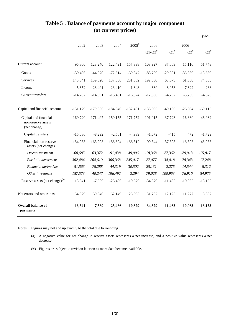|                                                             |            |            |             |                     |            |            |           | \$Mn)                     |
|-------------------------------------------------------------|------------|------------|-------------|---------------------|------------|------------|-----------|---------------------------|
|                                                             | 2002       | 2003       | 2004        | $2005$ <sup>#</sup> | 2006       |            | 2006      |                           |
|                                                             |            |            |             |                     | $Q1-Q3^*$  | $Q1^*$     | $Q2^*$    | $\mathrm{Q3}^{\text{\#}}$ |
| Current account                                             | 96,800     | 128,240    | 122,491     | 157,338             | 103,927    | 37,063     | 15,116    | 51,748                    |
| Goods                                                       | $-39,406$  | $-44,970$  | $-72,514$   | $-59,347$           | $-83,739$  | $-29,801$  | $-35,369$ | $-18,569$                 |
| <b>Services</b>                                             | 145,341    | 159,020    | 187,056     | 231,562             | 199,536    | 63,073     | 61,858    | 74,605                    |
| Income                                                      | 5,652      | 28,491     | 23,410      | 1,648               | 669        | 8,053      | $-7,622$  | 238                       |
| <b>Current transfers</b>                                    | $-14,787$  | $-14,301$  | $-15,461$   | $-16,524$           | $-12,538$  | $-4,262$   | $-3,750$  | $-4,526$                  |
| Capital and financial account                               | $-151,179$ | $-179,086$ | $-184,640$  | $-182,431$          | $-135,695$ | $-49,186$  | $-26,394$ | $-60,115$                 |
| Capital and financial<br>non-reserve assets<br>(net change) | $-169,720$ | $-171,497$ | $-159, 155$ | $-171,752$          | $-101,015$ | $-37,723$  | $-16,330$ | $-46,962$                 |
| Capital transfers                                           | $-15,686$  | $-8,292$   | $-2,561$    | $-4,939$            | $-1,672$   | $-415$     | 472       | $-1,729$                  |
| Financial non-reserve<br>assets (net change)                | $-154,033$ | $-163,205$ | $-156.594$  | $-166,812$          | $-99,344$  | $-37,308$  | $-16,803$ | $-45,233$                 |
| Direct investment                                           | $-60,685$  | 63,372     | $-91,038$   | 49,996              | $-18,368$  | 27,362     | $-29,913$ | $-15,817$                 |
| Portfolio investment                                        | $-302,484$ | $-264,619$ | $-306,368$  | $-245,017$          | $-27,077$  | 34,018     | $-78,343$ | 17,248                    |
| Financial derivatives                                       | 51,563     | 78,288     | 44,319      | 30,502              | 25,131     | 2.275      | 14,544    | 8,312                     |
| Other investment                                            | 157,573    | $-40,247$  | 196,492     | $-2,294$            | $-79,028$  | $-100,963$ | 76,910    | $-54,975$                 |
| Reserve assets (net change) <sup>(a)</sup>                  | 18,541     | $-7,589$   | $-25,486$   | $-10,679$           | $-34,679$  | $-11,463$  | $-10,063$ | $-13,153$                 |
| Net errors and omissions                                    | 54,379     | 50,846     | 62,149      | 25,093              | 31,767     | 12,123     | 11,277    | 8,367                     |
| <b>Overall balance of</b><br>payments                       | $-18,541$  | 7,589      | 25,486      | 10,679              | 34,679     | 11,463     | 10,063    | 13,153                    |

## **Table 5 : Balance of payments account by major component (at current prices)**

Notes : Figures may not add up exactly to the total due to rounding.

(a) A negative value for net change in reserve assets represents a net increase, and a positive value represents a net decrease.

(#) Figures are subject to revision later on as more data become available.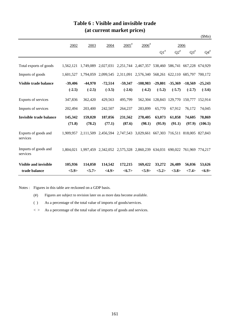|                                  |                       |                       |                       |                       |                                                                         |                       |                                 |                       | \$Mn)                 |
|----------------------------------|-----------------------|-----------------------|-----------------------|-----------------------|-------------------------------------------------------------------------|-----------------------|---------------------------------|-----------------------|-----------------------|
|                                  | 2002                  | 2003                  | 2004                  | $2005$ <sup>#</sup>   | $2006$ <sup>#</sup>                                                     |                       | 2006                            |                       |                       |
|                                  |                       |                       |                       |                       |                                                                         | $Q1^*$                | $Q2^*$                          | $Q3^{\#}$             | $Q4^{\#}$             |
| Total exports of goods           | 1.562.121             |                       |                       |                       | 1,749,089 2,027,031 2,251,744 2,467,357 538,460 586,741 667,228 674,929 |                       |                                 |                       |                       |
| Imports of goods                 | 1,601,527             |                       |                       |                       | 1,794,059 2,099,545 2,311,091 2,576,340 568,261 622,110 685,797         |                       |                                 |                       | 700,172               |
| Visible trade balance            | $-39,406$<br>$(-2.5)$ | $-44,970$<br>$(-2.5)$ | $-72,514$<br>$(-3.5)$ | $-59,347$<br>$(-2.6)$ | $-108,983$<br>$(-4.2)$                                                  | $-29,801$<br>$(-5.2)$ | $-35,369$<br>$(-5.7)$           | $-18,569$<br>$(-2.7)$ | $-25,243$<br>$(-3.6)$ |
| Exports of services              | 347,836               | 362,420               | 429,563               | 495,799               |                                                                         |                       | 562,304 128,843 129,770 150,777 |                       | 152,914               |
| Imports of services              | 202,494               | 203,400               | 242,507               | 264,237               | 283,899                                                                 | 65,770                | 67.912                          | 76,172                | 74,045                |
| <b>Invisible trade balance</b>   | 145,342               | 159,020               | 187,056               | 231,562               | 278,405                                                                 | 63,073                | 61,858                          | 74,605                | 78,869                |
|                                  | (71.8)                | (78.2)                | (77.1)                | (87.6)                | (98.1)                                                                  | (95.9)                | (91.1)                          | (97.9)                | (106.5)               |
| Exports of goods and<br>services | 1.909.957             |                       |                       |                       | 2,111,509 2,456,594 2,747,543 3,029,661 667,303 716,511 818,005 827,843 |                       |                                 |                       |                       |
| Imports of goods and<br>services | 1.804.021             |                       |                       |                       | 1,997,459 2,342,052 2,575,328 2,860,239 634,031 690,022 761,969 774,217 |                       |                                 |                       |                       |
| <b>Visible and invisible</b>     | 105,936               | 114,050               | 114,542               | 172,215               | 169,422                                                                 | 33,272                | 26,489                          | 56,036                | 53,626                |
| trade balance                    | <5.9>                 | < 5.7>                | <4.9>                 | <6.7>                 | <5.9>                                                                   | <5.2>                 | <3.8>                           | <7.4>                 | <6.9>                 |

## **Table 6 : Visible and invisible trade (at current market prices)**

Notes : Figures in this table are reckoned on a GDP basis.

(#) Figures are subject to revision later on as more data become available.

( ) As a percentage of the total value of imports of goods/services.

 $\langle \rangle$  As a percentage of the total value of imports of goods and services.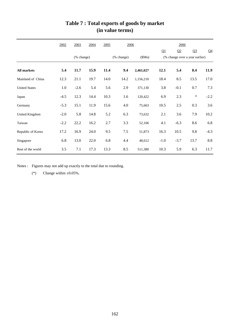|                      | 2002   | 2003       | 2004 | 2005 | 2006       |           |        | 2006   |                                |                |
|----------------------|--------|------------|------|------|------------|-----------|--------|--------|--------------------------------|----------------|
|                      |        |            |      |      |            |           | Q1     | Q2     | Q <sub>3</sub>                 | Q <sub>4</sub> |
|                      |        | (% change) |      |      | (% change) | (SMn)     |        |        | (% change over a year earlier) |                |
| <b>All markets</b>   | 5.4    | 11.7       | 15.9 | 11.4 | 9.4        | 2,461,027 | 12.1   | 5.4    | 8.4                            | 11.9           |
| Mainland of China    | 12.3   | 21.1       | 19.7 | 14.0 | 14.2       | 1,156,210 | 18.4   | 8.5    | 13.5                           | 17.0           |
| <b>United States</b> | 1.0    | $-2.6$     | 5.4  | 5.6  | 2.9        | 371,130   | 3.8    | $-0.1$ | 0.7                            | 7.3            |
| Japan                | $-4.5$ | 12.3       | 14.4 | 10.3 | 1.6        | 120,422   | 6.9    | 2.3    | $\ast$                         | $-2.2$         |
| Germany              | $-5.3$ | 15.1       | 11.9 | 15.6 | 4.0        | 75,663    | 10.5   | 2.5    | 0.3                            | 3.6            |
| United Kingdom       | $-2.0$ | 5.8        | 14.8 | 5.2  | 6.3        | 73,632    | 2.1    | 3.6    | 7.9                            | 10.2           |
| Taiwan               | $-2.2$ | 22.2       | 16.2 | 2.7  | 3.3        | 52,106    | 4.1    | $-6.3$ | 8.6                            | 6.8            |
| Republic of Korea    | 17.2   | 16.9       | 24.0 | 9.5  | $7.5$      | 51,873    | 16.3   | 10.5   | 9.8                            | $-4.3$         |
| Singapore            | 6.8    | 13.0       | 22.0 | 6.8  | 4.4        | 48,612    | $-1.0$ | $-3.7$ | 13.7                           | 8.8            |
| Rest of the world    | 3.5    | 7.1        | 17.3 | 13.3 | 8.5        | 511,380   | 10.3   | 5.9    | 6.3                            | 11.7           |

# **Table 7 : Total exports of goods by market (in value terms)**

Notes : Figures may not add up exactly to the total due to rounding.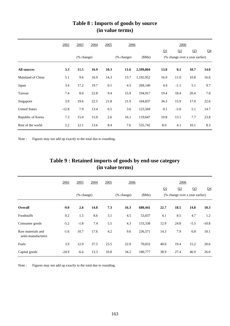|                      | 2002    | 2003 | 2004       | 2005 | 2006                |           |      |        | 2006                           |                |  |
|----------------------|---------|------|------------|------|---------------------|-----------|------|--------|--------------------------------|----------------|--|
|                      |         |      |            |      |                     |           | Q1   | Q2     | Q <sub>3</sub>                 | Q <sub>4</sub> |  |
|                      |         |      | (% change) |      | (SMn)<br>(% change) |           |      |        | (% change over a year earlier) |                |  |
| <b>All sources</b>   | 3.3     | 11.5 | 16.9       | 10.3 | 11.6                | 2,599,804 | 13.8 | 8.1    | 10.7                           | 14.0           |  |
| Mainland of China    | 5.1     | 9.6  | 16.9       | 14.3 | 13.7                | 1,192,952 | 16.9 | 11.0   | 10.8                           | 16.6           |  |
| Japan                | 3.4     | 17.2 | 19.7       | 0.1  | 4.5                 | 268,140   | 4.4  | $-1.1$ | 5.1                            | 9.7            |  |
| Taiwan               | 7.4     | 8.0  | 22.8       | 9.4  | 15.9                | 194,917   | 19.4 | 18.4   | 20.4                           | 7.0            |  |
| Singapore            | 3.9     | 19.6 | 22.5       | 21.8 | 21.9                | 164,837   | 34.3 | 15.9   | 17.0                           | 22.6           |  |
| <b>United States</b> | $-12.8$ | 7.9  | 13.4       | 6.5  | 3.6                 | 123,569   | 0.1  | $-5.0$ | 5.1                            | 14.7           |  |
| Republic of Korea    | 7.3     | 15.0 | 15.0       | 2.6  | 16.1                | 119,647   | 19.8 | 13.1   | 7.7                            | 23.8           |  |
| Rest of the world    | 2.2     | 12.1 | 13.6       | 8.4  | 7.6                 | 535,742   | 8.0  | 4.1    | 10.1                           | 8.3            |  |

### **Table 8 : Imports of goods by source (in value terms)**

Note : Figures may not add up exactly to the total due to rounding.

|                |        |            |      |      | (in value terms) |         |      |      |                                |      |
|----------------|--------|------------|------|------|------------------|---------|------|------|--------------------------------|------|
|                | 2002   | 2003       | 2004 | 2005 | 2006             |         |      | 2006 |                                |      |
|                |        |            |      |      |                  |         | Q1   | Q2   | Q <sub>3</sub>                 | Q    |
|                |        | (% change) |      |      | (% change)       | (SMn)   |      |      | (% change over a year earlier) |      |
| <b>Overall</b> | $-9.0$ | 2.6        | 14.8 | 7.3  | 16.3             | 680,441 | 22.7 | 18.5 | 14.8                           | 10.3 |
| Foodstuffs     | 0.2    | 1.5        | 8.6  | 3.1  | 4.5              | 53,037  | 4.1  | 8.5  | 4.7                            | 1.2  |

Consumer goods -5.2 -1.8 7.4 5.5 4.3 133,338 12.9 24.8 -5.5 -10.8

Fuels 3.9 12.9 37.5 23.5 22.9 70,032 40.0 19.4 15.2 20.6 Capital goods -24.9 -6.6 13.3 10.8 34.2 180,777 38.9 27.4 46.9 26.0

-1.6 10.7 17.6 4.2 9.6 236,571 14.3 7.9 6.8 10.1

Q4

# **(in value terms) Table 9 : Retained imports of goods by end-use category**

Note : Figures may not add up exactly to the total due to rounding.

semi-manufactures

Raw materials and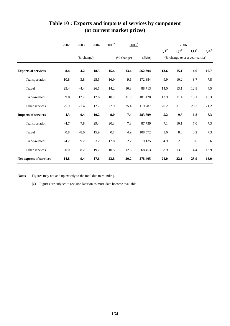|                            | 2002    | 2003       | 2004 | $2005$ <sup>#</sup> | $2006$ <sup>#</sup> |         | 2006   |           |                                |           |  |
|----------------------------|---------|------------|------|---------------------|---------------------|---------|--------|-----------|--------------------------------|-----------|--|
|                            |         |            |      |                     |                     |         | $Q1^*$ | $Q2^{\#}$ | $Q3^{\#}$                      | $Q4^{\#}$ |  |
|                            |         | (% change) |      |                     | (% change)          | \$Mn)   |        |           | (% change over a year earlier) |           |  |
| <b>Exports of services</b> | 8.4     | 4.2        | 18.5 | 15.4                | 13.4                | 562,304 | 13.6   | 15.1      | 14.6                           | 10.7      |  |
| Transportation             | 10.8    | 3.8        | 25.5 | 16.9                | 9.1                 | 172,384 | 9.9    | 10.2      | 8.7                            | 7.8       |  |
| Travel                     | 25.4    | $-4.4$     | 26.1 | 14.2                | 10.8                | 88,713  | 14.0   | 13.1      | 12.8                           | 4.5       |  |
| Trade-related              | 9.0     | 12.2       | 12.6 | 10.7                | 11.9                | 181,420 | 12.9   | 11.4      | 13.1                           | 10.3      |  |
| Other services             | $-5.9$  | $-1.4$     | 12.7 | 22.9                | 25.4                | 119,787 | 20.2   | 31.5      | 29.3                           | 21.2      |  |
| <b>Imports of services</b> | 4.3     | 0.4        | 19.2 | 9.0                 | 7.4                 | 283,899 | 5.2    | 9.5       | 6.8                            | 8.3       |  |
| Transportation             | $-4.7$  | 7.8        | 29.4 | 20.3                | 7.8                 | 87,739  | 7.1    | 10.1      | 7.0                            | 7.3       |  |
| Travel                     | $0.8\,$ | $-8.0$     | 15.9 | 0.1                 | 4.9                 | 108,572 | 1.6    | 8.0       | 3.2                            | 7.3       |  |
| Trade-related              | 24.2    | 9.2        | 3.2  | 12.8                | 2.7                 | 19,135  | 4.9    | 2.5       | 3.6                            | 0.6       |  |
| Other services             | 20.0    | 8.2        | 19.7 | 10.5                | 12.6                | 68,453  | 8.9    | 13.0      | 14.4                           | 13.9      |  |
| Net exports of services    | 14.8    | 9.4        | 17.6 | 23.8                | 20.2                | 278,405 | 24.0   | 22.1      | 23.9                           | 13.0      |  |

# **Table 10 : Exports and imports of services by component (at current market prices)**

Notes : Figures may not add up exactly to the total due to rounding.

(#) Figures are subject to revision later on as more data become available.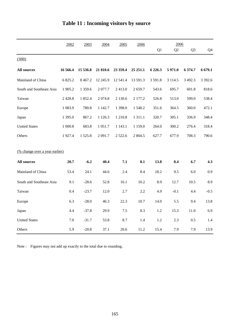|                                | 2002       | 2003      | 2004       | 2005       | 2006        |            | 2006       |                |           |
|--------------------------------|------------|-----------|------------|------------|-------------|------------|------------|----------------|-----------|
|                                |            |           |            |            |             | Q1         | Q2         | Q <sub>3</sub> | Q4        |
| (1000)                         |            |           |            |            |             |            |            |                |           |
| <b>All sources</b>             | 16 566.4   | 15 536.8  | 21 810.6   | 23 359.4   | 25 25 1.1   | 6 2 2 6 .3 | 5 971.0    | 6 374.7        | 6 679.1   |
| Mainland of China              | 6 825.2    | 8 4 6 7.2 | 12 245.9   | 12 541.4   | 13 591.3    | 3 5 9 1.8  | 3 1 1 4 .5 | 3 4 9 2.3      | 3 3 9 2.6 |
| South and Southeast Asia       | 1 905.2    | 1 359.6   | 2077.7     | 2413.0     | 2659.7      | 543.6      | 695.7      | 601.8          | 818.6     |
| Taiwan                         | 2 4 2 8 .8 | 1852.4    | 2 0 7 4.8  | 2 1 3 0.6  | 2 177.2     | 526.8      | 513.0      | 599.0          | 538.4     |
| Europe                         | 1 083.9    | 780.8     | 1 142.7    | 1 398.0    | 1548.2      | 351.6      | 364.5      | 360.0          | 472.1     |
| Japan                          | 1 395.0    | 867.2     | 1 1 2 6 .3 | 1 210.8    | 1 3 1 1 .1  | 320.7      | 305.1      | 336.9          | 348.4     |
| <b>United States</b>           | 1 000.8    | 683.8     | 1 0 5 1 .7 | 1 1 4 3 .1 | 1 1 5 9 . 0 | 264.0      | 300.2      | 276.4          | 318.4     |
| Others                         | 1927.4     | 1525.8    | 2 0 9 1.7  | 2 5 2 2.6  | 2 804.5     | 627.7      | 677.9      | 708.3          | 790.6     |
|                                |            |           |            |            |             |            |            |                |           |
| (% change over a year earlier) |            |           |            |            |             |            |            |                |           |
| <b>All sources</b>             | 20.7       | $-6.2$    | 40.4       | 7.1        | 8.1         | 13.8       | 8.4        | 6.7            | 4.3       |
| Mainland of China              | 53.4       | 24.1      | 44.6       | 2.4        | 8.4         | 18.2       | 9.5        | 6.0            | 0.9       |
| South and Southeast Asia       | 9.1        | $-28.6$   | 52.8       | 16.1       | 10.2        | 8.9        | 12.7       | 10.5           | 8.9       |
| Taiwan                         | 0.4        | $-23.7$   | 12.0       | 2.7        | 2.2         | 4.9        | $-0.1$     | 4.4            | $-0.5$    |
| Europe                         | 6.3        | $-28.0$   | 46.3       | 22.3       | 10.7        | 14.0       | 5.5        | 9.4            | 13.8      |
| Japan                          | 4.4        | $-37.8$   | 29.9       | 7.5        | 8.3         | 1.2        | 15.3       | 11.0           | 6.9       |
| <b>United States</b>           | 7.0        | $-31.7$   | 53.8       | 8.7        | 1.4         | 1.2        | 2.3        | 0.5            | 1.4       |
| Others                         | 5.9        | $-20.8$   | 37.1       | 20.6       | 11.2        | 15.4       | 7.9        | 7.9            | 13.9      |

# **Table 11 : Incoming visitors by source**

Note : Figures may not add up exactly to the total due to rounding.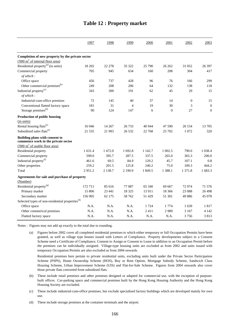|                                                                       | 1997    | 1998       | 1999           | 2000    | 2001         | 2002       | 2003             |
|-----------------------------------------------------------------------|---------|------------|----------------|---------|--------------|------------|------------------|
|                                                                       |         |            |                |         |              |            |                  |
| Completion of new property by the private sector                      |         |            |                |         |              |            |                  |
| $(000 \text{ m}^2 \text{ of internal floor area})$                    |         |            |                |         |              |            |                  |
| Residential property <sup>(a)</sup> (in units)                        | 18 20 2 | 22 278     | 35 322         | 25 790  | 26 26 2      | 31 052     | 26 397           |
| Commercial property<br>of which:                                      | 705     | 945        | 634            | 160     | 208          | 304        | 417              |
| Office space                                                          | 456     | 737        | 428            | 96      | 76           | 166        | 299              |
| Other commercial premises <sup>(b)</sup>                              | 249     | 208        | 206            | 64      | 132          | 138        | 118              |
| Industrial property <sup>(c)</sup>                                    | 343     | 300        | 191            | 62      | 45           | 29         | 15               |
| of which:                                                             |         |            |                |         |              |            |                  |
| Industrial-cum-office premises                                        | 72      | 145        | 40             | 37      | 14           | $\theta$   | 15               |
| Conventional flatted factory space                                    | 181     | 31         | $\overline{4}$ | 19      | 30           | 3          | $\boldsymbol{0}$ |
| Storage premises <sup>(d)</sup>                                       | 90      | 124        | 147            | 6       | $\mathbf{0}$ | 27         | $\mathbf{0}$     |
| Production of public housing                                          |         |            |                |         |              |            |                  |
| (in units)                                                            |         |            |                |         |              |            |                  |
| Rental housing flats <sup>(e)</sup>                                   | 16 04 6 | 14 267     | 26 733         | 40 944  | 47 590       | 20 154     | 13 705           |
| Subsidized sales flats <sup>(e)</sup>                                 | 21 5 35 | 21 993     | 26 5 32        | 22 768  | 25 702       | 1 0 7 2    | 320              |
| Building plans with consent to<br>commence work in the private sector |         |            |                |         |              |            |                  |
| $(000 \text{ m}^2 \text{ of usable floor area})$                      |         |            |                |         |              |            |                  |
| Residential property                                                  | 1 631.4 | 1 472.0    | 1 692.8        | 1 142.7 | 1 002.5      | 790.0      | 1 0 38.4         |
| Commercial property                                                   | 599.0   | 395.7      | 287.5          | 337.5   | 265.0        | 365.3      | 200.0            |
| Industrial property <sup>(f)</sup>                                    | 461.6   | 69.5       | 84.9           | 129.2   | 45.7         | 107.1      | 0.8              |
| Other properties                                                      | 259.2   | 201.5      | 125.8          | 240.2   | 75.0         | 109.3      | 444.2            |
| Total                                                                 | 2951.2  | 2 1 3 8 .7 | 2 190.9        | 1 849.5 | 1 3 8 8.1    | 1 3 7 1 .8 | 1683.3           |
|                                                                       |         |            |                |         |              |            |                  |
| Agreements for sale and purchase of property                          |         |            |                |         |              |            |                  |
| (Number)                                                              |         |            |                |         |              |            |                  |
| Residential property <sup>(g)</sup>                                   | 172711  | 85 616     | 77 087         | 65 340  | 69 667       | 72974      | 71 576           |
| Primary market                                                        | 15 806  | 23 441     | 18 3 25        | 13 911  | 18 3 6 6     | 23 088     | 26 4 98          |
| Secondary market                                                      | 156 905 | 62 175     | 58 762         | 51 429  | 51 301       | 49 886     | 45 078           |
| Selected types of non-residential properties <sup>(h)</sup>           |         |            |                |         |              |            |                  |
| Office space                                                          | N.A.    | N.A.       | N.A.           | 1 7 2 4 | 1 7 7 4      | 1639       | 1817             |
| Other commerical premises                                             | N.A.    | N.A.       | N.A.           | 2411    | 2989         | 3 1 6 7    | 4 1 4 2          |
| Flatted factory space                                                 | N.A.    | N.A.       | N.A.           | N.A.    | N.A.         | 3756       | 3813             |

#### **Table 12 : Property market**

Notes : Figures may not add up exactly to the total due to rounding.

(a) Figures before 2002 cover all completed residential premises to which either temporary or full Occupation Permits have been granted, as well as village type houses issued with Letters of Compliance. Property developments subject to a Consent Scheme need a Certificate of Compliance, Consent to Assign or Consent to Lease in addition to an Occupation Permit before the premises can be individually assigned. Village-type housing units are excluded as from 2002 and units issued with temporary Occupation Permits are also excluded as from 2004 onwards.

Residential premises here pertain to private residential units, excluding units built under the Private Sector Participation Scheme (PSPS), Home Ownership Scheme (HOS), Buy or Rent Option, Mortgage Subsidy Scheme, Sandwich Class Housing Scheme, Urban Improvement Scheme (UIS) and Flat-for-Sale Scheme. Figures from 2004 onwards also cover those private flats converted from subsidised flats.

- $(b)$ These include retail premises and other premises designed or adapted for commercial use, with the exception of purposebuilt offices. Car-parking space and commercial premises built by the Hong Kong Housing Authority and the Hong Kong Housing Society are excluded.
- (c) These include industrial-cum-office premises, but exclude specialised factory buildings which are developed mainly for own use.

(d) These include storage premises at the container terminals and the airport.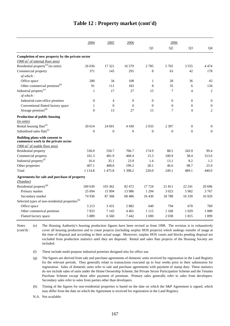|                                                                       | 2004             | 2005     | 2006             |              | 2006             |                  |                  |
|-----------------------------------------------------------------------|------------------|----------|------------------|--------------|------------------|------------------|------------------|
|                                                                       |                  |          |                  | Q1           | Q2               | Q <sub>3</sub>   | Q <sub>4</sub>   |
| Completion of new property by the private sector                      |                  |          |                  |              |                  |                  |                  |
| $(000 \text{ m}^2 \text{ of internal floor area})$                    |                  |          |                  |              |                  |                  |                  |
| Residential property <sup>(a)</sup> (in units)                        | 26 036           | 17 321   | 16 579           | 2785         | 5765             | 3 5 5 5 5        | 4474             |
| Commercial property                                                   | 371              | 145      | 291              | 8            | 63               | 42               | 178              |
| of which:                                                             |                  |          |                  |              |                  |                  |                  |
| Office space                                                          | 280              | 34       | 108              | $\mathbf{1}$ | 28               | 36               | 43               |
| Other commercial premises <sup>(b)</sup>                              | 91               | 111      | 183              | 8            | 35               | 6                | 134              |
| Industrial property <sup>(c)</sup>                                    | $\mathbf{1}$     | 17       | 27               | 15           | $\boldsymbol{7}$ | $\overline{4}$   | $\mathbf{2}$     |
| of which:                                                             |                  |          |                  |              |                  |                  |                  |
| Industrial-cum-office premises                                        | $\boldsymbol{0}$ | 4        | $\boldsymbol{0}$ | $\theta$     | $\boldsymbol{0}$ | $\boldsymbol{0}$ | $\boldsymbol{0}$ |
| Conventional flatted factory space                                    | $\mathbf{1}$     | $\theta$ | $\theta$         | $\Omega$     | $\overline{0}$   | $\mathbf{0}$     | $\boldsymbol{0}$ |
| Storage premises <sup>(d)</sup>                                       | $\mathbf{0}$     | 13       | 27               | 15           | $\overline{7}$   | $\overline{4}$   | $\overline{2}$   |
| Production of public housing                                          |                  |          |                  |              |                  |                  |                  |
| (in units)                                                            |                  |          |                  |              |                  |                  |                  |
| Rental housing flats <sup>(e)</sup>                                   | 20 614           | 24 691   | 4 4 3 0          | 2033         | 2 3 9 7          | $\mathbf{0}$     | $\boldsymbol{0}$ |
| Subsidized sales flats <sup>(e)</sup>                                 | $\overline{0}$   | $\theta$ | $\boldsymbol{0}$ | $\theta$     | $\mathbf{0}$     | $\mathbf{0}$     | $\boldsymbol{0}$ |
| Building plans with consent to<br>commence work in the private sector |                  |          |                  |              |                  |                  |                  |
| $(000 \text{ m}^2 \text{ of usable floor area})$                      |                  |          |                  |              |                  |                  |                  |
| Residential property                                                  | 530.0            | 550.7    | 706.7            | 174.9        | 88.5             | 343.9            | 99.4             |
| Commercial property                                                   | 161.3            | 481.9    | 468.4            | 15.5         | 100.9            | 38.4             | 313.6            |
| Industrial property <sup>(f)</sup>                                    | 16.4             | 35.1     | 23.9             | 1.4          | 13.1             | 8.2              | 1.2              |
| Other properties                                                      | 407.1            | 408.0    | 199.2            | 28.1         | 46.6             | 98.7             | 25.9             |
| Total                                                                 | 1 1 1 4 .8       | 1475.8   | 1 3 9 8.2        | 220.0        | 249.1            | 489.1            | 440.0            |
| Agreements for sale and purchase of property                          |                  |          |                  |              |                  |                  |                  |
| (Number)                                                              |                  |          |                  |              |                  |                  |                  |
| Residential property <sup>(g)</sup>                                   | 100 630          | 103 362  | 82 472           | 17 724       | 21811            | 22 24 1          | 20 696           |
| Primary market                                                        | 25 694           | 15 9 94  | 13 986           | 1 2 9 4      | 3 0 23           | 5 902            | 3767             |
| Secondary market                                                      | 74 936           | 87 368   | 68 4 8 6         | 16 4 30      | 18788            | 16 3 39          | 16929            |
| Selected types of non-residential properties <sup>(h)</sup>           |                  |          |                  |              |                  |                  |                  |
| Office space                                                          | 3 2 1 3          | 3 4 3 1  | 2882             | 649          | 794              | 670              | 769              |
| Other commerical premises                                             | 7833             | 7 1 4 3  | 4 4 0 1          | 1 1 1 5      | 1 1 6 8          | 1 0 2 9          | 1 0 8 9          |
| Flatted factory space                                                 | 5889             | 6 5 6 0  | 7442             | 1690         | 2038             | 1815             | 1899             |

#### **Table 12 : Property market (cont'd)**

(e) The Housing Authority's housing production figures have been revised as from 1998. The revision is to exhaustively cover all housing production and to count projects (including surplus HOS projects) which undergo transfer of usage at the time of disposal and according to their actual usage. Moreover, surplus HOS courts and blocks pending disposal are excluded from production statistics until they are disposed. Rental and sales flats projects of the Housing Society are included. Notes (cont'd) :

(f) These include multi-purpose industrial premises designed also for office use.

N.A. Not available.

<sup>(</sup>g) The figures are derived from sale and purchase agreements of domestic units received for registration in the Land Registry for the relevant periods. They generally relate to transactions executed up to four weeks prior to their submission for registration. Sales of domestic units refer to sale and purchase agreements with payment of stamp duty. These statistics do not include sales of units under the Home Ownership Scheme, the Private Sector Participation Scheme and the Tenants Purchase Scheme except those after payment of premium. Primary sales generally refer to sales from developers. Secondary sales refer to sales from parties other than developers.

<sup>(</sup>h) Timing of the figures for non-residential properties is based on the date on which the S&P Agreement is signed, which may differ from the date on which the Agreement is received for registration in the Land Registry.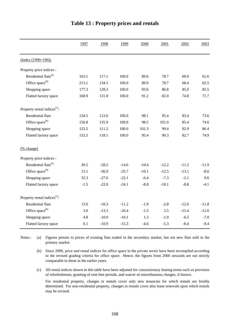|                                          | 1997   | 1998    | 1999    | 2000    | 2001    | 2002    | 2003    |
|------------------------------------------|--------|---------|---------|---------|---------|---------|---------|
| $(Index (1999=100))$                     |        |         |         |         |         |         |         |
| Property price indices :                 |        |         |         |         |         |         |         |
| Residential flats <sup>(a)</sup>         | 163.1  | 117.1   | 100.0   | 89.6    | 78.7    | 69.9    | 61.6    |
| Office space <sup>(b)</sup>              | 213.1  | 134.5   | 100.0   | 89.9    | 78.7    | 68.4    | 62.5    |
| Shopping space                           | 177.3  | 128.3   | 100.0   | 93.6    | 86.8    | 85.0    | 85.5    |
| Flatted factory space                    | 168.9  | 131.8   | 100.0   | 91.2    | 82.0    | 74.8    | 71.7    |
| Property rental indices <sup>(c)</sup> : |        |         |         |         |         |         |         |
| Residential flats                        | 134.5  | 112.6   | 100.0   | 98.1    | 95.4    | 83.4    | 73.6    |
| Office space <sup>(b)</sup>              | 156.8  | 135.9   | 100.0   | 98.5    | 101.0   | 85.4    | 74.6    |
| Shopping space                           | 123.5  | 111.2   | 100.0   | 101.3   | 99.4    | 92.9    | 86.4    |
| Flatted factory space                    | 132.5  | 118.1   | 100.0   | 95.4    | 90.3    | 82.7    | 74.9    |
| (% change)                               |        |         |         |         |         |         |         |
| Property price indices :                 |        |         |         |         |         |         |         |
| Residential flats <sup>(a)</sup>         | 39.5   | $-28.2$ | $-14.6$ | $-10.4$ | $-12.2$ | $-11.2$ | $-11.9$ |
| Office space <sup>(b)</sup>              | 13.1   | $-36.9$ | $-25.7$ | $-10.1$ | $-12.5$ | $-13.1$ | $-8.6$  |
| Shopping space                           | 32.3   | $-27.6$ | $-22.1$ | $-6.4$  | $-7.3$  | $-2.1$  | 0.6     |
| Flatted factory space                    | $-1.5$ | $-22.0$ | $-24.1$ | $-8.8$  | $-10.1$ | $-8.8$  | $-4.1$  |
| Property rental indices <sup>(c)</sup> : |        |         |         |         |         |         |         |
| Residential flats                        | 13.0   | $-16.3$ | $-11.2$ | $-1.9$  | $-2.8$  | $-12.6$ | $-11.8$ |
| Office space <sup>(b)</sup>              | 3.0    | $-13.3$ | $-26.4$ | $-1.5$  | 2.5     | $-15.4$ | $-12.6$ |
| Shopping space                           | 4.8    | $-10.0$ | $-10.1$ | 1.3     | $-1.9$  | $-6.5$  | $-7.0$  |
| Flatted factory space                    | 0.1    | $-10.9$ | $-15.3$ | $-4.6$  | $-5.3$  | $-8.4$  | $-9.4$  |

### **Table 13 : Property prices and rentals**

(a) Notes : (a) Figures pertain to prices of existing flats traded in the secondary market, but not new flats sold in the primary market.

(b) Since 2000, price and rental indices for office space in the private sector have been recompiled according to the revised grading criteria for office space. Hence, the figures from 2000 onwards are not strictly comparable to those in the earlier years.

(c) All rental indices shown in this table have been adjusted for concessionary leasing terms such as provision of refurbishment, granting of rent-free periods, and waiver of miscellaneous charges, if known.

For residential property, changes in rentals cover only new tenancies for which rentals are freshly determined. For non-residential property, changes in rentals cover also lease renewals upon which rentals may be revised.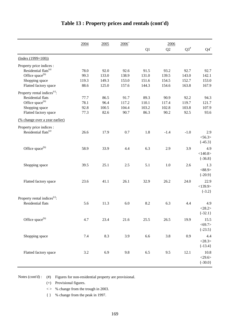|                                          | 2004    | 2005  | $2006^+$ |       | 2006           |           |              |
|------------------------------------------|---------|-------|----------|-------|----------------|-----------|--------------|
|                                          |         |       |          | Q1    | Q <sub>2</sub> | $Q3^{\#}$ | ${\bf Q4}^+$ |
| $(Index (1999=100))$                     |         |       |          |       |                |           |              |
| Property price indices :                 |         |       |          |       |                |           |              |
| Residential flats <sup>(a)</sup>         | 78.0    | 92.0  | 92.6     | 91.5  | 93.2           | 92.7      | 92.7         |
| Office space <sup>(b)</sup>              | 99.3    | 133.0 | 138.9    | 131.0 | 139.5          | 143.0     | 142.1        |
| Shopping space                           | 119.3   | 149.3 | 153.0    | 151.6 | 154.5          | 152.7     | 153.0        |
| Flatted factory space                    | 88.6    | 125.0 | 157.6    | 144.3 | 154.6          | 163.8     | 167.9        |
| Property rental indices <sup>(c)</sup> : |         |       |          |       |                |           |              |
| Residential flats                        | 77.7    | 86.5  | 91.7     | 89.3  | 90.9           | 92.2      | 94.3         |
| Office space <sup>(b)</sup>              | 78.1    | 96.4  | 117.2    | 110.1 | 117.4          | 119.7     | 121.7        |
| Shopping space                           | 92.8    | 100.5 | 104.4    | 103.2 | 102.8          | 103.8     | 107.9        |
| Flatted factory space                    | 77.3    | 82.6  | 90.7     | 86.3  | 90.2           | 92.5      | 93.6         |
| (% change over a year earlier)           |         |       |          |       |                |           |              |
| Property price indices :                 |         |       |          |       |                |           |              |
| Residential flats <sup>(a)</sup>         | 26.6    | 17.9  | 0.7      | 1.8   | $-1.4$         | $-1.0$    | 2.9          |
|                                          |         |       |          |       |                |           | $<$ 56.3>    |
|                                          |         |       |          |       |                |           | $\{-45.3\}$  |
| Office space <sup>(b)</sup>              | 58.9    | 33.9  | 4.4      | 6.3   | 2.9            | 3.9       | 4.9          |
|                                          |         |       |          |       |                |           | <140.8>      |
|                                          |         |       |          |       |                |           | $\{-36.8\}$  |
|                                          |         |       |          |       |                |           |              |
| Shopping space                           | 39.5    | 25.1  | 2.5      | 5.1   | 1.0            | 2.6       | 1.3          |
|                                          |         |       |          |       |                |           | <88.9>       |
|                                          |         |       |          |       |                |           | $\{-20.9\}$  |
| Flatted factory space                    | 23.6    | 41.1  | 26.1     | 32.9  | 26.2           | 24.0      | 22.9         |
|                                          |         |       |          |       |                |           | <139.9>      |
|                                          |         |       |          |       |                |           | $\{-3.2\}$   |
| Property rental indices <sup>(c)</sup> : |         |       |          |       |                |           |              |
| <b>Residential flats</b>                 | 5.6     | 11.3  | 6.0      | 8.2   | 6.3            | 4.4       | 4.9          |
|                                          |         |       |          |       |                |           | <28.2>       |
|                                          |         |       |          |       |                |           | $\{-32.1\}$  |
| Office space <sup>(b)</sup>              | 4.7     | 23.4  | 21.6     | 25.5  | 26.5           | 19.9      | 15.5         |
|                                          |         |       |          |       |                |           | $<$ 69.7>    |
|                                          |         |       |          |       |                |           | $\{-23.5\}$  |
| Shopping space                           | 7.4     | 8.3   | 3.9      | 6.6   | 3.8            | 0.9       | 4.4          |
|                                          |         |       |          |       |                |           | <28.3>       |
|                                          |         |       |          |       |                |           | ${-13.4}$    |
|                                          |         |       |          |       |                |           |              |
| Flatted factory space                    | $3.2\,$ | 6.9   | 9.8      | 6.5   | 9.5            | 12.1      | 10.8         |
|                                          |         |       |          |       |                |           | <29.6>       |
|                                          |         |       |          |       |                |           | $\{-30.0\}$  |

# **Table 13 : Property prices and rentals (cont'd)**

Notes (cont'd) : (#) Figures for non-residential property are provisional.

(+) Provisional figures.

< > % change from the trough in 2003.

{ } % change from the peak in 1997.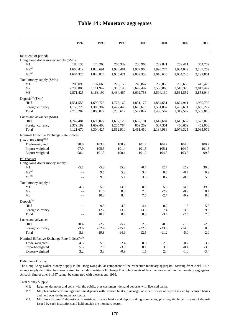|                                                              | 1997      | 1998      | 1999        | 2000        | 2001             | 2002             | 2003       |
|--------------------------------------------------------------|-----------|-----------|-------------|-------------|------------------|------------------|------------|
| (as at end of period)                                        |           |           |             |             |                  |                  |            |
| Hong Kong dollar money supply (\$Mn):                        |           |           |             |             |                  |                  |            |
| M1                                                           | 188,135   | 178,260   | 205,339     | 203,966     | 229,841          | 259,411          | 354,752    |
| $M2^{(a)}$                                                   | 1,666,419 | 1,828,691 | 1,923,481   | 1,987,963   | 1,998,774        | 1,984,049        | 2,107,269  |
| $M3^{(a)}$                                                   | 1,684,325 | 1,840,824 | 1,935,471   | 2,002,358   | 2,016,635        | 2,004,225        | 2,122,861  |
| Total money supply (\$Mn)                                    |           |           |             |             |                  |                  |            |
| M1                                                           | 208,093   | 197,666   | 225,156     | 243,847     | 258,056          | 295,650          | 413,423    |
| M <sub>2</sub>                                               | 2,788,808 | 3,111,942 | 3,386,196   | 3,649,492   | 3,550,060        | 3,518,326        | 3,813,442  |
| M <sub>3</sub>                                               | 2,871,425 | 3,168,199 | 3,434,467   | 3,692,753   | 3,594,130        | 3,561,852        | 3,858,044  |
| Deposit <sup>(b)</sup> (\$Mn)                                |           |           |             |             |                  |                  |            |
| HK\$                                                         | 1,551,555 | 1,699,726 | 1,773,169   | 1,851,177   | 1,854,651        | 1,824,911        | 1,930,790  |
| Foreign currency                                             | 1,158,728 | 1,300,302 | 1,477,448   | 1,676,670   | 1,551,852        | 1,492,631        | 1,636,227  |
| Total                                                        | 2,710,282 | 3,000,027 | 3,250,617   | 3,527,847   | 3,406,502        | 3,317,542        | 3,567,018  |
| Loans and advances (\$Mn)                                    |           |           |             |             |                  |                  |            |
| HK\$                                                         | 1,742,481 | 1,695,027 | 1,607,126   | 1,652,191   | 1,647,684        | 1,615,667        | 1,573,079  |
| Foreign currency                                             | 2,379,189 | 1,609,400 | 1,205,784   | 809,259     | 537,301          | 460,659          | 462,000    |
| Total                                                        | 4,121,670 | 3,304,427 | 2,812,910   | 2,461,450   | 2,184,986        | 2,076,325        | 2,035,079  |
|                                                              |           |           |             |             |                  |                  |            |
| Nominal Effective Exchange Rate Indices                      |           |           |             |             |                  |                  |            |
| $\left(\text{Jan } 2000 = 100\right)^{(c)(d)}$               |           |           |             |             |                  |                  |            |
| Trade-weighted                                               | 98.0      | 103.4     | 100.9       | 101.7       | 104.7            | 104.0            | 100.7      |
| Import-weighted                                              | 97.9      | 105.5     | 101.4       | 101.5       | 105.1            | 104.7            | 101.6      |
| Export-weighted                                              | 98.1      | 101.3     | 100.4       | 101.9       | 104.3            | 103.3            | 99.8       |
| (% change)                                                   |           |           |             |             |                  |                  |            |
| Hong Kong dollar money supply:                               |           |           |             |             |                  |                  |            |
| M1                                                           | $-5.1$    | $-5.2$    | 15.2        | $-0.7$      | 12.7             | 12.9             | 36.8       |
| $M2^{(a)}$                                                   | $-$       | 9.7       | 5.2         | 3.4         | 0.5              | $-0.7$           | 6.2        |
| $M3^{(a)}$                                                   | $-$       | 9.3       | 5.1         | 3.5         | 0.7              | $-0.6$           | 5.9        |
| Total money supply:                                          |           |           |             |             |                  |                  |            |
| M1                                                           | $-4.3$    | $-5.0$    | 13.9        | 8.3         | 5.8              | 14.6             | 39.8       |
| M2                                                           | $-$       | 11.6      | $8.8\,$     | 7.8         | $-2.7$           | $-0.9$           | 8.4        |
| M <sub>3</sub>                                               | $-$       | 10.3      | 8.4         | $7.5\,$     | $-2.7$           | $-0.9$           | 8.3        |
|                                                              |           |           |             |             |                  |                  |            |
| $Deposit^{(b)}$                                              |           |           |             |             |                  |                  |            |
| HK\$                                                         | $-$       | 9.5       | 4.3         | 4.4         | 0.2              | $-1.6$           | 5.8        |
| Foreign currency<br>Total                                    | $-$       | 12.2      | 13.6<br>8.4 | 13.5<br>8.5 | $-7.4$<br>$-3.4$ | $-3.8$<br>$-2.6$ | 9.6<br>7.5 |
|                                                              | --        | 10.7      |             |             |                  |                  |            |
| Loans and advances                                           |           |           |             |             |                  |                  |            |
| HK\$                                                         | 20.4      | $-2.7$    | $-5.2$      | $2.8\,$     | $-0.3$           | $-1.9$           | $-2.6$     |
| Foreign currency                                             | $-3.6$    | $-32.4$   | $-25.1$     | $-32.9$     | $-33.6$          | $-14.3$          | 0.3        |
| Total                                                        | 5.3       | $-19.8$   | $-14.9$     | $-12.5$     | $-11.2$          | $-5.0$           | $-2.0$     |
| Nominal Effective Exchange Rate Indices ${}^{\text{(c)(d)}}$ |           |           |             |             |                  |                  |            |
| Trade-weighted                                               | 4.3       | 5.5       | $-2.4$      | $0.8\,$     | 2.9              | $-0.7$           | $-3.2$     |
| Import-weighted                                              | 5.3       | 7.8       | $-3.9$      | 0.1         | 3.5              | $-0.4$           | $-3.0$     |
| Export-weighted                                              | $3.2\,$   | 3.3       | $-0.9$      | 1.5         | 2.4              | $-1.0$           | $-3.4$     |

### **Table 14 : Monetary aggregates**

#### Definition of Terms :

The Hong Kong Dollar Money Supply is the Hong Kong dollar component of the respective monetary aggregate. Starting from April 1997, money supply definition has been revised to include short-term Exchange Fund placements of less than one month in the monetary aggregates. As such, figures at end-1997 cannot be compared with those at end-1996.

Total Money Supply:

M1: Legal tender notes and coins with the public, plus customers' demand deposits with licensed banks.

M2: M1 plus customers' savings and time deposits with licensed banks, plus negotiable certificates of deposit issued by licensed banks and held outside the monetary sector.

M3: M2 plus customers' deposits with restricted licence banks and deposit-taking companies, plus negotiable certificates of deposit issued by such institutions and held outside the monetary sector.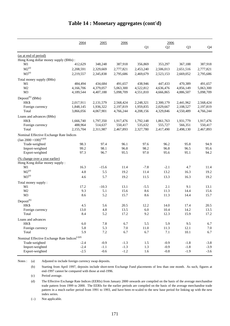|                                                           | 2004      | 2005      | 2006      |           | 2006      |                |                |
|-----------------------------------------------------------|-----------|-----------|-----------|-----------|-----------|----------------|----------------|
|                                                           |           |           |           | Q1        | Q2        | Q <sub>3</sub> | Q <sub>4</sub> |
| (as at end of period)                                     |           |           |           |           |           |                |                |
| Hong Kong dollar money supply (\$Mn):                     |           |           |           |           |           |                |                |
| M1                                                        | 412,629   | 348,248   | 387,918   | 356,869   | 353,297   | 367,188        | 387,918        |
| $M2^{(a)}$                                                | 2,208,591 | 2,329,669 | 2,777,821 | 2,453,240 | 2,506,013 | 2,651,516      | 2,777,821      |
| $M3^{(a)}$                                                | 2,219,557 | 2,345,838 | 2,795,686 | 2,469,679 | 2,523,153 | 2,669,052      | 2,795,686      |
| Total money supply (\$Mn)                                 |           |           |           |           |           |                |                |
| M1                                                        | 484,494   | 434,684   | 491,657   | 438,946   | 447,433   | 470,389        | 491,657        |
| M <sub>2</sub>                                            | 4,166,706 | 4,379,057 | 5,063,300 | 4,522,812 | 4,636,476 | 4,856,149      | 5,063,300      |
| M <sub>3</sub>                                            | 4,189,544 | 4,407,188 | 5,098,709 | 4,551,810 | 4,666,865 | 4,886,507      | 5,098,709      |
| Deposit <sup>(b)</sup> (\$Mn)                             |           |           |           |           |           |                |                |
| <b>HKS</b>                                                | 2,017,911 | 2,131,579 | 2,568,424 | 2,248,321 | 2,300,179 | 2,441,962      | 2,568,424      |
| Foreign currency                                          | 1,848,145 | 1,936,322 | 2,197,819 | 1,959,835 | 2,029,667 | 2,108,527      | 2,197,819      |
| Total                                                     | 3,866,056 | 4,067,901 | 4,766,244 | 4,208,156 | 4,329,846 | 4,550,489      | 4,766,244      |
| Loans and advances (\$Mn)                                 |           |           |           |           |           |                |                |
| <b>HKS</b>                                                | 1,666,740 | 1,797,350 | 1,917,476 | 1,792,148 | 1,861,763 | 1,931,779      | 1,917,476      |
| Foreign currency                                          | 488,964   | 514,637   | 550,417   | 535,632   | 555,727   | 566,351        | 550,417        |
| Total                                                     | 2,155,704 | 2,311,987 | 2,467,893 | 2,327,780 | 2,417,490 | 2,498,130      | 2,467,893      |
| Nominal Effective Exchange Rate Indices                   |           |           |           |           |           |                |                |
| $\left(\text{Jan } 2000 = 100\right)^{(c)(d)}$            |           |           |           |           |           |                |                |
| Trade-weighted                                            | 98.3      | 97.4      | 96.1      | 97.6      | 96.2      | 95.8           | 94.9           |
| Import-weighted                                           | 99.2      | 98.1      | 96.8      | 98.2      | 96.8      | 96.5           | 95.6           |
| Export-weighted                                           | 97.3      | 96.7      | 95.5      | 97.0      | 95.6      | 95.1           | 94.2           |
| <u>(% change over a year earlier)</u>                     |           |           |           |           |           |                |                |
| Hong Kong dollar money supply:                            |           |           |           |           |           |                |                |
| M1                                                        | 16.3      | $-15.6$   | 11.4      | $-7.8$    | $-2.1$    | 4.7            | 11.4           |
| $M2^{(a)}$                                                | 4.8       | 5.5       | 19.2      | 11.4      | 13.2      | 16.3           | 19.2           |
| $M3^{(a)}$                                                | 4.6       | 5.7       | 19.2      | 11.5      | 13.3      | 16.3           | 19.2           |
| Total money supply:                                       |           |           |           |           |           |                |                |
| M1                                                        | 17.2      | $-10.3$   | 13.1      | $-5.5$    | 2.1       | 9.1            | 13.1           |
| M <sub>2</sub>                                            | 9.3       | 5.1       | 15.6      | 8.6       | 11.3      | 14.4           | 15.6           |
| M <sub>3</sub>                                            | 8.6       | 5.2       | 15.7      | 8.6       | 11.3      | 14.4           | 15.7           |
| Deposit <sup>(b)</sup>                                    |           |           |           |           |           |                |                |
| HK\$                                                      | 4.5       | 5.6       | 20.5      | 12.2      | 14.0      | 17.4           | 20.5           |
| Foreign currency                                          | 13.0      | 4.8       | 13.5      | 6.0       | 10.4      | 14.2           | 13.5           |
| Total                                                     | 8.4       | 5.2       | 17.2      | 9.2       | 12.3      | 15.9           | 17.2           |
| Loans and advances                                        |           |           |           |           |           |                |                |
| HK\$                                                      | $6.0\,$   | 7.8       | 6.7       | 5.5       | 5.9       | 9.5            | 6.7            |
| Foreign currency                                          | 5.8       | 5.3       | $7.0\,$   | 11.0      | 11.3      | 12.1           | 7.0            |
| Total                                                     | 5.9       | 7.2       | 6.7       | 6.7       | 7.1       | 10.1           | 6.7            |
| Nominal Effective Exchange Rate Indices <sup>(c)(d)</sup> |           |           |           |           |           |                |                |
| Trade-weighted                                            | $-2.4$    | $-0.9$    | $-1.3$    | 1.5       | $-0.9$    | $-1.8$         | $-3.8$         |
| Import-weighted                                           | $-2.4$    | $-1.1$    | $-1.3$    | 1.3       | $-0.9$    | $-1.8$         | $-3.9$         |
| Export-weighted                                           | $-2.5$    | $-0.6$    | $-1.2$    | 1.6       | $-0.8$    | $-1.9$         | $-3.6$         |
|                                                           |           |           |           |           |           |                |                |

### **Table 14 : Monetary aggregates (cont'd)**

Notes : (a) Adjusted to include foreign currency swap deposits.

(b) Starting from April 1997, deposits include short-term Exchange Fund placements of less than one month. As such, figures at end-1997 cannot be compared with those at end-1996.

(c) Period average.

(d) The Effective Exchange Rate Indices (EERIs) from January 2000 onwards are compiled on the basis of the average merchandise trade pattern from 1999 to 2000. The EERIs for the earlier periods are compiled on the basis of the average merchandise trade pattern in a much earlier period from 1991 to 1993, and have been re-scaled to the new base period for linking up with the new index series.

(--) Not applicable.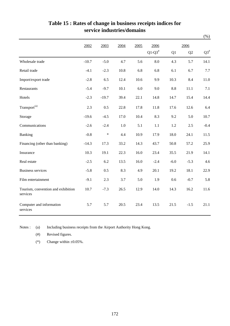|                                                |         |         |         |      |           |        |        | $(\%)$    |
|------------------------------------------------|---------|---------|---------|------|-----------|--------|--------|-----------|
|                                                | 2002    | 2003    | 2004    | 2005 | 2006      |        | 2006   |           |
|                                                |         |         |         |      | $Q1-Q3^*$ | Q1     | Q2     | $Q3^{\#}$ |
| Wholesale trade                                | $-10.7$ | $-5.0$  | 4.7     | 5.6  | 8.0       | 4.3    | 5.7    | 14.1      |
| Retail trade                                   | $-4.1$  | $-2.3$  | 10.8    | 6.8  | 6.8       | 6.1    | 6.7    | 7.7       |
| Import/export trade                            | $-2.8$  | 6.5     | 12.4    | 10.6 | 9.9       | 10.3   | 8.4    | 11.0      |
| Restaurants                                    | $-5.4$  | $-9.7$  | 10.1    | 6.0  | 9.0       | 8.8    | 11.1   | 7.1       |
| Hotels                                         | $-2.3$  | $-19.7$ | 39.4    | 22.1 | 14.8      | 14.7   | 15.4   | 14.4      |
| Transport <sup>(a)</sup>                       | 2.3     | 0.5     | 22.8    | 17.8 | 11.8      | 17.6   | 12.6   | 6.4       |
| Storage                                        | $-19.6$ | $-4.5$  | 17.0    | 10.4 | 8.3       | 9.2    | 5.0    | 10.7      |
| Communications                                 | $-2.6$  | $-2.4$  | $1.0\,$ | 5.1  | 1.1       | 1.2    | 2.5    | $-0.4$    |
| Banking                                        | $-0.8$  | $\ast$  | 4.4     | 10.9 | 17.9      | 18.0   | 24.1   | 11.5      |
| Financing (other than banking)                 | $-14.3$ | 17.3    | 33.2    | 14.3 | 43.7      | 50.8   | 57.2   | 25.9      |
| Insurance                                      | 10.3    | 19.1    | 22.3    | 16.0 | 23.4      | 35.5   | 21.9   | 14.1      |
| Real estate                                    | $-2.5$  | 6.2     | 13.5    | 16.0 | $-2.4$    | $-6.0$ | $-5.3$ | 4.6       |
| <b>Business services</b>                       | $-5.8$  | 0.5     | 8.3     | 4.9  | 20.1      | 19.2   | 18.1   | 22.9      |
| Film entertainment                             | $-9.1$  | 2.3     | 3.7     | 5.0  | 1.9       | 0.6    | $-0.7$ | 5.8       |
| Tourism, convention and exhibition<br>services | 10.7    | $-7.3$  | 26.5    | 12.9 | 14.0      | 14.3   | 16.2   | 11.6      |
| Computer and information<br>services           | 5.7     | 5.7     | 20.5    | 23.4 | 13.5      | 21.5   | $-1.5$ | 21.1      |

### **Table 15 : Rates of change in business receipts indices for service industries/domains**

Notes : (a) Including business receipts from the Airport Authority Hong Kong.

(#) Revised figures.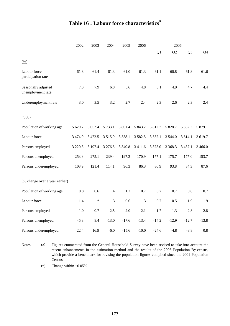|                                          | 2002        | 2003      | 2004       | 2005       | 2006      |            | 2006           |                |                |
|------------------------------------------|-------------|-----------|------------|------------|-----------|------------|----------------|----------------|----------------|
|                                          |             |           |            |            |           | Q1         | Q <sub>2</sub> | Q <sub>3</sub> | Q <sub>4</sub> |
| (% )                                     |             |           |            |            |           |            |                |                |                |
| Labour force<br>participation rate       | 61.8        | 61.4      | 61.3       | 61.0       | 61.3      | 61.1       | 60.8           | 61.8           | 61.6           |
| Seasonally adjusted<br>unemployment rate | 7.3         | 7.9       | 6.8        | 5.6        | 4.8       | 5.1        | 4.9            | 4.7            | 4.4            |
| Underemployment rate                     | 3.0         | 3.5       | 3.2        | 2.7        | 2.4       | 2.3        | 2.6            | 2.3            | 2.4            |
| (000)                                    |             |           |            |            |           |            |                |                |                |
| Population of working age                | 5 620.7     | 5 6 5 2.4 | 5 7 3 3.1  | 5 801.4    | 5 843.2   | 5 812.7    | 5 828.7        | 5 852.2        | 5 879.1        |
| Labour force                             | 3 4 7 4 .0  | 3 4 7 2.5 | 3515.9     | 3 5 3 8 .1 | 3 5 8 2.5 | 3 5 5 2.1  | 3 5 4 4.0      | 3 614.1        | 3 619.7        |
| Persons employed                         | 3 2 2 0 . 3 | 3 197.4   | 3 2 7 6 .5 | 3 3 4 0 .8 | 3 411.6   | 3 3 7 5 .0 | 3 3 68.3       | 3 4 3 7 . 1    | 3 4 6 6.0      |
| Persons unemployed                       | 253.8       | 275.1     | 239.4      | 197.3      | 170.9     | 177.1      | 175.7          | 177.0          | 153.7          |
| Persons underemployed                    | 103.9       | 121.4     | 114.1      | 96.3       | 86.3      | 80.9       | 93.8           | 84.3           | 87.6           |
| (% change over a year earlier)           |             |           |            |            |           |            |                |                |                |
| Population of working age                | 0.8         | 0.6       | 1.4        | 1.2        | 0.7       | 0.7        | 0.7            | 0.8            | 0.7            |
| Labour force                             | 1.4         | $\ast$    | 1.3        | 0.6        | 1.3       | 0.7        | 0.5            | 1.9            | 1.9            |
| Persons employed                         | $-1.0$      | $-0.7$    | $2.5\,$    | 2.0        | 2.1       | 1.7        | 1.3            | 2.8            | 2.8            |
| Persons unemployed                       | 45.3        | 8.4       | $-13.0$    | $-17.6$    | $-13.4$   | $-14.2$    | $-12.9$        | $-12.7$        | $-13.8$        |
| Persons underemployed                    | 22.4        | 16.9      | $-6.0$     | $-15.6$    | $-10.0$   | $-24.6$    | $-4.8$         | $-8.8$         | 0.8            |

# **Table 16 : Labour force characteristics#**

Notes :  $($ #) Figures enumerated from the General Household Survey have been revised to take into account the recent enhancements in the estimation method and the results of the 2006 Population By-census, which provide a benchmark for revising the population figures compiled since the 2001 Population Census.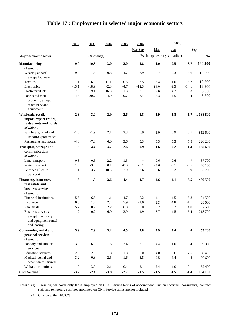|                                                                                    | 2002    | 2003       | 2004    | 2005   | 2006    |                                | 2006   |         |           |
|------------------------------------------------------------------------------------|---------|------------|---------|--------|---------|--------------------------------|--------|---------|-----------|
|                                                                                    |         |            |         |        | Mar-Sep | Mar                            | Jun    |         | Sep       |
| Major economic sector                                                              |         | (% change) |         |        |         | (% change over a year earlier) |        |         | No.       |
|                                                                                    |         |            |         |        |         |                                |        |         |           |
| <b>Manufacturing</b><br>of which:                                                  | $-9.0$  | $-10.3$    | $-3.0$  | $-2.0$ | $-1.8$  | $-1.0$                         | $-0.5$ | $-3.7$  | 160 200   |
| Wearing apparel,<br>except footwear                                                | $-19.3$ | $-11.6$    | $-0.8$  | $-4.7$ | $-7.9$  | $-3.7$                         | 0.3    | $-18.6$ | 18 500    |
| <b>Textiles</b>                                                                    | $-1.1$  | $-16.8$    | $-11.1$ | 0.5    | $-3.5$  | $-3.4$                         | $-1.6$ | $-5.7$  | 19 200    |
| Electronics                                                                        | $-13.1$ | $-18.9$    | $-2.3$  | $-4.7$ | $-12.3$ | $-11.9$                        | $-9.5$ | $-14.1$ | 12 200    |
| Plastic products                                                                   | $-17.0$ | $-19.1$    | $-16.8$ | $-1.3$ | $-3.1$  | 2.6                            | $-4.7$ | $-5.3$  | 3 0 0 0   |
| Fabricated metal<br>products, except<br>machinery and<br>equipment                 | $-14.6$ | $-20.7$    | $-4.9$  | $-9.7$ | $-3.4$  | $-8.3$                         | $-4.5$ | 3.4     | 5 700     |
| Wholesale, retail,<br>import/export trades,<br>restaurants and hotels<br>of which: | $-2.3$  | $-3.0$     | 2.9     | 2.6    | 1.8     | 1.9                            | 1.8    | 1.7     | 1 038 800 |
| Wholesale, retail and<br>import/export trades                                      | $-1.6$  | $-1.9$     | 2.1     | 2.3    | 0.9     | 1.0                            | 0.9    | 0.7     | 812 600   |
| Restaurants and hotels                                                             | $-4.8$  | $-7.3$     | 6.0     | 3.6    | 5.3     | 5.3                            | 5.3    | 5.5     | 226 200   |
| Transport, storage and<br>communications<br>of which:                              | $-1.8$  | $-4.4$     | 3.7     | 2.6    | 0.9     | 1.6                            | $-0.2$ | 1.4     | 185 600   |
| Land transport                                                                     | $-0.3$  | 0.5        | $-2.2$  | $-1.5$ | $\ast$  | $-0.6$                         | 0.6    | $\ast$  | 37 700    |
| Water transport                                                                    | 1.0     | $-3.6$     | 0.1     | $-0.3$ | $-5.1$  | $-3.6$                         | $-8.1$ | $-3.5$  | 26 100    |
| Services allied to<br>transport                                                    | 1.1     | $-3.7$     | 10.3    | 7.9    | 3.6     | 3.6                            | 3.2    | 3.9     | 63 700    |
| Financing, insurance,<br>real estate and<br>business services<br>of which:         | $-1.3$  | $-1.9$     | 3.6     | 4.4    | 4.7     | 4.6                            | 4.1    | 5.5     | 480 500   |
| Financial institutions                                                             | $-5.6$  | $-6.5$     | 1.1     | 4.7    | 5.2     | 4.1                            | 4.5    | 6.8     | 134 500   |
| Insurance                                                                          | 0.3     | 1.2        | 2.4     | 5.9    | $-1.0$  | 2.3                            | $-4.8$ | $-1.1$  | 29 000    |
| Real estate                                                                        | 5.2     | 0.7        | 2.2     | 6.8    | 6.0     | 8.2                            | 5.7    | 4.0     | 97 500    |
| Business services<br>except machinery<br>and equipment rental<br>and leasing       | $-1.2$  | $-0.2$     | $6.0\,$ | 2.9    | 4.9     | 3.7                            | 4.5    | 6.4     | 218 700   |
| Community, social and<br>personal services<br>of which:                            | 5.9     | 2.9        | 3.2     | 4.5    | 3.8     | 3.9                            | 3.4    | 4.0     | 455 200   |
| Sanitary and similar<br>services                                                   | 13.8    | 6.0        | 1.5     | 2.4    | 2.1     | 4.4                            | 1.6    | 0.4     | 59 300    |
| <b>Education</b> services                                                          | 2.5     | 2.9        | 1.8     | 1.8    | 5.0     | 4.0                            | 3.6    | 7.5     | 138 400   |
| Medical, dental and<br>other health services                                       | 3.2     | $-0.3$     | 2.5     | 1.6    | 3.8     | 2.5                            | 4.4    | 4.5     | 80 600    |
| Welfare institutions                                                               | 11.9    | 13.9       | 2.1     | $-0.4$ | 2.1     | 2.4                            | 4.0    | $-0.1$  | 52 400    |
| Civil Service <sup>(a)</sup>                                                       | $-3.7$  | $-2.4$     | $-3.8$  | $-2.7$ | $-1.5$  | $-1.5$                         | $-1.5$ | $-1.4$  | 154 100   |

# **Table 17 : Employment in selected major economic sectors**

Notes : (a) These figures cover only those employed on Civil Service terms of appointment. Judicial officers, consultants, contract staff and temporary staff not appointed on Civil Service terms are not included.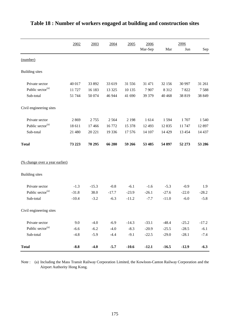|                                       | 2002    | 2003    | 2004    | 2005    | 2006    |         | 2006     |         |
|---------------------------------------|---------|---------|---------|---------|---------|---------|----------|---------|
|                                       |         |         |         |         | Mar-Sep | Mar     | Jun      | Sep     |
| (number)                              |         |         |         |         |         |         |          |         |
| <b>Building</b> sites                 |         |         |         |         |         |         |          |         |
| Private sector                        | 40 017  | 33 892  | 33 619  | 31 556  | 31 471  | 32 156  | 30 997   | 31 261  |
| Public sector <sup>(a)</sup>          | 11 727  | 16 183  | 13 3 25 | 10 135  | 7907    | 8 3 1 2 | 7822     | 7588    |
| Sub-total                             | 51 744  | 50 074  | 46 944  | 41 690  | 39 379  | 40 4 68 | 38 819   | 38 849  |
| Civil engineering sites               |         |         |         |         |         |         |          |         |
| Private sector                        | 2869    | 2755    | 2564    | 2 1 9 8 | 1614    | 1594    | 1707     | 1 5 4 0 |
| Public sector <sup>(a)</sup>          | 18 611  | 17466   | 16772   | 15 378  | 12 4 93 | 12 8 35 | 11 747   | 12 897  |
| Sub-total                             | 21 480  | 20 221  | 19 3 36 | 17576   | 14 107  | 14 4 29 | 13 4 5 4 | 14 4 37 |
| <b>Total</b>                          | 73 223  | 70 295  | 66 280  | 59 266  | 53 485  | 54 897  | 52 273   | 53 286  |
| <u>(% change over a year earlier)</u> |         |         |         |         |         |         |          |         |
| <b>Building</b> sites                 |         |         |         |         |         |         |          |         |
| Private sector                        | $-1.3$  | $-15.3$ | $-0.8$  | $-6.1$  | $-1.6$  | $-5.3$  | $-0.9$   | 1.9     |
| Public sector <sup>(a)</sup>          | $-31.8$ | 38.0    | $-17.7$ | $-23.9$ | $-26.1$ | $-27.6$ | $-22.0$  | $-28.2$ |
| Sub-total                             | $-10.4$ | $-3.2$  | $-6.3$  | $-11.2$ | $-7.7$  | $-11.0$ | $-6.0$   | $-5.8$  |
| Civil engineering sites               |         |         |         |         |         |         |          |         |
| Private sector                        | 9.0     | $-4.0$  | $-6.9$  | $-14.3$ | $-33.1$ | $-48.4$ | $-25.2$  | $-17.2$ |
| Public sector <sup>(a)</sup>          | $-6.6$  | $-6.2$  | $-4.0$  | $-8.3$  | $-20.9$ | $-25.5$ | $-28.5$  | $-6.1$  |
| Sub-total                             | $-4.8$  | $-5.9$  | $-4.4$  | $-9.1$  | $-22.5$ | $-29.0$ | $-28.1$  | $-7.4$  |
| <b>Total</b>                          | $-8.8$  | $-4.0$  | $-5.7$  | $-10.6$ | $-12.1$ | $-16.5$ | $-12.9$  | $-6.3$  |

## **Table 18 : Number of workers engaged at building and construction sites**

Note : (a) Including the Mass Transit Railway Corporation Limited, the Kowloon-Canton Railway Corporation and the Airport Authority Hong Kong.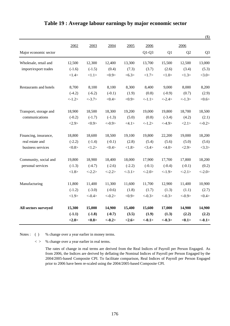|                        |           |           |            |          |           |           |                | $(\$)$         |
|------------------------|-----------|-----------|------------|----------|-----------|-----------|----------------|----------------|
|                        | 2002      | 2003      | 2004       | 2005     | 2006      |           | 2006           |                |
| Major economic sector  |           |           |            |          | $Q1-Q3$   | Q1        | Q <sub>2</sub> | Q <sub>3</sub> |
| Wholesale, retail and  | 12,500    | 12,300    | 12,400     | 13,300   | 13,700    | 15,500    | 12,500         | 13,000         |
| import/export trades   | $(-1.6)$  | $(-1.5)$  | (0.4)      | (7.3)    | (3.7)     | (2.6)     | (3.4)          | (5.3)          |
|                        | <1.4>     | <1.1>     | <0.9>      | <6.3>    | <1.7>     | <1.0>     | <1.3>          | <3.0>          |
| Restaurants and hotels | 8,700     | 8,100     | 8,100      | 8,300    | 8,400     | 9,000     | 8,000          | 8,200          |
|                        | $(-4.2)$  | $(-6.2)$  | $(-0.1)$   | (1.9)    | (0.8)     | $(-0.9)$  | (0.7)          | (2.9)          |
|                        | $< -1.2>$ | $< -3.7>$ | <0.4>      | <0.9>    | <1.1>     | $< -2.4>$ | $< -1.3>$      | <0.6           |
| Transport, storage and | 18,900    | 18,500    | 18,300     | 19,200   | 19,000    | 19,800    | 18,700         | 18,500         |
| communications         | $(-0.2)$  | $(-1.7)$  | $(-1.3)$   | (5.0)    | (0.8)     | $(-3.4)$  | (4.2)          | (2.1)          |
|                        | <2.9>     | <0.9>     | $< -0.9 >$ | <4.1>    | $< -1.2>$ | $< -4.9>$ | <2.1>          | $<-0.2>$       |
| Financing, insurance,  | 18,800    | 18,600    | 18,500     | 19,100   | 19,800    | 22,200    | 19,000         | 18,200         |
| real estate and        | $(-2.2)$  | $(-1.4)$  | $(-0.1)$   | (2.8)    | (5.4)     | (5.6)     | (5.0)          | (5.6)          |
| business services      | <0.8>     | <1.2>     | <0.4>      | <1.8>    | <3.4>     | <4.0>     | <2.9>          | <3.3>          |
| Community, social and  | 19,800    | 18,900    | 18,400     | 18,000   | 17,900    | 17,700    | 17,800         | 18,200         |
| personal services      | $(-1.3)$  | $(-4.7)$  | $(-2.6)$   | $(-2.2)$ | $(-0.1)$  | $(-0.4)$  | $(-0.1)$       | (0.2)          |
|                        | <1.8>     | $< -2.2>$ | $< -2.2>$  | $<-3.1>$ | $< -2.0>$ | <1.9>     | $<-2.1>$       | $<-2.0>$       |
| Manufacturing          | 11,800    | 11,400    | 11,300     | 11,600   | 11,700    | 12,900    | 11,400         | 10,900         |
|                        | $(-1.2)$  | $(-3.0)$  | $(-0.6)$   | (1.8)    | (1.7)     | (1.3)     | (1.1)          | (2.7)          |
|                        | <1.9>     | $< -0.4>$ | $<-0.2>$   | <0.9>    | $<-0.3>$  | $<-0.3>$  | $<-0.9>$       | <0.4>          |
| All sectors surveyed   | 15,300    | 15,000    | 14,900     | 15,400   | 15,600    | 17,000    | 14,900         | 14,900         |
|                        | $(-1.1)$  | $(-1.8)$  | $(-0.7)$   | (3.5)    | (1.9)     | (1.3)     | (2.2)          | (2.2)          |
|                        | <2.0>     | <0.8>     | $<-0.2>$   | <2.6>    | $<-0.1>$  | $<-0.3>$  | <0.1           | $<-0.1>$       |

#### **Table 19 : Average labour earnings by major economic sector**

Notes : ( ) % change over a year earlier in money terms.

< > % change over a year earlier in real terms.

The rates of change in real terms are derived from the Real Indices of Payroll per Person Engaged. As from 2006, the Indices are derived by deflating the Nominal Indices of Payroll per Person Engaged by the 2004/2005-based Composite CPI. To facilitate comparison, Real Indices of Payroll per Person Engaged prior to 2006 have been re-scaled using the 2004/2005-based Composite CPI.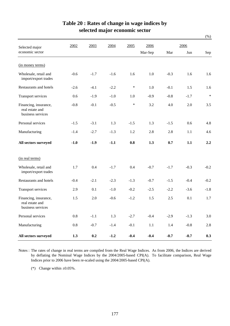|                                                               |         |        |        |        |         |        |        | $(\%)$ |
|---------------------------------------------------------------|---------|--------|--------|--------|---------|--------|--------|--------|
| Selected major                                                | 2002    | 2003   | 2004   | 2005   | 2006    |        | 2006   |        |
| economic sector                                               |         |        |        |        | Mar-Sep | Mar    | Jun    | Sep    |
| (in money terms)                                              |         |        |        |        |         |        |        |        |
| Wholesale, retail and<br>import/export trades                 | $-0.6$  | $-1.7$ | $-1.6$ | 1.6    | 1.0     | $-0.3$ | 1.6    | 1.6    |
| Restaurants and hotels                                        | $-2.6$  | $-4.1$ | $-2.2$ | $\ast$ | 1.0     | $-0.1$ | 1.5    | 1.6    |
| <b>Transport services</b>                                     | 0.6     | $-1.9$ | $-1.0$ | 1.0    | $-0.9$  | $-0.8$ | $-1.7$ | $\ast$ |
| Financing, insurance,<br>real estate and<br>business services | $-0.8$  | $-0.1$ | $-0.5$ | $\ast$ | 3.2     | 4.0    | 2.0    | 3.5    |
| Personal services                                             | $-1.5$  | $-3.1$ | 1.3    | $-1.5$ | 1.3     | $-1.5$ | 0.6    | 4.8    |
| Manufacturing                                                 | $-1.4$  | $-2.7$ | $-1.3$ | 1.2    | 2.8     | 2.8    | 1.1    | 4.6    |
| All sectors surveyed                                          | $-1.0$  | $-1.9$ | $-1.1$ | 0.8    | 1.3     | 0.7    | 1.1    | 2.2    |
| (in real terms)                                               |         |        |        |        |         |        |        |        |
| Wholesale, retail and<br>import/export trades                 | 1.7     | 0.4    | $-1.7$ | 0.4    | $-0.7$  | $-1.7$ | $-0.3$ | $-0.2$ |
| Restaurants and hotels                                        | $-0.4$  | $-2.1$ | $-2.3$ | $-1.3$ | $-0.7$  | $-1.5$ | $-0.4$ | $-0.2$ |
| Transport services                                            | 2.9     | 0.1    | $-1.0$ | $-0.2$ | $-2.5$  | $-2.2$ | $-3.6$ | $-1.8$ |
| Financing, insurance,<br>real estate and<br>business services | 1.5     | 2.0    | $-0.6$ | $-1.2$ | 1.5     | 2.5    | 0.1    | 1.7    |
| Personal services                                             | $0.8\,$ | $-1.1$ | 1.3    | $-2.7$ | $-0.4$  | $-2.9$ | $-1.3$ | 3.0    |
| Manufacturing                                                 | $0.8\,$ | $-0.7$ | $-1.4$ | $-0.1$ | 1.1     | 1.4    | $-0.8$ | 2.8    |
| All sectors surveyed                                          | 1.3     | 0.2    | $-1.2$ | $-0.4$ | $-0.4$  | $-0.7$ | $-0.7$ | 0.3    |

### **Table 20 : Rates of change in wage indices by selected major economic sector**

Notes : The rates of change in real terms are compiled from the Real Wage Indices. As from 2006, the Indices are derived by deflating the Nominal Wage Indices by the 2004/2005-based CPI(A). To facilitate comparison, Real Wage Indices prior to 2006 have been re-scaled using the 2004/2005-based CPI(A).

(\*) Change within  $\pm 0.05\%$ .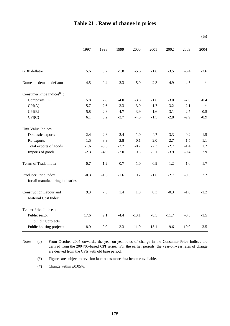|                                                          |        |        |        |         |         |         |         | (% )   |
|----------------------------------------------------------|--------|--------|--------|---------|---------|---------|---------|--------|
|                                                          | 1997   | 1998   | 1999   | 2000    | 2001    | 2002    | 2003    | 2004   |
| GDP deflator                                             | 5.6    | 0.2    | $-5.8$ | $-5.6$  | $-1.8$  | $-3.5$  | $-6.4$  | $-3.6$ |
| Domestic demand deflator                                 | 4.5    | 0.4    | $-2.3$ | $-5.0$  | $-2.3$  | $-4.9$  | $-4.5$  | $\ast$ |
| Consumer Price Indices <sup>(a)</sup> :                  |        |        |        |         |         |         |         |        |
| Composite CPI                                            | 5.8    | 2.8    | $-4.0$ | $-3.8$  | $-1.6$  | $-3.0$  | $-2.6$  | $-0.4$ |
| CPI(A)                                                   | 5.7    | 2.6    | $-3.3$ | $-3.0$  | $-1.7$  | $-3.2$  | $-2.1$  | $\ast$ |
| CPI(B)                                                   | 5.8    | 2.8    | $-4.7$ | $-3.9$  | $-1.6$  | $-3.1$  | $-2.7$  | $-0.5$ |
| CPI(C)                                                   | 6.1    | 3.2    | $-3.7$ | $-4.5$  | $-1.5$  | $-2.8$  | $-2.9$  | $-0.9$ |
| Unit Value Indices :                                     |        |        |        |         |         |         |         |        |
| Domestic exports                                         | $-2.4$ | $-2.8$ | $-2.4$ | $-1.0$  | $-4.7$  | $-3.3$  | 0.2     | 1.5    |
| Re-exports                                               | $-1.5$ | $-3.9$ | $-2.8$ | $-0.1$  | $-2.0$  | $-2.7$  | $-1.5$  | 1.1    |
| Total exports of goods                                   | $-1.6$ | $-3.8$ | $-2.7$ | $-0.2$  | $-2.3$  | $-2.7$  | $-1.4$  | 1.2    |
| Imports of goods                                         | $-2.3$ | $-4.9$ | $-2.0$ | $0.8\,$ | $-3.1$  | $-3.9$  | $-0.4$  | 2.9    |
| Terms of Trade Index                                     | 0.7    | 1.2    | $-0.7$ | $-1.0$  | 0.9     | 1.2     | $-1.0$  | $-1.7$ |
| Producer Price Index<br>for all manufacturing industries | $-0.3$ | $-1.8$ | $-1.6$ | 0.2     | $-1.6$  | $-2.7$  | $-0.3$  | 2.2    |
| Construction Labour and<br>Material Cost Index           | 9.3    | 7.5    | 1.4    | 1.8     | 0.3     | $-0.3$  | $-1.0$  | $-1.2$ |
| Tender Price Indices:                                    |        |        |        |         |         |         |         |        |
| Public sector<br>building projects                       | 17.6   | 9.1    | $-4.4$ | $-13.1$ | $-8.5$  | $-11.7$ | $-0.3$  | $-1.5$ |
| Public housing projects                                  | 18.9   | 9.0    | $-3.3$ | $-11.9$ | $-15.1$ | $-9.6$  | $-10.0$ | 3.5    |

Notes : (a) From October 2005 onwards, the year-on-year rates of change in the Consumer Price Indices are derived from the 2004/05-based CPI series. For the earlier periods, the year-on-year rates of change are derived from the CPIs with old base period.

(#) Figures are subject to revision later on as more data become available.

(\*) Change within  $\pm 0.05\%$ .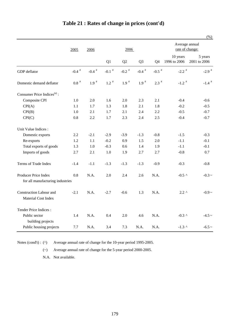|                                                          |                    |                     |               |                    |                |               |                                   | $(\%)$                  |
|----------------------------------------------------------|--------------------|---------------------|---------------|--------------------|----------------|---------------|-----------------------------------|-------------------------|
|                                                          | 2005               | 2006<br>2006        |               |                    |                |               | Average annual<br>rate of change: |                         |
|                                                          |                    |                     | Q1            | Q2                 | Q <sub>3</sub> | Q4            | 10 years<br>1996 to 2006          | 5 years<br>2001 to 2006 |
| GDP deflator                                             | -0.4 $^\#$         | $-0.4$ <sup>#</sup> | -0.1 $^\#$    | -0.2 $^\#$         | -0.4 $^\#$     | -0.5 $^\#$    | $-2.2$ <sup>#</sup>               | $-2.9$ <sup>#</sup>     |
| Domestic demand deflator                                 | $0.8$ <sup>#</sup> | $1.9$ $^{\#}$       | $1.2$ $^{\#}$ | $1.9$ <sup>#</sup> | $1.9$ $^{\#}$  | $2.3$ $^{\#}$ | $-1.2$ <sup>#</sup>               | -1.4 $^\#$              |
| Consumer Price Indices <sup>(a)</sup> :                  |                    |                     |               |                    |                |               |                                   |                         |
| Composite CPI                                            | 1.0                | 2.0                 | 1.6           | 2.0                | 2.3            | 2.1           | $-0.4$                            | $-0.6$                  |
| CPI(A)                                                   | 1.1                | 1.7                 | 1.3           | 1.8                | 2.1            | 1.8           | $-0.2$                            | $-0.5$                  |
| CPI(B)                                                   | 1.0                | 2.1                 | 1.7           | 2.1                | 2.4            | 2.2           | $-0.5$                            | $-0.7$                  |
| CPI(C)                                                   | 0.8                | 2.2                 | 1.7           | 2.3                | 2.4            | 2.5           | $-0.4$                            | $-0.7$                  |
| Unit Value Indices :                                     |                    |                     |               |                    |                |               |                                   |                         |
| Domestic exports                                         | 2.2                | $-2.1$              | $-2.9$        | $-3.9$             | $-1.3$         | $-0.8$        | $-1.5$                            | $-0.3$                  |
| Re-exports                                               | 1.2                | 1.1                 | $-0.2$        | 0.9                | 1.5            | 2.0           | $-1.1$                            | $-0.1$                  |
| Total exports of goods                                   | 1.3                | 1.0                 | $-0.3$        | 0.6                | 1.4            | 1.9           | $-1.1$                            | $-0.1$                  |
| Imports of goods                                         | 2.7                | 2.1                 | 1.0           | 1.9                | 2.7            | 2.7           | $-0.8$                            | 0.7                     |
| Terms of Trade Index                                     | $-1.4$             | $-1.1$              | $-1.3$        | $-1.3$             | $-1.3$         | $-0.9$        | $-0.3$                            | $-0.8$                  |
| Producer Price Index<br>for all manufacturing industries | 0.8                | N.A.                | 2.0           | 2.4                | 2.6            | N.A.          | $-0.5$ ^                          | $-0.3 \sim$             |
| Construction Labour and<br><b>Material Cost Index</b>    | $-2.1$             | N.A.                | $-2.7$        | $-0.6$             | 1.3            | N.A.          | $2.2 \lambda$                     | $-0.9 \sim$             |
| Tender Price Indices:                                    |                    |                     |               |                    |                |               |                                   |                         |
| Public sector<br>building projects                       | 1.4                | N.A.                | 0.4           | 2.0                | 4.6            | N.A.          | $-0.3$ ^                          | $-4.5 \sim$             |
| Public housing projects                                  | 7.7                | N.A.                | 3.4           | 7.3                | N.A.           | N.A.          | $-1.3$ ^                          | $-6.5 \sim$             |

## **Table 21 : Rates of change in prices (cont'd)**

Notes (cond't) :  $($ <sup>^</sup>)

Average annual rate of change for the 10-year period 1995-2005.

(~) Average annual rate of change for the 5-year period 2000-2005.

N.A. Not available.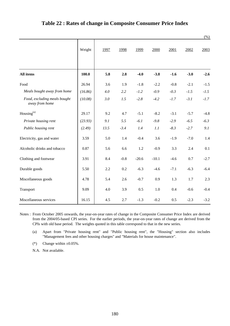|                                                |         |      |        |         |         |        |        | $(\%)$ |
|------------------------------------------------|---------|------|--------|---------|---------|--------|--------|--------|
|                                                | Weight  | 1997 | 1998   | 1999    | 2000    | 2001   | 2002   | 2003   |
| All items                                      | 100.0   | 5.8  | 2.8    | $-4.0$  | $-3.8$  | $-1.6$ | $-3.0$ | $-2.6$ |
| Food                                           | 26.94   | 3.6  | 1.9    | $-1.8$  | $-2.2$  | $-0.8$ | $-2.1$ | $-1.5$ |
| Meals bought away from home                    | (16.86) | 4.0  | 2.2    | $-1.2$  | $-0.9$  | $-0.3$ | $-1.5$ | $-1.5$ |
| Food, excluding meals bought<br>away from home | (10.08) | 3.0  | 1.5    | $-2.8$  | $-4.2$  | $-1.7$ | $-3.1$ | $-1.7$ |
| Housing <sup>(a)</sup>                         | 29.17   | 9.2  | 4.7    | $-5.1$  | $-8.2$  | $-3.1$ | $-5.7$ | $-4.8$ |
| Private housing rent                           | (23.93) | 9.1  | 5.5    | $-6.1$  | $-9.8$  | $-2.9$ | $-6.5$ | $-6.3$ |
| Public housing rent                            | (2.49)  | 13.5 | $-3.4$ | 1.4     | 1.1     | $-8.3$ | $-2.7$ | 9.1    |
| Electricity, gas and water                     | 3.59    | 5.0  | 1.4    | $-0.4$  | 3.6     | $-1.9$ | $-7.0$ | 1.4    |
| Alcoholic drinks and tobacco                   | 0.87    | 5.6  | 6.6    | 1.2     | $-0.9$  | 3.3    | 2.4    | 0.1    |
| Clothing and footwear                          | 3.91    | 8.4  | $-0.8$ | $-20.6$ | $-10.1$ | $-4.6$ | 0.7    | $-2.7$ |
| Durable goods                                  | 5.50    | 2.2  | 0.2    | $-6.3$  | $-4.6$  | $-7.1$ | $-6.3$ | $-6.4$ |
| Miscellaneous goods                            | 4.78    | 5.4  | 2.6    | $-0.7$  | 0.9     | 1.3    | 1.7    | 2.3    |
| Transport                                      | 9.09    | 4.0  | 3.9    | 0.5     | 1.0     | 0.4    | $-0.6$ | $-0.4$ |
| Miscellaneous services                         | 16.15   | 4.5  | 2.7    | $-1.3$  | $-0.2$  | 0.5    | $-2.3$ | $-3.2$ |

#### **Table 22 : Rates of change in Composite Consumer Price Index**

Notes : From October 2005 onwards, the year-on-year rates of change in the Composite Consumer Price Index are derived from the 2004/05-based CPI series. For the earlier periods, the year-on-year rates of change are derived from the CPIs with old base period. The weights quoted in this table correspond to that in the new series.

(a) Apart from "Private housing rent" and "Public housing rent", the "Housing" section also includes "Management fees and other housing charges" and "Materials for house maintenance".

(\*) Change within  $\pm 0.05\%$ .

N.A. Not available.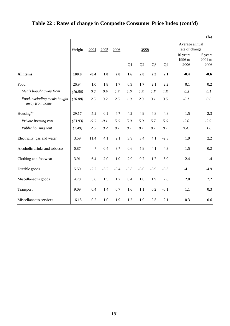|                                                |         |        |        |        |        |                |                |        |                                   | $(\%)$                       |
|------------------------------------------------|---------|--------|--------|--------|--------|----------------|----------------|--------|-----------------------------------|------------------------------|
|                                                | Weight  | 2004   | 2005   | 2006   |        | 2006           |                |        | Average annual<br>rate of change: |                              |
|                                                |         |        |        |        | Q1     | Q <sub>2</sub> | Q <sub>3</sub> | Q4     | 10 years<br>1996 to<br>2006       | 5 years<br>$2001$ to<br>2006 |
| <b>All items</b>                               | 100.0   | $-0.4$ | 1.0    | 2.0    | 1.6    | 2.0            | 2.3            | 2.1    | $-0.4$                            | $-0.6$                       |
| Food                                           | 26.94   | 1.0    | 1.8    | 1.7    | 0.9    | 1.7            | 2.1            | 2.2    | 0.1                               | 0.2                          |
| Meals bought away from                         | (16.86) | 0.2    | 0.9    | 1.3    | 1.0    | 1.3            | 1.5            | 1.5    | 0.3                               | $-0.1$                       |
| Food, excluding meals bought<br>away from home | (10.08) | 2.5    | 3.2    | 2.5    | 1.0    | 2.3            | 3.1            | 3.5    | $-0.1$                            | 0.6                          |
| $\mathop{\rm Housing}\nolimits^{\rm (a)}$      | 29.17   | $-5.2$ | 0.1    | 4.7    | 4.2    | 4.9            | 4.8            | 4.8    | $-1.5$                            | $-2.3$                       |
| Private housing rent                           | (23.93) | $-6.6$ | $-0.1$ | 5.6    | 5.0    | 5.9            | 5.7            | 5.6    | $-2.0$                            | $-2.9$                       |
| Public housing rent                            | (2.49)  | 2.5    | 0.2    | 0.1    | 0.1    | 0.1            | 0.1            | 0.1    | N.A.                              | 1.8                          |
| Electricity, gas and water                     | 3.59    | 11.4   | 4.1    | 2.1    | 3.9    | 3.4            | 4.1            | $-2.8$ | 1.9                               | 2.2                          |
| Alcoholic drinks and tobacco                   | 0.87    | $\ast$ | 0.4    | $-3.7$ | $-0.6$ | $-5.9$         | $-4.1$         | $-4.3$ | 1.5                               | $-0.2$                       |
| Clothing and footwear                          | 3.91    | 6.4    | 2.0    | 1.0    | $-2.0$ | $-0.7$         | 1.7            | 5.0    | $-2.4$                            | 1.4                          |
| Durable goods                                  | 5.50    | $-2.2$ | $-3.2$ | $-6.4$ | $-5.8$ | $-6.6$         | $-6.9$         | $-6.3$ | $-4.1$                            | $-4.9$                       |
| Miscellaneous goods                            | 4.78    | 3.6    | 1.5    | 1.7    | 0.4    | 1.8            | 1.9            | 2.6    | 2.0                               | 2.2                          |
| Transport                                      | 9.09    | 0.4    | 1.4    | 0.7    | 1.6    | 1.1            | 0.2            | $-0.1$ | 1.1                               | 0.3                          |
| Miscellaneous services                         | 16.15   | $-0.2$ | 1.0    | 1.9    | 1.2    | 1.9            | 2.5            | 2.1    | 0.3                               | $-0.6$                       |

# **Table 22 : Rates of change in Composite Consumer Price Index (cont'd)**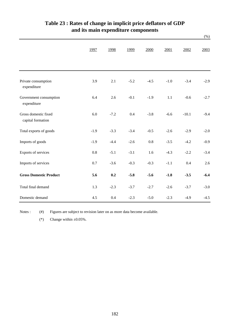|                                           |         |        |        |         |        |         | $(\%)$ |
|-------------------------------------------|---------|--------|--------|---------|--------|---------|--------|
|                                           | 1997    | 1998   | 1999   | 2000    | 2001   | 2002    | 2003   |
| Private consumption<br>expenditure        | 3.9     | 2.1    | $-5.2$ | $-4.5$  | $-1.0$ | $-3.4$  | $-2.9$ |
| Government consumption<br>expenditure     | 6.4     | 2.6    | $-0.1$ | $-1.9$  | 1.1    | $-0.6$  | $-2.7$ |
| Gross domestic fixed<br>capital formation | 6.0     | $-7.2$ | 0.4    | $-3.8$  | $-6.6$ | $-10.1$ | $-9.4$ |
| Total exports of goods                    | $-1.9$  | $-3.3$ | $-3.4$ | $-0.5$  | $-2.6$ | $-2.9$  | $-2.0$ |
| Imports of goods                          | $-1.9$  | $-4.4$ | $-2.6$ | $0.8\,$ | $-3.5$ | $-4.2$  | $-0.9$ |
| Exports of services                       | $0.8\,$ | $-5.1$ | $-3.1$ | 1.6     | $-4.3$ | $-2.2$  | $-3.4$ |
| Imports of services                       | 0.7     | $-3.6$ | $-0.3$ | $-0.3$  | $-1.1$ | 0.4     | 2.6    |
| <b>Gross Domestic Product</b>             | 5.6     | 0.2    | $-5.8$ | $-5.6$  | $-1.8$ | $-3.5$  | $-6.4$ |
| Total final demand                        | 1.3     | $-2.3$ | $-3.7$ | $-2.7$  | $-2.6$ | $-3.7$  | $-3.0$ |
| Domestic demand                           | 4.5     | 0.4    | $-2.3$ | $-5.0$  | $-2.3$ | $-4.9$  | $-4.5$ |

## **and its main expenditure components Table 23 : Rates of change in implicit price deflators of GDP**

Notes :  $(\#)$ Figures are subject to revision later on as more data become available.

(\*) Change within  $\pm 0.05\%$ .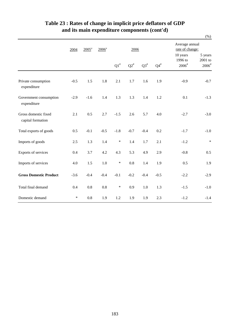|                                           |        |         |                     |        |        |           |                 |                                                 | $(\%)$                                    |  |
|-------------------------------------------|--------|---------|---------------------|--------|--------|-----------|-----------------|-------------------------------------------------|-------------------------------------------|--|
|                                           | 2004   | $2005*$ | $2006$ <sup>*</sup> |        | 2006   |           |                 | Average annual<br>rate of change:               |                                           |  |
|                                           |        |         |                     | $Q1^*$ | $Q2^*$ | $Q3^{\#}$ | ${\bf Q4}^{\#}$ | 10 years<br>1996 to<br>$2006^{\rm \texttt{\#}}$ | 5 years<br>2001 to<br>$2006$ <sup>#</sup> |  |
| Private consumption<br>expenditure        | $-0.5$ | 1.5     | 1.8                 | 2.1    | 1.7    | 1.6       | 1.9             | $-0.9$                                          | $-0.7$                                    |  |
| Government consumption<br>expenditure     | $-2.9$ | $-1.6$  | 1.4                 | 1.3    | 1.3    | 1.4       | 1.2             | 0.1                                             | $-1.3$                                    |  |
| Gross domestic fixed<br>capital formation | 2.1    | 0.5     | 2.7                 | $-1.5$ | 2.6    | 5.7       | 4.0             | $-2.7$                                          | $-3.0$                                    |  |
| Total exports of goods                    | 0.5    | $-0.1$  | $-0.5$              | $-1.8$ | $-0.7$ | $-0.4$    | 0.2             | $-1.7$                                          | $-1.0$                                    |  |
| Imports of goods                          | 2.5    | 1.3     | 1.4                 | $\ast$ | 1.4    | 1.7       | 2.1             | $-1.2$                                          | $\ast$                                    |  |
| Exports of services                       | 0.4    | 3.7     | 4.2                 | 4.3    | 5.3    | 4.9       | 2.9             | $-0.8$                                          | 0.5                                       |  |
| Imports of services                       | 4.0    | 1.5     | $1.0\,$             | $\ast$ | 0.8    | 1.4       | 1.9             | 0.5                                             | 1.9                                       |  |
| <b>Gross Domestic Product</b>             | $-3.6$ | $-0.4$  | $-0.4$              | $-0.1$ | $-0.2$ | $-0.4$    | $-0.5$          | $-2.2$                                          | $-2.9$                                    |  |
| Total final demand                        | 0.4    | 0.8     | 0.8                 | $\ast$ | 0.9    | $1.0\,$   | 1.3             | $-1.5$                                          | $-1.0$                                    |  |
| Domestic demand                           | $\ast$ | 0.8     | 1.9                 | 1.2    | 1.9    | 1.9       | 2.3             | $-1.2$                                          | $-1.4$                                    |  |

## **Table 23 : Rates of change in implicit price deflators of GDP and its main expenditure components (cont'd)**